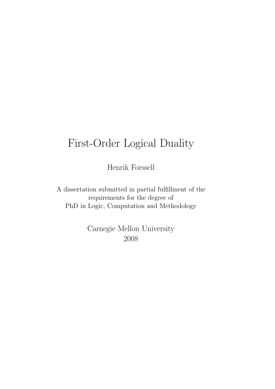# First-Order Logical Duality

Henrik Forssell

A dissertation submitted in partial fulfillment of the requirements for the degree of PhD in Logic, Computation and Methodology

> Carnegie Mellon University 2008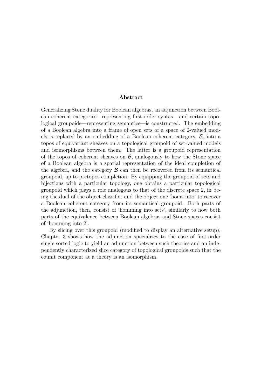#### Abstract

Generalizing Stone duality for Boolean algebras, an adjunction between Boolean coherent categories—representing first-order syntax—and certain topological groupoids—representing semantics—is constructed. The embedding of a Boolean algebra into a frame of open sets of a space of 2-valued models is replaced by an embedding of a Boolean coherent category, B, into a topos of equivariant sheaves on a topological groupoid of set-valued models and isomorphisms between them. The latter is a groupoid representation of the topos of coherent sheaves on  $\mathcal{B}$ , analogously to how the Stone space of a Boolean algebra is a spatial representation of the ideal completion of the algebra, and the category  $\beta$  can then be recovered from its semantical groupoid, up to pretopos completion. By equipping the groupoid of sets and bijections with a particular topology, one obtains a particular topological groupoid which plays a role analogous to that of the discrete space 2, in being the dual of the object classifier and the object one 'homs into' to recover a Boolean coherent category from its semantical groupoid. Both parts of the adjunction, then, consist of 'homming into sets', similarly to how both parts of the equivalence between Boolean algebras and Stone spaces consist of 'homming into 2'.

By slicing over this groupoid (modified to display an alternative setup), Chapter 3 shows how the adjunction specializes to the case of first-order single sorted logic to yield an adjunction between such theories and an independently characterized slice category of topological groupoids such that the counit component at a theory is an isomorphism.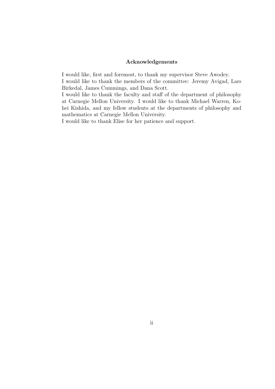#### Acknowledgements

I would like, first and foremost, to thank my supervisor Steve Awodey.

I would like to thank the members of the committee: Jeremy Avigad, Lars Birkedal, James Cummings, and Dana Scott.

I would like to thank the faculty and staff of the department of philosophy at Carnegie Mellon University. I would like to thank Michael Warren, Kohei Kishida, and my fellow students at the departments of philosophy and mathematics at Carnegie Mellon University.

I would like to thank Elise for her patience and support.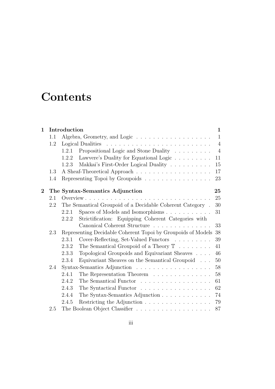# **Contents**

| $\mathbf{1}$     | Introduction |                                                                    |                                                                             |                |  |  |
|------------------|--------------|--------------------------------------------------------------------|-----------------------------------------------------------------------------|----------------|--|--|
|                  | 1.1          |                                                                    |                                                                             | $\mathbf{1}$   |  |  |
|                  | 1.2          |                                                                    |                                                                             | $\overline{4}$ |  |  |
|                  |              | 1.2.1                                                              | Propositional Logic and Stone Duality                                       | $\overline{4}$ |  |  |
|                  |              | 1.2.2                                                              | Lawvere's Duality for Equational Logic                                      | 11             |  |  |
|                  |              | 1.2.3                                                              | Makkai's First-Order Logical Duality $\hfill\ldots\ldots\ldots\ldots\ldots$ | 15             |  |  |
|                  | 1.3          |                                                                    |                                                                             | 17             |  |  |
|                  | 1.4          |                                                                    | Representing Topoi by Groupoids                                             | 23             |  |  |
| $\boldsymbol{2}$ |              |                                                                    | The Syntax-Semantics Adjunction                                             | 25             |  |  |
|                  | 2.1          |                                                                    |                                                                             | 25             |  |  |
|                  | 2.2          | The Semantical Groupoid of a Decidable Coherent Category.<br>30    |                                                                             |                |  |  |
|                  |              | 2.2.1                                                              | Spaces of Models and Isomorphisms                                           | 31             |  |  |
|                  |              | 2.2.2                                                              | Strictification: Equipping Coherent Categories with                         |                |  |  |
|                  |              |                                                                    | Canonical Coherent Structure                                                | 33             |  |  |
|                  | 2.3          | Representing Decidable Coherent Topoi by Groupoids of Models<br>38 |                                                                             |                |  |  |
|                  |              | 2.3.1                                                              | Cover-Reflecting, Set-Valued Functors                                       | 39             |  |  |
|                  |              | 2.3.2                                                              | The Semantical Groupoid of a Theory $\mathbb T \dots \dots$                 | 41             |  |  |
|                  |              | 2.3.3                                                              | Topological Groupoids and Equivariant Sheaves                               | 46             |  |  |
|                  |              | 2.3.4                                                              | Equivariant Sheaves on the Semantical Groupoid                              | 50             |  |  |
|                  | 2.4          |                                                                    |                                                                             | 58             |  |  |
|                  |              | 2.4.1                                                              | The Representation Theorem                                                  | 58             |  |  |
|                  |              | 2.4.2                                                              | The Semantical Functor                                                      | 61             |  |  |
|                  |              | 2.4.3                                                              | The Syntactical Functor                                                     | 62             |  |  |
|                  |              | 2.4.4                                                              | The Syntax-Semantics Adjunction                                             | 74             |  |  |
|                  |              | 2.4.5                                                              | Restricting the Adjunction                                                  | 79             |  |  |
|                  | 2.5          |                                                                    |                                                                             | 87             |  |  |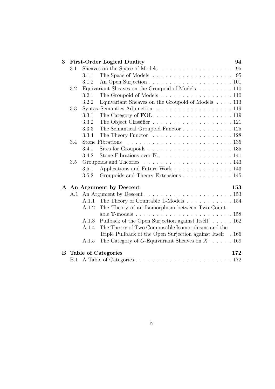| 3   |                                   |                                                                               | <b>First-Order Logical Duality</b>                                                    | 94 |  |
|-----|-----------------------------------|-------------------------------------------------------------------------------|---------------------------------------------------------------------------------------|----|--|
|     | 3.1                               | Sheaves on the Space of Models $\ldots \ldots \ldots \ldots \ldots \ldots$ 95 |                                                                                       |    |  |
|     |                                   | 3.1.1                                                                         | The Space of Models $\ldots \ldots \ldots \ldots \ldots \ldots \ldots 95$             |    |  |
|     |                                   | 3.1.2                                                                         |                                                                                       |    |  |
|     | 3.2                               |                                                                               | Equivariant Sheaves on the Groupoid of Models 110                                     |    |  |
|     |                                   | 3.2.1                                                                         | The Groupoid of Models 110                                                            |    |  |
|     |                                   | 3.2.2                                                                         | Equivariant Sheaves on the Groupoid of Models 113                                     |    |  |
|     | 3.3                               |                                                                               | Syntax-Semantics Adjunction 119                                                       |    |  |
|     |                                   | 3.3.1                                                                         |                                                                                       |    |  |
|     |                                   | 3.3.2                                                                         |                                                                                       |    |  |
|     |                                   | 3.3.3                                                                         | The Semantical Groupoid Functor $\ldots \ldots \ldots \ldots 125$                     |    |  |
|     |                                   | 3.3.4                                                                         | The Theory Functor $\dots \dots \dots \dots \dots \dots \dots \dots 128$              |    |  |
|     | 3.4                               |                                                                               | Stone Fibrations $\ldots \ldots \ldots \ldots \ldots \ldots \ldots \ldots \ldots 135$ |    |  |
|     |                                   | 3.4.1                                                                         |                                                                                       |    |  |
|     |                                   | 3.4.2                                                                         |                                                                                       |    |  |
|     | 3.5                               |                                                                               |                                                                                       |    |  |
|     |                                   | 3.5.1                                                                         | Applications and Future Work 143                                                      |    |  |
|     |                                   | 3.5.2                                                                         | Groupoids and Theory Extensions 145                                                   |    |  |
|     | A An Argument by Descent          | 153                                                                           |                                                                                       |    |  |
| A.1 |                                   |                                                                               |                                                                                       |    |  |
|     |                                   |                                                                               | A.1.1 The Theory of Countable T-Models 154                                            |    |  |
|     |                                   | A.1.2                                                                         | The Theory of an Isomorphism between Two Count-                                       |    |  |
|     |                                   |                                                                               |                                                                                       |    |  |
|     |                                   | A.1.3                                                                         | Pullback of the Open Surjection against Itself 162                                    |    |  |
|     |                                   | A.1.4                                                                         | The Theory of Two Composable Isomorphisms and the                                     |    |  |
|     |                                   |                                                                               | Triple Pullback of the Open Surjection against Itself . 166                           |    |  |
|     |                                   | A.1.5                                                                         | The Category of G-Equivariant Sheaves on $X \dots 169$                                |    |  |
| B   | <b>Table of Categories</b><br>172 |                                                                               |                                                                                       |    |  |
|     |                                   |                                                                               |                                                                                       |    |  |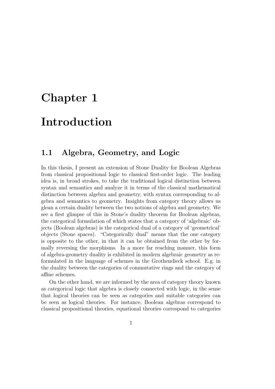## Chapter 1

## Introduction

### 1.1 Algebra, Geometry, and Logic

In this thesis, I present an extension of Stone Duality for Boolean Algebras from classical propositional logic to classical first-order logic. The leading idea is, in broad strokes, to take the traditional logical distinction between syntax and semantics and analyze it in terms of the classical mathematical distinction between algebra and geometry, with syntax corresponding to algebra and semantics to geometry. Insights from category theory allows us glean a certain duality between the two notions of algebra and geometry. We see a first glimpse of this in Stone's duality theorem for Boolean algebras, the categorical formulation of which states that a category of 'algebraic' objects (Boolean algebras) is the categorical dual of a category of 'geometrical' objects (Stone spaces). "Categorically dual" means that the one category is opposite to the other, in that it can be obtained from the other by formally reversing the morphisms. In a more far reaching manner, this form of algebra-geometry duality is exhibited in modern algebraic geometry as reformulated in the language of schemes in the Grothendieck school. E.g. in the duality between the categories of commutative rings and the category of affine schemes.

On the other hand, we are informed by the area of category theory known as categorical logic that algebra is closely connected with logic, in the sense that logical theories can be seen as categories and suitable categories can be seen as logical theories. For instance, Boolean algebras correspond to classical propositional theories, equational theories correspond to categories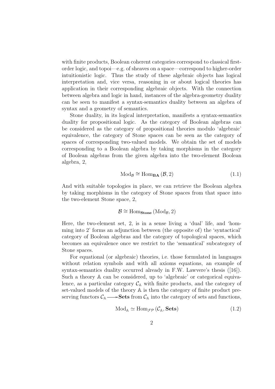with finite products, Boolean coherent categories correspond to classical firstorder logic, and topoi—e.g. of sheaves on a space—correspond to higher-order intuitionistic logic. Thus the study of these algebraic objects has logical interpretation and, vice versa, reasoning in or about logical theories has application in their corresponding algebraic objects. With the connection between algebra and logic in hand, instances of the algebra-geometry duality can be seen to manifest a syntax-semantics duality between an algebra of syntax and a geometry of semantics.

Stone duality, in its logical interpretation, manifests a syntax-semantics duality for propositional logic. As the category of Boolean algebras can be considered as the category of propositional theories modulo 'algebraic' equivalence, the category of Stone spaces can be seen as the category of spaces of corresponding two-valued models. We obtain the set of models corresponding to a Boolean algebra by taking morphisms in the category of Boolean algebras from the given algebra into the two-element Boolean algebra, 2,

$$
Mod_{\mathcal{B}} \cong Hom_{\mathbf{BA}}\left(\mathcal{B}, 2\right) \tag{1.1}
$$

And with suitable topologies in place, we can retrieve the Boolean algebra by taking morphisms in the category of Stone spaces from that space into the two-element Stone space, 2,

$$
\mathcal{B} \cong \mathrm{Hom}_{\mathbf{Stone}}\left(\mathrm{Mod}_{\mathcal{B}}, 2\right)
$$

Here, the two-element set, 2, is in a sense living a 'dual' life, and 'homming into 2' forms an adjunction between (the opposite of) the 'syntactical' category of Boolean algebras and the category of topological spaces, which becomes an equivalence once we restrict to the 'semantical' subcategory of Stone spaces.

For equational (or algebraic) theories, i.e. those formulated in languages without relation symbols and with all axioms equations, an example of syntax-semantics duality occurred already in F.W. Lawvere's thesis ([16]). Such a theory  $A$  can be considered, up to 'algebraic' or categorical equivalence, as a particular category  $\mathcal{C}_A$  with finite products, and the category of set-valued models of the theory A is then the category of finite product preserving functors  $\mathcal{C}_A \longrightarrow$ **Sets** from  $\mathcal{C}_A$  into the category of sets and functions,

$$
Mod_{A} \simeq Hom_{\mathcal{FP}}\left(\mathcal{C}_{A}, \mathbf{Sets}\right) \tag{1.2}
$$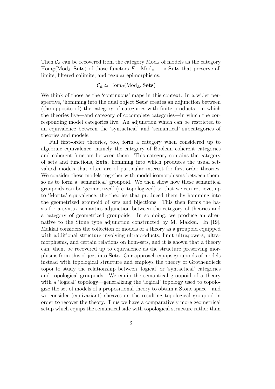Then  $\mathcal{C}_A$  can be recovered from the category  $Mod_A$  of models as the category  $\text{Hom}_{\mathcal{G}}(\text{Mod}_{\mathbb{A}}, \textbf{Sets})$  of those functors  $F : \text{Mod}_{\mathbb{A}} \longrightarrow \textbf{Sets}$  that preserve all limits, filtered colimits, and regular epimorphisms,

#### $\mathcal{C}_A \simeq \text{Hom}_{\mathcal{C}}(\text{Mod}_A, \textbf{Sets})$

We think of those as the 'continuous' maps in this context. In a wider perspective, 'homming into the dual object Sets' creates an adjunction between (the opposite of) the category of categories with finite products—in which the theories live—and category of cocomplete categories—in which the corresponding model categories live. An adjunction which can be restricted to an equivalence between the 'syntactical' and 'semantical' subcategories of theories and models.

Full first-order theories, too, form a category when considered up to algebraic equivalence, namely the category of Boolean coherent categories and coherent functors between them. This category contains the category of sets and functions, Sets, homming into which produces the usual setvalued models that often are of particular interest for first-order theories. We consider these models together with model isomorphisms between them, so as to form a 'semantical' groupoid. We then show how these semantical groupoids can be 'geometrized' (i.e. topologized) so that we can retrieve, up to 'Morita' equivalence, the theories that produced them by homming into the geometrized groupoid of sets and bijections. This then forms the basis for a syntax-semantics adjunction between the category of theories and a category of geometrized groupoids. In so doing, we produce an alternative to the Stone type adjunction constructed by M. Makkai. In [19], Makkai considers the collection of models of a theory as a groupoid equipped with additional structure involving ultraproducts, limit ultrapowers, ultramorphisms, and certain relations on hom-sets, and it is shown that a theory can, then, be recovered up to equivalence as the structure preserving morphisms from this object into Sets. Our approach equips groupoids of models instead with topological structure and employs the theory of Grothendieck topoi to study the relationship between 'logical' or 'syntactical' categories and topological groupoids. We equip the semantical groupoid of a theory with a 'logical' topology—generalizing the 'logical' topology used to topologize the set of models of a propositional theory to obtain a Stone space—and we consider (equivariant) sheaves on the resulting topological groupoid in order to recover the theory. Thus we have a comparatively more geometrical setup which equips the semantical side with topological structure rather than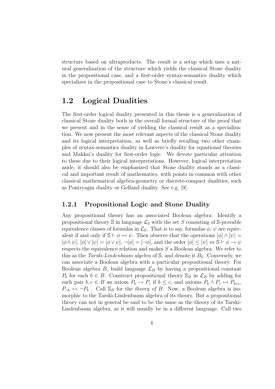structure based on ultraproducts. The result is a setup which uses a natural generalization of the structure which yields the classical Stone duality in the propositional case, and a first-order syntax-semantics duality which specializes in the propositional case to Stone's classical result.

## 1.2 Logical Dualities

The first-order logical duality presented in this thesis is a generalization of classical Stone duality both in the overall formal structure of the proof that we present and in the sense of yielding the classical result as a specialization. We now present the most relevant aspects of the classical Stone duality and its logical interpretation, as well as briefly recalling two other examples of syntax-semantics duality in Lawvere's duality for equational theories and Makkai's duality for first-order logic. We devote particular attention to these due to their logical interpretations. However, logical interpretation aside, it should also be emphasized that Stone duality stands as a classical and important result of mathematics, with points in common with other classical mathematical algebra-geometry or discrete-compact dualities, such as Pontryagin duality or Gelfand duality. See e.g. [9].

#### 1.2.1 Propositional Logic and Stone Duality

Any propositional theory has an associated Boolean algebra: Identify a propositional theory  $\mathcal S$  in language  $\mathcal L_{\mathcal S}$  with the set S consisting of  $\mathcal S$ -provable equivalence classes of formulas in  $\mathcal{L}_s$ . That is to say, formulas  $\phi$ ,  $\psi$  are equivalent if and only if  $\mathbb{S} \vdash \phi \leftrightarrow \psi$ . Then observe that the operations  $[\phi] \wedge [\psi] =$  $[\phi \wedge \psi], [\phi] \vee [\psi] = [\phi \vee \psi], \neg [\phi] = [\neg \phi],$  and the order  $[\phi] \leq [\psi] \Leftrightarrow \mathbb{S} \vdash \phi \rightarrow \psi$ respects the equivalence relation and makes S a Boolean algebra. We refer to this as the Tarski-Lindenbaum algebra of S, and denote it  $B_s$ . Conversely, we can associate a Boolean algebra with a particular propositional theory. For Boolean algebra  $B$ , build language  $\mathcal{L}_B$  by having a propositional constant  $P_b$  for each  $b \in B$ . Construct propositional theory  $\mathcal{S}_B$  in  $\mathcal{L}_B$  by adding for each pair  $b, c \in B$  an axiom  $P_b \to P_c$  if  $b \leq c$ , and axioms  $P_b \land P_c \leftrightarrow P_{b \land c}$ ,  $P_{\neg b} \leftrightarrow \neg P_b$ . Call  $\mathbb{S}_B$  for the *theory of B*. Now, a Boolean algebra is isomorphic to the Tarski-Lindenbaum algebra of its theory. But a propositional theory can not in general be said to be the same as the theory of its Tarski-Lindenbaum algebra, as it will usually be in a different language. Call two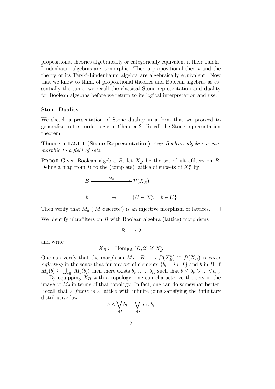propositional theories algebraically or categorically equivalent if their Tarski-Lindenbaum algebras are isomorphic. Then a propositional theory and the theory of its Tarski-Lindenbaum algebra are algebraically equivalent. Now that we know to think of propositional theories and Boolean algebras as essentially the same, we recall the classical Stone representation and duality for Boolean algebras before we return to its logical interpretation and use.

#### Stone Duality

We sketch a presentation of Stone duality in a form that we proceed to generalize to first-order logic in Chapter 2. Recall the Stone representation theorem:

Theorem 1.2.1.1 (Stone Representation) Any Boolean algebra is isomorphic to a field of sets.

PROOF Given Boolean algebra  $B$ , let  $X_B^u$  be the set of ultrafilters on  $B$ . Define a map from B to the (complete) lattice of subsets of  $X_B^u$  by:

$$
B \longrightarrow M_d \longrightarrow \mathcal{P}(X_B^u)
$$
  

$$
b \longrightarrow \{U \in X_B^u \mid b \in U\}
$$

Then verify that  $M_d$  ('M discrete') is an injective morphism of lattices.  $\Box$ We identify ultrafilters on  $B$  with Boolean algebra (lattice) morphisms

$$
B\longrightarrow 2
$$

and write

$$
X_B := \text{Hom}_{\mathbf{BA}}(B, 2) \cong X_B^u
$$

One can verify that the morphism  $M_d : B \longrightarrow \mathcal{P}(X_B^u) \cong \mathcal{P}(X_B)$  is cover reflecting in the sense that for any set of elements  $\{b_i \mid i \in I\}$  and b in B, if  $M_d(b) \subseteq \bigcup_{i \in I} M_d(b_i)$  then there exists  $b_{i_1}, \ldots, b_{i_n}$  such that  $b \leq b_{i_1} \vee \ldots \vee b_{i_n}$ .

By equipping  $X_B$  with a topology, one can characterize the sets in the image of  $M_d$  in terms of that topology. In fact, one can do somewhat better. Recall that a frame is a lattice with infinite joins satisfying the infinitary distributive law  $\overline{a}$  $\overline{a}$ 

$$
a \wedge \bigvee_{i \in I} b_i = \bigvee_{i \in I} a \wedge b_i
$$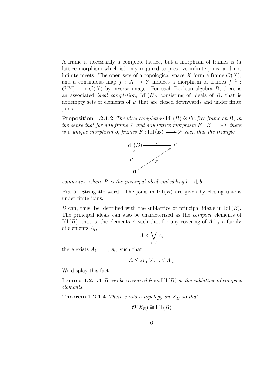A frame is necessarily a complete lattice, but a morphism of frames is (a lattice morphism which is) only required to preserve infinite joins, and not infinite meets. The open sets of a topological space X form a frame  $\mathcal{O}(X)$ , and a continuous map  $f: X \to Y$  induces a morphism of frames  $f^{-1}$ :  $\mathcal{O}(Y) \longrightarrow \mathcal{O}(X)$  by inverse image. For each Boolean algebra B, there is an associated *ideal completion*,  $\text{Id}(B)$ , consisting of ideals of B, that is nonempty sets of elements of B that are closed downwards and under finite joins.

**Proposition 1.2.1.2** The ideal completion  $\text{Id}(B)$  is the free frame on B, in the sense that for any frame  $\mathcal F$  and any lattice morphism  $F : B \longrightarrow \mathcal F$  there is a unique morphism of frames  $\hat{F}$ : Idl $(B) \longrightarrow \mathcal{F}$  such that the triangle



commutes, where P is the principal ideal embedding  $b \mapsto \downarrow b$ .

**PROOF** Straightforward. The joins in Idl $(B)$  are given by closing unions under finite joins.

B can, thus, be identified with the sublattice of principal ideals in  $\text{Id}(B)$ . The principal ideals can also be characterized as the compact elements of Idl  $(B)$ , that is, the elements A such that for any covering of A by a family of elements  $A_i$ ,  $\overline{a}$ 

$$
A \le \bigvee_{i \in I} A_i
$$

there exists  $A_{i_1}, \ldots, A_{i_n}$  such that

 $A \leq A_{i_1} \vee \ldots \vee A_{i_n}$ 

We display this fact:

**Lemma 1.2.1.3** B can be recovered from  $\text{Id}(B)$  as the sublattice of compact elements.

**Theorem 1.2.1.4** There exists a topology on  $X_B$  so that

$$
\mathcal{O}(X_B) \cong \text{Idl}(B)
$$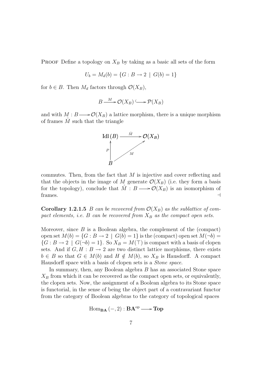**PROOF** Define a topology on  $X_B$  by taking as a basic all sets of the form

$$
U_b = M_d(b) = \{G : B \to 2 \mid G(b) = 1\}
$$

for  $b \in B$ . Then  $M_d$  factors through  $\mathcal{O}(X_B)$ ,

$$
B \xrightarrow{M} \mathcal{O}(X_B) \longrightarrow \mathcal{P}(X_B)
$$

and with  $M : B \longrightarrow \mathcal{O}(X_B)$  a lattice morphism, there is a unique morphism of frames  $\tilde{M}$  such that the triangle



commutes. Then, from the fact that  $M$  is injective and cover reflecting and that the objects in the image of M generate  $\mathcal{O}(X_B)$  (i.e. they form a basis for the topology), conclude that  $\hat{M}: B \longrightarrow \mathcal{O}(X_B)$  is an isomorphism of  $f$ rames.  $\Box$ 

**Corollary 1.2.1.5** B can be recovered from  $\mathcal{O}(X_B)$  as the sublattice of compact elements, i.e.  $B$  can be recovered from  $X_B$  as the compact open sets.

Moreover, since  $B$  is a Boolean algebra, the complement of the (compact) open set  $M(b) = \{G : B \to 2 \mid G(b) = 1\}$  is the (compact) open set  $M(\neg b) =$  $\{G : B \to 2 \mid G(\neg b) = 1\}.$  So  $X_B = M(\top)$  is compact with a basis of clopen sets. And if  $G, H : B \to 2$  are two distinct lattice morphisms, there exists  $b \in B$  so that  $G \in M(b)$  and  $H \notin M(b)$ , so  $X_B$  is Hausdorff. A compact Hausdorff space with a basis of clopen sets is a Stone space.

In summary, then, any Boolean algebra B has an associated Stone space  $X_B$  from which it can be recovered as the compact open sets, or equivalently, the clopen sets. Now, the assignment of a Boolean algebra to its Stone space is functorial, in the sense of being the object part of a contravariant functor from the category of Boolean algebras to the category of topological spaces

$$
\mathrm{Hom}_{\mathbf{BA}}\left(-,2\right): \mathbf{BA}^{\mathrm{op}} \longrightarrow \mathbf{Top}
$$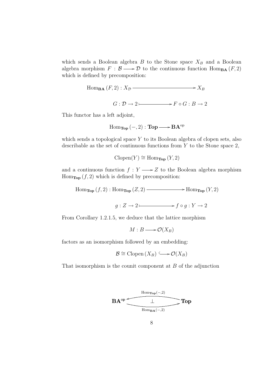which sends a Boolean algebra  $B$  to the Stone space  $X_B$  and a Boolean algebra morphism  $F : \mathcal{B} \longrightarrow \mathcal{D}$  to the continuous function  $\text{Hom}_{\textbf{BA}}(F, 2)$ which is defined by precomposition:

Hom<sub>BA</sub> 
$$
(F, 2): X_{\mathcal{D}} \longrightarrow X_B
$$
  

$$
G: \mathcal{D} \to 2 \longmapsto F \circ G: B \to 2
$$

This functor has a left adjoint,

$$
\operatorname{Hom}_{\operatorname{\mathbf{Top}}}(-,2) : \operatorname{\mathbf{Top}} \longrightarrow \mathbf{BA}^{\operatorname{op}}
$$

which sends a topological space Y to its Boolean algebra of clopen sets, also describable as the set of continuous functions from  $Y$  to the Stone space 2,

 $Clopen(Y) \cong Hom_{Top}(Y, 2)$ 

and a continuous function  $f: Y \longrightarrow Z$  to the Boolean algebra morphism  $\text{Hom}_{\text{Top}}(f, 2)$  which is defined by precomposition:

 $\text{Hom}_{\textbf{Top}}(f, 2) : \text{Hom}_{\textbf{Top}}(Z, 2) \longrightarrow \text{Hom}_{\textbf{Top}}(Y, 2)$ 

 $g: Z \to 2$  f  $\circ g: Y \to 2$ 

From Corollary 1.2.1.5, we deduce that the lattice morphism

 $M : B \longrightarrow \mathcal{O}(X_B)$ 

factors as an isomorphism followed by an embedding:

$$
\mathcal{B} \cong \mathrm{Clopen}\,(X_B) \longrightarrow \mathcal{O}(X_B)
$$

That isomorphism is the counit component at  $B$  of the adjunction

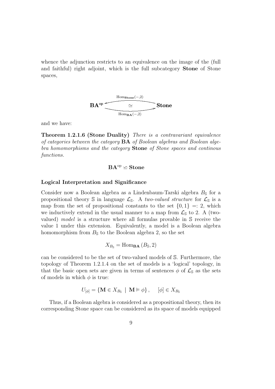whence the adjunction restricts to an equivalence on the image of the (full and faithful) right adjoint, which is the full subcategory Stone of Stone spaces,



and we have:

Theorem 1.2.1.6 (Stone Duality) There is a contravariant equivalence of categories between the category  $BA$  of Boolean algebras and Boolean algebra homomorphisms and the category **Stone** of Stone spaces and continous functions.

$$
BA^{\mathrm{op}}\backsimeq Stone
$$

#### Logical Interpretation and Significance

Consider now a Boolean algebra as a Lindenbaum-Tarski algebra  $B<sub>S</sub>$  for a propositional theory S in language  $\mathcal{L}_s$ . A two-valued structure for  $\mathcal{L}_s$  is a map from the set of propositional constants to the set  $\{0, 1\} =: 2$ , which we inductively extend in the usual manner to a map from  $\mathcal{L}_{S}$  to 2. A (twovalued) model is a structure where all formulas provable in S receive the value 1 under this extension. Equivalently, a model is a Boolean algebra homomorphism from  $B_{\rm S}$  to the Boolean algebra 2, so the set

$$
X_{B_{\mathbb{S}}} = \text{Hom}_{\mathbf{BA}}(B_{\mathbb{S}}, 2)
$$

can be considered to be the set of two-valued models of S. Furthermore, the topology of Theorem 1.2.1.4 on the set of models is a 'logical' topology, in that the basic open sets are given in terms of sentences  $\phi$  of  $\mathcal{L}_s$  as the sets of models in which  $\phi$  is true:

$$
U_{\left[\phi\right]} = \left\{ \mathbf{M} \in X_{B_{\mathbb{S}}} \mid \mathbf{M} \models \phi \right\}, \quad \left[\phi\right] \in X_{B_{\mathbb{S}}}
$$

Thus, if a Boolean algebra is considered as a propositional theory, then its corresponding Stone space can be considered as its space of models equipped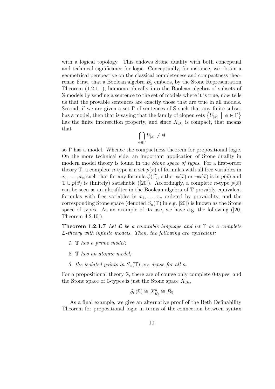with a logical topology. This endows Stone duality with both conceptual and technical significance for logic. Conceptually, for instance, we obtain a geometrical perspective on the classical completeness and compactness theorems: First, that a Boolean algebra  $B_{\rm S}$  embeds, by the Stone Representation Theorem (1.2.1.1), homomorphically into the Boolean algebra of subsets of S-models by sending a sentence to the set of models where it is true, now tells us that the provable sentences are exactly those that are true in all models. Second, if we are given a set  $\Gamma$  of sentences of  $\mathbb S$  such that any finite subset Second, if we are given a set 1 or sentences of S such that any finite subset<br>has a model, then that is saying that the family of clopen sets  $\{U_{[\phi]} \mid \phi \in \Gamma\}$ has the finite intersection property, and since  $X_{B_s}$  is compact, that means that  $\overline{\phantom{a}}$ 

$$
\bigcap_{\phi\in\Gamma}U_{[\phi]}\neq\emptyset
$$

so Γ has a model. Whence the compactness theorem for propositional logic. On the more technical side, an important application of Stone duality in modern model theory is found in the *Stone space of types*. For a first-order theory T, a complete *n*-type is a set  $p(\vec{x})$  of formulas with all free variables in  $x_1, \ldots, x_n$  such that for any formula  $\phi(\vec{x})$ , either  $\phi(\vec{x})$  or  $\neg \phi(\vec{x})$  is in  $p(\vec{x})$  and  $\mathbb{T} \cup p(\vec{x})$  is (finitely) satisfiable ([20]). Accordingly, a complete *n*-type  $p(\vec{x})$ can be seen as an ultrafilter in the Boolean algebra of T-provably equivalent formulas with free variables in  $x_1, \ldots, x_n$  ordered by provability, and the corresponding Stone space (denoted  $S_n(\mathbb{T})$  in e.g. [20]) is known as the Stone space of types. As an example of its use, we have e.g. the following ([20, Theorem 4.2.10]):

**Theorem 1.2.1.7** Let  $\mathcal{L}$  be a countable language and let  $\mathbb{T}$  be a complete  $\mathcal{L}\text{-theory with infinite models. Then, the following are equivalent:}$ 

- 1. T has a prime model;
- 2. T has an atomic model;
- 3. the isolated points in  $S_n(\mathbb{T})$  are dense for all n.

For a propositional theory S, there are of course only complete 0-types, and the Stone space of 0-types is just the Stone space  $X_{B_s}$ ,

$$
S_0(\mathbb{S}) \cong X_{B_{\mathbb{S}}}^u \cong B_{\mathbb{S}}
$$

As a final example, we give an alternative proof of the Beth Definability Theorem for propositional logic in terms of the connection between syntax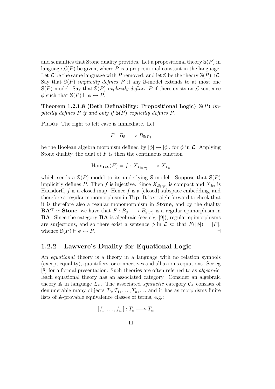and semantics that Stone duality provides. Let a propositional theory  $\mathcal{S}(P)$  in language  $\mathcal{L}(P)$  be given, where P is a propositional constant in the language. Let  $\mathcal L$  be the same language with P removed, and let S be the theory  $\mathbb S(P) \cap \mathcal L$ . Say that  $\mathbb{S}(P)$  *implicitly defines* P if any S-model extends to at most one  $\mathbb{S}(P)$ -model. Say that  $\mathbb{S}(P)$  explicitly defines P if there exists an  $\mathcal{L}$ -sentence  $\phi$  such that  $\mathbb{S}(P) \vdash \phi \leftrightarrow P$ .

Theorem 1.2.1.8 (Beth Definability: Propositional Logic)  $\mathbb{S}(P)$  implicitly defines P if and only if  $\mathbb{S}(P)$  explicitly defines P.

PROOF The right to left case is immediate. Let

$$
F: B_{\mathbb{S}} \longrightarrow B_{\mathbb{S}(P)}
$$

be the Boolean algebra morphism defined by  $[\phi] \mapsto [\phi]$ , for  $\phi$  in  $\mathcal{L}$ . Applying Stone duality, the dual of  $F$  is then the continuous function

$$
\operatorname{Hom}_{\mathbf{BA}}(F) = f : X_{B_{\mathbb{S}(P)}} \longrightarrow X_{B_{\mathbb{S}}}
$$

which sends a  $\mathcal{S}(P)$ -model to its underlying S-model. Suppose that  $\mathcal{S}(P)$ implicitly defines P. Then f is injective. Since  $X_{B_{S(P)}}$  is compact and  $X_{B_S}$  is Hausdorff,  $f$  is a closed map. Hence  $f$  is a (closed) subspace embedding, and therefore a regular monomorphism in Top. It is straightforward to check that it is therefore also a regular monomorphism in Stone, and by the duality  $\mathbf{BA}^{\mathrm{op}} \simeq$  **Stone**, we have that  $F : B_{\mathbb{S}} \longrightarrow B_{\mathbb{S}(P)}$  is a regular epimorphism in BA. Since the category BA is algebraic (see e.g. [9]), regular epimorphisms are surjections, and so there exist a sentence  $\phi$  in  $\mathcal L$  so that  $F([\phi]) = [P]$ , whence  $\mathbb{S}(P) \vdash \phi \leftrightarrow P$ .

#### 1.2.2 Lawvere's Duality for Equational Logic

An equational theory is a theory in a language with no relation symbols (except equality), quantifiers, or connectives and all axioms equations. See eg [8] for a formal presentation. Such theories are often referred to as algebraic. Each equational theory has an associated category. Consider an algebraic theory A in language  $\mathcal{L}_{A}$ . The associated *syntactic* category  $\mathcal{C}_{A}$  consists of denumerable many objects  $T_0, T_1, \ldots, T_n, \ldots$  and it has as morphisms finite lists of A-provable equivalence classes of terms, e.g.:

$$
[f_1,\ldots,f_m]:T_n\longrightarrow T_m
$$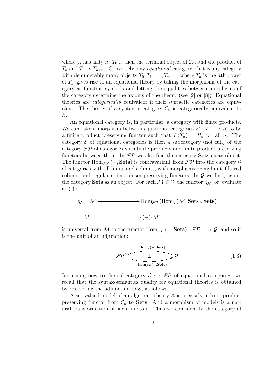where  $f_i$  has arity n.  $T_0$  is then the terminal object of  $\mathcal{C}_A$ , and the product of  $T_n$  and  $T_m$  is  $T_{n+m}$ . Conversely, any *equational* category, that is any category with denumerably many objects  $T_0, T_1, \ldots, T_n, \ldots$  where  $T_n$  is the *n*th power of  $T_1$ , gives rise to an equational theory by taking the morphisms of the category as function symbols and letting the equalities between morphisms of the category determine the axioms of the theory (see [2] or [8]). Equational theories are categorically equivalent if their syntactic categories are equivalent. The theory of a syntactic category  $\mathcal{C}_A$  is categorically equivalent to A.

An equational category is, in particular, a category with finite products. We can take a morphism between equational categories  $F : \mathcal{T} \longrightarrow \mathcal{R}$  to be a finite product preserving functor such that  $F(T_n) = R_n$  for all n. The category  $\mathcal E$  of equational categories is then a subcategory (not full) of the category  $\mathcal{FP}$  of categories with finite products and finite product preserving functors between them. In  $\mathcal{FP}$  we also find the category **Sets** as an object. The functor Hom<sub>FP</sub> (–, Sets) is contravariant from  $\mathcal{FP}$  into the category  $\mathcal G$ of categories with all limits and colimits, with morphisms being limit, filtered colimit, and regular epimorphism preserving functors. In  $\mathcal G$  we find, again, the category **Sets** as an object. For each  $\mathcal{M} \in \mathcal{G}$ , the functor  $\eta_M$ , or 'evaluate at  $(-)$ :

$$
\eta_{\mathcal{M}}: \mathcal{M} \longrightarrow \mathrm{Hom}_{\mathcal{FP}}\left(\mathrm{Hom}_{\mathcal{G}}\left(\mathcal{M},\mathbf{Sets}\right),\mathbf{Sets}\right)
$$

$$
M \longmapsto (-)(M)
$$

is universal from M to the functor  $\text{Hom}_{\mathcal{FP}}(-, \textbf{Sets}) : \mathcal{FP} \longrightarrow \mathcal{G}$ , and so it is the unit of an adjunction:

$$
\mathcal{FP}^{\text{op}} \xrightarrow{\text{Hom}_{\mathcal{G}}(-,\text{Sets})} \mathcal{G}
$$
\n
$$
(1.3)
$$

Returning now to the subcategory  $\mathcal{E} \hookrightarrow \mathcal{FP}$  of equational categories, we recall that the syntax-semantics duality for equational theories is obtained by restricting the adjunction to  $\mathcal{E}$ , as follows:

A set-valued model of an algebraic theory A is precisely a finite product preserving functor from  $\mathcal{C}_{A}$  to **Sets**. And a morphism of models is a natural transformation of such functors. Thus we can identify the category of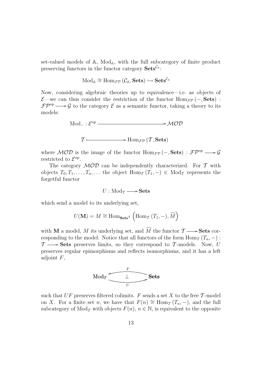set-valued models of  $A$ , Mod<sub> $A$ </sub>, with the full subcategory of finite product preserving functors in the functor category  $\textbf{Sets}^{\mathcal{C}_A}$ :

$$
\mathrm{Mod}_\mathbb{A} \cong \mathrm{Hom}_{\mathcal{FP}}\left(\mathcal{C}_\mathbb{A}, \mathbf{Sets}\right) \hookrightarrow \mathbf{Sets}^{\mathcal{C}_\mathbb{A}}
$$

Now, considering algebraic theories up to equivalence—i.e. as objects of  $\mathcal{E}$ —we can thus consider the restriction of the functor Hom<sub> $\mathcal{F}$ </sub> $\mathcal{P}$  (−, Sets) :  $\mathcal{FP}^{\text{op}} \longrightarrow \mathcal{G}$  to the category  $\mathcal{E}$  as a semantic functor, taking a theory to its models:

$$
Mod_{-}: \mathcal{E}^{op} \longrightarrow \mathcal{MOD}
$$
  

$$
\mathcal{T} \longmapsto Hom_{\mathcal{FP}}(\mathcal{T}, \mathbf{Sets})
$$

where  $MOD$  is the image of the functor  $\text{Hom}_{\mathcal{FP}}(-, \textbf{Sets}) : \mathcal{FP}^{\text{op}} \longrightarrow \mathcal{G}$ restricted to  $\mathcal{E}^{\text{op}}$ .

The category  $\mathcal{MOD}$  can be independently characterized. For  $\mathcal T$  with objects  $T_0, T_1, \ldots, T_n, \ldots$  the object  $\text{Hom}_{\mathcal{T}}(T_1, -) \in \text{Mod}_{\mathcal{T}}$  represents the forgetful functor

$$
U:\operatorname{Mod}_\mathcal{T}\longrightarrow\operatorname{\bf Sets}
$$

which send a model to its underlying set,

$$
U(\mathbf{M}) = M \cong \mathrm{Hom}_{\mathbf{Sets}^{\mathcal{T}}}\left(\mathrm{Hom}_{\mathcal{T}}\left(T_1,-\right),\widetilde{M}\right)
$$

with **M** a model, M its underlying set, and  $\widetilde{M}$  the functor  $\mathcal{T} \longrightarrow$ **Sets** corresponding to the model. Notice that all functors of the form  $\text{Hom}_{\mathcal{T}}(T_n, -)$ :  $\mathcal{T} \longrightarrow$  Sets preserves limits, so they correspond to  $\mathcal{T}$ -models. Now, U preserves regular epimorphisms and reflects isomorphisms, and it has a left adjoint  $F$ ,



such that  $UF$  preserves filtered colimits. F sends a set X to the free T-model on X. For a finite set n, we have that  $F(n) \cong \text{Hom}_{\mathcal{T}}(T_n, -)$ , and the full subcategory of Mod<sub>T</sub> with objects  $F(n)$ ,  $n \in \mathbb{N}$ , is equivalent to the opposite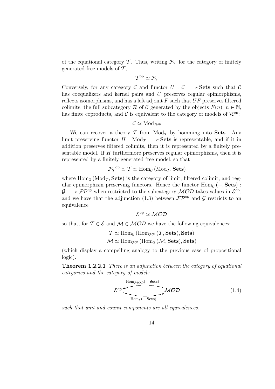of the equational category  $\mathcal T$ . Thus, writing  $\mathcal F_T$  for the category of finitely generated free models of  $\mathcal T$ ,

$$
\mathcal{T}^{\mathrm{op}} \simeq \mathcal{F}_{\mathcal{T}}
$$

Conversely, for any category C and functor  $U : \mathcal{C} \longrightarrow$  Sets such that C has coequalizers and kernel pairs and U preserves regular epimorphisms, reflects isomorphisms, and has a left adjoint  $F$  such that  $UF$  preserves filtered colimits, the full subcategory R of C generated by the objects  $F(n)$ ,  $n \in \mathbb{N}$ , has finite coproducts, and C is equivalent to the category of models of  $\mathcal{R}^{\text{op}}$ :

$$
\mathcal{C} \simeq \mathrm{Mod}_{\mathcal{R}^\mathrm{op}}
$$

We can recover a theory  $\mathcal T$  from  $\text{Mod}_{\mathcal T}$  by homming into **Sets**. Any limit preserving functor  $H : Mod_{\mathcal{T}} \longrightarrow$  **Sets** is representable, and if it in addition preserves filtered colimits, then it is represented by a finitely presentable model. If H furthermore preserves regular epimorphisms, then it is represented by a finitely generated free model, so that

$$
\mathcal{F}_{\mathcal{T}}^{\mathrm{op}} \simeq \mathcal{T} \simeq \mathrm{Hom}_{\mathcal{G}}\left(\mathrm{Mod}_{\mathcal{T}}, \mathbf{Sets}\right)
$$

where  $\text{Hom}_\mathcal{G}(\text{Mod}_\mathcal{T}, \textbf{Sets})$  is the category of limit, filtered colimit, and regular epimorphism preserving functors. Hence the functor  $\text{Hom}_G(-, \text{Sets})$ :  $\mathcal{G} \longrightarrow \mathcal{FP}^{\text{op}}$  when restricted to the subcategory  $\mathcal{MOD}$  takes values in  $\mathcal{E}^{\text{op}}$ , and we have that the adjunction (1.3) between  $\mathcal{FP}^{\text{op}}$  and  $\mathcal G$  restricts to an equivalence

#### $\mathcal{E}^{\mathrm{op}} \simeq \mathcal{M} \mathcal{O} \mathcal{D}$

so that, for  $\mathcal{T} \in \mathcal{E}$  and  $\mathcal{M} \in \mathcal{MOD}$  we have the following equivalences:

$$
\mathcal{T} \simeq \text{Hom}_{\mathcal{G}} (\text{Hom}_{\mathcal{FP}}(\mathcal{T}, \textbf{Sets}), \textbf{Sets})
$$

$$
\mathcal{M} \simeq \text{Hom}_{\mathcal{FP}} (\text{Hom}_{\mathcal{G}}(\mathcal{M}, \textbf{Sets}), \textbf{Sets})
$$

(which display a compelling analogy to the previous case of propositional logic).

Theorem 1.2.2.1 There is an adjunction between the category of equational categories and the category of models

$$
\mathcal{E}^{\rm op} \underbrace{\underbrace{\qquad \qquad \perp}_{\text{Hom}_{\mathcal{E}}(-,\text{Sets})}} \mathcal{MOD} \tag{1.4}
$$

such that unit and counit components are all equivalences.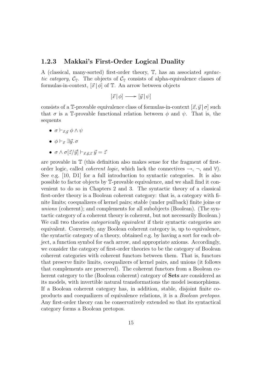#### 1.2.3 Makkai's First-Order Logical Duality

A (classical, many-sorted) first-order theory, T, has an associated syntactic category,  $\mathcal{C}_{\mathbb{T}}$ . The objects of  $\mathcal{C}_{\mathbb{T}}$  consists of alpha-equivalence classes of formulas-in-context,  $[\vec{x} | \phi]$  of  $\mathbb{T}$ . An arrow between objects

$$
[\vec{x} | \phi] \longrightarrow [\vec{y} | \psi]
$$

consists of a T-provable equivalence class of formulas-in-context  $[\vec{x}, \vec{y} | \sigma]$  such that  $\sigma$  is a T-provable functional relation between  $\phi$  and  $\psi$ . That is, the sequents

- $\sigma \vdash_{\vec{x},\vec{y}} \phi \land \psi$
- $\phi \vdash_{\vec{x}} \exists \vec{y}.\ \sigma$
- $\sigma \wedge \sigma[\vec{z}/\vec{y}] \vdash_{\vec{x},\vec{y},\vec{z}} \vec{y} = \vec{z}$

are provable in T (this definition also makes sense for the fragment of firstorder logic, called *coherent logic*, which lack the connectives  $\rightarrow$ ,  $\neg$ , and  $\forall$ ). See e.g. [10, D1] for a full introduction to syntactic categories. It is also possible to factor objects by T-provable equivalence, and we shall find it convenient to do so in Chapters 2 and 3. The syntactic theory of a classical first-order theory is a Boolean coherent category: that is, a category with finite limits; coequalizers of kernel pairs; stable (under pullback) finite joins or unions (coherent); and complements for all subobjects (Boolean). (The syntactic category of a coherent theory is coherent, but not necessarily Boolean.) We call two theories *categorically equivalent* if their syntactic categories are equivalent. Conversely, any Boolean coherent category is, up to equivalence, the syntactic category of a theory, obtained e.g. by having a sort for each object, a function symbol for each arrow, and appropriate axioms. Accordingly, we consider the category of first-order theories to be the category of Boolean coherent categories with coherent functors between them. That is, functors that preserve finite limits, coequalizers of kernel pairs, and unions (it follows that complements are preserved). The coherent functors from a Boolean coherent category to the (Boolean coherent) category of Sets are considered as its models, with invertible natural transformations the model isomorphisms. If a Boolean coherent category has, in addition, stable, disjoint finite coproducts and coequalizers of equivalence relations, it is a Boolean pretopos. Any first-order theory can be conservatively extended so that its syntactical category forms a Boolean pretopos.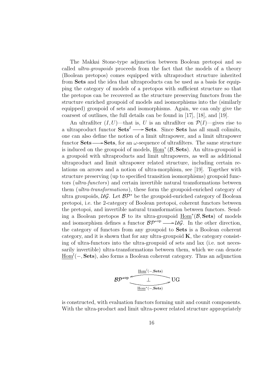The Makkai Stone-type adjunction between Boolean pretopoi and so called ultra-groupoids proceeds from the fact that the models of a theory (Boolean pretopos) comes equipped with ultraproduct structure inherited from Sets and the idea that ultraproducts can be used as a basis for equipping the category of models of a pretopos with sufficient structure so that the pretopos can be recovered as the structure preserving functors from the structure enriched groupoid of models and isomorphisms into the (similarly equipped) groupoid of sets and isomorphisms. Again, we can only give the coarsest of outlines, the full details can be found in [17], [18], and [19].

An ultrafilter  $(I, U)$ —that is, U is an ultrafilter on  $\mathcal{P}(I)$ —gives rise to a ultraproduct functor  $\textbf{Sets}^I \longrightarrow \textbf{Sets}$ . Since Sets has all small colimits, one can also define the notion of a limit ultrapower, and a limit ultrapower functor Sets  $\rightarrow$  Sets, for an  $\omega$ -sequence of ultrafilters. The same structure is induced on the groupoid of models,  $\underline{\text{Hom}}^*(\mathcal{B},\mathbf{Sets})$ . An ultra-groupoid is a groupoid with ultraproducts and limit ultrapowers, as well as additional ultraproduct and limit ultrapower related structure, including certain relations on arrows and a notion of ultra-morphism, see [19]. Together with structure preserving (up to specified transition isomorphisms) groupoid functors (ultra-functors) and certain invertible natural transformations between them (ultra-transformations), these form the groupoid-enriched category of ultra groupoids,  $\mathcal{UG}$ . Let  $\mathcal{BP}^*$  be the groupoid-enriched category of Boolean pretopoi, i.e. the 2-category of Boolean pretopoi, coherent functors between the pretopoi, and invertible natural transformation between functors. Sending a Boolean pretopos  $\beta$  to its ultra-groupoid  $\underline{Hom}^*(\beta, \mathbf{Sets})$  of models and isomorphism defines a functor  $\mathcal{BP}^{*op} \longrightarrow \mathcal{UG}$ . In the other direction, the category of functors from any groupoid to Sets is a Boolean coherent category, and it is shown that for any ultra-groupoid  $\mathbf{K}$ , the category consisting of ultra-functors into the ultra-groupoid of sets and lax (i.e. not necessarily invertible) ultra-transformations between them, which we can denote  $\underline{\text{Hom}}^l(-, \textbf{Sets})$ , also forms a Boolean coherent category. Thus an adjunction

$$
\mathcal{BP}^{*op} \overbrace{\underbrace{\overset{Hom^l(-,Sets)}{\underbrace{\qquad \qquad \perp}}}_{\underline{\text{Hom}^*(-,Sets)}}} \text{UG}
$$

is constructed, with evaluation functors forming unit and counit components. With the ultra-product and limit ultra-power related structure appropriately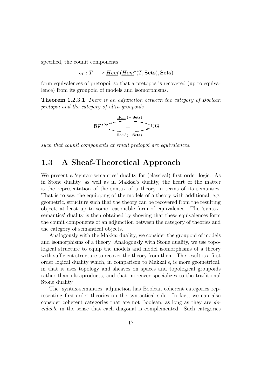specified, the counit components

$$
\epsilon_T: T \longrightarrow \underline{Hom}^l(\underline{Hom}^*(T, \mathbf{Sets}), \mathbf{Sets})
$$

form equivalences of pretopoi, so that a pretopos is recovered (up to equivalence) from its groupoid of models and isomorphisms.

Theorem 1.2.3.1 There is an adjunction between the category of Boolean pretopoi and the category of ultra-groupoids

$$
\mathcal{BP}^{*op} \xrightarrow{\underline{\mathrm{Hom}}^l(-,\underline{\mathrm{Sets}})} \mathrm{UG}
$$

such that counit components at small pretopoi are equivalences.

## 1.3 A Sheaf-Theoretical Approach

We present a 'syntax-semantics' duality for (classical) first order logic. As in Stone duality, as well as in Makkai's duality, the heart of the matter is the representation of the syntax of a theory in terms of its semantics. That is to say, the equipping of the models of a theory with additional, e.g. geometric, structure such that the theory can be recovered from the resulting object, at least up to some reasonable form of equivalence. The 'syntaxsemantics' duality is then obtained by showing that these equivalences form the counit components of an adjunction between the category of theories and the category of semantical objects.

Analogously with the Makkai duality, we consider the groupoid of models and isomorphisms of a theory. Analogously with Stone duality, we use topological structure to equip the models and model isomorphisms of a theory with sufficient structure to recover the theory from them. The result is a first order logical duality which, in comparison to Makkai's, is more geometrical, in that it uses topology and sheaves on spaces and topological groupoids rather than ultraproducts, and that moreover specializes to the traditional Stone duality.

The 'syntax-semantics' adjunction has Boolean coherent categories representing first-order theories on the syntactical side. In fact, we can also consider coherent categories that are not Boolean, as long as they are decidable in the sense that each diagonal is complemented. Such categories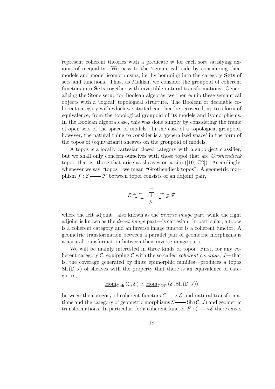represent coherent theories with a predicate  $\neq$  for each sort satisfying axioms of inequality. We pass to the 'semantical' side by considering their models and model isomorphisms, i.e. by homming into the category Sets of sets and functions. Thus, as Makkai, we consider the groupoid of coherent functors into Sets together with invertible natural transformations. Generalizing the Stone setup for Boolean algebras, we then equip these semantical objects with a 'logical' topological structure. The Boolean or decidable coherent category with which we started can then be recovered, up to a form of equivalence, from the topological groupoid of its models and isomorphisms. In the Boolean algebra case, this was done simply by considering the frame of open sets of the space of models. In the case of a topological groupoid, however, the natural thing to consider is a 'generalized space' in the form of the topos of (equivariant) sheaves on the groupoid of models.

A topos is a locally cartesian closed category with a subobject classifier, but we shall only concern ourselves with those topoi that are *Grothendieck* topoi, that is, those that arise as sheaves on a site  $([10, C2])$ . Accordingly, whenever we say "topos", we mean "Grothendieck topos". A geometric morphism  $f : \mathcal{E} \longrightarrow \mathcal{F}$  between topoi consists of an adjoint pair,

$$
\mathcal{E} \xrightarrow{f^*} \mathcal{F}
$$

where the left adjoint—also known as the *inverse image* part, while the right adjoint is known as the direct image part—is cartesian. In particular, a topos is a coherent category and an inverse image functor is a coherent functor. A geometric transformation between a parallel pair of geometric morphisms is a natural transformation between their inverse image parts.

We will be mainly interested in three kinds of topoi. First, for any coherent category  $C$ , equipping  $C$  with the so called *coherent coverage*,  $J$ —that is, the coverage generated by finite epimorphic families—produces a topos  $\text{Sh}(\mathcal{C}, J)$  of sheaves with the property that there is an equivalence of categories,

$$
\underline{\mathrm{Hom}}_{\mathbf{Coh}}(\mathcal{C}, \mathcal{E}) \simeq \underline{\mathrm{Hom}}_{\mathcal{TOP}}(\mathcal{E}, \mathrm{Sh}(\mathcal{C}, J))
$$

between the category of coherent functors  $\mathcal{C} \longrightarrow \mathcal{E}$  and natural transformations and the category of geometric morphisms  $\mathcal{E} \longrightarrow Sh(\mathcal{C}, J)$  and geometric transformations. In particular, for a coherent functor  $F : \mathcal{C} \longrightarrow \mathcal{E}$  there exists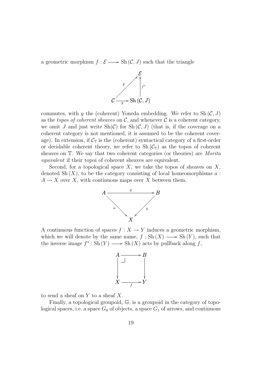a geometric morphism  $f : \mathcal{E} \longrightarrow Sh(\mathcal{C}, J)$  such that the triangle



commutes, with y the (coherent) Yoneda embedding. We refer to  $\text{Sh}(\mathcal{C}, J)$ as the topos of coherent sheaves on  $\mathcal{C}$ , and whenever  $\mathcal{C}$  is a coherent category, we omit J and just write  $\text{Sh}(\mathcal{C})$  for  $\text{Sh}(\mathcal{C}, J)$  (that is, if the coverage on a coherent category is not mentioned, it is assumed to be the coherent coverage). In extension, if  $\mathcal{C}_{\mathbb{T}}$  is the (coherent) syntactical category of a first-order or decidable coherent theory, we refer to  $\text{Sh}(\mathcal{C}_{\mathbb{T}})$  as the topos of coherent sheaves on T. We say that two coherent categories (or theories) are Morita equivalent if their topoi of coherent sheaves are equivalent.

Second, for a topological space  $X$ , we take the topos of sheaves on  $X$ , denoted  $\mathrm{Sh}(X)$ , to be the category consisting of local homeomorphisms a:  $A \to X$  over X, with continuous maps over X between them,



A continuous function of spaces  $f: X \to Y$  induces a geometric morphism, which we will denote by the same name,  $f : Sh(X) \longrightarrow Sh(Y)$ , such that the inverse image  $f^* : Sh(Y) \longrightarrow Sh(X)$  acts by pullback along f,



to send a sheaf on  $Y$  to a sheaf  $X$ .

Finally, a topological groupoid, G, is a groupoid in the category of topological spaces, i.e. a space  $G_0$  of objects, a space  $G_1$  of arrows, and continuous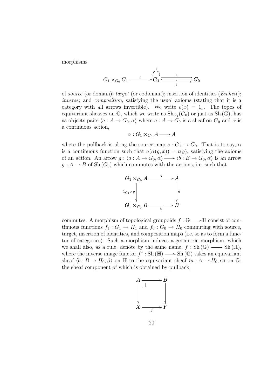morphisms

$$
G_1 \times_{G_0} G_1 \xrightarrow{c} G_1 \xrightarrow{d} G_1 \xrightarrow{g} G_0
$$

of source (or domain); target (or codomain); insertion of identities (Einheit); inverse; and composition, satisfying the usual axioms (stating that it is a category with all arrows invertible). We write  $e(x) = 1_x$ . The topos of equivariant sheaves on  $\mathbb{G}$ , which we write as  $\text{Sh}_{G_1}(G_0)$  or just as  $\text{Sh}(\mathbb{G})$ , has as objects pairs  $\langle a : A \to G_0, \alpha \rangle$  where  $a : A \to G_0$  is a sheaf on  $G_0$  and  $\alpha$  is a continuous action,

$$
\alpha: G_1 \times_{G_0} A \longrightarrow A
$$

where the pullback is along the source map  $s: G_1 \to G_0$ . That is to say,  $\alpha$ is a continuous function such that  $a(\alpha(g, x)) = t(g)$ , satisfying the axioms of an action. An arrow  $g : \langle a : A \to G_0, \alpha \rangle \longrightarrow \langle b : B \to G_0, \alpha \rangle$  is an arrow  $g: A \to B$  of Sh $(G_0)$  which commutes with the actions, i.e. such that



commutes. A morphism of topological groupoids  $f : \mathbb{G} \longrightarrow \mathbb{H}$  consist of continuous functions  $f_1 : G_1 \to H_1$  and  $f_0 : G_0 \to H_0$  commuting with source, target, insertion of identities, and composition maps (i.e. so as to form a functor of categories). Such a morphism induces a geometric morphism, which we shall also, as a rule, denote by the same name,  $f : Sh(\mathbb{G}) \longrightarrow Sh(\mathbb{H}),$ where the inverse image functor  $f^* : Sh (\mathbb{H}) \longrightarrow Sh (\mathbb{G})$  takes an equivariant sheaf  $\langle b : B \to H_0, \beta \rangle$  on  $\mathbb{H}$  to the equivariant sheaf  $\langle a : A \to H_0, \alpha \rangle$  on  $\mathbb{G}$ , the sheaf component of which is obtained by pullback,

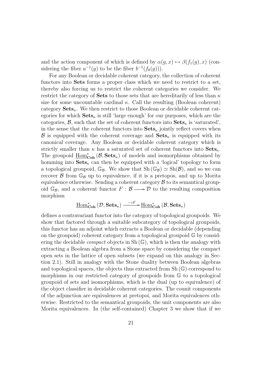and the action component of which is defined by  $\alpha(g, x) \mapsto \beta(f_1(g), x)$  (considering the fiber  $a^{-1}(y)$  to be the fiber  $b^{-1}(f_0(y))$ .

For any Boolean or decidable coherent category, the collection of coherent functors into Sets forms a proper class which we need to restrict to a set, thereby also forcing us to restrict the coherent categories we consider. We restrict the category of **Sets** to those sets that are hereditarily of less than  $\kappa$ size for some uncountable cardinal  $\kappa$ . Call the resulting (Boolean coherent) category  $\textbf{Sets}_{\kappa}$ . We then restrict to those Boolean or decidable coherent categories for which  $\textbf{Sets}_{\kappa}$  is still 'large enough' for our purposes, which are the categories,  $\mathcal{B}$ , such that the set of coherent functors into  $\textbf{Sets}_{\kappa}$  is 'saturated', in the sense that the coherent functors into  $\textbf{Sets}_{\kappa}$  jointly reflect covers when **B** is equipped with the coherent coverage and  $\textbf{Sets}_{\kappa}$  is equipped with its canonical coverage. Any Boolean or decidable coherent category which is strictly smaller than  $\kappa$  has a saturated set of coherent functors into  $\textbf{Sets}_{\kappa}$ . The groupoid  $\underline{\text{Hom}}_{\text{Coh}}^*(\mathcal{B},\textbf{Sets}_\kappa)$  of models and isomorphisms obtained by homming into  $\textbf{Sets}_{\kappa}$  can then be equipped with a 'logical' topology to form a topological groupoid,  $\mathbb{G}_{\mathcal{B}}$ . We show that  $\mathrm{Sh}(\mathbb{G}_{\mathcal{B}}) \simeq \mathrm{Sh}(\mathcal{B})$ , and so we can recover  $\beta$  from  $\mathbb{G}_{\beta}$  up to equivalence, if it is a pretopos, and up to Morita equivalence otherwise. Sending a coherent category  $\beta$  to its semantical groupoid  $\mathbb{G}_{\mathcal{B}}$ , and a coherent functor  $F : \mathcal{B} \longrightarrow \mathcal{D}$  to the resulting composition morphism

$$
\underline{\mathrm{Hom}}_{\mathbf{Coh}}^*(\mathcal{D},\mathbf{Sets}_{\kappa}) \xrightarrow{\phantom{X} \mathrm{def}} \underline{\mathrm{Hom}}_{\mathbf{Coh}}^*(\mathcal{B},\mathbf{Sets}_{\kappa})
$$

defines a contravariant functor into the category of topological groupoids. We show that factored through a suitable subcategory of topological groupoids, this functor has an adjoint which extracts a Boolean or decidable (depending on the groupoid) coherent category from a topological groupoid G by considering the decidable *compact* objects in Sh $(\mathbb{G})$ , which is then the analogy with extracting a Boolean algebra from a Stone space by considering the compact open sets in the lattice of open subsets (we expand on this analogy in Section 2.1). Still in analogy with the Stone duality between Boolean algebras and topological spaces, the objects thus extracted from  $Sh(\mathbb{G})$  correspond to morphisms in our restricted category of groupoids from G to a topological groupoid of sets and isomorphisms, which is the dual (up to equivalence) of the object classifier in decidable coherent categories. The counit components of the adjunction are equivalences at pretopoi, and Morita equivalences otherwise. Restricted to the semantical groupoids, the unit components are also Morita equivalences. In (the self-contained) Chapter 3 we show that if we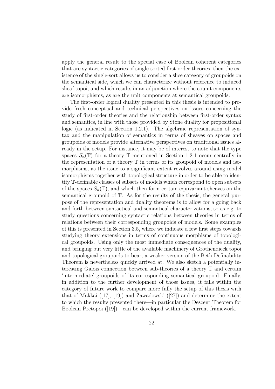apply the general result to the special case of Boolean coherent categories that are syntactic categories of single-sorted first-order theories, then the existence of the single-sort allows us to consider a slice category of groupoids on the semantical side, which we can characterize without reference to induced sheaf topoi, and which results in an adjunction where the counit components are isomorphisms, as are the unit components at semantical groupoids.

The first-order logical duality presented in this thesis is intended to provide fresh conceptual and technical perspectives on issues concerning the study of first-order theories and the relationship between first-order syntax and semantics, in line with those provided by Stone duality for propositional logic (as indicated in Section 1.2.1). The algebraic representation of syntax and the manipulation of semantics in terms of sheaves on spaces and groupoids of models provide alternative perspectives on traditional issues already in the setup. For instance, it may be of interest to note that the type spaces  $S_n(\mathbb{T})$  for a theory  $\mathbb T$  mentioned in Section 1.2.1 occur centrally in the representation of a theory T in terms of its groupoid of models and isomorphisms, as the issue to a significant extent revolves around using model isomorphisms together with topological structure in order to be able to identify T-definable classes of subsets of models which correspond to open subsets of the spaces  $S_n(\mathbb{T})$ , and which then form certain equivariant sheaves on the semantical groupoid of T. As for the results of the thesis, the general purpose of the representation and duality theorems is to allow for a going back and forth between syntactical and semantical characterizations, so as e.g. to study questions concerning syntactic relations between theories in terms of relations between their corresponding groupoids of models. Some examples of this is presented in Section 3.5, where we indicate a few first steps towards studying theory extensions in terms of continuous morphisms of topological groupoids. Using only the most immediate consequences of the duality, and bringing but very little of the available machinery of Grothendieck topoi and topological groupoids to bear, a weaker version of the Beth Definability Theorem is nevertheless quickly arrived at. We also sketch a potentially interesting Galois connection between sub-theories of a theory T and certain 'intermediate' groupoids of its corresponding semantical groupoid. Finally, in addition to the further development of those issues, it falls within the category of future work to compare more fully the setup of this thesis with that of Makkai ([17], [19]) and Zawadowski ([27]) and determine the extent to which the results presented there—in particular the Descent Theorem for Boolean Pretopoi ([19])—can be developed within the current framework.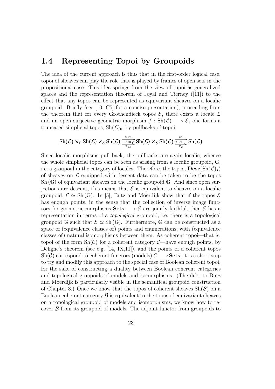### 1.4 Representing Topoi by Groupoids

The idea of the current approach is thus that in the first-order logical case, topoi of sheaves can play the role that is played by frames of open sets in the propositional case. This idea springs from the view of topoi as generalized spaces and the representation theorem of Joyal and Tierney ([11]) to the effect that any topos can be represented as equivariant sheaves on a localic groupoid. Briefly (see [10, C5] for a concise presentation), proceeding from the theorem that for every Grothendieck topos  $\mathcal{E}$ , there exists a locale  $\mathcal{L}$ and an open surjective geometric morphism  $f : Sh(\mathcal{L}) \longrightarrow \mathcal{E}$ , one forms a truncated simplicial topos,  $\text{Sh}(\mathcal{L})_{\bullet}$ , by pullbacks of topoi:

$$
\operatorname{Sh}(\mathcal{L}) \times_{\mathcal{E}} \operatorname{Sh}(\mathcal{L}) \times_{\mathcal{E}} \operatorname{Sh}(\mathcal{L}) \xrightarrow{\pi_{12}}_{\pi_{13}} \operatorname{Sh}(\mathcal{L}) \times_{\mathcal{E}} \operatorname{Sh}(\mathcal{L}) \xrightarrow{\pi_{1}}_{\pi_{2}} \operatorname{Sh}(\mathcal{L})
$$

Since localic morphisms pull back, the pullbacks are again localic, whence the whole simplicial topos can be seen as arising from a localic groupoid, G, i.e. a groupoid in the category of locales. Therefore, the topos,  $\text{Desc}(\text{Sh}(\mathcal{L})_{\bullet})$ of sheaves on  $\mathcal L$  equipped with descent data can be taken to be the topos Sh (G) of equivariant sheaves on the localic groupoid G. And since open surjections are descent, this means that  $\mathcal E$  is equivalent to sheaves on a localic groupoid,  $\mathcal{E} \simeq$  Sh(G). In [5], Butz and Moerdijk show that if the topos  $\mathcal{E}$ has enough points, in the sense that the collection of inverse image functors for geometric morphisms **Sets**  $\rightarrow \mathcal{E}$  are jointly faithful, then  $\mathcal{E}$  has a representation in terms of a topological groupoid, i.e. there is a topological groupoid G such that  $\mathcal{E} \simeq Sh(\mathbb{G})$ . Furthermore, G can be constructed as a space of (equivalence classes of) points and enumerations, with (equivalence classes of) natural isomorphisms between them. As coherent topoi—that is, topoi of the form  $\text{Sh}(\mathcal{C})$  for a coherent category  $\mathcal{C}$ —have enough points, by Deligne's theorem (see e.g. [14, IX,11]), and the points of a coherent topos  $\text{Sh}(\mathcal{C})$  correspond to coherent functors (models)  $\mathcal{C} \longrightarrow$  **Sets**, it is a short step to try and modify this approach to the special case of Boolean coherent topoi, for the sake of constructing a duality between Boolean coherent categories and topological groupoids of models and isomorphisms. (The debt to Butz and Moerdijk is particularly visible in the semantical groupoid construction of Chapter 3.) Once we know that the topos of coherent sheaves  $\text{Sh}(\mathcal{B})$  on a Boolean coherent category  $\beta$  is equivalent to the topos of equivariant sheaves on a topological groupoid of models and isomorphisms, we know how to recover  $\beta$  from its groupoid of models. The adjoint functor from groupoids to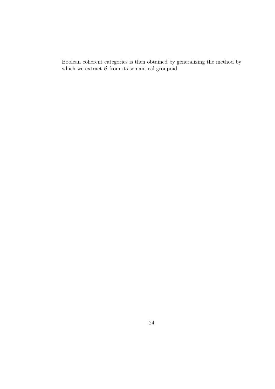Boolean coherent categories is then obtained by generalizing the method by which we extract  $\beta$  from its semantical groupoid.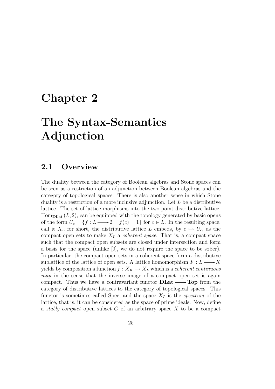## Chapter 2

# The Syntax-Semantics Adjunction

### 2.1 Overview

The duality between the category of Boolean algebras and Stone spaces can be seen as a restriction of an adjunction between Boolean algebras and the category of topological spaces. There is also another sense in which Stone duality is a restriction of a more inclusive adjunction. Let  $L$  be a distributive lattice. The set of lattice morphisms into the two-point distributive lattice,  $Hom_{\text{DLat}}(L, 2)$ , can be equipped with the topology generated by basic opens of the form  $U_c = \{f : L \longrightarrow 2 \mid f(c) = 1\}$  for  $c \in L$ . In the resulting space, call it  $X_L$  for short, the distributive lattice L embeds, by  $c \mapsto U_c$ , as the compact open sets to make  $X_L$  a *coherent space*. That is, a compact space such that the compact open subsets are closed under intersection and form a basis for the space (unlike [9], we do not require the space to be sober). In particular, the compact open sets in a coherent space form a distributive sublattice of the lattice of open sets. A lattice homomorphism  $F: L \longrightarrow K$ yields by composition a function  $f : X_K \to X_L$  which is a *coherent continuous* map in the sense that the inverse image of a compact open set is again compact. Thus we have a contravariant functor  $\text{DLat} \longrightarrow \text{Top}$  from the category of distributive lattices to the category of topological spaces. This functor is sometimes called Spec, and the space  $X_L$  is the *spectrum* of the lattice, that is, it can be considered as the space of prime ideals. Now, define a *stably compact* open subset  $C$  of an arbitrary space  $X$  to be a compact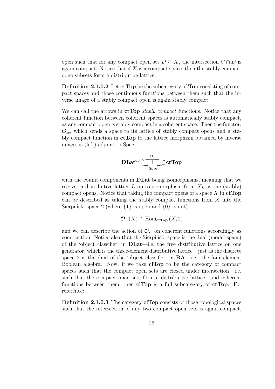open such that for any compact open set  $D \subseteq X$ , the intersection  $C \cap D$  is again compact. Notice that if  $X$  is a compact space, then the stably compact open subsets form a distributive lattice.

Definition 2.1.0.2 Let ctTop be the subcategory of Top consisting of compact spaces and those continuous functions between them such that the inverse image of a stably compact open is again stably compact.

We can call the arrows in  $ctTop$  *stably compact* functions. Notice that any coherent function between coherent spaces is automatically stably compact, as any compact open is stably compact in a coherent space. Then the functor,  $\mathcal{O}_{sc}$ , which sends a space to its lattice of stably compact opens and a stably compact function in  $ctTop$  to the lattice morphism obtained by inverse image, is (left) adjoint to Spec,

$$
\text{DLat}^{\text{op}}{\xrightarrow[\text{Spec}]{\hspace{0.5em}\mathcal{O}_{\text{sc}}$}}\text{ctTop}
$$

with the counit components in **DLat** being isomorphisms, meaning that we recover a distributive lattice L up to isomorphism from  $X_L$  as the (stably) compact opens. Notice that taking the compact opens of a space  $X$  in  $ctTop$ can be described as taking the stably compact functions from X into the Sierpiński space 2 (where  $\{1\}$  is open and  $\{0\}$  is not),

$$
\mathcal{O}_{sc}(X) \cong \text{Hom}_{\text{ctTop}}(X, 2)
$$

and we can describe the action of  $\mathcal{O}_{sc}$  on coherent functions accordingly as composition. Notice also that the Sierpinski space is the dual (model space) of the 'object classifier' in DLat—i.e. the free distributive lattice on one generator, which is the three-element distributive lattice—just as the discrete space 2 is the dual of the 'object classifier' in BA—i.e. the four element Boolean algebra. Now, if we take clTop to be the category of compact spaces such that the compact open sets are closed under intersection—i.e. such that the compact open sets form a distributive lattice—and coherent functions between them, then clTop is a full subcategory of ctTop. For reference:

Definition 2.1.0.3 The category clTop consists of those topological spaces such that the intersection of any two compact open sets is again compact,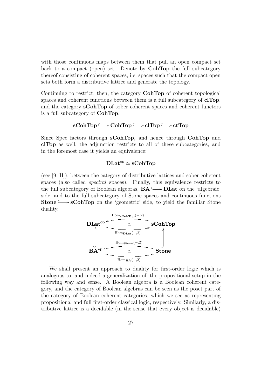with those continuous maps between them that pull an open compact set back to a compact (open) set. Denote by CohTop the full subcategory thereof consisting of coherent spaces, i.e. spaces such that the compact open sets both form a distributive lattice and generate the topology.

Continuing to restrict, then, the category CohTop of coherent topological spaces and coherent functions between them is a full subcategory of **clTop**, and the category **sCohTop** of sober coherent spaces and coherent functors is a full subcategory of CohTop,

$$
sCohTop \longrightarrow CohTop \longrightarrow clTop \longrightarrow ctTop
$$

Since Spec factors through sCohTop, and hence through CohTop and clTop as well, the adjunction restricts to all of these subcategories, and in the foremost case it yields an equivalence:

#### $\mathbf{DLat}^\mathrm{op} \simeq \mathbf{sCohTop}$

(see [9, II]), between the category of distributive lattices and sober coherent spaces (also called spectral spaces). Finally, this equivalence restricts to the full subcategory of Boolean algebras,  $BA \longrightarrow DLat$  on the 'algebraic' side, and to the full subcategory of Stone spaces and continuous functions  $\text{Stone} \longrightarrow \text{sCohTop}$  on the 'geometric' side, to yield the familiar Stone duality.



We shall present an approach to duality for first-order logic which is analogous to, and indeed a generalization of, the propositional setup in the following way and sense. A Boolean algebra is a Boolean coherent category, and the category of Boolean algebras can be seen as the poset part of the category of Boolean coherent categories, which we see as representing propositional and full first-order classical logic, respectively. Similarly, a distributive lattice is a decidable (in the sense that every object is decidable)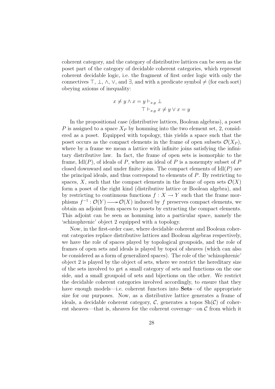coherent category, and the category of distributive lattices can be seen as the poset part of the category of decidable coherent categories, which represent coherent decidable logic, i.e. the fragment of first order logic with only the connectives  $\top$ ,  $\bot$ ,  $\land$ ,  $\lor$ , and  $\exists$ , and with a predicate symbol  $\neq$  (for each sort) obeying axioms of inequality:

$$
x \neq y \land x = y \vdash_{x,y} \bot
$$
  
\n
$$
\top \vdash_{x,y} x \neq y \lor x = y
$$

In the propositional case (distributive lattices, Boolean algebras), a poset P is assigned to a space  $X_P$  by homming into the two element set, 2, considered as a poset. Equipped with topology, this yields a space such that the poset occurs as the compact elements in the frame of open subsets  $\mathcal{O}(X_P)$ , where by a frame we mean a lattice with infinite joins satisfying the infinitary distributive law. In fact, the frame of open sets is isomorphic to the frame,  $\text{Id}(P)$ , of ideals of P, where an ideal of P is a nonempty subset of P closed downward and under finite joins. The compact elements of  $\text{Idl}(P)$  are the principal ideals, and thus correspond to elements of P. By restricting to spaces, X, such that the compact elements in the frame of open sets  $\mathcal{O}(X)$ form a poset of the right kind (distributive lattice or Boolean algebra), and by restricting to continuous functions  $f : X \to Y$  such that the frame morphisms  $f^{-1}: \mathcal{O}(Y) \longrightarrow \mathcal{O}(X)$  induced by f preserves compact elements, we obtain an adjoint from spaces to posets by extracting the compact elements. This adjoint can be seen as homming into a particular space, namely the 'schizophrenic' object 2 equipped with a topology.

Now, in the first-order case, where decidable coherent and Boolean coherent categories replace distributive lattices and Boolean algebras respectively, we have the role of spaces played by topological groupoids, and the role of frames of open sets and ideals is played by topoi of sheaves (which can also be considered as a form of generalized spaces). The role of the 'schizophrenic' object 2 is played by the object of sets, where we restrict the hereditary size of the sets involved to get a small category of sets and functions on the one side, and a small groupoid of sets and bijections on the other. We restrict the decidable coherent categories involved accordingly, to ensure that they have enough models—i.e. coherent functors into **Sets**—of the appropriate size for our purposes. Now, as a distributive lattice generates a frame of ideals, a decidable coherent category,  $\mathcal{C}$ , generates a topos  $\text{Sh}(\mathcal{C})$  of coherent sheaves—that is, sheaves for the coherent coverage—on  $\mathcal C$  from which it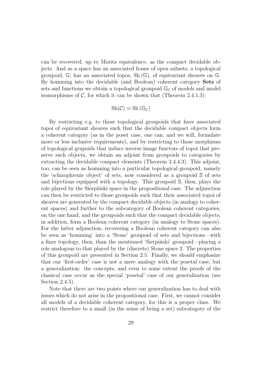can be recovered, up to Morita equivalence, as the compact decidable objects. And as a space has an associated frame of open subsets, a topological groupoid,  $\mathbb{G}$ , has an associated topos,  $\text{Sh}(\mathbb{G})$ , of equivariant sheaves on  $\mathbb{G}$ . By homming into the decidable (and Boolean) coherent category Sets of sets and functions we obtain a topological groupoid  $\mathbb{G}_{\mathcal{C}}$  of models and model isomorphisms of  $C$ , for which it can be shown that (Theorem 2.4.1.3):

$$
Sh(\mathcal{C}) \simeq Sh(\mathbb{G}_{\mathcal{C}})
$$

By restricting e.g. to those topological groupoids that have associated topoi of equivariant sheaves such that the decidable compact objects form a coherent category (as in the poset case, one can, and we will, formulate more or less inclusive requirements), and by restricting to those morphisms of topological grupoids that induce inverse image functors of topoi that preserve such objects, we obtain an adjoint from groupoids to categories by extracting the decidable compact elements (Theorem 2.4.4.3). This adjoint, too, can be seen as homming into a particular topological groupoid, namely the 'schizophrenic object' of sets, now considered as a groupoid S of sets and bijections equipped with a topology. This groupoid S, then, plays the role played by the Sierpinski space in the propositional case. The adjunction can then be restricted to those groupoids such that their associated topoi of sheaves are generated by the compact decidable objects (in analogy to coherent spaces) and further to the subcategory of Boolean coherent categories, on the one hand, and the groupoids such that the compact decidable objects, in addition, form a Boolean coherent category (in analogy to Stone spaces). For the latter adjunction, recovering a Boolean coherent category can also be seen as 'homming' into a 'Stone' groupoid of sets and bijections—with a finer topology, then, than the mentioned 'Sierpinski' groupoid—playing a role analogous to that played by the (discrete) Stone space 2. The properties of this groupoid are presented in Section 2.5. Finally, we should emphasize that our 'first-order' case is not a mere analogy with the posetal case, but a generalization: the concepts, and even to some extent the proofs of the classical case occur as the special 'posetal' case of our generalization (see Section 2.4.5).

Note that there are two points where our generalization has to deal with issues which do not arise in the propositional case. First, we cannot consider all models of a decidable coherent category, for this is a proper class. We restrict therefore to a small (in the sense of being a set) subcategory of the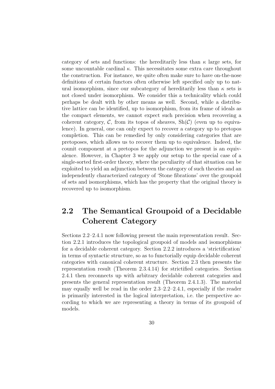category of sets and functions: the hereditarily less than  $\kappa$  large sets, for some uncountable cardinal  $\kappa$ . This necessitates some extra care throughout the construction. For instance, we quite often make sure to have on-the-nose definitions of certain functors often otherwise left specified only up to natural isomorphism, since our subcategory of hereditarily less than  $\kappa$  sets is not closed under isomorphism. We consider this a technicality which could perhaps be dealt with by other means as well. Second, while a distributive lattice can be identified, up to isomorphism, from its frame of ideals as the compact elements, we cannot expect such precision when recovering a coherent category, C, from its topos of sheaves,  $\text{Sh}(\mathcal{C})$  (even up to equivalence). In general, one can only expect to recover a category up to pretopos completion. This can be remedied by only considering categories that are pretoposes, which allows us to recover them up to equivalence. Indeed, the counit component at a pretopos for the adjunction we present is an equivalence. However, in Chapter 3 we apply our setup to the special case of a single-sorted first-order theory, where the peculiarity of that situation can be exploited to yield an adjunction between the category of such theories and an independently characterized category of 'Stone fibrations' over the groupoid of sets and isomorphisms, which has the property that the original theory is recovered up to isomorphism.

## 2.2 The Semantical Groupoid of a Decidable Coherent Category

Sections 2.2–2.4.1 now following present the main representation result. Section 2.2.1 introduces the topological groupoid of models and isomorphisms for a decidable coherent category. Section 2.2.2 introduces a 'strictification' in terms of syntactic structure, so as to functorially equip decidable coherent categories with canonical coherent structure. Section 2.3 then presents the representation result (Theorem 2.3.4.14) for strictified categories. Section 2.4.1 then reconnects up with arbitrary decidable coherent categories and presents the general representation result (Theorem 2.4.1.3). The material may equally well be read in the order 2.3–2.2–2.4.1, especially if the reader is primarily interested in the logical interpretation, i.e. the perspective according to which we are representing a theory in terms of its groupoid of models.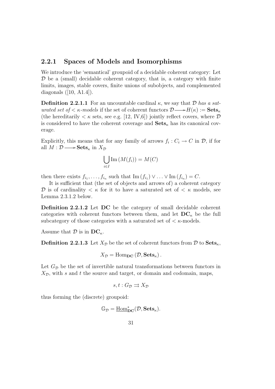### 2.2.1 Spaces of Models and Isomorphisms

We introduce the 'semantical' groupoid of a decidable coherent category: Let  $\mathcal D$  be a (small) decidable coherent category, that is, a category with finite limits, images, stable covers, finite unions of subobjects, and complemented diagonals  $([10, A1.4]).$ 

**Definition 2.2.1.1** For an uncountable cardinal  $\kappa$ , we say that  $\mathcal{D}$  has a saturated set of  $\lt$   $\kappa$ -models if the set of coherent functors  $\mathcal{D} \longrightarrow H(\kappa) := \textbf{Sets}_{\kappa}$ (the hereditarily  $\lt \kappa$  sets, see e.g. [12, IV,6]) jointly reflect covers, where  $\mathcal D$ is considered to have the coherent coverage and  $\textbf{Sets}_{\kappa}$  has its canonical coverage.

Explicitly, this means that for any family of arrows  $f_i: C_i \to C$  in  $\mathcal{D}$ , if for all  $M : \mathcal{D} \longrightarrow \mathbf{Sets}_{\kappa}$  in  $X_{\mathcal{D}}$ 

$$
\bigcup_{i\in I} \mathrm{Im}\,(M(f_i))=M(C)
$$

then there exists  $f_{i_1}, \ldots, f_{i_n}$  such that  $\text{Im}(f_{i_1}) \vee \ldots \vee \text{Im}(f_{i_n}) = C$ .

It is sufficient that (the set of objects and arrows of) a coherent category D is of cardinality  $\lt \kappa$  for it to have a saturated set of  $\lt \kappa$  models, see Lemma 2.3.1.2 below.

Definition 2.2.1.2 Let DC be the category of small decidable coherent categories with coherent functors between them, and let  $DC_{\kappa}$  be the full subcategory of those categories with a saturated set of  $\lt$   $\kappa$ -models.

Assume that  $\mathcal D$  is in  $DC_{\kappa}$ .

**Definition 2.2.1.3** Let  $X_{\mathcal{D}}$  be the set of coherent functors from  $\mathcal{D}$  to  $\textbf{Sets}_{\kappa}$ ,

$$
X_{\mathcal{D}} = \text{Hom}_{\mathbf{DC}}\left(\mathcal{D}, \mathbf{Sets}_{\kappa}\right).
$$

Let  $G_{\mathcal{D}}$  be the set of invertible natural transformations between functors in  $X_{\mathcal{D}}$ , with s and t the source and target, or domain and codomain, maps,

$$
s, t: G_{\mathcal{D}} \rightrightarrows X_{\mathcal{D}}
$$

thus forming the (discrete) groupoid:

$$
\mathbb{G}_{\mathcal{D}}=\underline{\mathrm{Hom}}^*_{\mathbf{DC}}(\mathcal{D},\mathbf{Sets}_{\kappa}).
$$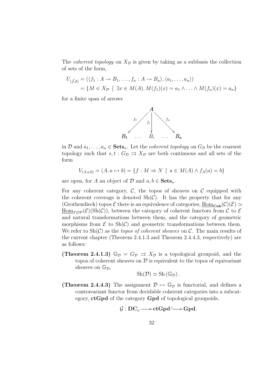The *coherent topology* on  $X_{\mathcal{D}}$  is given by taking as a subbasis the collection of sets of the form,

$$
U_{(\vec{f},\vec{a})} = (\langle f_1 : A \to B_1, \dots, f_n : A \to B_n \rangle, \langle a_1, \dots, a_n \rangle)
$$
  
=  $\{ M \in X_{\mathcal{D}} \mid \exists x \in M(A) . M(f_1)(x) = a_1 \land \dots \land M(f_n)(x) = a_n \}$ 

for a finite span of arrows



in D and  $a_1, \ldots, a_n \in \mathbf{Sets}_{\kappa}$ . Let the *coherent topology* on  $G_{\mathcal{D}}$  be the coarsest topology such that  $s, t : G_{\mathcal{D}} \rightrightarrows X_{\mathcal{D}}$  are both continuous and all sets of the form

$$
V_{(A,a,b)} = (A, a \mapsto b) = \{f : M \Rightarrow N \mid a \in M(A) \land f_A(a) = b\}
$$

are open, for A an object of D and  $a, b \in \mathbf{Sets}_{\kappa}$ .

For any coherent category,  $\mathcal{C}$ , the topos of sheaves on  $\mathcal{C}$  equipped with the coherent coverage is denoted  $\text{Sh}(\mathcal{C})$ . It has the property that for any (Grothendieck) topos  $\mathcal E$  there is an equivalence of categories,  $\underline{\text{Hom}}_{\text{Coh}}(\mathcal C)(\mathcal E)\simeq$  $\underline{\text{Hom}}_{\mathcal{TOP}}(\mathcal{E})(\text{Sh}(\mathcal{C}))$ , between the category of coherent functors from C to E and natural transformations between them, and the category of geometric morphisms from  $\mathcal E$  to  $\text{Sh}(\mathcal C)$  and geometric transformations between them. We refer to  $\text{Sh}(\mathcal{C})$  as the *topos of coherent sheaves* on  $\mathcal{C}$ . The main results of the current chapter (Theorem 2.4.1.3 and Theorem 2.4.4.3, respectively) are as follows:

(Theorem 2.4.1.3)  $\mathbb{G}_{\mathcal{D}} = G_{\mathcal{D}} \Rightarrow X_{\mathcal{D}}$  is a topological groupoid, and the topos of coherent sheaves on  $\mathcal D$  is equivalent to the topos of equivariant sheaves on  $\mathbb{G}_{\mathcal{D}}$ ,

$$
Sh(\mathcal{D}) \simeq Sh(\mathbb{G}_{\mathcal{D}}).
$$

(Theorem 2.4.4.3) The assignment  $\mathcal{D} \mapsto \mathbb{G}_{\mathcal{D}}$  is functorial, and defines a contravariant functor from decidable coherent categories into a subcategory, ctGpd of the category Gpd of topological groupoids,

$$
\mathcal{G}: \text{DC}_\kappa \longrightarrow \text{ctGpd} \longrightarrow \text{Gpd}.
$$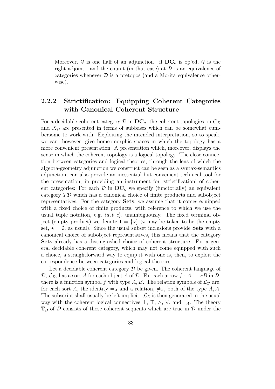Moreover, G is one half of an adjunction—if  $DC_{\kappa}$  is op'ed, G is the right adjoint—and the counit (in that case) at  $\mathcal D$  is an equivalence of categories whenever  $\mathcal D$  is a pretopos (and a Morita equivalence otherwise).

## 2.2.2 Strictification: Equipping Coherent Categories with Canonical Coherent Structure

For a decidable coherent category  $\mathcal D$  in  $\mathbf{DC}_{\kappa}$ , the coherent topologies on  $G_{\mathcal D}$ and  $X_{\mathcal{D}}$  are presented in terms of subbases which can be somewhat cumbersome to work with. Exploiting the intended interpretation, so to speak, we can, however, give homeomorphic spaces in which the topology has a more convenient presentation. A presentation which, moreover, displays the sense in which the coherent topology is a logical topology. The close connection between categories and logical theories, through the lens of which the algebra-geometry adjunction we construct can be seen as a syntax-semantics adjunction, can also provide an inessential but convenient technical tool for the presentation, in providing an instrument for 'strictification' of coherent categories: For each  $\mathcal{D}$  in  $DC_{\kappa}$  we specify (functorially) an equivalent category TD which has a canonical choice of finite products and subobject representatives. For the category Sets, we assume that it comes equipped with a fixed choice of finite products, with reference to which we use the usual tuple notation, e.g.  $\langle a, b, c \rangle$ , unambiguously. The fixed terminal object (empty product) we denote  $1 = \{ \star \}$  ( $\star$  may be taken to be the empty set,  $\star = \emptyset$ , as usual). Since the usual subset inclusions provide **Sets** with a canonical choice of subobject representatives, this means that the category Sets already has a distinguished choice of coherent structure. For a general decidable coherent category, which may not come equipped with such a choice, a straightforward way to equip it with one is, then, to exploit the correspondence between categories and logical theories.

Let a decidable coherent category  $\mathcal D$  be given. The coherent language of  $\mathcal{D}, \mathcal{L}_{\mathcal{D}}$ , has a sort A for each object A of D. For each arrow  $f : A \longrightarrow B$  in D, there is a function symbol f with type A, B. The relation symbols of  $\mathcal{L}_{\mathcal{D}}$  are, for each sort A, the identity  $=_A$  and a relation,  $\neq_A$ , both of the type A, A. The subscript shall usually be left implicit.  $\mathcal{L}_{\mathcal{D}}$  is then generated in the usual way with the coherent logical connectives  $\bot$ ,  $\top$ ,  $\wedge$ ,  $\vee$ , and  $\exists_A$ . The theory  $\mathbb{T}_{\mathcal{D}}$  of  $\mathcal D$  consists of those coherent sequents which are true in  $\mathcal D$  under the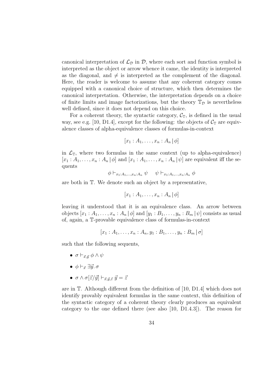canonical interpretation of  $\mathcal{L}_{\mathcal{D}}$  in  $\mathcal{D}$ , where each sort and function symbol is interpreted as the object or arrow whence it came, the identity is interpreted as the diagonal, and  $\neq$  is interpreted as the complement of the diagonal. Here, the reader is welcome to assume that any coherent category comes equipped with a canonical choice of structure, which then determines the canonical interpretation. Otherwise, the interpretation depends on a choice of finite limits and image factorizations, but the theory  $\mathbb{T}_{\mathcal{D}}$  is nevertheless well defined, since it does not depend on this choice.

For a coherent theory, the syntactic category,  $C_T$ , is defined in the usual way, see e.g. [10, D1.4], except for the following: the objects of  $C_T$  are equivalence classes of alpha-equivalence classes of formulas-in-context

$$
[x_1 : A_1, \ldots, x_n : A_n | \phi]
$$

in  $\mathcal{L}_{\mathbb{T}}$ , where two formulas in the same context (up to alpha-equivalence)  $[x_1 : A_1, \ldots, x_n : A_n | \phi]$  and  $[x_1 : A_1, \ldots, x_n : A_n | \psi]$  are equivalent iff the sequents

 $\phi \vdash_{x_1:A_1,...,x_n:A_n} \psi \quad \psi \vdash_{x_1:A_1,...,x_n:A_n} \phi$ 

are both in T. We denote such an object by a representative,

$$
[x_1 : A_1, \ldots, x_n : A_n | \phi]
$$

leaving it understood that it is an equivalence class. An arrow between objects  $[x_1 : A_1, \ldots, x_n : A_n | \phi]$  and  $[y_1 : B_1, \ldots, y_n : B_m | \psi]$  consists as usual of, again, a T-provable equivalence class of formulas-in-context

$$
[x_1 : A_1, \ldots, x_n : A_n, y_1 : B_1, \ldots, y_n : B_m | \sigma]
$$

such that the following sequents,

- $\sigma \vdash_{\vec{r} \cdot \vec{u}} \phi \wedge \psi$
- $\phi \vdash_{\vec{x}} \exists \vec{u}.\ \sigma$
- $\sigma \wedge \sigma[\vec{z}/\vec{y}] \vdash_{\vec{x},\vec{y},\vec{z}} \vec{y} = \vec{z}$

are in T. Although different from the definition of [10, D1.4] which does not identify provably equivalent formulas in the same context, this definition of the syntactic category of a coherent theory clearly produces an equivalent category to the one defined there (see also [10, D1.4.3]). The reason for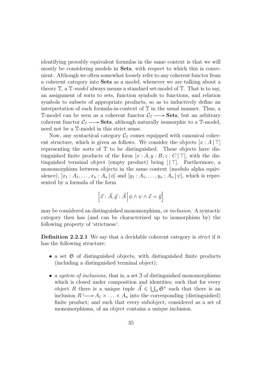identifying provably equivalent formulas in the same context is that we will mostly be considering models in **Sets**, with respect to which this is convenient. Although we often somewhat loosely refer to any coherent functor from a coherent category into Sets as a model, whenever we are talking about a theory  $\mathbb{T}$ , a  $\mathbb{T}$ -model always means a standard set-model of  $\mathbb{T}$ . That is to say, an assignment of sorts to sets, function symbols to functions, and relation symbols to subsets of appropriate products, so as to inductively define an interpretation of each formula-in-context of T in the usual manner. Thus, a T-model can be seen as a coherent functor  $\mathcal{C}_{\mathbb{T}} \longrightarrow$  **Sets**, but an arbitrary coherent functor  $C_{\mathbb{T}} \longrightarrow$  **Sets**, although naturally isomorphic to a  $\mathbb{T}$ -model, need not be a T-model in this strict sense.

Now, any syntactical category  $\mathcal{C}_{\mathbb{T}}$  comes equipped with canonical coherent structure, which is given as follows. We consider the objects  $[x : A | \top]$ representing the sorts of  $\mathbb T$  to be distinguished. These objects have distinguished finite products of the form  $[x : A, y : B, z : C | \top]$ , with the distinguished terminal object (empty product) being  $\vert \vert \top \vert$ . Furthermore, a monomorphism between objects in the same context (modulo alpha equivalence),  $[x_1 : A_1, ..., x_n : A_n | \phi]$  and  $[y_1 : A_1, ..., y_n : A_n | \psi]$ , which is represented by a formula of the form

$$
\left[\vec{x}:\vec{A},\vec{y}:\vec{A}\,\middle|\,\phi\wedge\psi\wedge\vec{x}=\vec{y}\right]
$$

may be considered an distinguished monomorphism, or inclusion. A syntactic category then has (and can be characterized up to isomorphism by) the following property of 'strictness':

**Definition 2.2.2.1** We say that a decidable coherent category is *strict* if it has the following structure:

- a set  $\mathfrak S$  of distinguished objects, with distinguished finite products (including a distinguished terminal object);
- a *system of inclusions*, that is, a set  $\mathfrak I$  of distinguished monomorphisms which is closed under composition and identities; such that for every object R there is a unique tuple  $\vec{A} \in \bigcup_{\mathbb{N}} \mathfrak{S}^n$  such that there is an inclusion  $R \longrightarrow A_1 \times \ldots \times A_n$  into the corresponding (distinguished) finite product; and such that every subobject, considered as a set of monomorphisms, of an object contains a unique inclusion.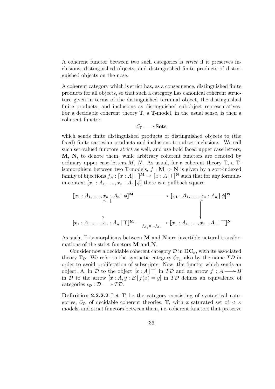A coherent functor between two such categories is strict if it preserves inclusions, distinguished objects, and distinguished finite products of distinguished objects on the nose.

A coherent category which is strict has, as a consequence, distinguished finite products for all objects, so that such a category has canonical coherent structure given in terms of the distinguished terminal object, the distinguished finite products, and inclusions as distinguished subobject representatives. For a decidable coherent theory T, a T-model, in the usual sense, is then a coherent functor

$$
\mathcal{C}_{\mathbb{T}} \longrightarrow Sets
$$

which sends finite distinguished products of distinguished objects to (the fixed) finite cartesian products and inclusions to subset inclusions. We call such set-valued functors strict as well, and use bold faced upper case letters, M, N, to denote them, while arbitrary coherent functors are denoted by ordinary upper case letters  $M, N$ . As usual, for a coherent theory  $\mathbb{T}$ , a  $\mathbb{T}$ isomorphism between two T-models,  $f : \mathbf{M} \Rightarrow \mathbf{N}$  is given by a sort-indexed family of bijections  $f_A : [x : A] \sqcap M \to [x : A] \sqcap N$  such that for any formulain-context  $[x_1 : A_1, \ldots, x_n : A_n | \phi]$  there is a pullback square

$$
\begin{aligned}\n\llbracket x_1 : A_1, \dots, x_n : A_n \mid \phi \rrbracket^{\mathbf{M}} & \xrightarrow{\qquad} \llbracket x_1 : A_1, \dots, x_n : A_n \mid \phi \rrbracket^{\mathbf{N}} \\
& \qquad \qquad \downarrow \qquad \qquad \qquad \downarrow \qquad \qquad \downarrow \qquad \qquad \downarrow \\
\llbracket x_1 : A_1, \dots, x_n : A_n \mid \top \rrbracket^{\mathbf{M}} & \xrightarrow{f_{A_1} \times \dots \times f_{A_n}} \llbracket x_1 : A_1, \dots, x_n : A_n \mid \top \rrbracket^{\mathbf{N}}\n\end{aligned}
$$

As such,  $\mathbb{T}$ -isomorphisms between M and N are invertible natural transformations of the strict functors M and N.

Consider now a decidable coherent category  $\mathcal{D}$  in  $\mathbf{DC}_{\kappa}$ , with its associated theory  $\mathbb{T}_{\mathcal{D}}$ . We refer to the syntactic category  $\mathcal{C}_{\mathbb{T}_{\mathcal{D}}}$  also by the name  $T\mathcal{D}$  in order to avoid proliferation of subscripts. Now, the functor which sends an object, A, in D to the object  $[x : A | \top]$  in TD and an arrow  $f : A \longrightarrow B$ in D to the arrow  $[x : A, y : B | f(x) = y]$  in TD defines an equivalence of categories  $\iota_{\mathcal{D}} : \mathcal{D} \longrightarrow T\mathcal{D}$ .

Definition 2.2.2.2 Let T be the category consisting of syntactical categories,  $\mathcal{C}_{\mathbb{T}}$ , of decidable coherent theories,  $\mathbb{T}$ , with a saturated set of  $\lt \kappa$ models, and strict functors between them, i.e. coherent functors that preserve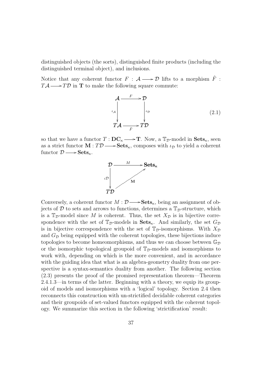distinguished objects (the sorts), distinguished finite products (including the distinguished terminal object), and inclusions.

Notice that any coherent functor  $F : A \longrightarrow \mathcal{D}$  lifts to a morphism  $\hat{F}$ :  $T\mathcal{A} \longrightarrow T\mathcal{D}$  in **T** to make the following square commute:

$$
\mathcal{A} \xrightarrow{F} \mathcal{D}
$$
\n
$$
\downarrow_{\mathcal{A}} \qquad \qquad \downarrow_{\mathcal{D}} \qquad (2.1)
$$
\n
$$
T\mathcal{A} \xrightarrow{\hat{F}} T\mathcal{D}
$$

so that we have a functor  $T: \mathbf{DC}_{\kappa} \longrightarrow \mathbf{T}$ . Now, a  $\mathbb{T}_{\mathcal{D}}$ -model in  $\mathbf{Sets}_{\kappa}$ , seen as a strict functor  $\mathbf{M}: T\mathcal{D} \longrightarrow \mathbf{Sets}_{\kappa}$ , composes with  $\iota_{\mathcal{D}}$  to yield a coherent functor  $\mathcal{D} \longrightarrow \mathbf{Sets}_{\kappa}$ .



Conversely, a coherent functor  $M : \mathcal{D} \longrightarrow \mathbf{Sets}_{\kappa}$ , being an assignment of objects of  $D$  to sets and arrows to functions, determines a  $\mathbb{T}_{\mathcal{D}}$ -structure, which is a  $\mathbb{T}_{\mathcal{D}}$ -model since M is coherent. Thus, the set  $X_{\mathcal{D}}$  is in bijective correspondence with the set of  $\mathbb{T}_{\mathcal{D}}$ -models in  $\mathbf{Sets}_{\kappa}$ . And similarly, the set  $G_{\mathcal{D}}$ is in bijective correspondence with the set of  $\mathbb{T}_{\mathcal{D}}$ -isomorphisms. With  $X_{\mathcal{D}}$ and  $G_{\mathcal{D}}$  being equipped with the coherent topologies, these bijections induce topologies to become homeomorphisms, and thus we can choose between  $\mathbb{G}_{\mathcal{D}}$ or the isomorphic topological groupoid of  $\mathbb{T}_{\mathcal{D}}$ -models and isomorphisms to work with, depending on which is the more convenient, and in accordance with the guiding idea that what is an algebra-geometry duality from one perspective is a syntax-semantics duality from another. The following section (2.3) presents the proof of the promised representation theorem—Theorem 2.4.1.3—in terms of the latter. Beginning with a theory, we equip its groupoid of models and isomorphisms with a 'logical' topology. Section 2.4 then reconnects this construction with un-strictified decidable coherent categories and their groupoids of set-valued functors equipped with the coherent topology. We summarize this section in the following 'strictification' result: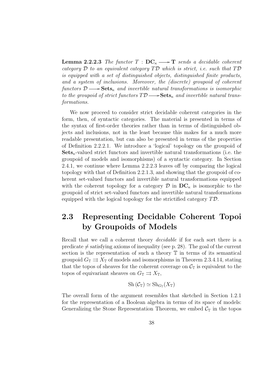**Lemma 2.2.2.3** The functor  $T : DC_{\kappa} \longrightarrow T$  sends a decidable coherent category  $\mathcal D$  to an equivalent category  $T\mathcal D$  which is strict, i.e. such that  $T\mathcal D$ is equipped with a set of distinguished objects, distinguished finite products, and a system of inclusions. Moreover, the (discrete) groupoid of coherent functors  $\mathcal{D} \longrightarrow$  **Sets**<sub>k</sub> and invertible natural transformations is isomorphic to the groupoid of strict functors  $T\mathcal{D}\longrightarrow$ **Sets**<sub> $k$ </sub> and invertible natural transformations.

We now proceed to consider strict decidable coherent categories in the form, then, of syntactic categories. The material is presented in terms of the syntax of first-order theories rather than in terms of distinguished objects and inclusions, not in the least because this makes for a much more readable presentation, but can also be presented in terms of the properties of Definition 2.2.2.1. We introduce a 'logical' topology on the groupoid of  $\textbf{Sets}_{\kappa}$ -valued strict functors and invertible natural transformations (i.e. the groupoid of models and isomorphisms) of a syntactic category. In Section 2.4.1, we continue where Lemma 2.2.2.3 leaves off by comparing the logical topology with that of Definition 2.2.1.3, and showing that the groupoid of coherent set-valued functors and invertible natural transformations equipped with the coherent topology for a category  $\mathcal D$  in  $\mathbf{DC}_{\kappa}$  is isomorphic to the groupoid of strict set-valued functors and invertible natural transformations equipped with the logical topology for the strictified category TD.

# 2.3 Representing Decidable Coherent Topoi by Groupoids of Models

Recall that we call a coherent theory decidable if for each sort there is a predicate  $\neq$  satisfying axioms of inequality (see p. 28). The goal of the current section is the representation of such a theory  $\mathbb T$  in terms of its semantical groupoid  $G_{\mathbb{T}} \rightrightarrows X_{\mathbb{T}}$  of models and isomorphisms in Theorem 2.3.4.14, stating that the topos of sheaves for the coherent coverage on  $\mathcal{C}_{\mathbb{T}}$  is equivalent to the topos of equivariant sheaves on  $G_{\mathbb{T}} \rightrightarrows X_{\mathbb{T}}$ ,

$$
Sh\left(\mathcal{C}_{\mathbb{T}}\right)\simeq\operatorname{Sh}_{G_{\mathbb{T}}}(X_{\mathbb{T}})
$$

The overall form of the argument resembles that sketched in Section 1.2.1 for the representation of a Boolean algebra in terms of its space of models: Generalizing the Stone Representation Theorem, we embed  $C_{\mathbb{T}}$  in the topos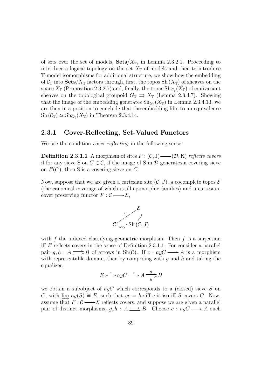of sets over the set of models,  $\textbf{Sets}/X_{\mathbb{T}}$ , in Lemma 2.3.2.1. Proceeding to introduce a logical topology on the set  $X_{\mathbb{T}}$  of models and then to introduce T-model isomorphisms for additional structure, we show how the embedding of  $C_{\mathbb{T}}$  into  $\textbf{Sets}/X_{\mathbb{T}}$  factors through, first, the topos  $\text{Sh}(X_{\mathbb{T}})$  of sheaves on the space  $X_{\mathbb{T}}$  (Proposition 2.3.2.7) and, finally, the topos  $\text{Sh}_{G_{\mathbb{T}}}(X_{\mathbb{T}})$  of equivariant sheaves on the topological groupoid  $G_{\mathbb{T}} \rightrightarrows X_{\mathbb{T}}$  (Lemma 2.3.4.7). Showing that the image of the embedding generates  $\text{Sh}_{G_{\mathbb{T}}}(X_{\mathbb{T}})$  in Lemma 2.3.4.13, we are then in a position to conclude that the embedding lifts to an equivalence  $\text{Sh}(\mathcal{C}_{\mathbb{T}}) \simeq \text{Sh}_{G_{\mathbb{T}}}(X_{\mathbb{T}})$  in Theorem 2.3.4.14.

### 2.3.1 Cover-Reflecting, Set-Valued Functors

We use the condition *cover reflecting* in the following sense:

**Definition 2.3.1.1** A morphism of sites  $F : (\mathcal{C}, J) \longrightarrow (\mathcal{D}, K)$  reflects covers if for any sieve S on  $C \in \mathcal{C}$ , if the image of S in  $\mathcal{D}$  generates a covering sieve on  $F(C)$ , then S is a covering sieve on C.

Now, suppose that we are given a cartesian site  $(C, J)$ , a cocomplete topos  $\mathcal E$ (the canonical coverage of which is all epimorphic families) and a cartesian, cover preserving functor  $F: \mathcal{C} \longrightarrow \mathcal{E}$ ,

$$
\mathcal{E}\left[\int\limits_{\overline{a\circ y}}\mathcal{E}\left[f\right]\right]
$$

with  $f$  the induced classifying geometric morphism. Then  $f$  is a surjection iff  $F$  reflects covers in the sense of Definition 2.3.1.1. For consider a parallel pair  $g, h : A \longrightarrow B$  of arrows in Sh(C). If  $c : ayC \longrightarrow A$  is a morphism with representable domain, then by composing with  $q$  and  $h$  and taking the equalizer,

$$
E \rightarrow e^e \rightarrow ayC \xrightarrow{c} A \xrightarrow{g} B
$$

we obtain a subobject of  $ayC$  which corresponds to a (closed) sieve S on C, with  $\lim ay(S) \cong E$ , such that  $qc = hc$  iff e is iso iff S covers C. Now, assume that  $F: \mathcal{C} \longrightarrow \mathcal{E}$  reflects covers, and suppose we are given a parallel pair of distinct morphisms,  $g, h : A \longrightarrow B$ . Choose  $c : ayC \longrightarrow A$  such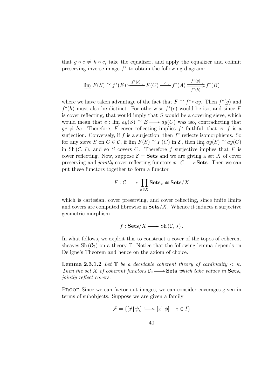that  $q \circ c \neq h \circ c$ , take the equalizer, and apply the equalizer and colimit preserving inverse image  $f^*$  to obtain the following diagram:

$$
\varinjlim F(S) \cong f^*(E) \xrightarrow{f^*(e)} F(C) \xrightarrow{c} f^*(A) \xrightarrow{f^*(g)} f^*(B)
$$

where we have taken advantage of the fact that  $F \cong f^* \circ ay$ . Then  $f^*(g)$  and  $f^*(h)$  must also be distinct. For otherwise  $f^*(e)$  would be iso, and since F is cover reflecting, that would imply that  $S$  would be a covering sieve, which would mean that  $e : \lim_{x \to a} ay(x) \cong E \longrightarrow ay(C)$  was iso, contradicting that  $gc \neq hc$ . Therefore, F cover reflecting implies  $f^*$  faithful, that is, f is a surjection. Conversely, if  $f$  is a surjection, then  $f^*$  reflects isomorphisms. So for any sieve S on  $C \in \mathcal{C}$ , if lim $F(S) \cong F(C)$  in  $\mathcal{E}$ , then lim $ay(S) \cong ay(C)$ in Sh  $(C, J)$ , and so S covers C. Therefore f surjective implies that F is cover reflecting. Now, suppose  $\mathcal{E} = \mathbf{Sets}$  and we are giving a set X of cover preserving and *jointly* cover reflecting functors  $x : C \longrightarrow$ **Sets.** Then we can put these functors together to form a functor

$$
F: \mathcal{C} \longrightarrow \prod_{x \in X} \textbf{Sets}_x \cong \textbf{Sets}/X
$$

which is cartesian, cover preserving, and cover reflecting, since finite limits and covers are computed fibrewise in  $\textbf{Sets}/X$ . Whence it induces a surjective geometric morphism

$$
f: \mathbf{Sets}/X \longrightarrow \mathrm{Sh}(\mathcal{C}, J).
$$

In what follows, we exploit this to construct a cover of the topos of coherent sheaves Sh  $(\mathcal{C}_{\mathbb{T}})$  on a theory  $\mathbb{T}$ . Notice that the following lemma depends on Deligne's Theorem and hence on the axiom of choice.

**Lemma 2.3.1.2** Let  $\mathbb{T}$  be a decidable coherent theory of cardinality  $\lt \kappa$ . Then the set X of coherent functors  $\mathcal{C}_{\mathbb{T}} \longrightarrow$  Sets which take values in  $\textbf{Sets}_{\kappa}$ jointly reflect covers.

Proof Since we can factor out images, we can consider coverages given in terms of subobjects. Suppose we are given a family

$$
\mathcal{F} = \{ [\vec{x} \, | \, \psi_i] \longrightarrow [\vec{x} \, | \, \phi] \mid i \in I \}
$$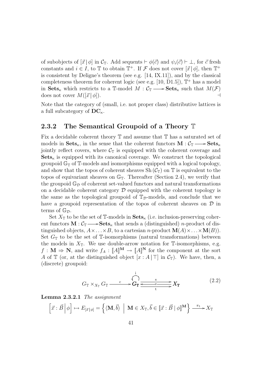of subobjects of  $[\vec{x} | \phi]$  in  $\mathcal{C}_\mathbb{T}$ . Add sequents  $\vdash \phi(\vec{c})$  and  $\psi_i(\vec{c}) \vdash \bot$ , for  $\vec{c}$  fresh constants and  $i \in I$ , to  $\mathbb T$  to obtain  $\mathbb T^+$ . If  $\mathcal F$  does not cover  $[\vec x | \phi]$ , then  $\mathbb T^+$ is consistent by Deligne's theorem (see e.g. [14, IX.11]), and by the classical completeness theorem for coherent logic (see e.g.  $[10, D1.5]$ ),  $\mathbb{T}^+$  has a model in  $\textbf{Sets}_{\kappa}$  which restricts to a T-model  $M: \mathcal{C}_{\mathbb{T}} \longrightarrow \textbf{Sets}_{\kappa}$  such that  $M(\mathcal{F})$ does not cover  $M([\vec{x} | \phi]).$ 

Note that the category of (small, i.e. not proper class) distributive lattices is a full subcategory of  $DC_{\kappa}$ .

### 2.3.2 The Semantical Groupoid of a Theory  $\mathbb T$

Fix a decidable coherent theory T and assume that T has a saturated set of models in  $\textbf{Sets}_{\kappa}$ , in the sense that the coherent functors  $\mathbf{M}: \mathcal{C}_{\mathbb{T}} \longrightarrow \textbf{Sets}_{\kappa}$ jointly reflect covers, where  $\mathcal{C}_{\mathbb{T}}$  is equipped with the coherent coverage and  $\mathbf{Sets}_{\kappa}$  is equipped with its canonical coverage. We construct the topological groupoid  $\mathbb{G}_{\mathbb{T}}$  of  $\mathbb{T}$ -models and isomorphisms equipped with a logical topology, and show that the topos of coherent sheaves Sh  $(\mathcal{C}_{\mathbb{T}})$  on  $\mathbb{T}$  is equivalent to the topos of equivariant sheaves on  $\mathbb{G}_T$ . Thereafter (Section 2.4), we verify that the groupoid  $\mathbb{G}_{\mathcal{D}}$  of coherent set-valued functors and natural transformations on a decidable coherent category  $\mathcal D$  equipped with the coherent topology is the same as the topological groupoid of  $\mathbb{T}_{\mathcal{D}}$ -models, and conclude that we have a groupoid representation of the topos of coherent sheaves on  $\mathcal D$  in terms of  $\mathbb{G}_{\mathcal{D}}$ .

Set  $X_{\mathbb{T}}$  to be the set of T-models in  $\mathbf{Sets}_{\kappa}$  (i.e. inclusion-preserving coherent functors  $\mathbf{M} : \mathcal{C}_{\mathbb{T}} \longrightarrow \mathbf{Sets}_{\kappa}$  that sends a (distinguished) *n*-product of distinguished objects,  $A \times ... \times B$ , to a cartesian *n*-product  $\mathbf{M}(A) \times ... \times \mathbf{M}(B)$ . Set  $G_{\mathbb{T}}$  to be the set of  $\mathbb{T}$ -isomorphisms (natural transformations) between the models in  $X_{\mathbb{T}}$ . We use double-arrow notation for  $\mathbb{T}$ -isomorphisms, e.g.  $f: \mathbf{M} \Rightarrow \mathbf{N}$ , and write  $f_A: [\![A]\!]^{\mathbf{M}} \to [\![A]\!]^{\mathbf{N}}$  for the component at the sort A of T (or, at the distinguished object  $[x : A | \top]$  in  $\mathcal{C}_{\mathbb{T}}$ ). We have, then, a (discrete) groupoid:

$$
G_{\mathbb{T}} \times_{X_{\mathbb{T}}} G_{\mathbb{T}} \xrightarrow{c} G_{\mathbb{T}} \xrightarrow{\begin{array}{c} i \\ \hline \downarrow \\ G_{\mathbb{T}} \end{array}} X_{\mathbb{T}} \xrightarrow{\begin{array}{c} i \\ \hline \downarrow \\ t \end{array}} X_{\mathbb{T}} \tag{2.2}
$$

Lemma 2.3.2.1 The assignment

$$
\left[\vec{x}:\vec{B}\,\middle|\,\phi\right]\mapsto E_{\left[\vec{x}\,\middle|\,\phi\right]}=\left\{\langle\mathbf{M},\vec{b}\rangle\,\middle|\,\mathbf{M}\in X_{\mathbb{T}},\vec{b}\in\left[\vec{x}:\vec{B}\,\middle|\,\phi\right]\right\}\xrightarrow{\pi_{1}}X_{\mathbb{T}}
$$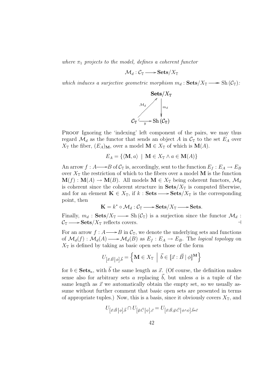where  $\pi_1$  projects to the model, defines a coherent functor

$$
\mathcal{M}_d:\mathcal{C}_\mathbb{T}\longrightarrow \mathbf{Sets}/X_\mathbb{T}
$$

which induces a surjective geometric morphism  $m_d : \textbf{Sets}/X_{\mathbb{T}} \longrightarrow \text{Sh}(\mathcal{C}_{\mathbb{T}})$ :



PROOF Ignoring the 'indexing' left component of the pairs, we may thus regard  $\mathcal{M}_d$  as the functor that sends an object A in  $\mathcal{C}_{\mathbb{T}}$  to the set  $E_A$  over  $X_{\mathbb{T}}$  the fiber,  $(E_A)_{\mathbf{M}}$ , over a model  $\mathbf{M} \in X_{\mathbb{T}}$  of which is  $\mathbf{M}(A)$ .

$$
E_A = \{ \langle \mathbf{M}, a \rangle \mid \mathbf{M} \in X_{\mathbb{T}} \wedge a \in \mathbf{M}(A) \}
$$

An arrow  $f : A \longrightarrow B$  of  $C_{\mathbb{T}}$  is, accordingly, sent to the function  $E_f : E_A \to E_B$ over  $X_{\mathbb{T}}$  the restriction of which to the fibers over a model M is the function  $\mathbf{M}(f): \mathbf{M}(A) \to \mathbf{M}(B)$ . All models  $\mathbf{M} \in X_{\mathbb{T}}$  being coherent functors,  $\mathcal{M}_d$ is coherent since the coherent structure in  $\textbf{Sets}/X_{\mathbb{T}}$  is computed fiberwise, and for an element  $\mathbf{K} \in X_{\mathbb{T}}$ , if  $k : \mathbf{Sets} \longrightarrow \mathbf{Sets}/X_{\mathbb{T}}$  is the corresponding point, then

$$
\mathbf{K} = k^* \circ \mathcal{M}_d : \mathcal{C}_\mathbb{T} \longrightarrow \mathbf{Sets}/X_\mathbb{T} \longrightarrow \mathbf{Sets}.
$$

Finally,  $m_d$ : Sets/ $X_{\mathbb{T}} \longrightarrow$  Sh $(\mathcal{C}_{\mathbb{T}})$  is a surjection since the functor  $\mathcal{M}_d$ :  $\mathcal{C}_{\mathbb{T}} \longrightarrow$  Sets/ $X_{\mathbb{T}}$  reflects covers.

For an arrow  $f : A \longrightarrow B$  in  $\mathcal{C}_{\mathbb{T}}$ , we denote the underlying sets and functions of  $\mathcal{M}_d(f) : \mathcal{M}_d(A) \longrightarrow \mathcal{M}_d(B)$  as  $E_f : E_A \to E_B$ . The logical topology on  $X_{\mathbb{T}}$  is defined by taking as basic open sets those of the form

$$
U_{\left[\vec{x}:\vec{B}\,\middle|\,\phi\right],\vec{b}} = \left\{ \mathbf{M} \in X_{\mathbb{T}} \: \middle| \: \vec{b} \in \left[\vec{x}:\vec{B}\mid\phi\right]^{\mathbf{M}} \right\}
$$

for  $b \in \mathbf{Sets}_{\kappa}$ , with  $\vec{b}$  the same length as  $\vec{x}$ . (Of course, the definition makes sense also for arbitrary sets a replacing  $\vec{b}$ , but unless a is a tuple of the same length as  $\vec{x}$  we automatically obtain the empty set, so we usually assume without further comment that basic open sets are presented in terms of appropriate tuples.) Now, this is a basis, since it obviously covers  $X_{\mathbb{T}}$ , and

$$
U_{[\vec{x}:\vec{B}\,|\,\phi],\vec{b}} \cap U_{[\vec{y}:\vec{C}\,|\,\psi],\vec{c}} = U_{[\vec{x}:\vec{B},\vec{y}:\vec{C}\,|\,\phi \wedge \psi],\vec{b}*\vec{c}}
$$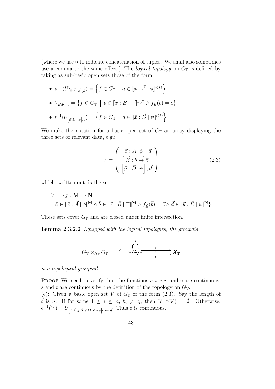(where we use ∗ to indicate concatenation of tuples. We shall also sometimes use a comma to the same effect.) The *logical topology* on  $G<sub>T</sub>$  is defined by taking as sub-basic open sets those of the form

- $\bullet \ \ s^{-1}$  $(U_{[\vec{x}:\vec{A}] \phi],\vec{a}}) = \left\{ f \in G_{\mathbb{T}} \: \middle| \: \vec{a} \in [\![\vec{x}:\vec{A}\! \mid \phi]\!]^{s(f)} \right\}$ o
- $V_{B:b\mapsto c} =$  $\overline{a}$  $f \in G_{\mathbb{T}} \mid b \in [x : B \mid \top]^{s(f)} \wedge f_B(b) = c$ ª

• 
$$
t^{-1}(U_{\left[\vec{x}:\vec{D}\,\middle|\,\psi\right],\vec{d}}) = \left\{ f \in G_{\mathbb{T}} \middle| \vec{d} \in [\vec{x}:\vec{D}\,\middle|\,\psi\right]^{\mathrm{t}(f)} \right\}
$$

We make the notation for a basic open set of  $G_{\mathbb{T}}$  an array displaying the three sets of relevant data, e.g.:

$$
V = \begin{pmatrix} \begin{bmatrix} \vec{x} \cdot \vec{A} & \phi \end{bmatrix}, \vec{a} \\ \vec{B} \cdot \vec{b} & \vec{c} \\ \begin{bmatrix} \vec{y} \cdot \vec{D} & \phi \end{bmatrix}, \vec{d} \end{pmatrix}
$$
(2.3)

which, written out, is the set

$$
V = \{ f : \mathbf{M} \Rightarrow \mathbf{N} \mid \vec{a} \in [\![\vec{x} : \vec{A} \mid \phi\!]^{\mathbf{M}} \land \vec{b} \in [\![\vec{x} : \vec{B} \mid \top\!]^{\mathbf{M}} \land f_{\vec{B}}(\vec{b}) = \vec{c} \land \vec{d} \in [\![\vec{y} : \vec{D} \mid \psi\!]^{\mathbf{N}} \}
$$

These sets cover  $G_{\mathbb{T}}$  and are closed under finite intersection.

Lemma 2.3.2.2 Equipped with the logical topologies, the groupoid

$$
G_{\mathbb{T}} \times_{X_{\mathbb{T}}} G_{\mathbb{T}} \xrightarrow{c} G_{\mathbb{T}} \xrightarrow{\begin{array}{c}i\\ \longleftarrow\\ G_{\mathbb{T}}\end{array}} G_{\mathbb{T}} \xrightarrow{\begin{array}{c}s\\ \longleftarrow\\ t\end{array}} X_{\mathbb{T}}
$$

is a topological groupoid.

PROOF We need to verify that the functions  $s, t, c, i$ , and e are continuous. s and t are continuous by the definition of the topology on  $G_{\mathbb{T}}$ . (e): Given a basic open set V of  $G_{\mathbb{T}}$  of the form  $(2.3)$ . Say the length of  $\vec{b}$  is n. If for some  $1 \leq i \leq n$ ,  $b_i \neq c_i$ , then  $\text{Id}^{-1}(V) = \emptyset$ . Otherwise,  $e^{-1}(V) = U_{\left[\vec{x}: \vec{A}, \vec{y}: \vec{B}, \vec{z}: \vec{D}\right] \phi \wedge \psi} \left[\vec{a} * \vec{b} * \vec{d}\right]$ . Thus e is continuous.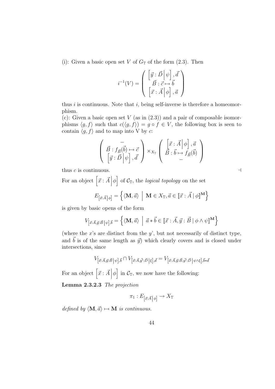(i): Given a basic open set V of  $G_{\mathbb{T}}$  of the form (2.3). Then

$$
i^{-1}(V) = \left( \begin{array}{c} \left[ \vec{y} : \vec{D} \middle| \psi \right], \vec{d} \\ \vec{B} : \vec{c} \mapsto \vec{b} \\ \left[ \vec{x} : \vec{A} \middle| \phi \right], \vec{a} \end{array} \right)
$$

thus  $i$  is continuous. Note that  $i$ , being self-inverse is therefore a homeomorphism.

(c): Given a basic open set V (as in  $(2.3)$ ) and a pair of composable isomorphisms  $\langle g, f \rangle$  such that  $c(\langle g, f \rangle) = g \circ f \in V$ , the following box is seen to contain  $\langle g, f \rangle$  and to map into V by c:

$$
\begin{pmatrix}\n-\frac{\partial}{\partial \vec{B}}\cdot\vec{B} \\
\vec{B}\cdot\vec{B} \\
\vec{B}\cdot\vec{B}\cdot\vec{B}\cdot\vec{B}\n\end{pmatrix}\n\times_{X_{\mathbb{T}}}\n\begin{pmatrix}\n\vec{x}\cdot\vec{A} & \phi\n\end{pmatrix},\n\vec{a} \\
-\vec{B}\cdot\vec{b}\n\rightarrow f_{\vec{B}}\n\begin{pmatrix}\n\vec{b} & \vec{B} \\
\vec{B}\cdot\vec{B}\cdot\vec{B}\cdot\vec{B}\n\end{pmatrix}
$$

thus  $c$  is continuous.  $\Box$ 

For an object  $\left[\vec{x}:\vec{A}\right]\phi$ i of  $C_{\mathbb{T}}$ , the *logical topology* on the set

$$
E_{\left[\vec{x}:\vec{A}\,\middle|\,\phi\right]} = \left\{ \langle \mathbf{M},\vec{a} \rangle \middle| \mathbf{M} \in X_{\mathbb{T}}, \vec{a} \in [\![\vec{x}:\vec{A}\,]\,\phi]\!]^{\mathbf{M}} \right\}
$$

is given by basic opens of the form

$$
V_{\left[\vec{x}:\vec{A},\vec{y}:\vec{B}\,\middle\vert\,\psi\right],\vec{b}} = \left\{ \langle \mathbf{M},\vec{a} \rangle \middle\vert \vec{a} * \vec{b} \in [\![\vec{x}:\vec{A},\vec{y}:\vec{B}\mid\phi\wedge\psi]\!]^{\mathbf{M}} \right\}
$$

(where the  $x$ 's are distinct from the  $y'$ , but not necessarily of distinct type, and  $\vec{b}$  is of the same length as  $\vec{y}$ ) which clearly covers and is closed under intersections, since

$$
V_{[\vec{x}:\vec{A},\vec{y}:\vec{B}|\psi],\vec{b}} \cap V_{[\vec{x}:\vec{A},\vec{y}:\vec{D}|\xi],\vec{d}} = V_{[\vec{x}:\vec{A},\vec{y}:\vec{B},\vec{y}:\vec{D}|\psi \wedge \xi],\vec{b}*\vec{d}}
$$

For an object  $\left[\vec{x} \cdot \vec{A}\right]\phi$ in  $\mathcal{C}_{\mathbb{T}}$ , we now have the following:

Lemma 2.3.2.3 The projection

$$
\pi_1: E_{\left[\vec{x}:\vec{A}\,\middle|\,\phi\right]}\to X_{\mathbb{T}}
$$

defined by  $\langle \mathbf{M}, \vec{a} \rangle \mapsto \mathbf{M}$  is continuous.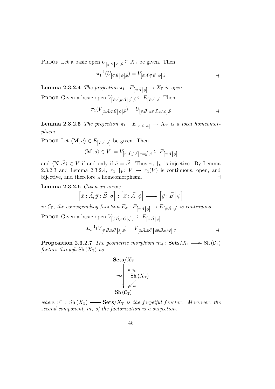PROOF Let a basic open  $U_{[\vec{y}:\vec{B}|\psi],\vec{b}} \subseteq X_{\mathbb{T}}$  be given. Then

$$
\pi_1^{-1}(U_{\left[\vec{y}:\vec{B}\,|\,\psi\right],\vec{b}}) = V_{\left[\vec{x}:\vec{A},\vec{y}:\vec{B}\,|\,\psi\right],\vec{b}} \qquad \qquad \Box
$$

**Lemma 2.3.2.4** The projection  $\pi_1 : E_{\left[\vec{x}: \vec{A}\right] \phi} \to X_{\mathbb{T}}$  is open. PROOF Given a basic open  $V_{[\vec{x}:\vec{A},\vec{y}:\vec{B}\,]\psi],\vec{b}} \subseteq E_{[\vec{x}:\vec{A}|\,\phi]}$  Then

$$
\pi_1(V_{\left[\vec{x}:\vec{A},\vec{y}:\vec{B}\,\middle\vert\,\psi\right],\vec{b}})=U_{\left[\vec{y}:\vec{B}\,\middle\vert\,\exists\vec{x}:\vec{A}.\phi\wedge\psi\right],\vec{b}} \qquad \qquad \Box
$$

**Lemma 2.3.2.5** The projection  $\pi_1 : E_{\left[\vec{x}:\vec{A}\right]\phi} \to X_{\mathbb{T}}$  is a local homeomorphism.

PROOF Let  $\langle \mathbf{M}, \vec{a} \rangle \in E_{\left[\vec{x}: \vec{A}\right] \phi}$  be given. Then

$$
\langle \mathbf{M}, \vec{a} \rangle \in V := V_{\left[\vec{x}: \vec{A}, \vec{y}: \vec{A}\right] \vec{x} = \vec{y}], \vec{a}} \subseteq E_{\left[\vec{x}: \vec{A}\right] \phi]}
$$

and  $\langle \mathbf{N}, \vec{a'} \rangle \in V$  if and only if  $\vec{a} = \vec{a'}$ . Thus  $\pi_1 \upharpoonright_V$  is injective. By Lemma 2.3.2.3 and Lemma 2.3.2.4,  $\pi_1$   $\upharpoonright_V : V \to \pi_1(V)$  is continuous, open, and bijective, and therefore a homeomorphism.  $\Box$ 

Lemma 2.3.2.6 Given an arrow u<br>T ں<br>-

 $\vec{x}$  :  $\vec{A}, \vec{y}$  :  $\vec{B} | \sigma$ : h  $\vec{x}$  :  $\vec{A}|\phi$ i h  $\vec{y}$  :  $\vec{B}\left|\,\psi\right>$ i

in  $\mathcal{C}_{\mathbb{T}}$ , the corresponding function  $E_{\sigma}: E_{[\vec{x}: \vec{A}|\phi]} \to E_{[\vec{y}: \vec{B}|\psi]}$  is continuous. PROOF Given a basic open  $V_{[\vec{y}:\vec{B},\vec{z}:\vec{C}\,|\,\xi],\vec{c}} \subseteq E_{[\vec{y}:\vec{B}\,|\,\psi]}$ 

$$
E_{\sigma}^{-1}(V_{\left[\vec{y}:\vec{B},\vec{z}:\vec{C}\right|\xi],\vec{c}}) = V_{\left[\vec{x}:\vec{A},\vec{z}:\vec{C}\right|\exists\vec{y}:\vec{B}.\sigma \wedge \xi],\vec{c}} \qquad \qquad \Box
$$

**Proposition 2.3.2.7** The geometric morphism  $m_d$ :  $\textbf{Sets}/X_{\mathbb{T}} \longrightarrow \text{Sh}(\mathcal{C}_{\mathbb{T}})$ factors through  $\text{Sh}(X_{\mathbb{T}})$  as



where  $u^*$ : Sh $(X_{\mathbb{T}}) \longrightarrow$ **Sets**/ $X_{\mathbb{T}}$  is the forgetful functor. Moreover, the second component, m, of the factorization is a surjection.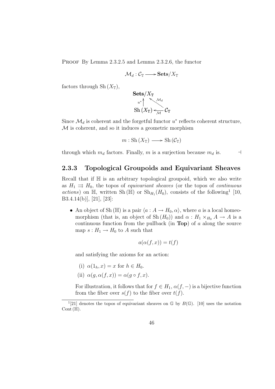Proof By Lemma 2.3.2.5 and Lemma 2.3.2.6, the functor

$$
\mathcal{M}_d:\mathcal{C}_\mathbb{T}\longrightarrow \mathbf{Sets}/X_\mathbb{T}
$$

factors through Sh $(X_{\mathbb{T}}),$ 

$$
\begin{array}{c}\n\mathbf{Sets}/X_\mathbb{T} \\
 u^*\n\\ \n\text{Sh}\left(X_\mathbb{T}\right) &\n\\ \n\text{Sh}\left(X_\mathbb{T}\right) &\n\\ \n\mathcal{M}\n\end{array} \mathcal{C}_\mathbb{T}
$$

Since  $\mathcal{M}_d$  is coherent and the forgetful functor  $u^*$  reflects coherent structure, M is coherent, and so it induces a geometric morphism

 $m : Sh(X_{\mathbb{T}}) \longrightarrow Sh(\mathcal{C}_{\mathbb{T}})$ 

through which  $m_d$  factors. Finally, m is a surjection because  $m_d$  is.  $\Box$ 

### 2.3.3 Topological Groupoids and Equivariant Sheaves

Recall that if  $\mathbb H$  is an arbitrary topological groupoid, which we also write as  $H_1 \rightrightarrows H_0$ , the topos of *equivariant sheaves* (or the topos of *continuous* actions) on  $\mathbb{H}$ , written Sh ( $\mathbb{H}$ ) or Sh<sub>H<sub>1</sub></sub>(H<sub>0</sub>), consists of the following<sup>1</sup> [10, B3.4.14(b)], [21], [23]:

• An object of Sh ( $\mathbb{H}$ ) is a pair  $\langle a : A \to H_0, \alpha \rangle$ , where a is a local homeomorphism (that is, an object of Sh $(H_0)$ ) and  $\alpha : H_1 \times_{H_0} A \to A$  is a continuous function from the pullback (in Top) of  $a$  along the source map  $s: H_1 \to H_0$  to A such that

$$
a(\alpha(f, x)) = t(f)
$$

and satisfying the axioms for an action:

- (i)  $\alpha(1_h, x) = x$  for  $h \in H_0$ .
- (ii)  $\alpha(g, \alpha(f, x)) = \alpha(g \circ f, x).$

For illustration, it follows that for  $f \in H_1$ ,  $\alpha(f, -)$  is a bijective function from the fiber over  $s(f)$  to the fiber over  $t(f)$ .

<sup>&</sup>lt;sup>1</sup>[21] denotes the topos of equivariant sheaves on  $\mathbb{G}$  by  $B(\mathbb{G})$ . [10] uses the notation Cont  $(\mathbb{H}).$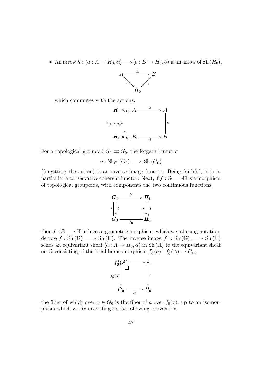• An arrow  $h : \langle a : A \to H_0, \alpha \rangle \longrightarrow \langle b : B \to H_0, \beta \rangle$  is an arrow of Sh  $(H_0)$ ,



which commutes with the actions:



For a topological groupoid  $G_1 \rightrightarrows G_0$ , the forgetful functor

$$
u: \mathrm{Sh}_{G_1}(G_0) \longrightarrow \mathrm{Sh}\,(G_0)
$$

(forgetting the action) is an inverse image functor. Being faithful, it is in particular a conservative coherent functor. Next, if  $f : \mathbb{G} \longrightarrow \mathbb{H}$  is a morphism of topological groupoids, with components the two continuous functions,



then  $f : \mathbb{G} \longrightarrow \mathbb{H}$  induces a geometric morphism, which we, abusing notation, denote  $f: Sh(\mathbb{G}) \longrightarrow Sh(\mathbb{H})$ . The inverse image  $f^*: Sh(\mathbb{G}) \longrightarrow Sh(\mathbb{H})$ sends an equivariant sheaf  $\langle a : A \to H_0, \alpha \rangle$  in Sh (H) to the equivariant sheaf on G consisting of the local homeomorphism  $f_0^*(a) : f_0^*(A) \to G_0$ ,



the fiber of which over  $x \in G_0$  is the fiber of a over  $f_0(x)$ , up to an isomorphism which we fix according to the following convention: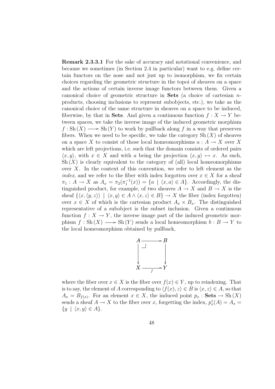Remark 2.3.3.1 For the sake of accuracy and notational convenience, and because we sometimes (in Section 2.4 in particular) want to e.g. define certain functors on the nose and not just up to isomorphism, we fix certain choices regarding the geometric structure in the topoi of sheaves on a space and the actions of certain inverse image functors between them. Given a canonical choice of geometric structure in **Sets** (a choice of cartesian  $n$ products, choosing inclusions to represent subobjects, etc.), we take as the canonical choice of the same structure in sheaves on a space to be induced, fiberwise, by that in **Sets**. And given a continuous function  $f: X \to Y$  between spaces, we take the inverse image of the induced geometric morphism  $f: Sh(X) \longrightarrow Sh(Y)$  to work by pullback along f in a way that preserves fibers. When we need to be specific, we take the category  $\mathrm{Sh}(X)$  of sheaves on a space X to consist of those local homeomorphisms  $a: A \to X$  over X which are left projections, i.e. such that the domain consists of ordered pairs  $\langle x, y \rangle$ , with  $x \in X$  and with a being the projection  $\langle x, y \rangle \mapsto x$ . As such,  $\mathrm{Sh}(X)$  is clearly equivalent to the category of (all) local homeomorphisms over X. In the context of this convention, we refer to left element as the *index*, and we refer to the fiber with index forgotten over  $x \in X$  for a sheaf  $\pi_1: A \to X$  as  $A_x = \pi_2(\pi_1^{-1}(x)) = \{a \mid \langle x, a \rangle \in A\}$ . Accordingly, the distinguished product, for example, of two sheaves  $A \to X$  and  $B \to X$  is the sheaf  $\{\langle x,\langle y,z\rangle\rangle \mid \langle x,y\rangle \in A \land \langle x,z\rangle \in B\} \to X$  the fiber (index forgotten) over  $x \in X$  of which is the cartesian product  $A_x \times B_x$ . The distinguished representative of a subobject is the subset inclusion. Given a continuous function  $f: X \to Y$ , the inverse image part of the induced geometric morphism  $f : Sh(X) \longrightarrow Sh(Y)$  sends a local homeomorphism  $b : B \longrightarrow Y$  to the local homeomorphism obtained by pullback,



where the fiber over  $x \in X$  is the fiber over  $f(x) \in Y$ , up to reindexing. That is to say, the element of A corresponding to  $\langle f(x), z \rangle \in B$  is  $\langle x, z \rangle \in A$ , so that  $A_x = B_{f(x)}$ . For an element  $x \in X$ , the induced point  $p_x : \mathbf{Sets} \to \mathrm{Sh}(X)$ sends a sheaf  $A \to X$  to the fiber over x, forgetting the index,  $p_x^*(A) = A_x$  $\{y \mid \langle x, y \rangle \in A\}.$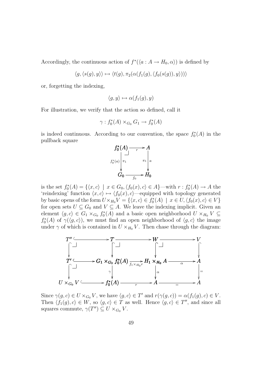Accordingly, the continuous action of  $f^*(\langle a : A \to H_0, \alpha \rangle)$  is defined by

$$
\langle g, \langle s(g), y \rangle \rangle \mapsto \langle t(g), \pi_2(\alpha(f_1(g), \langle f_0(s(g)), y \rangle)) \rangle
$$

or, forgetting the indexing,

$$
\langle g, y \rangle \mapsto \alpha(f_1(g), y)
$$

For illustration, we verify that the action so defined, call it

$$
\gamma: f_0^*(A) \times_{G_0} G_1 \to f_0^*(A)
$$

is indeed continuous. According to our convention, the space  $f_0^*(A)$  in the pullback square



is the set  $f_0^*(A) = \{ \langle x, c \rangle \mid x \in G_0, \langle f_0(x), c \rangle \in A \}$ —with  $r : f_0^*(A) \to A$  the 'reindexing' function  $\langle x, c \rangle \mapsto \langle f_0(x), c \rangle$ —equipped with topology generated by basic opens of the form  $U \times_{H_0} V = \{ \langle x, c \rangle \in f_0^*(A) \mid x \in U, \langle f_0(x), c \rangle \in V \}$ for open sets  $U \subseteq G_0$  and  $V \subseteq A$ . We leave the indexing implicit. Given an element  $\langle g, c \rangle \in G_1 \times_{G_0} f_0^*(A)$  and a basic open neighborhood  $U \times_{H_0} V \subseteq$  $f_0^*(A)$  of  $\gamma(\langle g, c \rangle)$ , we must find an open neighborhood of  $\langle g, c \rangle$  the image under  $\gamma$  of which is contained in  $U \times_{H_0} V$ . Then chase through the diagram:



Since  $\gamma(g, c) \in U \times_{G_0} V$ , we have  $\langle g, c \rangle \in T'$  and  $r(\gamma(g, c)) = \alpha(f_1(g), c) \in V$ . Then  $\langle f_1(g), c \rangle \in W$ , so  $\langle g, c \rangle \in T$  as well. Hence  $\langle g, c \rangle \in T''$ , and since all squares commute,  $\gamma(T'') \subseteq U \times_{G_0} V$ .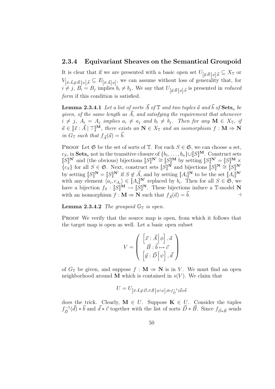### 2.3.4 Equivariant Sheaves on the Semantical Groupoid

It is clear that if we are presented with a basic open set  $U_{[\vec{y}:\vec{B}\,]\phi],\vec{b}} \subseteq X_{\mathbb{T}}$  or  $V_{[\vec{x}:\vec{A},\vec{y}:\vec{B}|\psi],\vec{b}} \subseteq E_{[\vec{x}:\vec{A}|\phi]}$ , we can assume without loss of generality that, for  $i \neq j$ ,  $B_i = B_j$  implies  $b_i \neq b_j$ . We say that  $U_{[\vec{y}:\vec{B}|\phi],\vec{b}}$  is presented in *reduced* form if this condition is satisfied.

**Lemma 2.3.4.1** Let a list of sorts  $\vec{A}$  of  $\mathbb{T}$  and two tuples  $\vec{a}$  and  $\vec{b}$  of  $\textbf{Sets}_{\kappa}$  be given, of the same length as  $\vec{A}$ , and satisfying the requirement that whenever  $i \neq j$ ,  $A_i = A_j$  implies  $a_i \neq a_j$  and  $b_i \neq b_j$ . Then for any  $\mathbf{M} \in X_{\mathbb{T}}$ , if  $\vec{a} \in [\vec{x} : \vec{A}] \top M$ , there exists an  $N \in X_{\mathbb{T}}$  and an isomorphism  $f : M \Rightarrow N$ in  $G_{\mathbb{T}}$  such that  $f_{\vec{\Lambda}}(\vec{a}) = \vec{b}$ .

PROOF Let  $\mathfrak S$  be the set of sorts of  $\mathbb T$ . For each  $S \in \mathfrak S$ , we can choose a set,  $c_S$ , in  $\mathbf{Sets}_{\kappa}$  not in the transitive closure of  $\{b_1, \ldots, b_n\} \cup [S]^{\mathbf{M}}$ . Construct sets  $[[S]]^{N'}$  and (the obvious) bijections  $[[S]]^{N'} \cong [[S]]^{M}$  by setting  $[[S]]^{N'} = [[S]]^{M} \times$  ${c_S}$  for all  $S \in \mathfrak{S}$ . Next, construct sets  $\llbracket S \rrbracket^N$  and bijections  $\llbracket S \rrbracket^N \stackrel{=}{\cong} \llbracket S \rrbracket^N$ by setting  $\llbracket S \rrbracket^N = \llbracket S \rrbracket^{N'}$  if  $S \notin \vec{A}$ , and by setting  $\llbracket A_i \rrbracket^N$  to be the set  $\llbracket A_i \rrbracket^{N'}$ with any element  $\langle a_i, c_{A_i} \rangle \in [A_i]^{\mathbb{N}'}$  replaced by  $b_i$ . Then for all  $S \in \mathfrak{S}$ , we have a bijection  $f_S : [S]^{\mathbf{M}} \to [S]^{\mathbf{N}}$ . These bijections induce a T-model N with an isomorphism  $f : \mathbf{M} \Rightarrow \mathbf{N}$  such that  $f_{\vec{A}}(\vec{a}) = \vec{b}$ .

**Lemma 2.3.4.2** The groupoid  $\mathbb{G}_{\mathbb{T}}$  is open.

PROOF We verify that the source map is open, from which it follows that the target map is open as well. Let a basic open subset

$$
V = \left(\begin{array}{c} \left[\vec{x}:\vec{A}\middle|\phi\right], \vec{a} \\ \vec{B}:\vec{b} \mapsto \vec{c} \\ \left[\vec{y}:\vec{D}\middle|\psi\right], \vec{d} \end{array}\right)
$$

of  $G_{\mathbb{T}}$  be given, and suppose  $f : \mathbf{M} \Rightarrow \mathbf{N}$  is in V. We must find an open neighborhood around **M** which is contained in  $s(V)$ . We claim that

$$
U=U_{\left[\vec{x}:\vec{A},\vec{y}:\vec{D},\vec{z}:\vec{B}\,\middle|\,\phi\wedge\psi\right],\vec{a}*f_{\vec{D}}^{-1}(\vec{d})*\vec{b}}
$$

does the trick. Clearly,  $\mathbf{M} \in U$ . Suppose  $\mathbf{K} \in U$ . Consider the tuples  $f_{\vec{n}}^{-1}$  $\vec{D}$  +  $\vec{b}$  and  $\vec{d}$  \*  $\vec{c}$  together with the list of sorts  $\vec{D}$  \*  $\vec{B}$ . Since  $f_{\vec{D}*\vec{B}}$  sends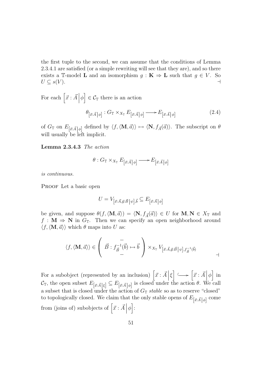the first tuple to the second, we can assume that the conditions of Lemma 2.3.4.1 are satisfied (or a simple rewriting will see that they are), and so there exists a T-model **L** and an isomorphism  $g : \mathbf{K} \Rightarrow \mathbf{L}$  such that  $g \in V$ . So  $U \subseteq s(V)$ .

For each  $\left[\vec{x} \cdot \vec{A}\right]\phi$ i  $\in \mathcal{C}_{\mathbb{T}}$  there is an action

$$
\theta_{\left[\vec{x}:\vec{A}\,\middle|\,\phi\right]}:G_{\mathbb{T}}\times_{X_{\mathbb{T}}}E_{\left[\vec{x}:\vec{A}\,\middle|\,\phi\right]}\longrightarrow E_{\left[\vec{x}:\vec{A}\,\middle|\,\phi\right]}
$$
\n
$$
(2.4)
$$

of  $G_{\mathbb{T}}$  on  $E_{\left[\vec{x}:\vec{A}\right]\phi}$  defined by  $\langle f,\langle \mathbf{M},\vec{a}\rangle\rangle \mapsto \langle \mathbf{N}, f_{\vec{A}}(\vec{a})\rangle$ . The subscript on  $\theta$ will usually be left implicit.

Lemma 2.3.4.3 The action

$$
\theta: G_{\mathbb{T}} \times_{X_{\mathbb{T}}} E_{\left[\vec{x}:\vec{A}\right]\phi} \longrightarrow E_{\left[\vec{x}:\vec{A}\right]\phi}
$$

is continuous.

PROOF Let a basic open

$$
U = V_{\left[\vec{x}:\vec{A},\vec{y}:\vec{B}\,\middle|\,\psi\right],\vec{b}} \subseteq E_{\left[\vec{x}:\vec{A}\,\middle|\,\phi\right]}
$$

be given, and suppose  $\theta(f, \langle \mathbf{M}, \vec{a} \rangle) = \langle \mathbf{N}, f_{\vec{A}}(\vec{a}) \rangle \in U$  for  $\mathbf{M}, \mathbf{N} \in X_{\mathbb{T}}$  and  $f : M \Rightarrow N$  in  $G_T$ . Then we can specify an open neighborhood around  $\langle f, \langle \mathbf{M}, \vec{a} \rangle \rangle$  which  $\theta$  maps into U as:

$$
\langle f, \langle \mathbf{M}, \vec{a} \rangle \rangle \in \left( \begin{array}{c} - \\ \vec{B} : f^{-1}_{\vec{B}}(\vec{b}) \mapsto \vec{b} \\ - \end{array} \right) \times_{X_{\mathbb{T}}} V_{[\vec{x}: \vec{A}, \vec{y}: \vec{B}]} \psi], f^{-1}_{\vec{B}}(\vec{b})
$$

For a subobject (represented by an inclusion)  $\left[\vec{x} : \vec{A}\right]$   $\xi$ i Â Ä / h  $\vec{x}$  :  $\vec{A}|\phi$ i in  $\mathcal{C}_{\mathbb{T}}$ , the open subset  $E_{[\vec{x}:\vec{A}|\xi]} \subseteq E_{[\vec{x}:\vec{A}|\phi]}$  is closed under the action  $\theta$ . We call a subset that is closed under the action of  $G_{\mathbb{T}}$  stable so as to reserve "closed" to topologically closed. We claim that the only stable opens of  $E_{[\vec{x}:\vec{A}|\phi]}$  come from (joins of) subobjects of  $[\vec{x} : \vec{A}] \phi$ : ے<br>-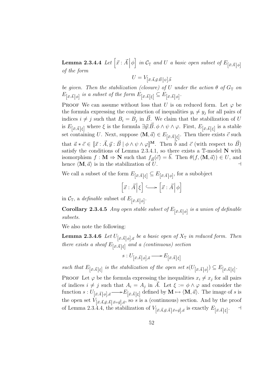Lemma 2.3.4.4 Let  $\begin{bmatrix} \vec{x} \ \vec{A} \end{bmatrix} \phi$ i in  $\mathcal{C}_{\mathbb{T}}$  and U a basic open subset of  $E_{[\vec{x}:\vec{A}|\phi]}$ of the form

$$
U = V_{\left[\vec{x}:\vec{A},\vec{y}:\vec{B}\,\middle\vert\,\psi\right],\vec{b}}
$$

be given. Then the stabilization (closure) of U under the action  $\theta$  of  $G_{\mathbb{T}}$  on  $E_{[\vec{x}: \vec{A}|\phi]}$  is a subset of the form  $E_{[\vec{x}: \vec{A}|\xi]} \subseteq E_{[\vec{x}: \vec{A}|\phi]}$ .

PROOF We can assume without loss that U is on reduced form. Let  $\varphi$  be the formula expressing the conjunction of inequalities  $y_i \neq y_j$  for all pairs of indices  $i \neq j$  such that  $B_i = B_j$  in  $\vec{B}$ . We claim that the stabilization of U is  $E_{[\vec{x}:\vec{A}|\xi]}$  where  $\xi$  is the formula  $\exists \vec{y}:\vec{B}.\phi \wedge \psi \wedge \varphi$ . First,  $E_{[\vec{x}:\vec{A}|\xi]}$  is a stable set containing U. Next, suppose  $\langle \mathbf{M}, \vec{a} \rangle \in E_{[\vec{x}: \vec{A} | \xi]}$ . Then there exists  $\vec{c}$  such that  $\vec{a} * \vec{c} \in [\vec{x} : \vec{A}, \vec{y} : \vec{B} \mid \phi \wedge \psi \wedge \varphi]^{\mathbf{M}}$ . Then  $\vec{b}$  and  $\vec{c}$  (with respect to  $\vec{B}$ ) satisfy the conditions of Lemma 2.3.4.1, so there exists a  $\mathbb T$ -model N with isomorphism  $f : \mathbf{M} \Rightarrow \mathbf{N}$  such that  $f_{\vec{B}}(\vec{c}) = \vec{b}$ . Then  $\theta(f, \langle \mathbf{M}, \vec{a} \rangle) \in U$ , and hence  $\langle \mathbf{M}, \vec{a} \rangle$  is in the stabilization of U. hence  $\langle \mathbf{M}, \vec{a} \rangle$  is in the stabilization of U.

We call a subset of the form  $E_{[\vec{x}:\vec{A}|\xi]} \subseteq E_{[\vec{x}:\vec{A}|\phi]}$ , for a subobject

$$
\left[\vec{x}:\vec{A}\Big|\xi\right] \longleftrightarrow \left[\vec{x}:\vec{A}\Big|\phi\right]
$$

in  $\mathcal{C}_{\mathbb{T}}$ , a *definable* subset of  $E_{\left[\vec{x}: \vec{A}\right]\phi}$ .

**Corollary 2.3.4.5** Any open stable subset of  $E_{\vec{x}: \vec{A} \mid \phi \vec{b}}$  is a union of definable subsets.

We also note the following:

**Lemma 2.3.4.6** Let  $U_{[\vec{x}:\vec{A}|\phi][\vec{a}]}$  be a basic open of  $X_{\mathbb{T}}$  in reduced form. Then there exists a sheaf  $E_{[\vec{x}: \vec{A} | \xi]}$  and a (continuous) section

$$
s: U_{\left[\vec{x}:\vec{A}\,\middle|\,\phi\right],\vec{a}} \longrightarrow E_{\left[\vec{x}:\vec{A}\,\middle|\,\xi\right]}
$$

such that  $E_{[\vec{x}:\vec{A}|\xi]}$  is the stabilization of the open set  $s(U_{[\vec{x}:\vec{A}|\phi]}) \subseteq E_{[\vec{x}:\vec{A}|\xi]}$ .

**PROOF** Let  $\varphi$  be the formula expressing the inequalities  $x_i \neq x_j$  for all pairs of indices  $i \neq j$  such that  $A_i = A_j$  in  $\vec{A}$ . Let  $\xi := \phi \wedge \varphi$  and consider the function  $s: U_{[\vec{x}:\vec{A}|\phi],\vec{a}} \longrightarrow E_{[\vec{x}:\vec{A}|\xi]}$  defined by  $\mathbf{M} \mapsto \langle \mathbf{M},\vec{a}\rangle$ . The image of s is the open set  $V_{[\vec{x}:\vec{A},\vec{y}:\vec{A}|\vec{x}=\vec{y}],\vec{a}}$ , so s is a (continuous) section. And by the proof of Lemma 2.3.4.4, the stabilization of  $V_{[\vec{x}:\vec{A},\vec{y}:\vec{A}|\vec{x}=\vec{y}],\vec{a}}$  is exactly  $E_{[\vec{x}:\vec{A}|\xi]}$ .  $\overline{\phantom{a}}$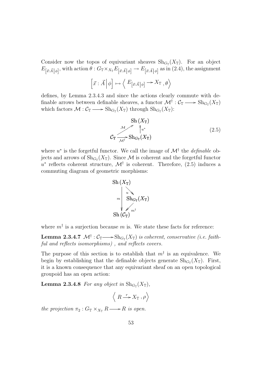Consider now the topos of equivariant sheaves  $\text{Sh}_{G_{\mathbb{T}}}(X_{\mathbb{T}})$ . For an object  $E_{\left[\vec{x}:\vec{A}\right]\phi\left[\right]}$ , with action  $\theta: G_{\mathbb{T}} \times_{X_{\mathbb{T}}} E_{\left[\vec{x}:\vec{A}\right]\phi\left[\right]} \to E_{\left[\vec{x}:\vec{A}\right]\phi\left[\right]}$  as in (2.4), the assignment

$$
\left[\vec{x}:\vec{A}\,\middle|\,\phi\right]\mapsto\Big\langle E_{\left[\vec{x}:\vec{A}\,\middle|\,\phi\right]}\longrightarrow X_{\mathbb{T}}\ ,\theta\Big\rangle
$$

defines, by Lemma 2.3.4.3 and since the actions clearly commute with definable arrows between definable sheaves, a functor  $\mathcal{M}^\dagger : \mathcal{C}_\mathbb{T} \longrightarrow \textnormal{Sh}_{G_\mathbb{T}}(X_\mathbb{T})$ which factors  $\mathcal{M}: \mathcal{C}_{\mathbb{T}} \longrightarrow \text{Sh}_{G_{\mathbb{T}}}(X_{\mathbb{T}})$  through  $\text{Sh}_{G_{\mathbb{T}}}(X_{\mathbb{T}})$ :

Sh 
$$
(X_{\mathbb{T}})
$$
  
\n $\mathcal{L}_{\mathbb{T}} \xrightarrow{\mathcal{M}} \mathcal{L}_{\mathbb{T}}^*$   
\n $\mathcal{L}_{\mathbb{T}} \xrightarrow{\mathcal{M}^{\dagger}} \operatorname{Sh}_{G_{\mathbb{T}}}(X_{\mathbb{T}})$ \n
$$
(2.5)
$$

where  $u^*$  is the forgetful functor. We call the image of  $\mathcal{M}^{\dagger}$  the *definable* objects and arrows of  $\text{Sh}_{G_{\mathbb{T}}}(X_{\mathbb{T}})$ . Since  $\mathcal M$  is coherent and the forgetful functor u<sup>\*</sup> reflects coherent structure,  $\mathcal{M}^{\dagger}$  is coherent. Therefore, (2.5) induces a commuting diagram of geometric morphisms:



where  $m^{\dagger}$  is a surjection because m is. We state these facts for reference:

**Lemma 2.3.4.7**  $\mathcal{M}^{\dagger} : \mathcal{C}_{\mathbb{T}} \longrightarrow \mathrm{Sh}_{G_{\mathbb{T}}}(X_{\mathbb{T}})$  is coherent, conservative (i.e. faithful and reflects isomorphisms), and reflects covers.

The purpose of this section is to establish that  $m^{\dagger}$  is an equivalence. We begin by establishing that the definable objects generate  $\text{Sh}_{G_{\mathbb{T}}}(X_{\mathbb{T}})$ . First, it is a known consequence that any equivariant sheaf on an open topological groupoid has an open action:

**Lemma 2.3.4.8** For any object in  $\text{Sh}_{G_{\mathbb{T}}}(X_{\mathbb{T}})$ ,

$$
\left\langle R\stackrel{r}{\longrightarrow} X_{\mathbb{T}},\rho\right\rangle
$$

the projection  $\pi_2$ :  $G_{\mathbb{T}} \times_{X_{\mathbb{T}}} R \longrightarrow R$  is open.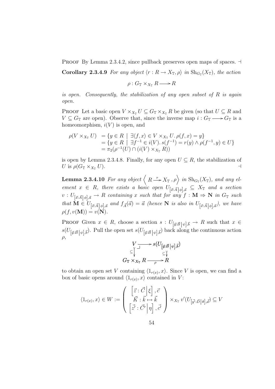PROOF By Lemma 2.3.4.2, since pullback preserves open maps of spaces.  $\exists$ 

**Corollary 2.3.4.9** For any object  $\langle r : R \to X_{\mathbb{T}}, \rho \rangle$  in  $\text{Sh}_{G_{\mathbb{T}}}(X_{\mathbb{T}})$ , the action

$$
\rho: G_{\mathbb{T}} \times_{X_{\mathbb{T}}} R \longrightarrow R
$$

is open. Consequently, the stabilization of any open subset of R is again open.

PROOF Let a basic open  $V \times_{X_{\mathcal{T}}} U \subseteq G_{\mathcal{T}} \times_{X_{\mathcal{T}}} R$  be given (so that  $U \subseteq R$  and  $V \subseteq G_{\mathbb{T}}$  are open). Observe that, since the inverse map  $i: G_{\mathbb{T}} \longrightarrow G_{\mathbb{T}}$  is a homeomorphism,  $i(V)$  is open, and

$$
\rho(V \times_{X_{\mathbb{T}}} U) = \{ y \in R \mid \exists \langle f, x \rangle \in V \times_{X_{\mathbb{T}}} U. \rho(f, x) = y \}= \{ y \in R \mid \exists f^{-1} \in i(V). s(f^{-1}) = r(y) \land \rho(f^{-1}, y) \in U \}= \pi_2(\rho^{-1}(U) \cap (i(V) \times_{X_{\mathbb{T}}} R))
$$

is open by Lemma 2.3.4.8. Finally, for any open  $U \subseteq R$ , the stabilization of U is  $\rho(G_{\mathbb{T}} \times_{X_{\mathbb{T}}} U)$ .

**Lemma 2.3.4.10** For any object  $\langle R \stackrel{r}{\longrightarrow} X_{\mathbb{T}}$ ,  $\rho \rangle$  in  $\text{Sh}_{G_{\mathbb{T}}}(X_{\mathbb{T}})$ , and any element  $x \in R$ , there exists a basic open  $U_{[\vec{x}:\vec{A}]\phi],\vec{a}} \subseteq X_{\mathbb{T}}$  and a section  $v: U_{\left[\vec{x}:\vec{A}\right]\phi\right],\vec{a}} \to R$  containing x such that for any  $f: \mathbf{M} \to \mathbf{N}$  in  $G_{\mathbb{T}}$  such that  $\mathbf{M} \in U_{[\vec{x}:\vec{A}]\phi],\vec{a}}$  and  $f_{\vec{A}}(\vec{a}) = \vec{a}$  (hence  $\mathbf{N}$  is also in  $U_{[\vec{x}:\vec{A}]\phi],\vec{a}}$ ), we have  $\rho(f, v(\mathbf{M})) = v(\mathbf{N}).$ 

PROOF Given  $x \in R$ , choose a section  $s: U_{\left[\vec{y}:\vec{B}\right]\psi\left],\vec{b}} \to R$  such that  $x \in$  $s(U_{[\vec{y}:\vec{B}\,|\,\psi],\vec{b}})$ . Pull the open set  $s(U_{[\vec{y}:\vec{B}\,|\,\psi],\vec{b}})$  back along the continuous action  $\rho$ ,

$$
V \longrightarrow \begin{array}{c} V \longrightarrow s(U_{[\vec{y}:\vec{B}\,]\,\psi],\vec{b}}) \\ \subseteq \bigvee^{\vee} & \subseteq \bigvee^{\vee} \\ G_{\mathbb{T}} \times_{X_{\mathbb{T}}} R \longrightarrow R \end{array}
$$

to obtain an open set V containing  $\langle 1_{r(x)}, x \rangle$ . Since V is open, we can find a box of basic opens around  $\langle 1_{r(x)}, x \rangle$  contained in V:

$$
\langle 1_{r(x)}, x \rangle \in W := \left( \begin{array}{c} \left[ \vec{z} : \vec{C} \, \middle| \, \xi \right], \vec{c} \\ \vec{K} : \vec{k} \mapsto \vec{k} \\ \left[ \vec{z'} : \vec{C'} \, \middle| \, \eta \right], \vec{c'} \end{array} \right) \times_{X_{\mathbb{T}}} v'(U_{\left[ \vec{y'} : \vec{D} \, \middle| \, \theta \right], \vec{d}}) \subseteq V
$$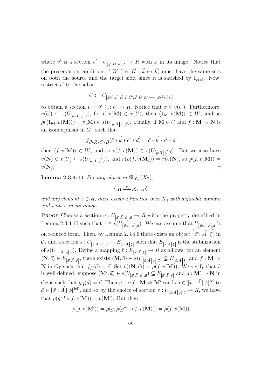where v' is a section  $v' : U_{\vec{y'}, \vec{D} \mid \theta, \vec{d}} \to R$  with x in its image. Notice that the preservation condition of W (i.e.  $\vec{K} : \vec{k} \mapsto \vec{k}$ ) must have the same sets on both the source and the target side, since it is satisfied by  $1_{r(x)}$ . Now, restrict  $v'$  to the subset

$$
U:=U_{[\vec z: \vec C, \vec z'': \vec K, \vec z': \vec C', \vec y': \vec D \,|\, \xi \wedge \eta \wedge \theta], \vec c * \vec k * \vec c' * \vec d}
$$

to obtain a section  $v = v' \restriction_{U} : U \to R$ . Notice that  $x \in v(U)$ . Furthermore,  $v(U) \subseteq s(U_{\left[\vec{y}:\vec{B}\,\middle\vert\,\psi\right],\vec{b}})$ , for if  $v(\mathbf{M}) \in v(U)$ , then  $\langle 1_{\mathbf{M}}, v(\mathbf{M}) \rangle \in W$ , and so  $\rho(\langle 1_M, v(M) \rangle) = v(M) \in s(U_{\left[\vec{y}:\vec{B}\right]\psi\left],\vec{b}}).$  Finally, if  $M \in U$  and  $f : M \Rightarrow N$  is an isomorphism in  $G_{\mathbb{T}}$  such that

$$
f_{\vec{C}*\vec{K}*\vec{C'}*\vec{D}}(\vec{c}*\vec{k}*\vec{c'}*\vec{d}) = \vec{c}*\vec{k}*\vec{c'}*\vec{d}
$$

then  $\langle f, v(\mathbf{M})\rangle \in W$ , and so  $\rho(f, v(\mathbf{M})) \in s(U_{\left[\vec{y}:\vec{B}\right] \psi}, \vec{b})$ . But we also have  $v(\mathbf{N}) \in v(U) \subseteq s(U_{\left[\vec{y}: \vec{B}\right] \psi\left], \vec{b}})$ , and  $r(\rho(f, v(\mathbf{M}))) = r(v(\mathbf{N}), \text{ so } \rho(f, v(\mathbf{M}))) =$  $v(N)$ .

**Lemma 2.3.4.11** For any object in  $\text{Sh}_{G_{\mathbb{T}}}(X_{\mathbb{T}})$ ,

$$
\langle R \xrightarrow{r} X_{\mathbb{T}}, \rho \rangle
$$

and any element  $x \in R$ , there exists a function over  $X_{\mathbb{T}}$  with definable domain and with x in its image.

PROOF Choose a section  $v: U_{[\vec{x}:\vec{A}|\phi],\vec{a}} \to R$  with the property described in Lemma 2.3.4.10 such that  $x \in v(U_{[\vec{x}: \vec{A} | \phi], \vec{a}})$ . We can assume that  $U_{[\vec{x}: \vec{A} | \phi], \vec{a}}$  is on reduced form. Then, by Lemma 2.3.4.6 there exists an object  $\left[\vec{x}:\vec{A}|\xi\right]$  in  $\mathcal{C}_{\mathbb{T}}$  and a section  $s:U_{[\vec{x}:\vec{A}|\phi],\vec{a}}\to E_{[\vec{x}:\vec{A}|\xi]}$  such that  $E_{[\vec{x}:\vec{A}|\xi]}$  is the stabilization of  $s(U_{[\vec{x}:\vec{A}|\phi],\vec{a}})$ . Define a mapping  $\hat{v}: E_{[\vec{x}:\vec{A}|\xi]} \to R$  as follows: for an element  $\langle \mathbf{N}, \vec{c} \rangle \in E_{\left[\vec{x}: \vec{A}\right] \xi\left]},$  there exists  $\langle \mathbf{M}, \vec{a} \rangle \in s(U_{\left[\vec{x}: \vec{A}\right] \phi\left], \vec{a}}) \subseteq E_{\left[\vec{x}: \vec{A}\right] \xi\left]}$  and  $f: \mathbf{M} \Rightarrow$ **N** in  $G_{\mathbb{T}}$  such that  $f_{\vec{A}}(\vec{a}) = \vec{c}$ . Set  $\hat{v}(\langle \mathbf{N}, \vec{c} \rangle) = \rho(f, v(\mathbf{M}))$ . We verify that  $\hat{v}$ is well defined: suppose  $\langle \mathbf{M}', \vec{a} \rangle \in s(U_{\left[\vec{x}:\vec{A}\right]\phi\left],\vec{a}}) \subseteq E_{\left[\vec{x}:\vec{A}\right]\xi\left]}$  and  $g: \mathbf{M}' \Rightarrow \mathbf{N}$  in  $G_{\mathbb{T}}$  is such that  $g_{\vec{A}}(\vec{a}) = \vec{c}$ . Then  $g^{-1} \circ f : \mathbf{M} \Rightarrow \mathbf{M}'$  sends  $\vec{a} \in [\![\vec{x} : \vec{A} \,] \phi\!]^{\mathbf{M}}$  to  $\vec{a} \in [\vec{x} : \vec{A}] \phi \mathbb{I}^{\mathbf{M'}},$  and so by the choice of section  $v : U_{[\vec{x} : \vec{A}] \phi], \vec{a}} \to R$ , we have that  $\rho(g^{-1} \circ f, v(\mathbf{M})) = v(\mathbf{M}')$ . But then

$$
\rho(g,v(\mathbf{M}'))=\rho(g,\rho(g^{-1}\circ f,v(\mathbf{M})))=\rho(f,v(\mathbf{M}))
$$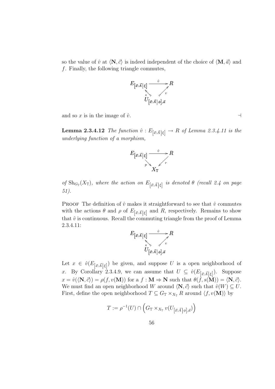so the value of  $\hat{v}$  at  $\langle \mathbf{N}, \vec{c} \rangle$  is indeed independent of the choice of  $\langle \mathbf{M}, \vec{a} \rangle$  and f. Finally, the following triangle commutes,



and so x is in the image of  $\hat{v}$ .

**Lemma 2.3.4.12** The function  $\hat{v}: E_{\left[\vec{x}:\vec{A}\right]\left[\xi\right]} \to R$  of Lemma 2.3.4.11 is the underlying function of a morphism,



of  $\text{Sh}_{G_{\mathbb{T}}}(X_{\mathbb{T}})$ , where the action on  $E_{\left[\vec{x}: \vec{A} \middle| \xi\right]}$  is denoted  $\theta$  (recall 2.4 on page 51).

**PROOF** The definition of  $\hat{v}$  makes it straightforward to see that  $\hat{v}$  commutes with the actions  $\theta$  and  $\rho$  of  $E_{\left[\vec{x}:\vec{A}\right]\xi\right]$  and R, respectively. Remains to show that  $\hat{v}$  is continuous. Recall the commuting triangle from the proof of Lemma 2.3.4.11:

$$
E_{\left[\vec{x}:\vec{A}\right|\xi]} \xrightarrow[\vec{s}]{\hat{v}} R
$$
  

$$
U_{\left[\vec{x}:\vec{A}\right|\phi],\vec{a}}
$$

Let  $x \in \hat{v}(E_{\left[\vec{x}: \vec{A} \right] \xi}$  be given, and suppose U is a open neighborhood of x. By Corollary 2.3.4.9, we can assume that  $U \subseteq \hat{v}(E_{\vec{a}:\vec{A}|\xi|})$ . Suppose  $x = \hat{v}(\langle \mathbf{N}, \vec{c} \rangle) = \rho(f, v(\mathbf{M}))$  for a  $f : \mathbf{M} \Rightarrow \mathbf{N}$  such that  $\theta(f, s(\mathbf{M})) = \langle \mathbf{N}, \vec{c} \rangle$ . We must find an open neighborhood W around  $\langle \mathbf{N}, \vec{c} \rangle$  such that  $\hat{v}(W) \subseteq U$ . First, define the open neighborhood  $T \subseteq G_{\mathbb{T}} \times_{X_{\mathbb{T}}} R$  around  $\langle f, v(\mathbf{M}) \rangle$  by

$$
T := \rho^{-1}(U) \cap \left( G_{\mathbb{T}} \times_{X_{\mathbb{T}}} v(U_{\left[ \vec{x}: \vec{A} \right] \phi \right], \vec{a}}) \right)
$$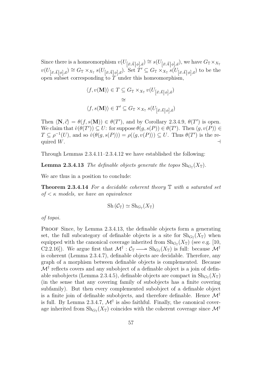Since there is a homeomorphism  $v(U_{[\vec{x}:\vec{A}|\phi],\vec{a}}) \cong s(U_{[\vec{x}:\vec{A}|\phi],\vec{a}})$ , we have  $G_{\mathbb{T}} \times_{X_{\mathbb{T}}}$  $v(U_{[\vec{x}:\vec{A}|\phi],\vec{a}}) \cong G_{\mathbb{T}} \times_{X_{\mathbb{T}}} s(U_{[\vec{x}:\vec{A}|\phi],\vec{a}})$ . Set  $T' \subseteq G_{\mathbb{T}} \times_{X_{\mathbb{T}}} s(U_{[\vec{x}:\vec{A}|\phi],\vec{a}})$  to be the open subset corresponding to  $T$  under this homeomorphism,

$$
\langle f, v(\mathbf{M}) \rangle \in T \subseteq G_{\mathbb{T}} \times_{X_{\mathbb{T}}} v(U_{\left[\vec{x}:\vec{A}\right]\phi\left],\vec{a}})
$$

$$
\cong
$$

$$
\langle f, s(\mathbf{M}) \rangle \in T' \subseteq G_{\mathbb{T}} \times_{X_{\mathbb{T}}} s(U_{\left[\vec{x}:\vec{A}\right]\phi\left],\vec{a}})
$$

Then  $\langle \mathbf{N}, \vec{c} \rangle = \theta(f, s(\mathbf{M})) \in \theta(T')$ , and by Corollary 2.3.4.9,  $\theta(T')$  is open. We claim that  $\hat{v}(\theta(T')) \subseteq U$ : for suppose  $\theta(g, s(P)) \in \theta(T')$ . Then  $\langle g, v(P) \rangle \in$  $T \subseteq \rho^{-1}(U)$ , and so  $\hat{v}(\theta(g, s(P))) = \rho(\langle g, v(P) \rangle) \subseteq U$ . Thus  $\theta(T')$  is the required  $W$ .

Through Lemmas 2.3.4.11–2.3.4.12 we have established the following:

**Lemma 2.3.4.13** The definable objects generate the topos  $\text{Sh}_{G_{\mathbb{T}}}(X_{\mathbb{T}})$ .

We are thus in a position to conclude:

**Theorem 2.3.4.14** For a decidable coherent theory  $\mathbb{T}$  with a saturated set of  $\lt$   $\kappa$  models, we have an equivalence

$$
Sh(\mathcal{C}_{\mathbb{T}})\simeq Sh_{G_{\mathbb{T}}}(X_{\mathbb{T}})
$$

of topoi.

PROOF Since, by Lemma 2.3.4.13, the definable objects form a generating set, the full subcategory of definable objects is a site for  $\text{Sh}_{G_{\mathbb{T}}}(X_{\mathbb{T}})$  when equipped with the canonical coverage inherited from  $\text{Sh}_{G_{\mathbb{T}}}(X_{\mathbb{T}})$  (see e.g. [10, C2.2.16]). We argue first that  $\mathcal{M}^{\dagger}$  :  $\mathcal{C}_{\mathbb{T}} \longrightarrow$  Sh<sub> $G_{\mathbb{T}}(X_{\mathbb{T}})$  is full: because  $\mathcal{M}^{\dagger}$ </sub> is coherent (Lemma 2.3.4.7), definable objects are decidable. Therefore, any graph of a morphism between definable objects is complemented. Because  $\mathcal{M}^{\dagger}$  reflects covers and any subobject of a definable object is a join of definable subobjects (Lemma 2.3.4.5), definable objects are compact in  $\text{Sh}_{G_{\mathbb{T}}}(X_{\mathbb{T}})$ (in the sense that any covering family of subobjects has a finite covering subfamily). But then every complemented subobject of a definable object is a finite join of definable subobjects, and therefore definable. Hence  $\mathcal{M}^{\dagger}$ is full. By Lemma 2.3.4.7,  $\mathcal{M}^{\dagger}$  is also faithful. Finally, the canonical coverage inherited from  $\text{Sh}_{G_{\mathbb{T}}}(X_{\mathbb{T}})$  coincides with the coherent coverage since  $\mathcal{M}^{\dagger}$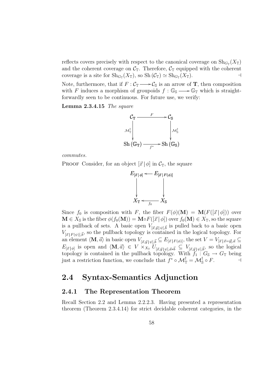reflects covers precisely with respect to the canonical coverage on  $\text{Sh}_{G_{\mathbb{T}}}(X_{\mathbb{T}})$ and the coherent coverage on  $C_T$ . Therefore,  $C_T$  equipped with the coherent coverage is a site for  $\text{Sh}_{G_{\mathbb{T}}}(X_{\mathbb{T}})$ , so  $\text{Sh }(\mathcal{C}_{\mathbb{T}}) \simeq \text{Sh}_{G_{\mathbb{T}}}(X_{\mathbb{T}})$ .

Note, furthermore, that if  $F: \mathcal{C}_{\mathbb{T}} \longrightarrow \mathcal{C}_{\mathbb{S}}$  is an arrow of **T**, then composition with F induces a morphism of groupoids  $f : \mathbb{G}_{\mathbb{S}} \longrightarrow \mathbb{G}_{\mathbb{T}}$  which is straightforwardly seen to be continuous. For future use, we verify:

Lemma 2.3.4.15 The square



commutes.

**PROOF** Consider, for an object  $[\vec{x} | \phi]$  in  $\mathcal{C}_{\mathbb{T}}$ , the square



Since  $f_0$  is composition with F, the fiber  $F(\phi)(\mathbf{M}) = \mathbf{M}(F([\vec{x} | \phi]))$  over  $\mathbf{M} \in X_{\mathbb{S}}$  is the fiber  $\phi(f_0(\mathbf{M})) = \mathbf{M} \circ F([\vec{x} | \phi])$  over  $f_0(\mathbf{M}) \in X_{\mathbb{T}}$ , so the square is a pullback of sets. A basic open  $V_{[\vec{x},\vec{y}]\psi|\vec{b}}$  is pulled back to a basic open  $V_{\vec{x}|F(\psi),\vec{b}}$ , so the pullback topology is contained in the logical topology. For an element  $\langle \mathbf{M},{\vec a}\rangle$  in basic open  $V_{[{\vec x},{\vec y}]\setminus{\vec y},{\vec b}} \subseteq E_{[{\vec x} | F({\phi})]},$  the set  $V = V_{[{\vec x} | {\vec x}={\vec y}],{\vec a}} \subseteq E_{[{\vec x} | F({\phi})]}$  $E_{[\vec{x}|\phi]}$  is open and  $\langle \mathbf{M}, \vec{a} \rangle \in V \times_{X_{\mathbb{T}}} U_{[\vec{x},\vec{y}|\psi],\vec{a}*\vec{b}} \subseteq V_{[\vec{x},\vec{y}|\psi],\vec{b}}$ , so the logical topology is contained in the pullback topology. With  $f_1: G_{\mathbb{S}} \to G_{\mathbb{T}}$  being just a restriction function, we conclude that  $f^* \circ \mathcal{M}_{\mathbb{T}}^{\dagger} = \mathcal{M}_{\mathbb{S}}^{\dagger} \circ F$ .

# 2.4 Syntax-Semantics Adjunction

### 2.4.1 The Representation Theorem

Recall Section 2.2 and Lemma 2.2.2.3. Having presented a representation theorem (Theorem 2.3.4.14) for strict decidable coherent categories, in the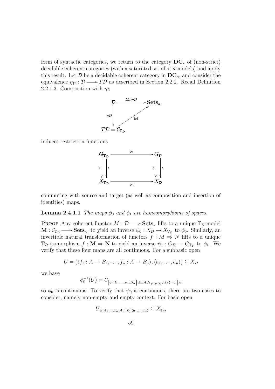form of syntactic categories, we return to the category  $DC_{\kappa}$  of (non-strict) decidable coherent categories (with a saturated set of  $\lt$   $\kappa$ -models) and apply this result. Let  $\mathcal D$  be a decidable coherent category in  $DC_{\kappa}$ , and consider the equivalence  $\eta_{\mathcal{D}} : \mathcal{D} \longrightarrow T\mathcal{D}$  as described in Section 2.2.2. Recall Definition 2.2.1.3. Composition with  $\eta_{\mathcal{D}}$ 



induces restriction functions



commuting with source and target (as well as composition and insertion of identities) maps.

**Lemma 2.4.1.1** The maps  $\phi_0$  and  $\phi_1$  are homeomorphisms of spaces.

**PROOF** Any coherent functor  $M: \mathcal{D} \longrightarrow \mathbf{Sets}_{\kappa}$  lifts to a unique  $\mathbb{T}_{\mathcal{D}}$ -model  $\mathbf{M} : \mathcal{C}_{\mathbb{T}_{\mathcal{D}}} \longrightarrow \mathbf{Sets}_{\kappa}$ , to yield an inverse  $\psi_0 : X_{\mathcal{D}} \longrightarrow X_{\mathbb{T}_{\mathcal{D}}}$  to  $\phi_0$ . Similarly, an invertible natural transformation of functors  $f : M \Rightarrow N$  lifts to a unique  $\mathbb{T}_{\mathcal{D}}$ -isomorphism  $f: \mathbf{M} \Rightarrow \mathbf{N}$  to yield an inverse  $\psi_1: G_{\mathcal{D}} \to G_{\mathbb{T}_{\mathcal{D}}}$  to  $\phi_1$ . We verify that these four maps are all continuous. For a subbasic open

$$
U = (\langle f_1 : A \to B_1, \dots, f_n : A \to B_n \rangle, \langle a_1, \dots, a_n \rangle) \subseteq X_{\mathcal{D}}
$$

we have

$$
\phi_0^{-1}(U) = U_{[y_1:B_1,...,y_n:B_n] \exists x:A.} \Lambda_{1 \le i \le n} f_i(x) = y_i],
$$

so  $\phi_0$  is continuous. To verify that  $\psi_0$  is continuous, there are two cases to consider, namely non-empty and empty context. For basic open

$$
U_{[x:A_1,\ldots,x_n:A_n]\phi],\langle a_1,\ldots,a_n\rangle}\subseteq X_{\mathbb{T}_{\mathcal{D}}}
$$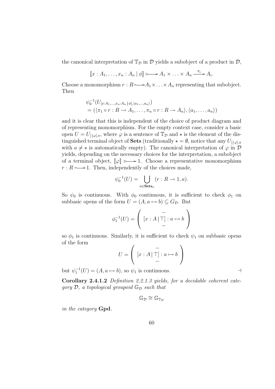the canonical interpretation of  $\mathbb{T}_{\mathcal{D}}$  in  $\mathcal{D}$  yields a subobject of a product in  $\mathcal{D}$ ,

$$
[\![x:A_1,\ldots,x_n:A_n\!]\phi]\!\!\!\!\longrightarrow A_1\times\ldots\times A_n \xrightarrow{\pi_i} A_i.
$$

Choose a monomorphism  $r : R \rightarrow A_1 \times ... \times A_n$  representing that subobject. Then

$$
\psi_0^{-1}(U_{[x:A_1,\ldots,x_n:A_n|\phi],\langle a_1,\ldots,a_n\rangle})
$$
  
=  $(\langle \pi_1 \circ r : R \to A_1, \ldots, \pi_n \circ r : R \to A_n \rangle, \langle a_1, \ldots, a_n \rangle)$ 

and it is clear that this is independent of the choice of product diagram and of representing monomorphism. For the empty context case, consider a basic open  $U = U_{\{|{\varphi}|, \star}}$ , where  ${\varphi}$  is a sentence of  $\mathbb{T}_{\mathcal{D}}$  and  $\star$  is the element of the distinguished terminal object of **Sets** (traditionally  $\star = \emptyset$ , notice that any  $U_{[\lvert \varphi \rvert,a]}$ with  $a \neq \star$  is automatically empty). The canonical interpretation of  $\varphi$  in  $\mathcal D$ yields, depending on the necessary choices for the interpretation, a subobject of a terminal object,  $\llbracket \varphi \rrbracket \rightarrow 1$ . Choose a representative monomorphism  $r : R \rightarrow 1$ . Then, independently of the choices made,

$$
\psi_0^{-1}(U) = \bigcup_{a \in \mathbf{Sets}_{\kappa}} (r : R \to 1, a).
$$

So  $\psi_0$  is continuous. With  $\phi_0$  continuous, it is sufficient to check  $\phi_1$  on subbasic opens of the form  $U = (A, a \mapsto b) \subseteq G_{\mathcal{D}}$ . But

$$
\phi_1^{-1}(U) = \left( \begin{array}{c} - \\ [x : A | \top] : a \mapsto b \\ - \end{array} \right)
$$

so  $\phi_1$  is continuous. Similarly, it is sufficient to check  $\psi_1$  on subbasic opens of the form  $\overline{\phantom{a}}$  $\mathbf{r}$ 

$$
U = \left( [x : A | \top] : a \mapsto b \right)
$$

but  $\psi_1^{-1}(U) = (A, a \mapsto b)$ , so  $\psi_1$  is continuous.

Corollary 2.4.1.2 Definition 2.2.1.3 yields, for a decidable coherent category  $\mathcal{D}$ , a topological groupoid  $\mathbb{G}_{\mathcal{D}}$  such that

$$
\mathbb{G}_{\mathcal{D}}\cong \mathbb{G}_{\mathbb{T}_{\mathcal{D}}}
$$

in the category Gpd.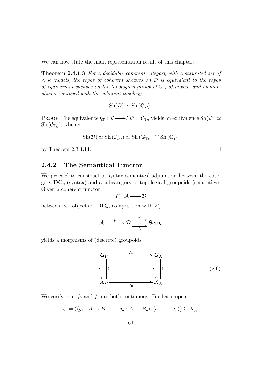We can now state the main representation result of this chapter:

Theorem 2.4.1.3 For a decidable coherent category with a saturated set of  $\lt$   $\kappa$  models, the topos of coherent sheaves on  $\mathcal D$  is equivalent to the topos of equivariant sheaves on the topological groupoid  $\mathbb{G}_{\mathcal{D}}$  of models and isomorphisms equipped with the coherent topology,

$$
Sh(\mathcal{D})\simeq Sh(\mathbb{G}_{\mathcal{D}}).
$$

PROOF The equivalence  $\eta_{\mathcal{D}} : \mathcal{D} \longrightarrow T\mathcal{D} = \mathcal{C}_{\mathbb{T}_{\mathcal{D}}}$  yields an equivalence  $\mathrm{Sh}(\mathcal{D}) \simeq$  $\mathrm{Sh}(\mathcal{C}_{\mathbb{T}_{\mathcal{D}}})$ , whence

$$
Sh(\mathcal{D}) \simeq Sh(\mathcal{C}_{\mathbb{T}_{\mathcal{D}}}) \simeq Sh(\mathbb{G}_{\mathbb{T}_{\mathcal{D}}}) \cong Sh(\mathbb{G}_{\mathcal{D}})
$$

by Theorem 2.3.4.14.  $\Box$ 

### 2.4.2 The Semantical Functor

We proceed to construct a 'syntax-semantics' adjunction between the category  $DC_{\kappa}$  (syntax) and a subcategory of topological groupoids (semantics). Given a coherent functor

$$
F: \mathcal{A} \longrightarrow \mathcal{D}
$$

between two objects of  $DC_{\kappa}$ , composition with F,

$$
\mathcal{A} \xrightarrow{F} \mathcal{D} \xrightarrow{M} \textbf{Sets}_{\kappa}
$$

yields a morphisms of (discrete) groupoids



We verify that  $f_0$  and  $f_1$  are both continuous. For basic open

$$
U = (\langle g_1 : A \to B_1, \dots, g_n : A \to B_n \rangle, \langle a_1, \dots, a_n \rangle) \subseteq X_{\mathcal{A}},
$$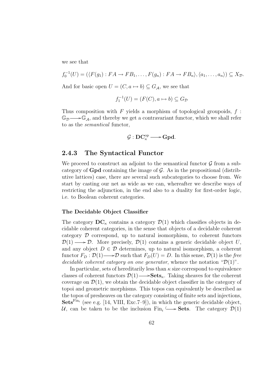we see that

$$
f_0^{-1}(U) = (\langle F(g_1) : FA \to FB_1, \dots, F(g_n) : FA \to FB_n \rangle, \langle a_1, \dots, a_n \rangle) \subseteq X_{\mathcal{D}}.
$$
  
And for basis any  $U = (G, g_1, g_2) \subseteq G$ , we say that

And for basic open  $U = (C, a \mapsto b) \subseteq G_{\mathcal{A}}$ , we see that

$$
f_1^{-1}(U) = (F(C), a \mapsto b) \subseteq G_{\mathcal{D}}
$$

Thus composition with  $F$  yields a morphism of topological groupoids,  $f$ :  $\mathbb{G}_{\mathcal{D}} \longrightarrow \mathbb{G}_{\mathcal{A}}$ , and thereby we get a contravariant functor, which we shall refer to as the semantical functor,

$$
\mathcal{G}:DC_{\kappa}^{op}\longrightarrow Gpd.
$$

### 2.4.3 The Syntactical Functor

We proceed to construct an adjoint to the semantical functor  $\mathcal G$  from a subcategory of  $Gpd$  containing the image of  $G$ . As in the propositional (distributive lattices) case, there are several such subcategories to choose from. We start by casting our net as wide as we can, whereafter we describe ways of restricting the adjunction, in the end also to a duality for first-order logic, i.e. to Boolean coherent categories.

#### The Decidable Object Classifier

The category  $DC_{\kappa}$  contains a category  $\mathcal{D}(1)$  which classifies objects in decidable coherent categories, in the sense that objects of a decidable coherent category D correspond, up to natural isomorphism, to coherent functors  $\mathcal{D}(1) \longrightarrow \mathcal{D}$ . More precisely,  $\mathcal{D}(1)$  contains a generic decidable object U, and any object  $D \in \mathcal{D}$  determines, up to natural isomorphism, a coherent functor  $F_D : \mathcal{D}(1) \longrightarrow \mathcal{D}$  such that  $F_D(U) = D$ . In this sense,  $\mathcal{D}(1)$  is the free decidable coherent category on one generator, whence the notation " $\mathcal{D}(1)$ ".

In particular, sets of hereditarily less than  $\kappa$  size correspond to equivalence classes of coherent functors  $\mathcal{D}(1) \longrightarrow$ **Sets**<sub>k</sub>. Taking sheaves for the coherent coverage on  $\mathcal{D}(1)$ , we obtain the decidable object classifier in the category of topoi and geometric morphisms. This topos can equivalently be described as the topos of presheaves on the category consisting of finite sets and injections, Sets<sup>Fin<sub>i</sub></sup> (see e.g. [14, VIII, Exc.7–9]), in which the generic decidable object,  $\mathcal{U}$ , can be taken to be the inclusion Fin<sub>i</sub>  $\rightarrow$  **Sets**. The category  $\mathcal{D}(1)$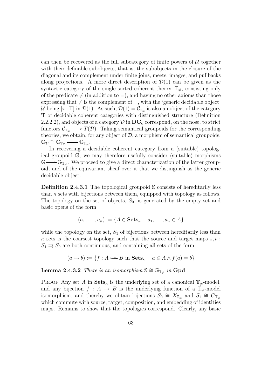can then be recovered as the full subcategory of finite powers of  $U$  together with their definable subobjects, that is, the subobjects in the closure of the diagonal and its complement under finite joins, meets, images, and pullbacks along projections. A more direct description of  $\mathcal{D}(1)$  can be given as the syntactic category of the single sorted coherent theory,  $\mathbb{T}_{\neq}$ , consisting only of the predicate  $\neq$  (in addition to  $=$ ), and having no other axioms than those expressing that  $\neq$  is the complement of  $=$ , with the 'generic decidable object' U being  $[x \mid \top]$  in  $\mathcal{D}(1)$ . As such,  $\mathcal{D}(1) = \mathcal{C}_{\mathbb{T}_{\neq}}$  is also an object of the category T of decidable coherent categories with distinguished structure (Definition 2.2.2.2), and objects of a category  $\mathcal D$  in  $\mathbf{DC}_{\kappa}$  correspond, on the nose, to strict functors  $\mathcal{C}_{\mathbb{T}_{\neq}} \longrightarrow T(\mathcal{D})$ . Taking semantical groupoids for the corresponding theories, we obtain, for any object of  $D$ , a morphism of semantical groupoids,  $\mathbb{G}_{\mathcal{D}} \cong \mathbb{G}_{\mathbb{T}_{\mathcal{D}}} \longrightarrow \mathbb{G}_{\mathbb{T}_{\neq}}.$ 

In recovering a decidable coherent category from a (suitable) topological groupoid G, we may therefore usefully consider (suitable) morphisms  $\mathbb{G} \longrightarrow \mathbb{G}_{\mathbb{T}_{\neq}}$ . We proceed to give a direct characterization of the latter groupoid, and of the equivariant sheaf over it that we distinguish as the generic decidable object.

Definition 2.4.3.1 The topological groupoid S consists of hereditarily less than  $\kappa$  sets with bijections between them, equipped with topology as follows. The topology on the set of objects,  $S_0$ , is generated by the empty set and basic opens of the form

$$
(a_1, \ldots, a_n) := \{ A \in \mathbf{Sets}_{\kappa} \mid a_1, \ldots, a_n \in A \}
$$

while the topology on the set,  $S_1$  of bijections between hereditarily less than  $\kappa$  sets is the coarsest topology such that the source and target maps  $s, t$ :  $S_1 \rightrightarrows S_0$  are both continuous, and containing all sets of the form

$$
(a \mapsto b) := \{ f : A \rightarrow B \text{ in } \mathbf{Sets}_{\kappa} \mid a \in A \land f(a) = b \}
$$

**Lemma 2.4.3.2** There is an isomorphism  $\mathbb{S} \cong \mathbb{G}_{\mathbb{T}_{\neq}}$  in Gpd.

**PROOF** Any set A in  $\textbf{Sets}_{\kappa}$  is the underlying set of a canonical  $\mathbb{T}_{\neq}$ -model, and any bijection  $f : A \to B$  is the underlying function of a  $\mathbb{T}_{\neq}$ -model isomorphism, and thereby we obtain bijections  $S_0 \cong X_{\mathbb{T}_{\neq}}$  and  $S_1 \cong G_{\mathbb{T}_{\neq}}$ which commute with source, target, composition, and embedding of identities maps. Remains to show that the topologies correspond. Clearly, any basic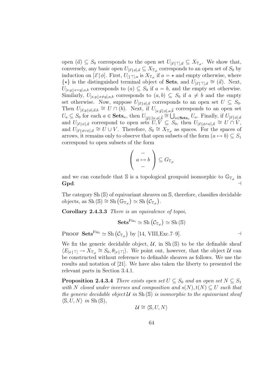open  $(\vec{a}) \subseteq S_0$  corresponds to the open set  $U_{[\vec{x}|\top],\vec{a}} \subseteq X_{\mathbb{T}_{\neq}}$ . We show that, conversely, any basic open  $U_{[\vec{x}|\phi],\vec{a}} \subseteq X_{\mathbb{T}_{\neq}}$  corresponds to an open set of  $S_0$  by induction on  $[\vec{x} | \phi]$ . First,  $U_{[|T],a}$  is  $X_{\mathbb{T}_{\neq}}$  if  $a = \star$  and empty otherwise, where  $\{\star\}$  is the distinguished terminal object of **Sets**, and  $U_{[\vec{x}|\top],\vec{a}} \cong (\vec{a})$ . Next,  $U_{[x,y]}\,_{x=y],a,b}$  corresponds to  $(a) \subseteq S_0$  if  $a = b$ , and the empty set otherwise. Similarly,  $U_{[x,y]_x\neq y]_a,b}$  corresponds to  $(a, b) \subseteq S_0$  if  $a \neq b$  and the empty set otherwise. Now, suppose  $U_{[\vec{x}|\phi],\vec{a}}$  corresponds to an open set  $U \subseteq S_0$ . Then  $U_{[\vec{x},y]\phi],\vec{a},b} \cong U \cap (b)$ . Next, if  $U_{[x,\vec{y}]\phi],a,\vec{b}}$  corresponds to an open set  $U_a \subseteq S_0$  for each  $a \in \mathbf{Sets}_{\kappa}$ , then  $U_{[\vec{y}|\exists x.\phi],\vec{b}} \cong \bigcup_{a \in \mathbf{Sets}_{\kappa}} U_a$ . Finally, if  $U_{[\vec{x}|\phi],\vec{a}}$ and  $U_{[\vec{x}|\psi],\vec{a}}$  correspond to open sets  $U, V \subseteq S_0$ , then  $U_{[\vec{x}|\phi \wedge \psi],\vec{a}} \cong U \cap V$ , and  $U_{[\vec{x}|\phi\lor\psi],\vec{a}} \cong U \cup V$ . Therefore,  $S_0 \cong X_{\mathbb{T}_{\neq}}$  as spaces. For the spaces of arrows, it remains only to observe that open subsets of the form  $(a \mapsto b) \subseteq S_1$ correspond to open subsets of the form

$$
\left(\begin{array}{c} -\\ a \mapsto b \end{array}\right) \subseteq G_{\mathbb{T}_{\neq}}
$$

and we can conclude that S is a topological groupoid isomorphic to  $\mathbb{G}_{\mathbb{T}_{\neq}}$  in Gpd.  $\qquad \qquad \dashv$ 

The category  $Sh(S)$  of equivariant sheaves on S, therefore, classifies decidable The category Sn (S) of equivariant sheaves<br>objects, as Sh (S)  $\cong$  Sh  $(\mathbb{G}_{\mathbb{T}_{\neq}}) \simeq$  Sh  $(\mathcal{C}_{\mathbb{T}_{\neq}})$ .

Corollary 2.4.3.3 There is an equivalence of topoi,

$$
\mathbf{Sets}^{\mathrm{Fin}_i} \simeq \mathrm{Sh}\left(\mathcal{C}_{\mathbb{T}_{\neq}}\right) \simeq \mathrm{Sh}\left(\mathbb{S}\right)
$$

Proof  $\operatorname{\bf Sets}^{\operatorname{Fin}_i} \simeq \operatorname{Sh} \big( {\mathcal C}_{{\mathbb T}_{\neq}} \big)$ ¢ by [14, VIII, Exc. 7–9].

We fix the generic decidable object,  $\mathcal{U}$ , in Sh(S) to be the definable sheaf  $\langle E_{[x|\top]} \to \check{X}_{\mathbb{T}_{\neq}} \cong S_0, \theta_{[x|\top]} \rangle$ . We point out, however, that the object  $\mathcal{U}$  can be constructed without reference to definable sheaves as follows. We use the results and notation of [21]. We have also taken the liberty to presented the relevant parts in Section 3.4.1.

**Proposition 2.4.3.4** There exists open set  $U \subseteq S_0$  and an open set  $N \subseteq S_1$ with N closed under inverses and composition and  $s(N), t(N) \subset U$  such that the generic decidable object  $\mathcal U$  in Sh $(\mathbb S)$  is isomorphic to the equivariant sheaf  $\langle \mathbb{S}, U, N \rangle$  in Sh $(\mathbb{S}),$ 

$$
\mathcal{U} \cong \langle \mathbb{S}, U, N \rangle
$$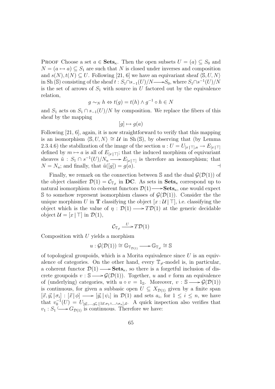**PROOF** Choose a set  $a \in \mathbf{Sets}_{\kappa}$ . Then the open subsets  $U = (a) \subseteq S_0$  and  $N = (a \mapsto a) \subseteq S_1$  are such that N is closed under inverses and composition and  $s(N), t(N) \subseteq U$ . Following [21, 6] we have an equivariant sheaf  $\langle \mathbb{S}, U, N \rangle$ in Sh (S) consisting of the sheaf  $t : S_1 \cap s_{-1}(U)/N \longrightarrow S_0$ , where  $S_1 \cap s^{-1}(U)/N$ is the set of arrows of  $S_1$  with source in U factored out by the equivalence relation,

$$
g \sim_N h \Leftrightarrow t(g) = t(h) \wedge g^{-1} \circ h \in N
$$

and  $S_1$  acts on  $S_1 \cap s_{-1}(U)/N$  by composition. We replace the fibers of this sheaf by the mapping

$$
[g] \mapsto g(a)
$$

Following [21, 6], again, it is now straightforward to verify that this mapping is an isomorphism  $\langle S, U, N \rangle \cong U$  in Sh $(S)$ , by observing that (by Lemma 2.3.4.6) the stabilization of the image of the section  $u: U = U_{x \mid \top}, a \to E_{x \mid \top}$ defined by  $m \mapsto a$  is all of  $E_{[x|\top]}$ ; that the induced morphism of equivariant sheaves  $\tilde{u}$  :  $S_1 \cap s^{-1}(U)/N_u \longrightarrow E_{|x| \sqcap}$  is therefore an isomorphism; that  $N = N_u$ ; and finally, that  $\tilde{u}([g]) = g(a)$ .

Finally, we remark on the connection between S and the dual  $\mathcal{G}(\mathcal{D}(1))$  of the object classifier  $\mathcal{D}(1) = \mathcal{C}_{\mathbb{T}_{\neq}}$  in DC. As sets in  $\mathbf{Sets}_{\kappa}$  correspond up to natural isomorphism to coherent functors  $\mathcal{D}(1) \longrightarrow \mathbf{Sets}_{\kappa}$ , one would expect S to somehow represent isomorphism classes of  $\mathcal{G}(\mathcal{D}(1))$ . Consider the the unique morphism U in **T** classifying the object  $[x : U | \top]$ , i.e. classifying the object which is the value of  $\eta : \mathcal{D}(1) \longrightarrow T\mathcal{D}(1)$  at the generic decidable object  $\mathcal{U} = [x \mid \top]$  in  $\mathcal{D}(1)$ ,

$$
\mathcal{C}_{\mathbb{T}_{\neq}} \xrightarrow{U} T\mathcal{D}(1)
$$

Composition with  $U$  yields a morphism

$$
u: \mathcal{G}(\mathcal{D}(1)) \cong \mathbb{G}_{\mathbb{T}_{\mathcal{D}(1)}} \longrightarrow \mathbb{G}_{\mathbb{T}_{\neq}} \cong \mathbb{S}
$$

of topological groupoids, which is a Morita equivalence since  $U$  is an equivalence of categories. On the other hand, every  $\mathbb{T}_{\neq}$ -model is, in particular, a coherent functor  $\mathcal{D}(1) \longrightarrow \mathbf{Sets}_{\kappa}$ , so there is a forgetful inclusion of discrete groupoids  $v : \mathbb{S} \longrightarrow \mathcal{G}(\mathcal{D}(1))$ . Together, u and v form an equivalence of (underlying) categories, with  $u \circ v = 1$ <sub>S</sub>. Moreover,  $v : \mathbb{S} \longrightarrow \mathcal{G}(\mathcal{D}(1))$ is continuous, for given a subbasic open  $U \subseteq X_{\mathcal{D}(1)}$  given by a finite span  $[\vec{x}, \vec{y_i} | \sigma_i] : [\vec{x} | \phi] \longrightarrow [\vec{y_i} | \psi_i]$  in  $\mathcal{D}(1)$  and sets  $a_i$ , for  $1 \leq i \leq n$ , we have that  $v_0^{-1}(U) = U_{[\vec{y_1},...,\vec{y_n}]\exists \vec{x}. \sigma_1 \wedge ... \wedge \sigma_n], \vec{a}}$ . A quick inspection also verifies that  $v_1: S_1 \longrightarrow G_{\mathcal{D}(1)}$  is continuous. Therefore we have: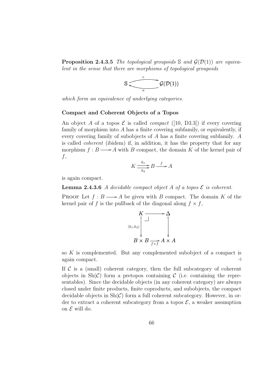**Proposition 2.4.3.5** The topological groupoids S and  $\mathcal{G}(\mathcal{D}(1))$  are equivalent in the sense that there are morphisms of topological groupoids



which form an equivalence of underlying categories.

#### Compact and Coherent Objects of a Topos

An object A of a topos  $\mathcal E$  is called *compact* ([10, D3.3]) if every covering family of morphism into A has a finite covering subfamily, or equivalently, if every covering family of subobjects of A has a finite covering subfamily. A is called coherent (ibidem) if, in addition, it has the property that for any morphism  $f : B \longrightarrow A$  with B compact, the domain K of the kernel pair of  $f,$ 

$$
K \frac{k_1}{k_2} B \xrightarrow{f} A
$$

is again compact.

**Lemma 2.4.3.6** A decidable compact object A of a topos  $\mathcal{E}$  is coherent.

PROOF Let  $f : B \longrightarrow A$  be given with B compact. The domain K of the kernel pair of f is the pullback of the diagonal along  $f \times f$ ,

$$
K \longrightarrow \Delta
$$
\n
$$
\begin{array}{c}\nK \longrightarrow \Delta \\
\uparrow \\
\downarrow \\
B \times B \longrightarrow A \times A\n\end{array}
$$

so K is complemented. But any complemented subobject of a compact is again compact.  $\Box$ 

If  $\mathcal C$  is a (small) coherent category, then the full subcategory of coherent objects in  $\text{Sh}(\mathcal{C})$  form a pretopos containing  $\mathcal{C}$  (i.e. containing the representables). Since the decidable objects (in any coherent category) are always closed under finite products, finite coproducts, and subobjects, the compact decidable objects in  $\text{Sh}(\mathcal{C})$  form a full coherent subcategory. However, in order to extract a coherent subcategory from a topos  $\mathcal{E}$ , a weaker assumption on  $\mathcal E$  will do.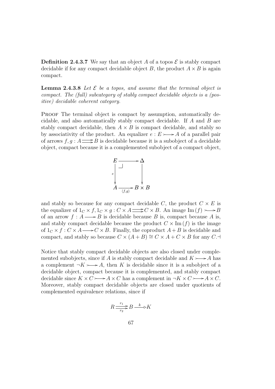**Definition 2.4.3.7** We say that an object A of a topos  $\mathcal{E}$  is stably compact decidable if for any compact decidable object B, the product  $A \times B$  is again compact.

**Lemma 2.4.3.8** Let  $\mathcal{E}$  be a topos, and assume that the terminal object is compact. The (full) subcategory of stably compact decidable objects is a (positive) decidable coherent category.

PROOF The terminal object is compact by assumption, automatically decidable, and also automatically stably compact decidable. If A and B are stably compact decidable, then  $A \times B$  is compact decidable, and stably so by associativity of the product. An equalizer  $e : E \rightarrow A$  of a parallel pair of arrows  $f, g : A \longrightarrow B$  is decidable because it is a subobject of a decidable object, compact because it is a complemented subobject of a compact object,



and stably so because for any compact decidable C, the product  $C \times E$  is the equalizer of  $1_C \times f$ ,  $1_C \times g$ :  $C \times A \longrightarrow C \times B$ . An image Im  $(f) \longrightarrow B$ of an arrow  $f : A \longrightarrow B$  is decidable because B is, compact because A is, and stably compact decidable because the product  $C \times \text{Im}(f)$  is the image of  $1_c \times f : C \times A \longrightarrow C \times B$ . Finally, the coproduct  $A + B$  is decidable and compact, and stably so because  $C \times (A + B) \cong C \times A + C \times B$  for any C.

Notice that stably compact decidable objects are also closed under complemented subobjects, since if A is stably compact decidable and  $K \rightarrow A$  has a complement  $\neg K \rightarrow A$ , then K is decidable since it is a subobject of a decidable object, compact because it is complemented, and stably compact decidable since  $K \times C \longrightarrow A \times C$  has a complement in  $\neg K \times C \longrightarrow A \times C$ . Moreover, stably compact decidable objects are closed under quotients of complemented equivalence relations, since if

$$
R \frac{r_1}{r_2} B \stackrel{k}{\longrightarrow} K
$$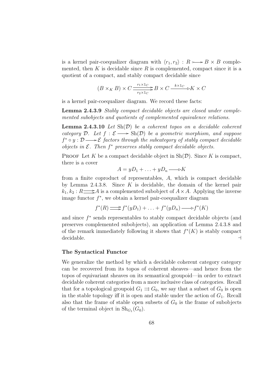is a kernel pair-coequalizer diagram with  $\langle r_1, r_2 \rangle : R \rightarrow B \times B$  complemented, then K is decidable since R is complemented, compact since it is a quotient of a compact, and stably compact decidable since

$$
(B \times_K B) \times C \xrightarrow[r_2 \times 1_C]{r_1 \times 1_C} B \times C \xrightarrow{k \times 1_C} K \times C
$$

is a kernel pair-coequalizer diagram. We record these facts:

Lemma 2.4.3.9 Stably compact decidable objects are closed under complemented subobjects and quotients of complemented equivalence relations.

**Lemma 2.4.3.10** Let  $\text{Sh}(\mathcal{D})$  be a coherent topos on a decidable coherent category D. Let  $f : \mathcal{E} \longrightarrow Sh(\mathcal{D})$  be a geometric morphism, and suppose  $f^* \circ y : \mathcal{D} \longrightarrow \mathcal{E}$  factors through the subcategory of stably compact decidable objects in  $\mathcal E$ . Then  $f^*$  preserves stably compact decidable objects.

**PROOF** Let K be a compact decidable object in  $\text{Sh}(\mathcal{D})$ . Since K is compact, there is a cover

$$
A = yD_1 + \ldots + yD_n \longrightarrow K
$$

from a finite coproduct of representables, A, which is compact decidable by Lemma 2.4.3.8. Since  $K$  is decidable, the domain of the kernel pair  $k_1, k_2 : R \longrightarrow A$  is a complemented subobject of  $A \times A$ . Applying the inverse image functor  $f^*$ , we obtain a kernel pair-coequalizer diagram

$$
f^*(R) \Longrightarrow f^*(yD_1) + \ldots + f^*(yD_n) \longrightarrow f^*(K)
$$

and since  $f^*$  sends representables to stably compact decidable objects (and preserves complemented subobjects), an application of Lemma 2.4.3.8 and of the remark immediately following it shows that  $f^*(K)$  is stably compact decidable.  $\Box$ 

### The Syntactical Functor

We generalize the method by which a decidable coherent category category can be recovered from its topos of coherent sheaves—and hence from the topos of equivariant sheaves on its semantical groupoid—in order to extract decidable coherent categories from a more inclusive class of categories. Recall that for a topological groupoid  $G_1 \rightrightarrows G_0$ , we say that a subset of  $G_0$  is open in the stable topology iff it is open and stable under the action of  $G_1$ . Recall also that the frame of stable open subsets of  $G_0$  is the frame of subobjects of the terminal object in  $\text{Sh}_{G_1}(G_0)$ .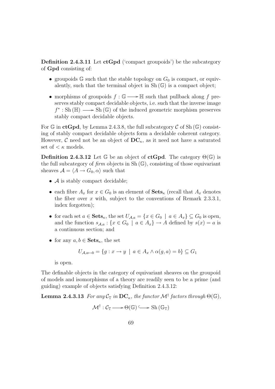**Definition 2.4.3.11** Let  $ctGpd$  ('compact groupoids') be the subcategory of Gpd consisting of:

- groupoids  $\mathbb{G}$  such that the stable topology on  $G_0$  is compact, or equivalently, such that the terminal object in  $Sh(G)$  is a compact object;
- morphisms of groupoids  $f : \mathbb{G} \longrightarrow \mathbb{H}$  such that pullback along f preserves stably compact decidable objects, i.e. such that the inverse image  $f^*$ : Sh ( $\mathbb{H}$ )  $\longrightarrow$  Sh ( $\mathbb{G}$ ) of the induced geometric morphism preserves stably compact decidable objects.

For G in ctGpd, by Lemma 2.4.3.8, the full subcategory C of Sh  $(\mathbb{G})$  consisting of stably compact decidable objects form a decidable coherent category. However, C need not be an object of  $DC_{\kappa}$ , as it need not have a saturated set of  $\lt \kappa$  models.

**Definition 2.4.3.12** Let  $\mathbb{G}$  be an object of **ctGpd**. The category  $\Theta(\mathbb{G})$  is the full subcategory of  $\lim$  objects in Sh $(\mathbb{G})$ , consisting of those equivariant sheaves  $\mathcal{A} = \langle A \rightarrow G_0, \alpha \rangle$  such that

- $\bullet$   $\mathcal A$  is stably compact decidable;
- each fibre  $A_x$  for  $x \in G_0$  is an element of  $\textbf{Sets}_{\kappa}$  (recall that  $A_x$  denotes the fiber over  $x$  with, subject to the conventions of Remark 2.3.3.1, index forgotten);
- for each set  $a \in \mathbf{Sets}_{\kappa}$ , the set  $U_{\mathcal{A},a} = \{x \in G_0 \mid a \in A_x\} \subseteq G_0$  is open, and the function  $s_{A,a}: \{x \in G_0 \mid a \in A_x\} \to A$  defined by  $s(x) = a$  is a continuous section; and
- for any  $a, b \in \mathbf{Sets}_{\kappa}$ , the set

$$
U_{\mathcal{A},a\mapsto b} = \{g : x \to y \mid a \in A_x \land \alpha(g,a) = b\} \subseteq G_1
$$

is open.

The definable objects in the category of equivariant sheaves on the groupoid of models and isomorphisms of a theory are readily seen to be a prime (and guiding) example of objects satisfying Definition 2.4.3.12:

**Lemma 2.4.3.13** For any  $\mathcal{C}_{\mathbb{T}}$  in  $DC_{\kappa}$ , the functor  $\mathcal{M}^{\dagger}$  factors through  $\Theta(\mathbb{G}),$ 

$$
\mathcal{M}^{\dagger} : \mathcal{C}_{\mathbb{T}} \longrightarrow \Theta(\mathbb{G}) \longrightarrow Sh(\mathbb{G}_{\mathbb{T}})
$$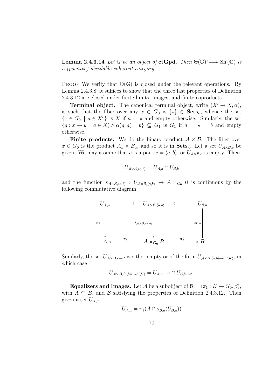**Lemma 2.4.3.14** Let  $\mathbb{G}$  be an object of **ctGpd**. Then  $\Theta(\mathbb{G}) \longrightarrow Sh(\mathbb{G})$  is a (positive) decidable coherent category.

PROOF We verify that  $\Theta(\mathbb{G})$  is closed under the relevant operations. By Lemma 2.4.3.8, it suffices to show that the three last properties of Definition 2.4.3.12 are closed under finite limits, images, and finite coproducts.

**Terminal object.** The canonical terminal object, write  $\langle X' \rightarrow X, \alpha \rangle$ , is such that the fiber over any  $x \in G_0$  is  $\{\star\} \in \mathbf{Sets}_{\kappa}$ , whence the set  ${x \in G_0 \mid a \in X'_x}$  is X if  $a = \star$  and empty otherwise. Similarly, the set  ${g : x \to y \mid a \in X'_x \land \alpha(g, a) = b} \subseteq G_1$  is  $G_1$  if  $a = \star = b$  and empty otherwise.

**Finite products.** We do the binary product  $A \times B$ . The fiber over  $x \in G_0$  is the product  $A_x \times B_x$ , and so it is in  $\textbf{Sets}_{\kappa}$ . Let a set  $U_{A \times B,c}$  be given. We may assume that c is a pair,  $c = \langle a, b \rangle$ , or  $U_{A \times B, c}$  is empty. Then,

$$
U_{\mathcal{A}\times\mathcal{B},\langle a,b\rangle}=U_{\mathcal{A},a}\cap U_{\mathcal{B},b}
$$

and the function  $s_{A\times B,(a,b)}: U_{A\times B,(a,b)} \to A \times_{G_0} B$  is continuous by the following commutative diagram:



Similarly, the set  $U_{\mathcal{A}\times\mathcal{B},c\mapsto d}$  is either empty or of the form  $U_{\mathcal{A}\times\mathcal{B},\langle a,b\rangle\mapsto\langle a',b'\rangle}$ , in which case

$$
U_{\mathcal{A}\times B,\langle a,b\rangle\mapsto\langle a',b'\rangle}=U_{\mathcal{A},a\mapsto a'}\cap U_{\mathcal{B},b\mapsto b'}.
$$

**Equalizers and Images.** Let A be a subobject of  $\mathcal{B} = \langle \pi_1 : B \to G_0, \beta \rangle$ , with  $A \subseteq B$ , and  $\beta$  satisfying the properties of Definition 2.4.3.12. Then given a set  $U_{\mathcal{A},a}$ ,

$$
U_{\mathcal{A},a} = \pi_1(A \cap s_{\mathcal{B},a}(U_{\mathcal{B},a}))
$$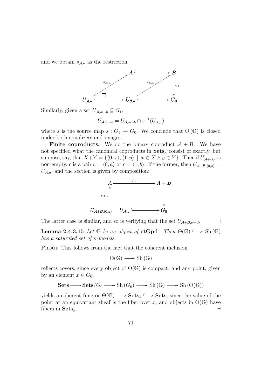and we obtain  $s_{A,a}$  as the restriction



Similarly, given a set  $U_{\mathcal{A},a\mapsto b} \subseteq G_1$ ,

$$
U_{\mathcal{A},a\mapsto b} = U_{\mathcal{B},a\mapsto b} \cap s^{-1}(U_{\mathcal{A},a})
$$

where s is the source map  $s: G_1 \to G_0$ . We conclude that  $\Theta(\mathbb{G})$  is closed under both equalizers and images.

**Finite coproducts.** We do the binary coproduct  $A + B$ . We have not specified what the canonical coproducts in  $\textbf{Sets}_{\kappa}$  consist of exactly, but suppose, say, that  $X+Y = \{ \langle 0, x \rangle, \langle 1, y \rangle \mid x \in X \land y \in Y \}$ . Then if  $U_{\mathcal{A}+\mathcal{B},c}$  is non-empty, c is a pair  $c = \langle 0, a \rangle$  or  $c = \langle 1, b \rangle$ . If the former, then  $U_{\mathcal{A}+\mathcal{B},\langle 0,a \rangle} =$  $U_{\mathcal{A},a}$ , and the section is given by composition:



The latter case is similar, and so is verifying that the set  $U_{\mathcal{A}+\mathcal{B},c\rightarrow d}$ .

**Lemma 2.4.3.15** Let  $\mathbb{G}$  be an object of **ctGpd**. Then  $\Theta(\mathbb{G}) \longrightarrow$  Sh $(\mathbb{G})$ has a saturated set of  $\kappa$ -models.

PROOF This follows from the fact that the coherent inclusion

$$
\Theta(\mathbb{G}) \longrightarrow Sh(\mathbb{G})
$$

reflects covers, since every object of  $\Theta(\mathbb{G})$  is compact, and any point, given by an element  $x \in G_0$ ,

 $\text{Sets}\longrightarrow \text{Sets}/G_0\longrightarrow \text{Sh}(G_0)\longrightarrow \text{Sh}(\mathbb{G})\longrightarrow \text{Sh}(\Theta(\mathbb{G}))$ 

yields a coherent functor  $\Theta(\mathbb{G}) \longrightarrow$  **Sets**<sub> $k$ </sub>  $\hookrightarrow$  **Sets**, since the value of the point at an equivariant sheaf is the fiber over x, and objects in  $\Theta(\mathbb{G})$  have fibers in  $\textbf{Sets}_{\kappa}$ .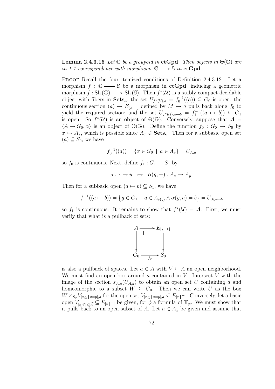**Lemma 2.4.3.16** Let  $\mathbb{G}$  be a groupoid in ctGpd. Then objects in  $\Theta(\mathbb{G})$  are in 1-1 correspondence with morphisms  $\mathbb{G} \longrightarrow \mathbb{S}$  in ctGpd.

PROOF Recall the four itemized conditions of Definition 2.4.3.12. Let a morphism  $f : \mathbb{G} \longrightarrow \mathbb{S}$  be a morphism in  $ctGpd$ , inducing a geometric morphism  $f : Sh(\mathbb{G}) \longrightarrow Sh(\mathbb{S})$ . Then  $f^*(\mathcal{U})$  is a stably compact decidable object with fibers in  $\mathbf{Sets}_{\kappa}$ ; the set  $U_{f^*(\mathcal{U}),a} = f_0^{-1}((a)) \subseteq G_0$  is open; the continuous section  $(a) \to E_{[x] \sqcap}$  defined by  $M \mapsto a$  pulls back along  $f_0$  to yield the required section; and the set  $U_{f^*(\mathcal{U}),a\mapsto b} = f_1^{-1}((a \mapsto b)) \subseteq G_1$ is open. So  $f^*(\mathcal{U})$  is an object of  $\Theta(\mathbb{G})$ . Conversely, suppose that  $\mathcal{A} =$  $\langle A \rightarrow G_0, \alpha \rangle$  is an object of  $\Theta(\mathbb{G})$ . Define the function  $f_0 : G_0 \rightarrow S_0$  by  $x \mapsto A_x$ , which is possible since  $A_x \in \mathbf{Sets}_{\kappa}$ . Then for a subbasic open set  $(a) \subset S_0$ , we have

$$
f_0^{-1}((a)) = \{ x \in G_0 \mid a \in A_x \} = U_{A,a}
$$

so  $f_0$  is continuous. Next, define  $f_1 : G_1 \to S_1$  by

$$
g: x \to y \iff \alpha(g, -): A_x \to A_y.
$$

Then for a subbasic open  $(a \mapsto b) \subseteq S_1$ , we have

$$
f_1^{-1}((a \mapsto b)) = \{ g \in G_1 \mid a \in A_{s(g)} \land \alpha(g, a) = b \} = U_{A, a \mapsto b}
$$

so  $f_1$  is continuous. It remains to show that  $f^*(\mathcal{U}) = \mathcal{A}$ . First, we must verify that what is a pullback of sets:



is also a pullback of spaces. Let  $a \in A$  with  $V \subseteq A$  an open neighborhood. We must find an open box around  $\alpha$  contained in  $V$ . Intersect  $V$  with the image of the section  $s_{A,a}(U_{A,a})$  to obtain an open set U containing a and homeomorphic to a subset  $W \subseteq G_0$ . Then we can write U as the box  $W \times_{S_0} V_{[x,y]_x=y],a}$  for the open set  $V_{[x,y]_x=y],a} \subseteq E_{[x|\top]}$ . Conversely, let a basic open  $V_{[x,\vec{y}]\phi],\vec{b}} \subseteq E_{[x|\top]}$  be given, for  $\phi$  a formula of  $\mathbb{T}_{\neq}$ . We must show that it pulls back to an open subset of A. Let  $a \in A_z$  be given and assume that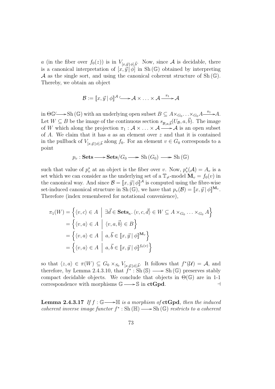a (in the fiber over  $f_0(z)$ ) is in  $V_{[x,\vec{y}]\phi],\vec{b}}$ . Now, since A is decidable, there is a canonical interpretation of  $[x, \vec{y} | \phi]$  in Sh(G) obtained by interpreting A as the single sort, and using the canonical coherent structure of  $\text{Sh}(\mathbb{G})$ . Thereby, we obtain an object

$$
\mathcal{B} := [x, \vec{y}] \phi \mathbb{I}^{\mathcal{A}} \longrightarrow \mathcal{A} \times \ldots \times \mathcal{A} \xrightarrow{\pi_1} \mathcal{A}
$$

in  $\Theta \mathbb{G} \longrightarrow$  Sh ( $\mathbb{G}$ ) with an underlying open subset  $B \subseteq A \times_{G_0} \ldots \times_{G_0} A \xrightarrow{\pi_1} A$ . Let  $W \subseteq B$  be the image of the continuous section  $s_{\mathcal{B},a,\vec{b}}(U_{\mathcal{B}},a,\vec{b})$ . The image of W which along the projection  $\pi_1 : \mathcal{A} \times \ldots \times \mathcal{A} \longrightarrow \mathcal{A}$  is an open subset of  $A$ . We claim that it has  $a$  as an element over  $z$  and that it is contained in the pullback of  $V_{[x,\vec{y}]\phi|\vec{b}}$  along  $f_0$ . For an element  $v \in G_0$  corresponds to a point

$$
p_v : \mathbf{Sets} \longrightarrow \mathbf{Sets}/G_0 \longrightarrow \mathrm{Sh}(G_0) \longrightarrow \mathrm{Sh}(\mathbb{G})
$$

such that value of  $p_v^*$  at an object is the fiber over v. Now,  $p_v^*(A) = A_v$  is a set which we can consider as the underlying set of a  $\mathbb{T}_{\neq}$ -model  $\mathbf{M}_v = f_0(v)$  in the canonical way. And since  $\mathcal{B} = [x, \vec{y}] \phi \, \vec{A}$  is computed using the fibre-wise set-induced canonical structure in Sh $(G)$ , we have that  $p_v(\mathcal{B}) = [x, \vec{y}] \phi \mathbb{I}^{\mathbf{M}_v}$ . Therefore (index remembered for notational convenience),

$$
\pi_1(W) = \left\{ \langle v, c \rangle \in A \mid \exists \vec{d} \in \mathbf{Sets}_{\kappa}, \langle v, c, \vec{d} \rangle \in W \subseteq A \times_{G_0} \dots \times_{G_0} A \right\}
$$
  
= 
$$
\left\{ \langle v, a \rangle \in A \mid \langle v, a, \vec{b} \rangle \in B \right\}
$$
  
= 
$$
\left\{ \langle v, a \rangle \in A \mid a, \vec{b} \in [\![x, \vec{y} \!] \phi \mathbb{I}^{M_v} \right\}
$$
  
= 
$$
\left\{ \langle v, a \rangle \in A \mid a, \vec{b} \in [\![x, \vec{y} \!] \phi \mathbb{I}^{f_0(v)} \right\}
$$

so that  $\langle z, a \rangle \in \pi(W) \subseteq G_0 \times_{S_0} V_{[x, \vec{y} | \phi], \vec{b}}$ . It follows that  $f^*(\mathcal{U}) = \mathcal{A}$ , and therefore, by Lemma 2.4.3.10, that  $f^*: Sh(S) \longrightarrow Sh(\mathbb{G})$  preserves stably compact decidable objects. We conclude that objects in  $\Theta(\mathbb{G})$  are in 1-1 correspondence with morphisms  $\mathbb{G} \longrightarrow \mathbb{S}$  in  $ctGpd$ .

**Lemma 2.4.3.17** If  $f : \mathbb{G} \longrightarrow \mathbb{H}$  is a morphism of  $ctGpd$ , then the induced coherent inverse image functor  $f^* : Sh(\mathbb{H}) \longrightarrow Sh(\mathbb{G})$  restricts to a coherent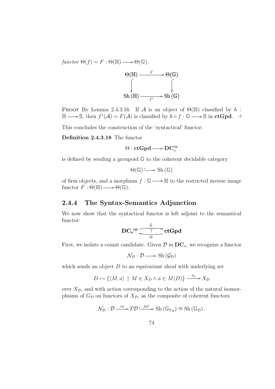$functor \Theta(f) = F : \Theta(\mathbb{H}) \longrightarrow \Theta(\mathbb{G}),$ 



PROOF By Lemma 2.4.3.16. If  $\mathcal A$  is an object of  $\Theta(\mathbb H)$  classified by  $h$ :  $\mathbb{H} \longrightarrow \mathbb{S}$ , then  $f^*(\mathcal{A}) = F(\mathcal{A})$  is classified by  $h \circ f : \mathbb{G} \longrightarrow \mathbb{S}$  in  $ctGpd$ .  $\dashv$ 

This concludes the construction of the 'syntactical' functor:

#### Definition 2.4.3.18 The functor

 $\Theta : \operatorname{\mathbf{ctGpd}\nolimits} \longrightarrow \operatorname{\mathbf{DC}}^{\operatorname{op}\nolimits}_\kappa$ 

is defined by sending a groupoid G to the coherent decidable category

 $\Theta(\mathbb{G}) \longrightarrow$  Sh  $(\mathbb{G})$ 

of firm objects, and a morphism  $f : \mathbb{G} \longrightarrow \mathbb{H}$  to the restricted inverse image functor  $F : \Theta(\mathbb{H}) \longrightarrow \Theta(\mathbb{G}).$ 

### 2.4.4 The Syntax-Semantics Adjunction

We now show that the syntactical functor is left adjoint to the semantical functor:

$$
\text{DC}_{\kappa}^{\text{op}} \overline{\underbrace{\qquad \qquad }_{\Theta}}^{\mathcal{G}} \text{ctGpd}
$$

First, we isolate a counit candidate. Given  $\mathcal{D}$  in  $DC_{\kappa}$ , we recognize a functor

$$
\mathcal{N}_{\mathcal{D}}:\mathcal{D}\longrightarrow\mathrm{Sh}\left(\mathcal{G}_{\mathcal{D}}\right)
$$

which sends an object  $D$  to an equivariant sheaf with underlying set

$$
D \mapsto \{ \langle M, a \rangle \mid M \in X_{\mathcal{D}} \land a \in M(D) \} \xrightarrow{\pi_1} X_{\mathcal{D}}
$$

over  $X_{\mathcal{D}}$ , and with action corresponding to the action of the natural isomorphisms of  $G_{\mathcal{D}}$  on functors of  $X_{\mathcal{D}}$ , as the composite of coherent functors

$$
\mathcal{N}_{\mathcal{D}}: \mathcal{D} \xrightarrow{\iota_{\mathcal{D}}} T \mathcal{D} \xrightarrow{\mathcal{M}^{\dagger}} \operatorname{Sh}(\mathbb{G}_{\mathbb{T}_{\mathcal{D}}}) \cong \operatorname{Sh}(\mathbb{G}_{\mathcal{D}}).
$$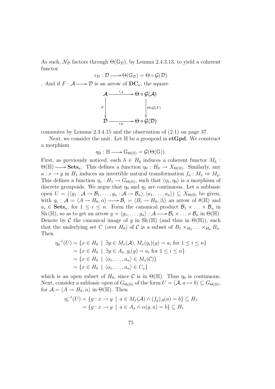As such,  $\mathcal{N}_{\mathcal{D}}$  factors through  $\Theta(\mathbb{G}_{\mathcal{D}})$ , by Lemma 2.4.3.13, to yield a coherent functor

$$
\epsilon_{\mathcal{D}} : \mathcal{D} \longrightarrow \Theta(\mathbb{G}_{\mathcal{D}}) = \Theta \circ \mathcal{G}(\mathcal{D})
$$

. And if  $F : \mathcal{A} \longrightarrow \mathcal{D}$  is an arrow of  $DC_{\kappa}$ , the square



commutes by Lemma 2.3.4.15 and the observation of (2.1) on page 37.

Next, we consider the unit. Let  $\mathbb H$  be a groupoid in  $ctGpd$ . We construct a morphism

$$
\eta_{\mathbb{H}} : \mathbb{H} \longrightarrow \mathbb{G}_{\Theta(\mathbb{H})} = \mathcal{G}(\Theta(\mathbb{G})).
$$

First, as previously noticed, each  $h \in H_0$  induces a coherent functor  $M_h$ :  $\Theta(\mathbb{H}) \longrightarrow$  **Sets**<sub>κ</sub>. This defines a function  $\eta_0 : H_0 \to X_{\Theta(\mathbb{H})}$ . Similarly, any  $a: x \to y$  in  $H_1$  induces an invertible natural transformation  $f_a: M_x \Rightarrow M_y$ . This defines a function  $\eta_1: H_1 \to G_{\Theta(\mathbb{H})}$ , such that  $\langle \eta_1, \eta_0 \rangle$  is a morphism of discrete groupoids. We argue that  $\eta_0$  and  $\eta_1$  are continuous. Let a subbasic open  $U = (\langle g_1 : A \to B_1, \ldots, g_n : A \to B_n \rangle, \langle a_1, \ldots, a_n \rangle) \subseteq X_{\Theta(\mathbb{H})}$  be given, with  $g_i: \mathcal{A} = \langle A \to H_0, \alpha \rangle \longrightarrow \mathcal{B}_i = \langle B_i \to H_0, \beta_i \rangle$  an arrow of  $\theta(\mathbb{H})$  and  $a_i \in \mathbf{Sets}_{\kappa}$ , for  $1 \leq i \leq n$ . Form the canonical product  $\mathcal{B}_1 \times \ldots \times \mathcal{B}_n$  in Sh ( $\mathbb{H}$ ), so as to get an arrow  $g = \langle g_1, \ldots, g_n \rangle : A \longrightarrow B_1 \times \ldots \times B_n$  in  $\Theta(\mathbb{H})$ . Denote by C the canonical image of g in Sh ( $\mathbb{H}$ ) (and thus in  $\Theta(\mathbb{H})$ ), such that the underlying set C (over  $H_0$ ) of C is a subset of  $B_1 \times_{H_0} \ldots \times_{H_0} B_n$ . Then

$$
\eta_0^{-1}(U) = \{x \in H_0 \mid \exists y \in M_x(\mathcal{A}). M_x(g_i)(y) = a_i \text{ for } 1 \le i \le n\}
$$
  
=  $\{x \in H_0 \mid \exists y \in A_x. g_i(y) = a_i \text{ for } 1 \le i \le n\}$   
=  $\{x \in H_0 \mid \langle a_1, ..., a_n \rangle \in M_x(\mathcal{C})\}$   
=  $\{x \in H_0 \mid \langle a_1, ..., a_n \rangle \in C_x\}$ 

which is an open subset of  $H_0$ , since C is in  $\Theta(\mathbb{H})$ . Thus  $\eta_0$  is continuous. Next, consider a subbasic open of  $G_{\Theta(\mathbb{H})}$  of the form  $U = (\mathcal{A}, a \mapsto b) \subseteq G_{\Theta(\mathbb{H})}$ , for  $\mathcal{A} = \langle A \to H_0, \alpha \rangle$  in  $\Theta(\mathbb{H})$ . Then

$$
\eta_1^{-1}(U) = \{ g : x \to y \mid a \in M_x(\mathcal{A}) \land (f_g)_{\mathcal{A}}(a) = b \} \subseteq H_1
$$
  
=  $\{ g : x \to y \mid a \in A_x \land \alpha(g, a) = b \} \subseteq H_1$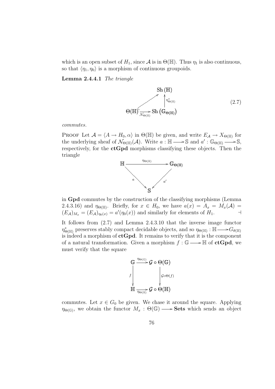which is an open subset of  $H_1$ , since  $\mathcal A$  is in  $\Theta(\mathbb H)$ . Thus  $\eta_1$  is also continuous, so that  $\langle \eta_1, \eta_0 \rangle$  is a morphism of continuous groupoids.

Lemma 2.4.4.1 The triangle

Sh (H)  
\n
$$
\left\{\n\begin{array}{c}\n\text{Sh}(\mathbb{H}) \\
\uparrow_{\Theta(\mathbb{H})}^* \\
\text{St}(\mathbb{G}_{\Theta(\mathbb{H})})\n\end{array}\n\right.
$$
\n(2.7)

commutes.

PROOF Let  $\mathcal{A} = \langle A \to H_0, \alpha \rangle$  in  $\Theta(\mathbb{H})$  be given, and write  $E_{\mathcal{A}} \to X_{\Theta(\mathbb{H})}$  for the underlying sheaf of  $\mathcal{N}_{\Theta(\mathbb{H})}(\mathcal{A})$ . Write  $a : \mathbb{H} \longrightarrow \mathbb{S}$  and  $a' : \mathbb{G}_{\Theta(\mathbb{H})} \longrightarrow \mathbb{S}$ , respectively, for the  $ctGpd$  morphisms classifying these objects. Then the triangle



in Gpd commutes by the construction of the classifying morphisms (Lemma 2.4.3.16) and  $\eta_{\Theta(\mathbb{H})}$ . Briefly, for  $x \in H_0$ , we have  $a(x) = A_x = M_x(\mathcal{A}) =$  $(E_{\mathcal{A}})_{M_x} = (E_{\mathcal{A}})_{\eta_0(x)} = a'(\eta_0(x))$  and similarly for elements of  $H_1$ .

It follows from (2.7) and Lemma 2.4.3.10 that the inverse image functor  $\eta_{\Theta(\mathbb{H})}^*$  preserves stably compact decidable objects, and so  $\eta_{\Theta(\mathbb{H})} : \mathbb{H} \longrightarrow G_{\theta(\mathbb{H})}$ is indeed a morphism of  $ctGpd$ . It remains to verify that it is the component of a natural transformation. Given a morphism  $f : \mathbb{G} \longrightarrow \mathbb{H}$  of  $ctGpd$ , we must verify that the square

$$
\begin{array}{c}\nG \xrightarrow{\eta_{\Theta(G)}} \mathcal{G} \circ \Theta(\mathbb{G}) \\
\downarrow^{\qquad \qquad \downarrow^{\qquad \qquad }} \\
\downarrow^{\qquad \qquad \downarrow^{\qquad \qquad }} \\
\downarrow^{\qquad \qquad \downarrow^{\qquad \qquad }} \\
\downarrow^{\qquad \qquad \downarrow^{\qquad \qquad }} \\
\downarrow^{\qquad \qquad \downarrow^{\qquad \qquad }} \\
\downarrow^{\qquad \qquad \downarrow^{\qquad \qquad }} \\
\downarrow^{\qquad \qquad \downarrow^{\qquad \qquad }} \\
\downarrow^{\qquad \qquad \downarrow^{\qquad \qquad }} \\
\downarrow^{\qquad \qquad \downarrow^{\qquad \qquad }} \\
\downarrow^{\qquad \qquad \downarrow^{\qquad \qquad }} \\
\downarrow^{\qquad \qquad \downarrow^{\qquad \qquad }} \\
\downarrow^{\qquad \qquad \downarrow^{\qquad \qquad }} \\
\downarrow^{\qquad \qquad \downarrow^{\qquad \qquad }} \\
\downarrow^{\qquad \qquad \downarrow^{\qquad \qquad }} \\
\downarrow^{\qquad \qquad \downarrow^{\qquad \qquad }} \\
\downarrow^{\qquad \qquad \downarrow^{\qquad \qquad }} \\
\downarrow^{\qquad \qquad \downarrow^{\qquad \qquad }} \\
\downarrow^{\qquad \qquad \downarrow^{\qquad \qquad }} \\
\downarrow^{\qquad \qquad \downarrow^{\qquad \qquad }} \\
\downarrow^{\qquad \qquad \downarrow^{\qquad \qquad }} \\
\downarrow^{\qquad \qquad \downarrow^{\qquad \qquad }} \\
\downarrow^{\qquad \qquad \downarrow^{\qquad \qquad }} \\
\downarrow^{\qquad \qquad \downarrow^{\qquad \qquad }} \\
\downarrow^{\qquad \qquad \downarrow^{\qquad \qquad }} \\
\downarrow^{\qquad \qquad \downarrow^{\qquad \qquad }} \\
\downarrow^{\qquad \qquad \downarrow^{\qquad \qquad }} \\
\downarrow^{\qquad \qquad \downarrow^{\qquad \qquad }} \\
\downarrow^{\qquad \qquad \downarrow^{\qquad \qquad }} \\
\downarrow^{\qquad \qquad \downarrow^{\qquad \qquad }} \\
\downarrow^{\qquad \qquad \downarrow^{\qquad \qquad }} \\
\downarrow^{\qquad \qquad \downarrow^{\qquad \qquad }} \\
\downarrow^{\qquad \qquad \downarrow^{\qquad \qquad }} \\
\downarrow^{\qquad \qquad \downarrow^{\qquad \qquad
$$

commutes. Let  $x \in G_0$  be given. We chase it around the square. Applying  $\eta_{\Theta(\mathbb{G})}$ , we obtain the functor  $M_x : \Theta(\mathbb{G}) \longrightarrow$  **Sets** which sends an object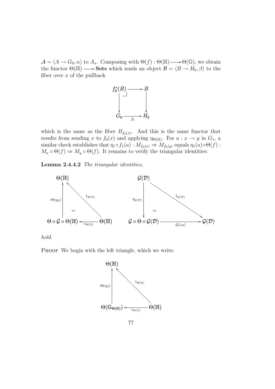$\mathcal{A} = \langle A \to G_0, \alpha \rangle$  to  $A_x$ . Composing with  $\Theta(f) : \Theta(\mathbb{H}) \longrightarrow \Theta(\mathbb{G})$ , we obtain the functor  $\Theta(\mathbb{H}) \longrightarrow$  Sets which sends an object  $\mathcal{B} = \langle B \to H_0, \beta \rangle$  to the fiber over  $x$  of the pullback



which is the same as the fiber  $B_{f_0(x)}$ . And this is the same functor that results from sending x to  $f_0(x)$  and applying  $\eta_{\Theta(\mathbb{H})}$ . For  $a: x \to y$  in  $G_1$ , a similar check establishes that  $\eta_1 \circ f_1(a) : M_{f_0(x)} \Rightarrow M_{f_0(y)}$  equals  $\eta_1(a) \circ \Theta(f)$ :  $M_x \circ \Theta(f) \Rightarrow M_y \circ \Theta(f)$ . It remains to verify the triangular identities:

Lemma 2.4.4.2 The triangular identities,



hold.

PROOF We begin with the left triangle, which we write:

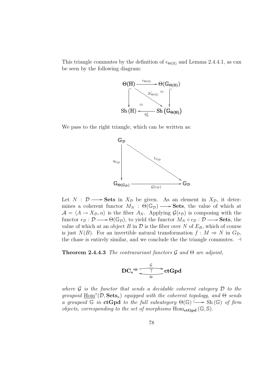This triangle commutes by the definition of  $\epsilon_{\Theta(\mathbb{H})}$  and Lemma 2.4.4.1, as can be seen by the following diagram:



We pass to the right triangle, which can be written as:



Let  $N : \mathcal{D} \longrightarrow$  Sets in  $X_{\mathcal{D}}$  be given. As an element in  $X_{\mathcal{D}}$ , it determines a coherent functor  $M_N$ :  $\Theta(\mathbb{G}_D) \longrightarrow$  **Sets**, the value of which at  $\mathcal{A} = \langle A \to X_{\mathcal{D}}, \alpha \rangle$  is the fiber  $A_N$ . Applying  $\mathcal{G}(\epsilon_{\mathcal{D}})$  is composing with the functor  $\epsilon_{\mathcal{D}} : \mathcal{D} \longrightarrow \Theta(\mathbb{G}_{\mathcal{D}})$ , to yield the functor  $M_N \circ \epsilon_{\mathcal{D}} : \mathcal{D} \longrightarrow$  **Sets**, the value of which at an object B in  $\mathcal D$  is the fiber over N of  $E_B$ , which of course is just  $N(B)$ . For an invertible natural transformation  $f : M \Rightarrow N$  in  $G_{\mathcal{D}}$ , the chase is entirely similar, and we conclude the the triangle commutes.  $\exists$ 

**Theorem 2.4.4.3** The contravariant functors  $\mathcal G$  and  $\Theta$  are adjoint,

$$
\text{DC}_{\kappa}^{\text{op}}\xrightarrow[\Theta]{\text{C}}\text{ctGpd}
$$

where  $\mathcal G$  is the functor that sends a decidable coherent category  $\mathcal D$  to the groupoid  $\underline{\text{Hom}}^*(\mathcal{D}, \textbf{Sets}_{\kappa})$  equipped with the coherent topology, and  $\Theta$  sends a groupoid  $\overline{\mathbb{G}}$  in ctGpd to the full subcategory  $\Theta(\mathbb{G}) \longrightarrow$  Sh( $\mathbb{G}$ ) of firm objects, corresponding to the set of morphisms  $Hom_{ctGpd}(\mathbb{G}, \mathbb{S})$ .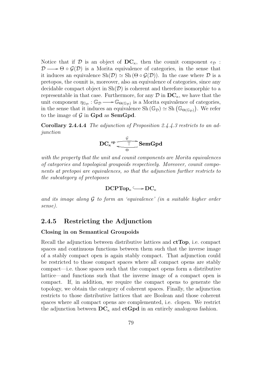Notice that if D is an object of  $DC_{\kappa}$ , then the counit component  $\epsilon_{\mathcal{D}}$ :  $\mathcal{D} \longrightarrow \Theta \circ \mathcal{G}(\mathcal{D})$  is a Morita equivalence of categories, in the sense that it induces an equivalence  $\text{Sh}(\mathcal{D}) \simeq \text{Sh}(\Theta \circ \mathcal{G}(\mathcal{D}))$ . In the case where  $\mathcal D$  is a pretopos, the counit is, moreover, also an equivalence of categories, since any decidable compact object in  $\text{Sh}(\mathcal{D})$  is coherent and therefore isomorphic to a representable in that case. Furthermore, for any  $\mathcal{D}$  in  $DC_{\kappa}$ , we have that the unit component  $\eta_{\mathbb{G}_{\mathcal{D}}} : \mathbb{G}_{\mathcal{D}} \longrightarrow \mathbb{G}_{\Theta(\mathbb{G}_{\mathcal{D}})}$  is a Morita equivalence of categories, unit component  $\eta_{\mathbb{G}_\mathcal{D}} : \varphi_{\mathcal{D}} \longrightarrow \varphi_{\Theta(\mathbb{G}_\mathcal{D})}$  is a morita equivalence of categories,<br>in the sense that it induces an equivalence Sh  $(\mathbb{G}_\mathcal{D}) \simeq$  Sh  $(\mathbb{G}_{\Theta(\mathbb{G}_\mathcal{D})})$ . We refer to the image of  $\mathcal G$  in Gpd as SemGpd.

Corollary 2.4.4.4 The adjunction of Proposition 2.4.4.3 restricts to an adjunction

$$
\operatorname{DC}_\kappa^{-\mathrm{op}} \overset{\mathcal{G}}{\underset{\Theta}{\biguparrow\qquad}} \operatorname{SemGpd}
$$

with the property that the unit and counit components are Morita equivalences of categories and topological groupoids respectively. Moreover, counit components at pretopoi are equivalences, so that the adjunction further restricts to the subcategory of pretoposes

$$
DCPTop_\kappa \longrightarrow DC_\kappa
$$

and its image along  $G$  to form an 'equivalence' (in a suitable higher order sense).

### 2.4.5 Restricting the Adjunction

#### Closing in on Semantical Groupoids

Recall the adjunction between distributive lattices and ctTop, i.e. compact spaces and continuous functions between them such that the inverse image of a stably compact open is again stably compact. That adjunction could be restricted to those compact spaces where all compact opens are stably compact—i.e. those spaces such that the compact opens form a distributive lattice—and functions such that the inverse image of a compact open is compact. If, in addition, we require the compact opens to generate the topology, we obtain the category of coherent spaces. Finally, the adjunction restricts to those distributive lattices that are Boolean and those coherent spaces where all compact opens are complemented, i.e. clopen. We restrict the adjunction between  $DC_{\kappa}$  and  $ctGpd$  in an entirely analogous fashion.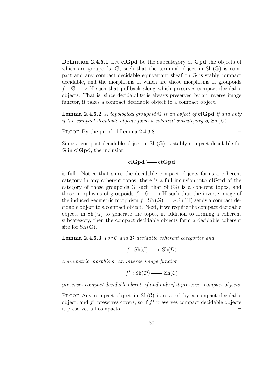Definition 2.4.5.1 Let clGpd be the subcategory of Gpd the objects of which are groupoids,  $\mathbb{G}$ , such that the terminal object in  $\text{Sh}(\mathbb{G})$  is compact and any compact decidable equivariant sheaf on G is stably compact decidable, and the morphisms of which are those morphisms of groupoids  $f : \mathbb{G} \longrightarrow \mathbb{H}$  such that pullback along which preserves compact decidable objects. That is, since decidability is always preserved by an inverse image functor, it takes a compact decidable object to a compact object.

**Lemma 2.4.5.2** A topological groupoid  $\mathbb{G}$  is an object of **clGpd** if and only if the compact decidable objects form a coherent subcategory of  $Sh(\mathbb{G})$ 

PROOF By the proof of Lemma 2.4.3.8.  $\rightarrow$ 

Since a compact decidable object in  $Sh(\mathbb{G})$  is stably compact decidable for  $\mathbb G$  in clGpd, the inclusion

# $clGpd \longrightarrow ctGpd$

is full. Notice that since the decidable compact objects forms a coherent category in any coherent topos, there is a full inclusion into clGpd of the category of those groupoids  $\mathbb{G}$  such that  $\mathrm{Sh}(\mathbb{G})$  is a coherent topos, and those morphisms of groupoids  $f : \mathbb{G} \longrightarrow \mathbb{H}$  such that the inverse image of the induced geometric morphism  $f : Sh(\mathbb{G}) \longrightarrow Sh(\mathbb{H})$  sends a compact decidable object to a compact object. Next, if we require the compact decidable objects in  $\text{Sh}(\mathbb{G})$  to generate the topos, in addition to forming a coherent subcategory, then the compact decidable objects form a decidable coherent site for  $Sh(\mathbb{G})$ .

Lemma 2.4.5.3 For C and D decidable coherent categories and

 $f : Sh(\mathcal{C}) \longrightarrow Sh(\mathcal{D})$ 

a geometric morphism, an inverse image functor

 $f^* : Sh(\mathcal{D}) \longrightarrow Sh(\mathcal{C})$ 

preserves compact decidable objects if and only if it preserves compact objects.

PROOF Any compact object in  $\text{Sh}(\mathcal{C})$  is covered by a compact decidable object, and  $f^*$  preserves covers, so if  $f^*$  preserves compact decidable objects it preserves all compacts. a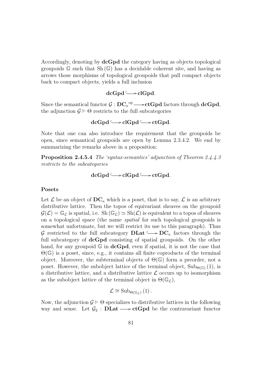Accordingly, denoting by **dcGpd** the category having as objects topological groupoids  $\mathbb{G}$  such that  $\mathrm{Sh}(\mathbb{G})$  has a decidable coherent site, and having as arrows those morphisms of topological groupoids that pull compact objects back to compact objects, yields a full inclusion

# $dcGpd \longrightarrow clGpd.$

Since the semantical functor  $\mathcal{G}:\mathbf{DC}_\kappa^{-op}\longrightarrow\mathbf{ctGpd}$  factors through  $\mathbf{dcGpd},$ the adjunction  $\mathcal{G} \vdash \Theta$  restricts to the full subcategories

$$
{\rm d} \mathbf{c}{\rm Gpd} \, {\stackrel{\scriptstyle\longleftarrow}{\hspace{-1.2em}}}\, \mathbf{c}{\rm l}{\rm Gpd} \, {\stackrel{\scriptstyle\longleftarrow}{\hspace{-1.2em}}}\, \mathbf{c}{\rm t}{\rm Gpd}.
$$

Note that one can also introduce the requirement that the groupoids be open, since semantical groupoids are open by Lemma 2.3.4.2. We end by summarizing the remarks above in a proposition:

Proposition 2.4.5.4 The 'syntax-semantics' adjunction of Theorem 2.4.4.3 restricts to the subcategories

$$
dcGpd \longrightarrow clGpd \longrightarrow ctGpd.
$$

### Posets

Let  $\mathcal L$  be an object of  $\mathbf{DC}_{\kappa}$  which is a poset, that is to say,  $\mathcal L$  is an arbitrary distributive lattice. Then the topos of equivariant sheaves on the groupoid  $\mathcal{G}(\mathcal{L}) = \mathbb{G}_{\mathcal{L}}$  is spatial, i.e. Sh $(\mathbb{G}_{\mathcal{L}}) \simeq Sh(\mathcal{L})$  is equivalent to a topos of sheaves on a topological space (the name spatial for such topological groupoids is somewhat unfortunate, but we will restrict its use to this paragraph). Thus G restricted to the full subcategory  $\text{DLat} \longrightarrow \text{DC}_{\kappa}$  factors through the full subcategory of **dcGpd** consisting of spatial groupoids. On the other hand, for any groupoid  $\mathbb{G}$  in **dcGpd**, even if spatial, it is not the case that  $\Theta(\mathbb{G})$  is a poset, since, e.g., it contains all finite coproducts of the terminal object. Moreover, the subterminal objects of  $\Theta(\mathbb{G})$  form a preorder, not a poset. However, the subobject lattice of the terminal object,  $\text{Sub}_{\Theta(\mathbb{G})}(1)$ , is a distributive lattice, and a distributive lattice  $\mathcal L$  occurs up to isomorphism as the subobject lattice of the terminal object in  $\Theta(\mathbb{G}_{\mathcal{L}})$ ,

$$
\mathcal{L} \cong \mathrm{Sub}_{\Theta(\mathbb{G}_{\mathcal{L}})}(1) \, .
$$

Now, the adjunction  $\mathcal{G} \vdash \Theta$  specializes to distributive lattices in the following way and sense. Let  $\mathcal{G}_2$ : **DLat**  $\longrightarrow$  **ctGpd** be the contravariant functor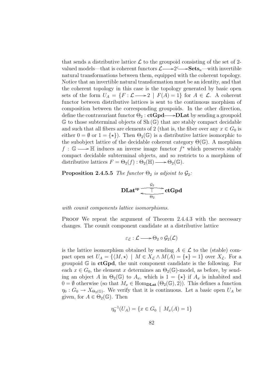that sends a distributive lattice  $\mathcal L$  to the groupoid consisting of the set of 2valued models—that is coherent functors  $\mathcal{L} \longrightarrow 2 \longrightarrow \mathbf{Sets}_{\kappa}$ —with invertible natural transformations between them, equipped with the coherent topology. Notice that an invertible natural transformation must be an identity, and that the coherent topology in this case is the topology generated by basic open sets of the form  $U_A = \{F : \mathcal{L} \longrightarrow 2 \mid F(A) = 1\}$  for  $A \in \mathcal{L}$ . A coherent functor between distributive lattices is sent to the continuous morphism of composition between the corresponding groupoids. In the other direction, define the contravariant functor  $\Theta_2$ :  $ctGpd \longrightarrow DLat$  by sending a groupoid  $\mathbb G$  to those subterminal objects of Sh $(\mathbb G)$  that are stably compact decidable and such that all fibers are elements of 2 (that is, the fiber over any  $x \in G_0$  is either  $0 = \emptyset$  or  $1 = \{ \star \}$ . Then  $\Theta_2(\mathbb{G})$  is a distributive lattice isomorphic to the subobject lattice of the decidable coherent category  $\Theta(\mathbb{G})$ . A morphism  $f: \mathbb{G} \longrightarrow \mathbb{H}$  induces an inverse image functor  $f^*$  which preserves stably compact decidable subterminal objects, and so restricts to a morphism of distributive lattices  $F = \Theta_2(f) : \Theta_2(\mathbb{H}) \longrightarrow \Theta_2(\mathbb{G})$ .

**Proposition 2.4.5.5** The functor  $\Theta_2$  is adjoint to  $\mathcal{G}_2$ :

$$
\text{DLat}^{\text{op}}{\overbrace{\underbrace{\qquad \qquad \top \\ \Theta_2}}^{\mathcal{G}_2}}\text{ctGpd}
$$

with counit components lattice isomorphisms.

PROOF We repeat the argument of Theorem 2.4.4.3 with the necessary changes. The counit component candidate at a distributive lattice

$$
\varepsilon_{\mathcal{L}} : \mathcal{L} \longrightarrow \Theta_2 \circ \mathcal{G}_2(\mathcal{L})
$$

is the lattice isomorphism obtained by sending  $A \in \mathcal{L}$  to the (stable) compact open set  $U_A = \{ \langle M, \star \rangle \mid M \in X_{\mathcal{L}} \wedge M(A) = \{ \star \} = 1 \}$  over  $X_{\mathcal{L}}$ . For a groupoid  $\mathbb{G}$  in  $ctGpd$ , the unit component candidate is the following. For each  $x \in G_0$ , the element x determines an  $\Theta_2(\mathbb{G})$ -model, as before, by sending an object A in  $\Theta_2(\mathbb{G})$  to  $A_x$ , which is  $1 = \{ \star \}$  if  $A_x$  is inhabited and  $0 = \emptyset$  otherwise (so that  $M_x \in \text{Hom}_{\text{DLat}}(\Theta_2(\mathbb{G}), 2)$ ). This defines a function  $\eta_0: G_0 \to X_{\Theta_2(\mathbb{G})}$ . We verify that it is continuous. Let a basic open  $U_A$  be given, for  $A \in \Theta_2(\mathbb{G})$ . Then

$$
\eta_0^{-1}(U_A) = \{ x \in G_0 \mid M_x(A) = 1 \}
$$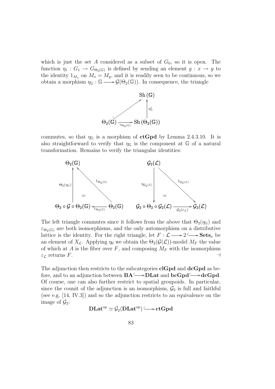which is just the set A considered as a subset of  $G_0$ , so it is open. The function  $\eta_1: G_1 \to G_{\Theta_2(\mathbb{G})}$  is defined by sending an element  $g: x \to y$  to the identity  $1_{M_x}$  on  $M_x = M_y$ , and it is readily seen to be continuous, so we obtain a morphism  $\eta_{\mathbb{G}} : \mathbb{G} \longrightarrow \mathcal{G}(\Theta_2(\mathbb{G}))$ . In consequence, the triangle



commutes, so that  $\eta_{\mathbb{G}}$  is a morphism of **ctGpd** by Lemma 2.4.3.10. It is also straightforward to verify that  $\eta_{\mathbb{G}}$  is the component at  $\mathbb{G}$  of a natural transformation. Remains to verify the triangular identities:



The left triangle commutes since it follows from the above that  $\Theta_2(\eta_{\mathbb{G}})$  and  $\varepsilon_{\Theta_2(\mathbb{G})}$  are both isomorphisms, and the only automorphism on a distributive lattice is the identity. For the right triangle, let  $F : \mathcal{L} \longrightarrow 2 \longrightarrow \mathbf{Sets}_{\kappa}$  be an element of  $X_{\mathcal{L}}$ . Applying  $\eta_0$  we obtain the  $\Theta_2(\mathcal{G}(\mathcal{L}))$ -model  $M_F$  the value of which at A is the fiber over F, and composing  $M_F$  with the isomorphism  $\varepsilon_{\mathcal{L}}$  returns F.

The adjunction then restricts to the subcategories  $clGpd$  and  $dcGpd$  as before, and to an adjunction between  $BA \longrightarrow DL$  and  $bcGpd \longrightarrow dcGpd$ . Of course, one can also further restrict to spatial groupoids. In particular, since the counit of the adjunction is an isomorphism,  $\mathcal{G}_2$  is full and faithful (see e.g. [14, IV.3]) and so the adjunction restricts to an equivalence on the image of  $\mathcal{G}_2$ :

$$
\mathbf{DLat}^{\mathrm{op}}\simeq \mathcal{G}_2(\mathbf{DLat}^{\mathrm{op}})\,\tilde{\longrightarrow}\,\mathbf{ctGpd}
$$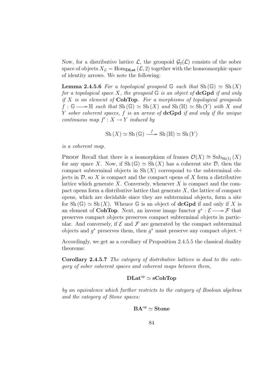Now, for a distributive lattice  $\mathcal{L}$ , the groupoid  $\mathcal{G}_2(\mathcal{L})$  consists of the sober space of objects  $X_{\mathcal{L}} = \text{Hom}_{\text{DLat}}(\mathcal{L}, 2)$  together with the homeomorphic space of identity arrows. We note the following:

**Lemma 2.4.5.6** For a topological groupoid G such that  $\text{Sh}(\mathbb{G}) \simeq \text{Sh}(X)$ for a topological space X, the groupoid  $\mathbb G$  is an object of **dcGpd** if and only if X is an element of **CohTop**. For a morphisms of topological groupoids  $f : \mathbb{G} \longrightarrow \mathbb{H}$  such that  $\text{Sh}(\mathbb{G}) \simeq \text{Sh}(X)$  and  $\text{Sh}(\mathbb{H}) \simeq \text{Sh}(Y)$  with X and Y sober coherent spaces,  $f$  is an arrow of  $dcGpd$  if and only if the unique continuous map  $f' : X \to Y$  induced by

$$
Sh(X) \simeq Sh(\mathbb{G}) \xrightarrow{f} Sh(\mathbb{H}) \simeq Sh(Y)
$$

is a coherent map.

PROOF Recall that there is a isomorphism of frames  $\mathcal{O}(X) \cong \text{Sub}_{\text{Sh}(1)}(X)$ for any space X. Now, if  $\text{Sh}(\mathbb{G}) \simeq \text{Sh}(X)$  has a coherent site  $\mathcal{D}$ , then the compact subterminal objects in  $\mathrm{Sh}(X)$  correspond to the subterminal objects in  $\mathcal{D}$ , so X is compact and the compact opens of X form a distributive lattice which generate X. Conversely, whenever X is compact and the compact opens form a distributive lattice that generate  $X$ , the lattice of compact opens, which are decidable since they are subterminal objects, form a site for Sh  $(\mathbb{G}) \simeq$  Sh  $(X)$ . Whence  $\mathbb{G}$  is an object of **dcGpd** if and only if X is an element of **CohTop**. Next, an inverse image functor  $g^* : \mathcal{E} \longrightarrow \mathcal{F}$  that preserves compact objects preserves compact subterminal objects in particular. And conversely, if  $\mathcal E$  and  $\mathcal F$  are generated by the compact subterminal objects and  $g^*$  preserves them, then  $g^*$  must preserve any compact object.  $\vdash$ 

Accordingly, we get as a corollary of Proposition 2.4.5.5 the classical duality theorems:

Corollary 2.4.5.7 The category of distributive lattices is dual to the category of sober coherent spaces and coherent maps between them,

### $DLat^{op} \simeq sCohTop$

by an equivalence which further restricts to the category of Boolean algebras and the category of Stone spaces:

$$
BA^{\mathrm{op}}\simeq\mathbf{Stone}
$$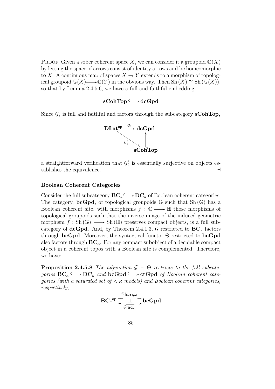**PROOF** Given a sober coherent space X, we can consider it a groupoid  $\mathbb{G}(X)$ by letting the space of arrows consist of identity arrows and be homeomorphic to X. A continuous map of spaces  $X \to Y$  extends to a morphism of topological groupoid  $\mathbb{G}(X) \longrightarrow \mathbb{G}(Y)$  in the obvious way. Then  $\mathrm{Sh}(X) \cong \mathrm{Sh}(\mathbb{G}(X)),$ so that by Lemma 2.4.5.6, we have a full and faithful embedding

# sCohTop └→dcGpd

Since  $\mathcal{G}_2$  is full and faithful and factors through the subcategory sCohTop,



a straightforward verification that  $\mathcal{G}'_2$  is essentially surjective on objects establishes the equivalence.  $\Box$ 

#### Boolean Coherent Categories

Consider the full subcategory  $BC_{\kappa} \longrightarrow DC_{\kappa}$  of Boolean coherent categories. The category, **bcGpd**, of topological groupoids  $\mathbb{G}$  such that  $\text{Sh}(\mathbb{G})$  has a Boolean coherent site, with morphisms  $f : \mathbb{G} \longrightarrow \mathbb{H}$  those morphisms of topological groupoids such that the inverse image of the induced geometric morphism  $f : Sh(\mathbb{G}) \longrightarrow Sh(\mathbb{H})$  preserves compact objects, is a full subcategory of **dcGpd**. And, by Theorem 2.4.1.3,  $\mathcal{G}$  restricted to  $\mathbf{BC}_{\kappa}$  factors through bcGpd. Moreover, the syntactical functor  $\Theta$  restricted to bcGpd also factors through  $BC_{\kappa}$ . For any compact subobject of a decidable compact object in a coherent topos with a Boolean site is complemented. Therefore, we have:

**Proposition 2.4.5.8** The adjunction  $\mathcal{G} \vdash \Theta$  restricts to the full subcategories  $BC_{\kappa} \longrightarrow DC_{\kappa}$  and  $bcGpd \longrightarrow ctGpd$  of Boolean coherent categories (with a saturated set of  $\lt$   $\kappa$  models) and Boolean coherent categories, respectively,

$$
\mathbf{BC}_{\kappa}^{\mathrm{op}}{\xrightarrow[\mathcal{G}]_{\mathrm{BC}_{\kappa}}\mathrm{bcGpd}}
$$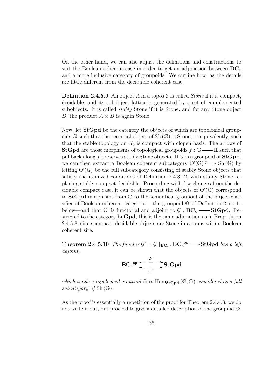On the other hand, we can also adjust the definitions and constructions to suit the Boolean coherent case in order to get an adjunction between  $\mathbf{BC}_{\kappa}$ and a more inclusive category of groupoids. We outline how, as the details are little different from the decidable coherent case.

**Definition 2.4.5.9** An object A in a topos  $\mathcal{E}$  is called *Stone* if it is compact, decidable, and its subobject lattice is generated by a set of complemented subobjects. It is called stably Stone if it is Stone, and for any Stone object B, the product  $A \times B$  is again Stone.

Now, let StGpd be the category the objects of which are topological groupoids  $\mathbb{G}$  such that the terminal object of  $\mathrm{Sh}(\mathbb{G})$  is Stone, or equivalently, such that the stable topology on  $G_0$  is compact with clopen basis. The arrows of **StGpd** are those morphisms of topological groupoids  $f : \mathbb{G} \longrightarrow \mathbb{H}$  such that pullback along f preserves stably Stone objects. If  $\mathbb G$  is a groupoid of  $StGpd$ ,  $\mu$  and then extract a Boolean coherent subcategory  $\Theta'(\mathbb{G}) \longrightarrow$  Sh (G) by letting  $\Theta'(\mathbb{G})$  be the full subcategory consisting of stably Stone objects that satisfy the itemized conditions of Definition 2.4.3.12, with stably Stone replacing stably compact decidable. Proceeding with few changes from the decidable compact case, it can be shown that the objects of  $\Theta'(\mathbb{G})$  correspond to StGpd morphisms from G to the semantical groupoid of the object classifier of Boolean coherent categories—the groupoid  $\mathbb{O}$  of Definition 2.5.0.11 below—and that  $\Theta'$  is functorial and adjoint to  $\mathcal{G}: BC_{\kappa} \longrightarrow \mathbf{StGpd}.$  Restricted to the category bcGpd, this is the same adjunction as in Proposition 2.4.5.8, since compact decidable objects are Stone in a topos with a Boolean coherent site.

**Theorem 2.4.5.10** The functor  $\mathcal{G}' = \mathcal{G} \restriction_{\mathbf{BC}_{\kappa}}: \mathbf{BC}_{\kappa}^{\mathrm{op}} \longrightarrow \mathbf{StGpd}$  has a left adjoint,

$$
{\rm BC}_\kappa{}^{op} \overline{\underbrace{\qquad \qquad }_{\Theta'}^{\mathcal{G}'}}\rm StGpd}
$$

which sends a topological groupoid  $\mathbb{G}$  to  $\text{Hom}_{\text{StGpd}}(\mathbb{G}, \mathbb{O})$  considered as a full subcategory of  $Sh(\mathbb{G})$ .

As the proof is essentially a repetition of the proof for Theorem 2.4.4.3, we do not write it out, but proceed to give a detailed description of the groupoid O.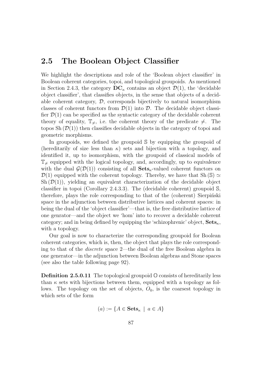# 2.5 The Boolean Object Classifier

We highlight the descriptions and role of the 'Boolean object classifier' in Boolean coherent categories, topoi, and topological groupoids. As mentioned in Section 2.4.3, the category  $DC_{\kappa}$  contains an object  $\mathcal{D}(1)$ , the 'decidable object classifier', that classifies objects, in the sense that objects of a decidable coherent category,  $\mathcal{D}$ , corresponds bijectively to natural isomorphism classes of coherent functors from  $\mathcal{D}(1)$  into  $\mathcal{D}$ . The decidable object classifier  $\mathcal{D}(1)$  can be specified as the syntactic category of the decidable coherent theory of equality,  $\mathbb{T}_{\neq}$ , i.e. the coherent theory of the predicate  $\neq$ . The topos Sh  $(\mathcal{D}(1))$  then classifies decidable objects in the category of topoi and geometric morphisms.

In groupoids, we defined the groupoid S by equipping the groupoid of (hereditarily of size less than  $\kappa$ ) sets and bijection with a topology, and identified it, up to isomorphism, with the groupoid of classical models of  $\mathbb{T}_{\neq}$  equipped with the logical topology, and, accordingly, up to equivalence with the dual  $\mathcal{G}(\mathcal{D}(1))$  consisting of all  $\textbf{Sets}_{\kappa}$ -valued coherent functors on  $\mathcal{D}(1)$  equipped with the coherent topology. Thereby, we have that Sh (S)  $\simeq$ Sh  $(\mathcal{D}(1))$ , yielding an equivalent characterization of the decidable object classifier in topoi (Corollary 2.4.3.3). The (decidable coherent) groupoid S, therefore, plays the role corresponding to that of the (coherent) Sierpinski space in the adjunction between distributive lattices and coherent spaces: in being the dual of the 'object classifier'—that is, the free distributive lattice of one genrator—and the object we 'hom' into to recover a decidable coherent category; and in being defined by equipping the 'schizophrenic' object,  $\textbf{Sets}_{\kappa}$ , with a topology.

Our goal is now to characterize the corresponding groupoid for Boolean coherent categories, which is, then, the object that plays the role corresponding to that of the discrete space 2—the dual of the free Boolean algebra in one generator—in the adjunction between Boolean algebras and Stone spaces (see also the table following page 92).

**Definition 2.5.0.11** The topological groupoid  $\mathbb{O}$  consists of hereditarily less than  $\kappa$  sets with bijections between them, equipped with a topology as follows. The topology on the set of objects,  $O_0$ , is the coarsest topology in which sets of the form

$$
(a) := \{ A \in \mathbf{Sets}_{\kappa} \mid a \in A \}
$$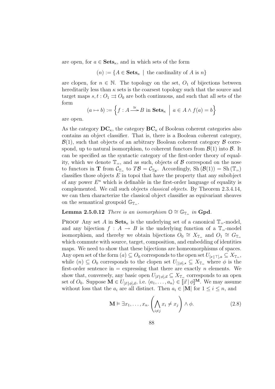are open, for  $a \in \textbf{Sets}_{\kappa}$ , and in which sets of the form

$$
(n) := \{ A \in \mathbf{Sets}_{\kappa} \mid \text{ the cardinality of } A \text{ is } n \}
$$

are clopen, for  $n \in \mathbb{N}$ . The topology on the set,  $O_1$  of bijections between hereditarily less than  $\kappa$  sets is the coarsest topology such that the source and target maps  $s, t : O_1 \rightrightarrows O_0$  are both continuous, and such that all sets of the form o

$$
(a \mapsto b) := \left\{ f : A \stackrel{\cong}{\longrightarrow} B \text{ in } \mathbf{Sets}_{\kappa} \mid a \in A \wedge f(a) = b \right\}
$$

are open.

As the category  $\mathbf{DC}_{\kappa}$ , the category  $\mathbf{BC}_{\kappa}$  of Boolean coherent categories also contains an object classifier. That is, there is a Boolean coherent category,  $\mathcal{B}(1)$ , such that objects of an arbitrary Boolean coherent category  $\beta$  correspond, up to natural isomorphism, to coherent functors from  $\mathcal{B}(1)$  into  $\mathcal{B}$ . It can be specified as the syntactic category of the first-order theory of equality, which we denote  $\mathbb{T}_=$ , and as such, objects of  $\beta$  correspond on the nose to functors in **T** from  $\mathcal{C}_{\mathbb{T}_{\equiv}}$  to  $T\mathcal{B} = \mathcal{C}_{\mathbb{T}_{\mathcal{B}}}$ . Accordingly,  $\mathrm{Sh}(\mathcal{B}(1)) = \mathrm{Sh}(\mathbb{T}_{\equiv})$ classifies those objects  $E$  in topoi that have the property that any subobject of any power  $E<sup>n</sup>$  which is definable in the first-order language of equality is complemented. We call such objects classical objects. By Theorem 2.3.4.14, we can then characterize the classical object classifier as equivariant sheaves on the semantical groupoid  $\mathbb{G}_{\mathbb{T}^-}$ .

### Lemma 2.5.0.12 There is an isomorphism  $\mathbb{O} \cong \mathbb{G}_{\mathbb{T}_+}$  in Gpd.

PROOF Any set A in  $\textbf{Sets}_{\kappa}$  is the underlying set of a canonical  $\mathbb{T}_{=}$ -model, and any bijection  $f : A \to B$  is the underlying function of a  $\mathbb{T}_=$ -model isomorphism, and thereby we obtain bijections  $\widetilde{O}_0 \cong X_{\mathbb{T}_{\equiv}}$  and  $O_1 \cong G_{\mathbb{T}_{\equiv}}$ which commute with source, target, composition, and embedding of identities maps. We need to show that these bijections are homeomorphisms of spaces. Any open set of the form  $(a) \subseteq O_0$  corresponds to the open set  $U_{[x] \sqsubset \sqcap_a} \subseteq X_{\mathbb{T}_{=}}$ , while  $(n) \subseteq O_0$  corresponds to the clopen set  $U_{\left[\phi\right],\star} \subseteq X_{\mathbb{T}_{\equiv}}$  where  $\phi$  is the first-order sentence in  $=$  expressing that there are exactly *n* elements. We show that, conversely, any basic open  $U_{[\vec{x} | \phi], \vec{a}} \subseteq X_{\mathbb{T}_{\equiv}}$  corresponds to an open set of  $O_0$ . Suppose  $\mathbf{M} \in U_{[\vec{x} | \phi], \vec{a}}$ , i.e.  $\langle a_1, \ldots, a_n \rangle \in [\![\vec{x} | \phi]\!]^{\mathbf{M}}$ . We may assume without loss that the  $a_i$  are all distinct. Then  $a_i \in |\mathbf{M}|$  for  $1 \leq i \leq n$ , and

$$
\mathbf{M} \vDash \exists x_1, \dots, x_n. \left( \bigwedge_{i \neq j} x_i \neq x_j \right) \land \phi. \tag{2.8}
$$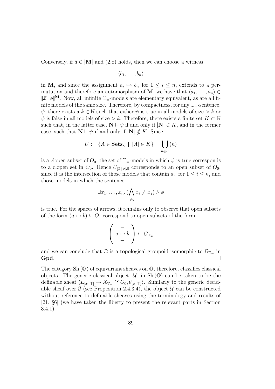Conversely, if  $\vec{a} \in |\mathbf{M}|$  and (2.8) holds, then we can choose a witness

$$
\langle b_1,\ldots,b_n\rangle
$$

in M, and since the assignment  $a_i \mapsto b_i$ , for  $1 \leq i \leq n$ , extends to a permutation and therefore an automorphism of M, we have that  $\langle a_1, \ldots, a_n \rangle \in$  $[\![\vec{x}\!]\phi]\!]^{\mathbf{M}}$ . Now, all infinite  $\mathbb{T}_{=}$ -models are elementary equivalent, as are all finite models of the same size. Therefore, by compactness, for any  $\mathbb{T}_{=}$ -sentence,  $\psi$ , there exists a  $k \in \mathbb{N}$  such that either  $\psi$  is true in all models of size > k or  $\psi$  is false in all models of size > k. Therefore, there exists a finite set  $K \subset \mathbb{N}$ such that, in the latter case,  $N \models \psi$  if and only if  $|N| \in K$ , and in the former case, such that  $N \models \psi$  if and only if  $|N| \notin K$ . Since

$$
U := \{ A \in \mathbf{Sets}_{\kappa} \mid |A| \in K \} = \bigcup_{n \in K} (n)
$$

is a clopen subset of  $O_0$ , the set of  $\mathbb{T}_=$ -models in which  $\psi$  is true corresponds to a clopen set in  $O_0$ . Hence  $U_{[\vec{x}|\phi],\vec{a}}$  corresponds to an open subset of  $O_0$ , since it is the intersection of those models that contain  $a_i$ , for  $1 \le i \le n$ , and those models in which the sentence

$$
\exists x_1, \ldots, x_n \colon (\bigwedge_{i \neq j} x_i \neq x_j) \land \phi
$$

is true. For the spaces of arrows, it remains only to observe that open subsets of the form  $(a \mapsto b) \subseteq O_1$  correspond to open subsets of the form

$$
\left(\begin{array}{c} - \\ a \mapsto b \\ - \end{array}\right) \subseteq G_{\mathbb{T}_{\neq}}
$$

and we can conclude that  $\mathbb{O}$  is a topological groupoid isomorphic to  $\mathbb{G}_{\mathbb{T}_{=}}$  in  $Gpd.$ 

The category  $\text{Sh}(\mathbb{O})$  of equivariant sheaves on  $\mathbb{O}$ , therefore, classifies classical objects. The generic classical object,  $\mathcal{U}$ , in Sh( $\mathbb{O}$ ) can be taken to be the definable sheaf  $\langle E_{[x|\top]} \to X_{\mathbb{T}_{=}^{\perp}} \cong O_0, \theta_{[x|\top]} \rangle$ . Similarly to the generic decidable sheaf over  $\Im$  (see Proposition 2.4.3.4), the object U can be constructed without reference to definable sheaves using the terminology and results of [21, §6] (we have taken the liberty to present the relevant parts in Section 3.4.1):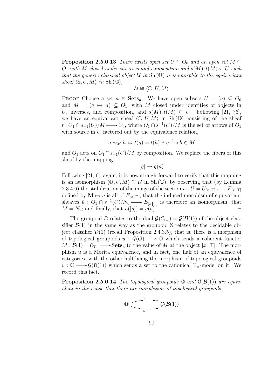**Proposition 2.5.0.13** There exists open set  $U \subseteq O_0$  and an open set  $M \subseteq$  $O_1$  with M closed under inverses and composition and  $s(M), t(M) \subseteq U$  such that the generic classical object  $U$  in  $Sh(\mathbb{O})$  is isomorphic to the equivariant sheaf  $\langle \mathbb{S}, U, M \rangle$  in Sh $(\mathbb{O}),$ 

$$
\mathcal{U} \cong \langle \mathbb{O}, U, M \rangle
$$

PROOF Choose a set  $a \in \textbf{Sets}_{\kappa}$ . We have open subsets  $U = (a) \subseteq O_0$ and  $M = (a \mapsto a) \subseteq O_1$ , with M closed under identities of objects in U, inverses, and composition, and  $s(M), t(M) \subseteq U$ . Following [21, §6], we have an equivariant sheaf  $\langle \mathbb{O}, U, M \rangle$  in Sh  $(\mathbb{O})$  consisting of the sheaf  $t: O_1 \cap s_{-1}(U)/M \longrightarrow O_0$ , where  $O_1 \cap s^{-1}(U)/M$  is the set of arrows of  $O_1$ with source in  $U$  factored out by the equivalence relation,

$$
g \sim_M h \Leftrightarrow t(g) = t(h) \wedge g^{-1} \circ h \in M
$$

and  $O_1$  acts on  $O_1 \cap s_{-1}(U)/M$  by composition. We replace the fibers of this sheaf by the mapping

 $[q] \mapsto q(a)$ 

Following [21, 6], again, it is now straightforward to verify that this mapping is an isomorphism  $\langle \mathbb{O}, U, M \rangle \cong U$  in Sh $(\mathbb{O})$ , by observing that (by Lemma 2.3.4.6) the stabilization of the image of the section  $u: U = U_{[x|\top],a} \to E_{[x|\top]}$ defined by  $\mathbf{M} \mapsto a$  is all of  $E_{[x|\top]}$ ; that the induced morphism of equivariant sheaves  $\tilde{u}$  :  $O_1 \cap s^{-1}(U)/N_u \longrightarrow E_{[x] \sqsubset \sqcap}$  is therefore an isomorphism; that  $M = N_u$ ; and finally, that  $\tilde{u}([g]) = g(a)$ .

The groupoid  $\mathbb O$  relates to the dual  $\mathcal G(\mathcal C_{\mathbb T-}) = \mathcal G(\mathcal B(1))$  of the object classifier  $\mathcal{B}(1)$  in the same way as the groupoid S relates to the decidable object classifier  $\mathcal{D}(1)$  (recall Proposition 2.4.3.5), that is, there is a morphism of topological groupoids  $u : \mathcal{G}(O) \longrightarrow \mathbb{O}$  which sends a coherent functor  $M : \mathcal{B}(1) = \mathcal{C}_{\mathbb{T}_{=}} \longrightarrow$ **Sets**<sub>k</sub> to the value of M at the object  $[x | \top]$ . The morphism  $u$  is a Morita equivalence, and in fact, one half of an equivalence of categories, with the other half being the morphism of topological groupoids  $v : \mathbb{O} \longrightarrow \mathcal{G}(\mathcal{B}(1))$  which sends a set to the canonical  $\mathbb{T}_=$ -model on it. We record this fact.

**Proposition 2.5.0.14** The topological groupoids  $\mathbb{O}$  and  $\mathcal{G}(\mathcal{B}(1))$  are equivalent in the sense that there are morphisms of topological groupoids

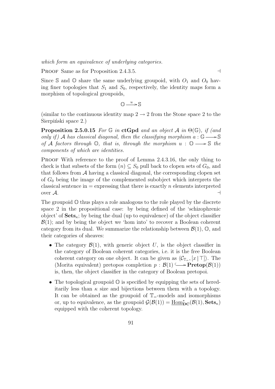which form an equivalence of underlying categories.

PROOF Same as for Proposition 2.4.3.5.  $\Box$ 

Since S and  $\mathbb O$  share the same underlying groupoid, with  $O_1$  and  $O_0$  having finer topologies that  $S_1$  and  $S_0$ , respectively, the identity maps form a morphism of topological groupoids,

$$
\mathbb{O} \xrightarrow{u} \mathbb{S}
$$

(similar to the continuous identity map  $2 \rightarrow 2$  from the Stone space 2 to the Sierpiński space 2.)

**Proposition 2.5.0.15** For G in ctGpd and an object A in  $\Theta(\mathbb{G})$ , if (and only if) A has classical diagonal, then the classifying morphism  $a : \mathbb{G} \longrightarrow \mathbb{S}$ of A factors through  $\mathbb{O}$ , that is, through the morphism  $u : \mathbb{O} \longrightarrow \mathbb{S}$  the components of which are identities.

PROOF With reference to the proof of Lemma 2.4.3.16, the only thing to check is that subsets of the form  $(n) \subseteq S_0$  pull back to clopen sets of  $G_0$ , and that follows from  $A$  having a classical diagonal, the corresponding clopen set of  $G_0$  being the image of the complemented subobject which interprets the classical sentence in  $=$  expressing that there is exactly n elements interpreted over  $\mathcal{A}$ .

The groupoid  $\mathbb{O}$  thus plays a role analogous to the role played by the discrete space 2 in the propositional case: by being defined of the 'schizophrenic object' of  $Sets_{\kappa}$ ; by being the dual (up to equivalence) of the object classifier  $\mathcal{B}(1)$ ; and by being the object we 'hom into' to recover a Boolean coherent category from its dual. We summarize the relationship between  $\mathcal{B}(1)$ ,  $\mathbb{O}$ , and their categories of sheaves:

- The category  $\mathcal{B}(1)$ , with generic object U, is the object classifier in the category of Boolean coherent categories, i.e. it is the free Boolean coherent category on one object. It can be given as  $\langle C_{\mathbb{T}_{\!=\!}}[x \mid \top] \rangle$ . The (Morita equivalent) pretopos completion  $p : \mathcal{B}(1) \longrightarrow \textbf{Pretop}(\mathcal{B}(1))$ is, then, the object classifier in the category of Boolean pretopoi.
- The topological groupoid  $\mathbb O$  is specified by equipping the sets of hereditarily less than  $\kappa$  size and bijections between them with a topology. It can be obtained as the groupoid of  $\mathbb{T}_{=}$ -models and isomorphisms or, up to equivalence, as the groupoid  $\mathcal{G}(\mathcal{B}(1)) = \underline{\text{Hom}}_{\text{DC}}^*(\mathcal{B}(1), \textbf{Sets}_{\kappa})$ equipped with the coherent topology.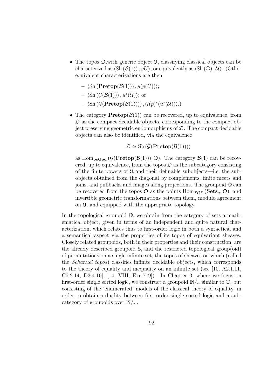- The topos  $\mathfrak{O},$  with generic object  $\mathfrak{U},$  classifying classical objects can be characterized as  $\langle Sh(\mathcal{B}(1)), yU\rangle$ , or equivalently as  $\langle Sh(\mathbb{O}), \mathcal{U}\rangle$ . (Other equivalent characterizations are then
	- $\langle$ Sh (**Pretop**( $\mathcal{B}(1)$ )),  $y(p(U))$ ;
	- $\langle \mathrm{Sh}(\mathcal{G}(\mathcal{B}(1))) , u^*(\mathcal{U}) \rangle;$  or
	- $\langle \mathrm{Sh}(\mathcal{G}(\mathbf{Pretop}(\mathcal{B}(1)))) , \mathcal{G}(p)^*(u^*(\mathcal{U})) \rangle.$
- The category  $\text{Pretop}(\mathcal{B}(1))$  can be recovered, up to equivalence, from  $\mathfrak D$  as the compact decidable objects, corresponding to the compact object preserving geometric endomorphisms of  $\mathfrak{O}$ . The compact decidable objects can also be identified, via the equivalence

$$
\mathfrak{O} \simeq \mathrm{Sh}\left(\mathcal{G}(\mathbf{Pretop}(\mathcal{B}(1)))\right)
$$

as Hom<sub>bcGpd</sub>  $(\mathcal{G}(\text{Pretop}(\mathcal{B}(1))), \mathbb{O})$ . The category  $\mathcal{B}(1)$  can be recovered, up to equivalence, from the topos  $\mathfrak D$  as the subcategory consisting of the finite powers of  $\mathfrak U$  and their definable subobjects—i.e. the subobjects obtained from the diagonal by complements, finite meets and joins, and pullbacks and images along projections. The groupoid  $\mathbb{O}$  can be recovered from the topos  $\mathfrak{O}$  as the points  $\text{Hom}_{\mathcal{TOP}}(\textbf{Sets}_{\kappa}, \mathfrak{O})$ , and invertible geometric transformations between them, modulo agreement on U, and equipped with the appropriate topology.

In the topological groupoid  $\mathbb{O}$ , we obtain from the category of sets a mathematical object, given in terms of an independent and quite natural characterization, which relates thus to first-order logic in both a syntactical and a semantical aspect via the properties of its topos of equivariant sheaves. Closely related groupoids, both in their properties and their construction, are the already described groupoid S, and the restricted topological group(oid) of permutations on a single infinite set, the topos of sheaves on which (called the Schanuel topos) classifies infinite decidable objects, which corresponds to the theory of equality and inequality on an infinite set (see [10, A2.1.11, C5.2.14, D3.4.10,  $[14, VIII, Exc.7-9]$ . In Chapter 3, where we focus on first-order single sorted logic, we construct a groupoid  $\mathbb{N}/\sim$  similar to  $\mathbb{O}$ , but consisting of the 'enumerated' models of the classical theory of equality, in order to obtain a duality between first-order single sorted logic and a subcategory of groupoids over  $\mathbb{N}/\sim$ .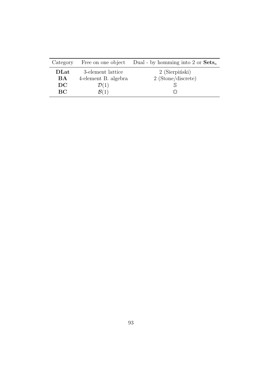| Category  |                      | Free on one object Dual - by homming into 2 or $\textbf{Sets}_{\kappa}$ |
|-----------|----------------------|-------------------------------------------------------------------------|
| DLat      | 3-element lattice    | 2 (Sierpiński)                                                          |
| <b>BA</b> | 4-element B. algebra | $2$ (Stone/discrete)                                                    |
| DC        | $\mathcal{D}(1)$     |                                                                         |
| <b>BC</b> | $\mathcal{B}(1)$     |                                                                         |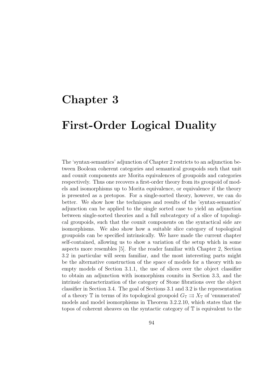# Chapter 3

# First-Order Logical Duality

The 'syntax-semantics' adjunction of Chapter 2 restricts to an adjunction between Boolean coherent categories and semantical groupoids such that unit and counit components are Morita equivalences of groupoids and categories respectively. Thus one recovers a first-order theory from its groupoid of models and isomorphisms up to Morita equivalence, or equivalence if the theory is presented as a pretopos. For a single-sorted theory, however, we can do better. We show how the techniques and results of the 'syntax-semantics' adjunction can be applied to the single sorted case to yield an adjunction between single-sorted theories and a full subcategory of a slice of topological groupoids, such that the counit components on the syntactical side are isomorphisms. We also show how a suitable slice category of topological groupoids can be specified intrinsically. We have made the current chapter self-contained, allowing us to show a variation of the setup which in some aspects more resembles [5]. For the reader familiar with Chapter 2, Section 3.2 in particular will seem familiar, and the most interesting parts might be the alternative construction of the space of models for a theory with no empty models of Section 3.1.1, the use of slices over the object classifier to obtain an adjunction with isomorphism counits in Section 3.3, and the intrinsic characterization of the category of Stone fibrations over the object classifier in Section 3.4. The goal of Sections 3.1 and 3.2 is the representation of a theory  $\mathbb T$  in terms of its topological groupoid  $G_{\mathbb T} \rightrightarrows X_{\mathbb T}$  of 'enumerated' models and model isomorphisms in Theorem 3.2.2.10, which states that the topos of coherent sheaves on the syntactic category of T is equivalent to the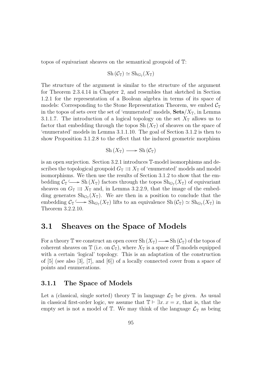topos of equivariant sheaves on the semantical groupoid of T:

$$
Sh(\mathcal{C}_{\mathbb{T}})\simeq Sh_{G_{\mathbb{T}}}(X_{\mathbb{T}})
$$

The structure of the argument is similar to the structure of the argument for Theorem 2.3.4.14 in Chapter 2, and resembles that sketched in Section 1.2.1 for the representation of a Boolean algebra in terms of its space of models: Corresponding to the Stone Representation Theorem, we embed  $\mathcal{C}_{\mathbb{T}}$ in the topos of sets over the set of 'enumerated' models,  $\textbf{Sets}/X_{\mathbb{T}}$ , in Lemma 3.1.1.7. The introduction of a logical topology on the set  $X_{\mathbb{T}}$  allows us to factor that embedding through the topos  $Sh(X_{\tau})$  of sheaves on the space of 'enumerated' models in Lemma 3.1.1.10. The goal of Section 3.1.2 is then to show Proposition 3.1.2.8 to the effect that the induced geometric morphism

$$
Sh(X_{\mathbb{T}}) \longrightarrow Sh(\mathcal{C}_{\mathbb{T}})
$$

is an open surjection. Section 3.2.1 introduces T-model isomorphisms and describes the topological groupoid  $G_{\mathbb{T}} \rightrightarrows X_{\mathbb{T}}$  of 'enumerated' models and model isomorphisms. We then use the results of Section 3.1.2 to show that the embedding  $C_{\mathbb{T}} \longrightarrow$  Sh  $(X_{\mathbb{T}})$  factors through the topos  $\text{Sh}_{G_{\mathbb{T}}}(X_{\mathbb{T}})$  of equivariant sheaves on  $G_{\mathbb{T}} \rightrightarrows X_{\mathbb{T}}$  and, in Lemma 3.2.2.9, that the image of the embedding generates  $\text{Sh}_{G_{\mathbb{T}}}(X_{\mathbb{T}})$ . We are then in a position to conclude that the embedding  $C_{\mathbb{T}} \longrightarrow \text{Sh}_{G_{\mathbb{T}}}(X_{\mathbb{T}})$  lifts to an equivalence  $\text{Sh}(\mathcal{C}_{\mathbb{T}}) \simeq \text{Sh}_{G_{\mathbb{T}}}(X_{\mathbb{T}})$  in Theorem 3.2.2.10.

## 3.1 Sheaves on the Space of Models

For a theory  $\mathbb T$  we construct an open cover  $\mathrm{Sh}(X_{\mathbb T}) \longrightarrow \mathrm{Sh}(\mathcal{C}_{\mathbb T})$  of the topos of coherent sheaves on  $\mathbb T$  (i.e. on  $\mathcal{C}_{\mathbb T}$ ), where  $X_{\mathbb T}$  is a space of  $\mathbb T$ -models equipped with a certain 'logical' topology. This is an adaptation of the construction of [5] (see also [3], [7], and [6]) of a locally connected cover from a space of points and enumerations.

### 3.1.1 The Space of Models

Let a (classical, single sorted) theory  $\mathbb T$  in language  $\mathcal L_{\mathbb T}$  be given. As usual in classical first-order logic, we assume that  $\mathbb{T} \vdash \exists x \ldotp x = x$ , that is, that the empty set is not a model of  $\mathbb{T}$ . We may think of the language  $\mathcal{L}_{\mathbb{T}}$  as being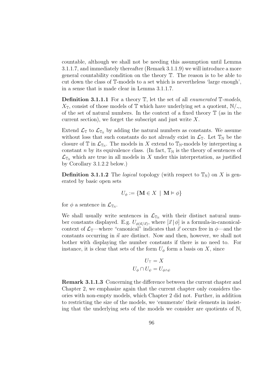countable, although we shall not be needing this assumption until Lemma 3.1.1.7, and immediately thereafter (Remark 3.1.1.9) we will introduce a more general countability condition on the theory T. The reason is to be able to cut down the class of T-models to a set which is nevertheless 'large enough', in a sense that is made clear in Lemma 3.1.1.7.

**Definition 3.1.1.1** For a theory  $T$ , let the set of all *enumerated*  $T$ -models,  $X_{\mathbb{T}}$ , consist of those models of  $\mathbb{T}$  which have underlying set a quotient,  $\mathbb{N}/\sim$ , of the set of natural numbers. In the context of a fixed theory  $\mathbb T$  (as in the current section), we forget the subscript and just write  $X$ .

Extend  $\mathcal{L}_{\mathbb{T}}$  to  $\mathcal{L}_{\mathbb{T}_N}$  by adding the natural numbers as constants. We assume without loss that such constants do not already exist in  $\mathcal{L}_{\mathbb{T}}$ . Let  $\mathbb{T}_{\mathbb{N}}$  be the closure of  $\mathbb T$  in  $\mathcal L_{\mathbb T_N}$ . The models in X extend to  $\mathbb T_N$ -models by interpreting a constant n by its equivalence class. (In fact,  $\mathbb{T}_N$  is the theory of sentences of  $\mathcal{L}_{\mathbb{T}_{\mathbb{N}}}$  which are true in all models in X under this interpretation, as justified by Corollary 3.1.2.2 below.)

**Definition 3.1.1.2** The *logical* topology (with respect to  $\mathbb{T}_N$ ) on X is generated by basic open sets

$$
U_{\phi} := \{ \mathbf{M} \in X \: \mid \: \mathbf{M} \vDash \phi \}
$$

for  $\phi$  a sentence in  $\mathcal{L}_{\mathbb{T}_N}$ .

We shall usually write sentences in  $\mathcal{L}_{T_N}$  with their distinct natural number constants displayed. E.g.  $U_{\phi(\vec{n}/\vec{x})}$ , where  $[\vec{x} | \phi]$  is a formula-in-canonicalcontext of  $\mathcal{L}_{\mathbb{T}}$ —where "canonical" indicates that  $\vec{x}$  occurs free in  $\phi$ —and the constants occurring in  $\vec{n}$  are distinct. Now and then, however, we shall not bother with displaying the number constants if there is no need to. For instance, it is clear that sets of the form  $U_{\phi}$  form a basis on X, since

$$
U_{\top} = X
$$

$$
U_{\phi} \cap U_{\psi} = U_{\phi \wedge \psi}
$$

Remark 3.1.1.3 Concerning the difference between the current chapter and Chapter 2, we emphasize again that the current chapter only considers theories with non-empty models, which Chapter 2 did not. Further, in addition to restricting the size of the models, we 'enumerate' their elements in insisting that the underlying sets of the models we consider are quotients of N,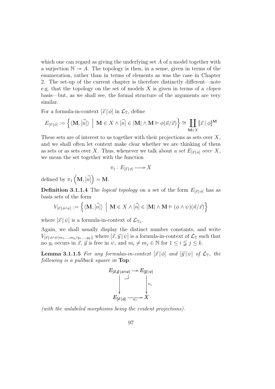which one can regard as giving the underlying set A of a model together with a surjection  $\mathbb{N} \to A$ . The topology is then, in a sense, given in terms of the enumeration, rather than in terms of elements as was the case in Chapter 2. The set-up of the current chapter is therefore distinctly different—note e.g. that the topology on the set of models  $X$  is given in terms of a *clopen* basis—but, as we shall see, the formal structure of the arguments are very similar.

For a formula-in-context  $[\vec{x} | \phi]$  in  $\mathcal{L}_T$ , define

$$
E_{[\vec{x}\,|\,\phi]} := \left\{ \langle \mathbf{M}, [\vec{n}] \rangle \; \left| \; \mathbf{M} \in X \wedge [\vec{n}] \in |\mathbf{M}| \wedge \mathbf{M} \vDash \phi(\vec{n}/\vec{x}) \right\} \cong \coprod_{\mathbf{M} \in X} [\![\vec{x}\,|\,\phi]\!]^{\mathbf{M}}
$$

These sets are of interest to us together with their projections as sets over  $X$ , and we shall often let context make clear whether we are thinking of them as sets or as sets over X. Thus, whenever we talk about a set  $E_{\vec{x} | \phi}$  over X, we mean the set together with the function

$$
\pi_1: E_{[\vec{x}\,|\,\phi]} \longrightarrow X
$$

defined by  $\pi_1$  $\overline{a}$  $\mathbf{M}, \vec{[n]}$ ´  $=$  M.

**Definition 3.1.1.4** The *logical topology* on a set of the form  $E_{[\vec{x}|\phi]}$  has as basis sets of the form o

$$
V_{[\vec{x}|\phi \land \psi]} := \left\{ \langle \mathbf{M}, [\vec{n}] \rangle \middle| \mathbf{M} \in X \land [\vec{n}] \in |\mathbf{M}| \land \mathbf{M} \vDash (\phi \land \psi)(\vec{n}/\vec{x}) \right\}
$$

where  $[\vec{x} | \psi]$  is a formula-in-context of  $\mathcal{L}_{\mathbb{T}_N}$ .

Again, we shall usually display the distinct number constants, and write  $V_{[\vec{x}|\phi \wedge \psi(m_1,...,m_k/y_1,...,y_k)]}$  where  $[\vec{x}, \vec{y} | \psi]$  is a formula-in-context of  $\mathcal{L}_{\mathbb{T}}$  such that no  $y_i$  occurs in  $\vec{x}$ ,  $\vec{y}$  is free in  $\psi$ , and  $m_i \neq m_j \in \mathbb{N}$  for  $1 \leq i \leq j \leq k$ .

**Lemma 3.1.1.5** For any formulas-in-context  $[\vec{x} | \phi]$  and  $[\vec{y} | \psi]$  of  $\mathcal{L}_{\mathbb{T}}$ , the following is a pullback square in **Top**:

$$
E_{[\vec{x},\vec{y}] \phi \land \psi]} \longrightarrow E_{[\vec{y}] \psi]}
$$

$$
\downarrow \qquad \qquad \downarrow \qquad \qquad \downarrow
$$

$$
E_{[\vec{x}] \phi]} \longrightarrow X
$$

(with the unlabeled morphisms being the evident projections).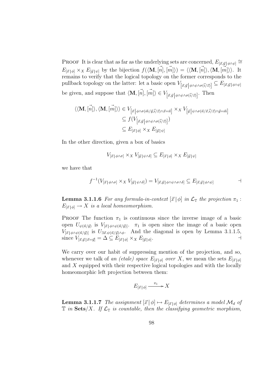PROOF It is clear that as far as the underlying sets are concerned,  $E_{[\vec{x},\vec{y}]|\phi\wedge\psi]}$  $E_{[\vec{x}|\phi]} \times_X E_{[\vec{y}|\psi]}$  by the bijection  $f(\langle \mathbf{M}, [\vec{n}], [\vec{m}]\rangle) = \langle \langle \mathbf{M}, [\vec{n}] \rangle, \langle \mathbf{M}, [\vec{m}] \rangle \rangle$ . It remains to verify that the logical topology on the former corresponds to the pullback topology on the latter: let a basic open  $V_{[\vec{x},\vec{y}]\phi \wedge \psi \wedge \sigma(\vec{i}/\vec{z})}] \subseteq E_{[\vec{x},\vec{y}]\phi \wedge \psi}$ be given, and suppose that  $\langle \mathbf{M}, [\vec{n}], [\vec{m}] \rangle \in V_{[\vec{x}, \vec{y}] \phi \wedge \psi \wedge \sigma(\vec{i}/\vec{z})]}$ . Then

$$
\langle \langle \mathbf{M}, [\vec{n}] \rangle, \langle \mathbf{M}, [\vec{m}] \rangle \rangle \in V_{[\vec{x} | \phi \land \sigma(\vec{m}/\vec{y}, \vec{i}/\vec{z}) \land \vec{x} = \vec{n}]} \times_X V_{[\vec{y} | \psi \land \sigma(\vec{u}/\vec{x}, \vec{i}/\vec{z}) \land \vec{y} = \vec{m}]} \subseteq f(V_{[\vec{x}, \vec{y} | \phi \land \psi \land \sigma(\vec{i}/\vec{z})]}) \subseteq E_{[\vec{x} | \phi]} \times_X E_{[\vec{y} | \psi]}
$$

In the other direction, given a box of basics

$$
V_{[\vec{x}|\phi \wedge \sigma]} \times_X V_{[\vec{y}|\psi \wedge \delta]} \subseteq E_{[\vec{x}|\phi]} \times_X E_{[\vec{y}|\psi]}
$$

we have that

$$
f^{-1}(V_{[\vec{x}|\phi\wedge\sigma]} \times_X V_{[\vec{y}|\psi\wedge\delta]}) = V_{[\vec{x},\vec{y}|\phi\wedge\psi\wedge\sigma\wedge\delta]} \subseteq E_{[\vec{x},\vec{y}|\phi\wedge\psi]} \qquad \qquad \Box
$$

**Lemma 3.1.1.6** For any formula-in-context  $[\vec{x} | \phi]$  in  $\mathcal{L}_{\mathbb{T}}$  the projection  $\pi_1$ :  $E_{[\vec{x}|\phi]} \to X$  is a local homeomorphism.

**PROOF** The function  $\pi_1$  is continuous since the inverse image of a basic open  $U_{\psi(\vec{n}/\vec{y})}$  is  $V_{[\vec{x}|\phi \wedge \psi(\vec{n}/\vec{y})]}$ .  $\pi_1$  is open since the image of a basic open  $V_{\vec{x} | \phi \wedge \psi(\vec{n}/\vec{y})}$  is  $U_{\exists \vec{x} \cdot \psi(\vec{n}/\vec{y}) \wedge \phi}$ . And the diagonal is open by Lemma 3.1.1.5, since  $V_{[\vec{x},\vec{y}|\vec{x}=\vec{y}]} = \Delta \subseteq E_{[\vec{x}|\phi]} \times_X E_{[\vec{y}|\phi]}$ .

We carry over our habit of suppressing mention of the projection, and so, whenever we talk of an (etale) space  $E_{[\vec{x}|\phi]}$  over X, we mean the sets  $E_{[\vec{x}|\phi]}$ and X equipped with their respective logical topologies and with the locally homeomorphic left projection between them:

$$
E_{[\vec{x}|\phi]} \xrightarrow{\pi_1} X
$$

**Lemma 3.1.1.7** The assignment  $[\vec{x} | \phi] \mapsto E_{[\vec{x} | \phi]}$  determines a model  $\mathcal{M}_d$  of  $\mathbb T$  in  $\mathbf{Sets}/X$ . If  $\mathcal L_{\mathbb T}$  is countable, then the classifying geometric morphism,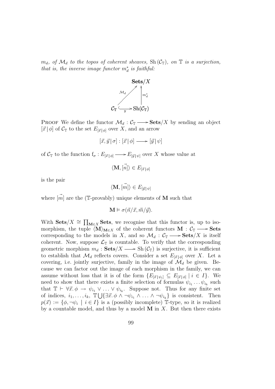$m_d$ , of  $\mathcal{M}_d$  to the topos of coherent sheaves,  $\text{Sh}(\mathcal{C}_{\mathbb{T}})$ , on  $\mathbb{T}$  is a surjection, that is, the inverse image functor  $m_d^*$  is faithful:



**PROOF** We define the functor  $\mathcal{M}_d : \mathcal{C}_{\mathbb{T}} \longrightarrow$  **Sets**/X by sending an object  $[\vec{x} | \phi]$  of  $\mathcal{C}_{\mathbb{T}}$  to the set  $E_{[\vec{x} | \phi]}$  over X, and an arrow

$$
\left[\vec{x},\vec{y}\,|\,\sigma\right]:\left[\vec{x}\,|\,\phi\right]\longrightarrow\left[\vec{y}\,|\,\psi\right]
$$

of  $C_{\mathbb{F}}$  to the function  $f_{\sigma}: E_{\vec{x}|\phi} \longrightarrow E_{\vec{y}|\psi}$  over X whose value at

 $\langle \mathbf{M}, [\vec{n}] \rangle \in E_{[\vec{x} \mid \phi]}$ 

is the pair

$$
\langle \mathbf{M}, \vec{[m]} \rangle \in E_{[\vec{y}]|\psi|}
$$

where  $\overrightarrow{m}$  are the (T-provably) unique elements of **M** such that

$$
\mathbf{M} \models \sigma(\vec{n}/\vec{x}, \vec{m}/\vec{y}).
$$

With Sets/ $X \cong \prod$  $M \in X$  Sets, we recognise that this functor is, up to isomorphism, the tuple  $\langle M \rangle_{M\in X}$  of the coherent functors  $M : C_{\mathbb{T}} \longrightarrow$  Sets corresponding to the models in X, and so  $\mathcal{M}_d : \mathcal{C}_{\mathbb{T}} \longrightarrow \mathbf{Sets}/X$  is itself coherent. Now, suppose  $\mathcal{L}_{\mathbb{T}}$  is countable. To verify that the corresponding geometric morphism  $m_d : \mathbf{Sets}/X \longrightarrow Sh(\mathcal{C}_{\mathbb{T}})$  is surjective, it is sufficient to establish that  $\mathcal{M}_d$  reflects covers. Consider a set  $E_{\vec{x} \mid \phi}$  over X. Let a covering, i.e. jointly surjective, family in the image of  $\mathcal{M}_d$  be given. Because we can factor out the image of each morphism in the family, we can assume without loss that it is of the form  $\{E_{[\vec{x}| \psi_i]}\subseteq E_{[\vec{x}| \phi]} \mid i \in I\}$ . We need to show that there exists a finite selection of formulas  $\psi_{i_1} \dots \psi_{i_k}$  such that  $\mathbb{T} \vdash \forall \vec{x}.\ \phi \rightarrow \psi_{i_1} \vee \ldots \vee \psi_{i_k}$ . Suppose not. Thus for any finite set of indices,  $i_1, \ldots, i_k$ ,  $\mathbb{T}\bigcup{\{\exists \vec{x}. \phi \land \neg \psi_{i_1} \land \ldots \land \neg \psi_{i_k}\}}$  is consistent. Then  $p(\vec{x}) := \{\phi, \neg \psi_i \mid i \in I\}$  is a (possibly incomplete) T-type, so it is realized by a countable model, and thus by a model  $M$  in  $X$ . But then there exists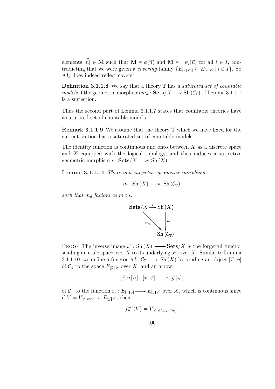elements  $|\vec{n}| \in M$  such that  $M \models \phi(\vec{n})$  and  $M \models \neg \psi_i(\vec{n})$  for all  $i \in I$ , contradicting that we were given a *covering* family  $\{E_{[\vec{x}|\psi_i]}\subseteq E_{[\vec{x}|\phi]} \mid i \in I\}$ . So  $\mathcal{M}_d$  does indeed reflect covers.

**Definition 3.1.1.8** We say that a theory  $\mathbb{T}$  has a saturated set of countable models if the geometric morphism  $m_d : \textbf{Sets}/X \longrightarrow \text{Sh } (\mathcal{C}_{\mathbb{T}})$  of Lemma 3.1.1.7 is a surjection.

Thus the second part of Lemma 3.1.1.7 states that countable theories have a saturated set of countable models.

Remark 3.1.1.9 We assume that the theory T which we have fixed for the current section has a saturated set of countable models.

The identity function is continuous and onto between  $X$  as a discrete space and X equipped with the logical topology, and thus induces a surjective geometric morphism  $\iota : \mathbf{Sets}/X \longrightarrow \mathrm{Sh}(X)$ .

Lemma 3.1.1.10 There is a surjective geometric morphism

 $m : Sh(X) \longrightarrow Sh(\mathcal{C}_{\mathbb{T}})$ 

such that  $m_d$  factors as  $m \circ \iota$ :



**PROOF** The inverse image  $\iota^*$ : Sh $(X) \longrightarrow$ **Sets**/X is the forgetful functor sending an etale space over  $X$  to its underlying set over  $X$ . Similar to Lemma 3.1.1.10, we define a functor  $\mathcal{M} : \mathcal{C}_{\mathbb{T}} \longrightarrow Sh(X)$  by sending an object  $[\vec{x} | \phi]$ of  $\mathcal{C}_{\mathbb{T}}$  to the space  $E_{[\vec{x}|\phi]}$  over X, and an arrow

$$
[\vec{x}, \vec{y} | \sigma] : [\vec{x} | \phi] \longrightarrow [\vec{y} | \psi]
$$

of  $C_{\mathbb{F}}$  to the function  $f_{\sigma}: E_{[\vec{x}|\phi]} \longrightarrow E_{[\vec{y}|\psi]}$  over X, which is continuous since if  $V = V_{[\vec{y}] \psi \wedge \eta]} \subseteq E_{[\vec{y}] \psi]}$ , then

$$
f_{\sigma}^{-1}(V) = V_{[\vec{x} | \phi \wedge \exists \vec{y}.\eta \wedge \sigma]}.
$$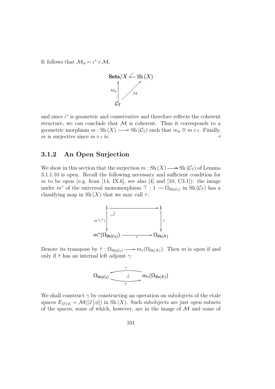It follows that  $\mathcal{M}_d = \iota^* \circ \mathcal{M},$ 



and since  $\iota^*$  is geometric and conservative and therefore reflects the coherent structure, we can conclude that  $M$  is coherent. Thus it corresponds to a geometric morphism  $m : Sh(X) \longrightarrow Sh(\mathcal{C}_{\mathbb{T}})$  such that  $m_d \cong m \circ \iota$ . Finally, m is surjective since  $m \circ \iota$  is.

## 3.1.2 An Open Surjection

We show in this section that the surjection  $m : Sh(X) \longrightarrow Sh(\mathcal{C}_{\mathbb{T}})$  of Lemma 3.1.1.10 is open. Recall the following necessary and sufficient condition for m to be open (e.g. from [14, IX.6], see also [4] and [10, C3.1]): the image under  $m^*$  of the universal monomorphism  $\top : 1 \to \Omega_{\text{Sh}(\mathcal{C}_T)}$  in  $\text{Sh}(\mathcal{C}_T)$  has a classifying map in Sh $(X)$  that we may call  $\tau$ :



Denote its transpose by  $\tilde{\tau} : \Omega_{\text{Sh}(\mathcal{C}_{\mathbb{T}})} \longrightarrow m_*(\Omega_{\text{Sh}(X)})$ . Then m is open if and only if  $\tilde{\tau}$  has an internal left adjoint  $\gamma$ :

$$
\Omega_{\mathrm{Sh}(\mathcal{C}_{\mathbb{T}})}\xrightarrow[\tilde{\tau}]{\ \ \gamma\ \ }}m_*(\Omega_{\mathrm{Sh}(X)})
$$

We shall construct  $\gamma$  by constructing an operation on subobjects of the etale spaces  $E_{[\vec{x}|\phi]} = \mathcal{M}([\vec{x}|\phi])$  in Sh(X). Such subobjects are just open subsets of the spaces, some of which, however, are in the image of  $\mathcal M$  and some of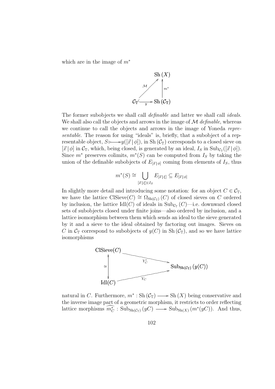which are in the image of  $m^*$ 



The former subobjects we shall call *definable* and latter we shall call *ideals*. We shall also call the objects and arrows in the image of  $\mathcal M$  definable, whereas we continue to call the objects and arrows in the image of Yoneda representable. The reason for using "ideals" is, briefly, that a subobject of a representable object,  $S \rightarrow y([\vec{x} | \phi]),$  in Sh $(C_T)$  corresponds to a closed sieve on  $[\vec{x} | \phi]$  in  $\mathcal{C}_{\mathbb{T}}$ , which, being closed, is generated by an ideal,  $I_S$  in  $\text{Sub}_{\mathcal{C}_{\mathbb{T}}}([\vec{x} | \phi]).$ Since  $m^*$  preserves colimits,  $m^*(S)$  can be computed from  $I_S$  by taking the union of the definable subobjects of  $E_{[\vec{x}|\phi]}$  coming from elements of  $I_s$ , thus

$$
m^*(S) \cong \bigcup_{[\vec{x}]\in I_S} E_{[\vec{x}]\xi]} \subseteq E_{[\vec{x}]\phi]}
$$

In slightly more detail and introducing some notation: for an object  $C \in \mathcal{C}_{\mathbb{T}}$ , we have the lattice ClSieve(C)  $\cong \Omega_{\text{Sh}(\mathcal{C}_{T})}(C)$  of closed sieves on C ordered by inclusion, the lattice  $\text{Idl}(C)$  of ideals in  $\text{Sub}_{\mathcal{C}_{\mathbb{T}}}(C)$ —i.e. downward closed sets of subobjects closed under finite joins—also ordered by inclusion, and a lattice isomorphism between them which sends an ideal to the sieve generated by it and a sieve to the ideal obtained by factoring out images. Sieves on C in  $C_T$  correspond to subobjects of  $y(C)$  in Sh $(C_T)$ , and so we have lattice isomorphisms



natural in C. Furthermore,  $m^* : Sh(\mathcal{C}_{\mathbb{T}}) \longrightarrow Sh(X)$  being conservative and the inverse image part of a geometric morphism, it restricts to order reflecting lattice morphisms  $\widehat{m_C^*}$ : Sub<sub>Sh(CT)</sub> (yC)  $\longrightarrow$  Sub<sub>Sh(X)</sub> ( $m^*(yC)$ ). And thus,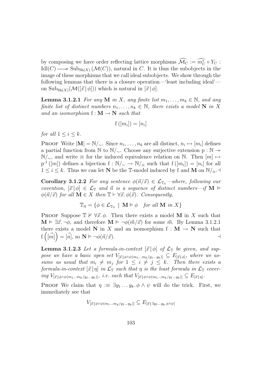by composing we have order reflecting lattice morphisms  $\widehat{\mathcal{M}_C} := \widehat{m_C^*} \circ Y_C$ :  $\text{Idl}(C) \longrightarrow \text{Sub}_{\text{Sh}(X)} (\mathcal{M}(C))$ , natural in C. It is thus the subobjects in the image of these morphisms that we call ideal subobjects. We show through the following lemmas that there is a closure operation—'least including ideal' on  $\text{Sub}_{\text{Sh}(X)}(\mathcal{M}([\vec{x} \mid \phi]))$  which is natural in  $[\vec{x} \mid \phi]$ .

**Lemma 3.1.2.1** For any M in X, any finite list  $m_1, \ldots, m_k \in \mathbb{N}$ , and any finite list of distinct numbers  $n_1, \ldots, n_k \in \mathbb{N}$ , there exists a model N in X and an isomorphism  $f : M \to N$  such that

$$
f([m_i]) = [n_i]
$$

for all  $1 \leq i \leq k$ .

PROOF Write  $|M| = N/\sim$ . Since  $n_1, \ldots, n_k$  are all distinct,  $n_i \mapsto [m_i]$  defines a partial function from N to  $\mathbb{N}/\sim$ . Choose any surjective extension p : N →  $\mathbb{N}/_{\sim}$ , and write  $\equiv$  for the induced equivalence relation on  $\mathbb{N}$ . Then  $[m] \mapsto$  $p^{-1}([m])$  defines a bijection  $f: \mathbb{N}_{\ell} \to \mathbb{N}_{\ell}$  such that  $f([m_i]) = [n_i]$  for all  $1 \leq i \leq k$ . Thus we can let N be the T-model induced by f and M on  $\mathbb{N}/_{\equiv}$ .

**Corollary 3.1.2.2** For any sentence  $\phi(\vec{n}/\vec{x}) \in \mathcal{L}_{T_N}$  –where, following our covention,  $[\vec{x} | \phi] \in \mathcal{L}_{\mathbb{T}}$  and  $\vec{n}$  is a sequence of distinct numbers—if M  $\models$  $\phi(\vec{n}/\vec{x})$  for all  $\mathbf{M} \in X$  then  $\mathbb{T} \vdash \forall \vec{x}.\ \phi(\vec{x})$ . Consequently,

$$
\mathbb{T}_{\mathbb{N}} = \{ \phi \in \mathcal{L}_{\mathbb{T}_{\mathbb{N}}} \mid \mathbf{M} \models \phi \quad \text{for all } \mathbf{M} \text{ in } X \}
$$

PROOF Suppose  $\mathbb{T} \nvDash \forall \vec{x}$ . Then there exists a model M in X such that  $\mathbf{M} \models \exists \vec{x}.\neg \phi$ , and therefore  $\mathbf{M} \models \neg \phi(\vec{m}/\vec{x})$  for some  $\vec{m}$ . By Lemma 3.1.2.1 there exists a model N in X and an isomorphism  $f : M \to N$  such that  $f\left(\vec{m}\right) = \vec{n}, \text{ so } \mathbf{N} \models \neg \phi(\vec{n}/\vec{x}).$ 

**Lemma 3.1.2.3** Let a formula-in-context  $[\vec{x} | \phi]$  of  $\mathcal{L}_{\mathbb{T}}$  be given, and suppose we have a basic open set  $V_{[\vec{x}|\phi \wedge \psi(m_1...m_k/y_1...y_k)]} \subseteq E_{[\vec{x}|\phi]}$ , where we assume as usual that  $m_i \neq m_j$  for  $1 \leq i \neq j \leq k$ . Then there exists a formula-in-context  $[\vec{x} | \eta]$  in  $\mathcal{L}_{\mathbb{T}}$  such that  $\eta$  is the least formula in  $\mathcal{L}_{\mathbb{T}}$  covering  $V_{[\vec{x}|\phi \wedge \psi(m_1...m_k/y_1...y_k)]}$ , i.e. such that  $V_{[\vec{x}|\phi \wedge \psi(m_1...m_k/y_1...y_k)]} \subseteq E_{[\vec{x}|\eta]}$ .

PROOF We claim that  $\eta := \exists y_1 \dots y_k$ .  $\phi \wedge \psi$  will do the trick. First, we immediately see that

 $V_{[\vec{x}|\phi \wedge \psi(m_1...m_k/y_1...y_k)]} \subseteq E_{[\vec{x}|\exists y_1...y_k,\phi \wedge \psi]}$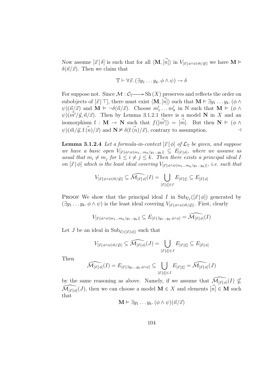Now assume  $[\vec{x} | \delta]$  is such that for all  $\langle \mathbf{M}, [\vec{n}] \rangle$  in  $V_{[\vec{x} | \phi \wedge \psi(\vec{m}/\vec{y})]}$  we have  $\mathbf{M} \models$  $\delta(\vec{n}/\vec{x})$ . Then we claim that

$$
\mathbb{T} \vdash \forall \vec{x}. (\exists y_1 \ldots y_k. \phi \land \psi) \rightarrow \delta
$$

For suppose not. Since  $\mathcal{M}: \mathcal{C}_{\mathbb{T}} \longrightarrow Sh(X)$  preserves and reflects the order on subobjects of  $[\vec{x} \mid \top]$ , there must exist  $\langle \mathbf{M}, [\vec{n}] \rangle$  such that  $\mathbf{M} \models \exists y_1 \dots y_k.$   $(\phi \land \neg \exists \phi)$  $\psi$ )( $\vec{n}/\vec{x}$ ) and  $\mathbf{M} \models \neg \delta(\vec{n}/\vec{x})$ . Choose  $m'_1 \dots m'_k$  in  $\mathbb{N}$  such that  $\mathbf{M} \models (\phi \land \phi)$  $\psi$ )( $m'/\vec{y}, \vec{n}/\vec{x}$ ). Then by Lemma 3.1.2.1 there is a model **N** in X and an isomorphism  $f : \mathbf{M} \to \mathbf{N}$  such that  $f(m') = [m]$ . But then  $\mathbf{N} \models (\phi \land$  $\psi$ )( $\vec{m}/\vec{y}$ , f  $\vec{(n)}/\vec{x}$ ) and  $\mathbf{N} \not\vDash \delta(\vec{f}(\vec{n})/\vec{x})$ , contrary to assumption.

**Lemma 3.1.2.4** Let a formula-in-context  $[\vec{x} | \phi]$  of  $\mathcal{L}_{\mathbb{T}}$  be given, and suppose we have a basic open  $V_{[\vec{x}|\phi \wedge \psi(m_1...m_k/y_1...y_k)]} \subseteq E_{[\vec{x}|\phi]}$ , where we assume as usual that  $m_i \neq m_j$  for  $1 \leq i \neq j \leq k$ . Then there exists a principal ideal I on  $[\vec{x} | \phi]$  which is the least ideal covering  $V_{[\vec{x} | \phi \land \psi(m_1...m_k/y_1...y_k)]}$ , i.e. such that

$$
V_{[\vec{x}|\phi \wedge \psi(\vec{m}/\vec{y})]} \subseteq \widehat{\mathcal{M}_{[\vec{x}|\phi]}}(I) = \bigcup_{[\vec{x}|\xi] \in I} E_{[\vec{x}|\xi]} \subseteq E_{[\vec{x}|\phi]}
$$

**PROOF** We show that the principal ideal I in  $\text{Sub}_{\mathcal{C}_{\mathbb{T}}}([\vec{x} | \phi])$  generated by  $(\exists y_1 \ldots y_k, \phi \wedge \psi)$  is the least ideal covering  $V_{[\vec{x} | \phi \wedge \psi(\vec{m}/\vec{y})]}$ . First, clearly

$$
V_{[\vec{x}|\phi \land \psi(m_1 \dots m_k/y_1 \dots y_k)]} \subseteq E_{[\vec{x}|\exists y_1 \dots y_k \dots \phi \land \psi]} = \widehat{\mathcal{M}_{[\vec{x}|\phi]}}(I)
$$

Let J be an ideal in  $\text{Sub}_{\mathcal{C}_{\mathbb{T}}([\vec{x} \mid \phi])}$  such that

$$
V_{[\vec{x}|\phi \wedge \psi(\vec{m}/\vec{y})]} \subseteq \widehat{\mathcal{M}_{[\vec{x}|\phi]}}(J) = \bigcup_{[\vec{x}|\xi] \in J} E_{[\vec{x}|\xi]} \subseteq E_{[\vec{x}|\phi]}
$$

Then

$$
\widehat{\mathcal{M}_{[\vec{x}\,|\,\phi]}}(I)=E_{[\vec{x}\,|\,\exists y_1\ldots y_k.\phi\land\psi]}\subseteq\bigcup_{[\vec{x}\,|\,\xi]\in J}E_{[\vec{x}\,|\,\xi]}=\widehat{\mathcal{M}_{[\vec{x}\,|\,\phi]}}(J)
$$

by the same reasoning as above. Namely, if we assume that  $\widehat{\mathcal{M}}_{\vec{[x]}\phi}(I) \nsubseteq$  $\widehat{\mathcal{M}_{\lbrack\vec{x}\rbrack\phi\lbrack}}(J)$ , then we can choose a model  $\mathbf{M}\in X$  and elements  $[\vec{n}]\in \mathbf{M}$  such that

$$
\mathbf{M} \vDash \exists y_1 \ldots y_k. \ (\phi \wedge \psi)(\vec{n}/\vec{x})
$$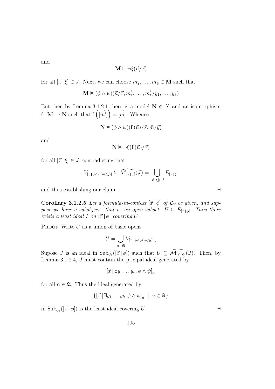and

$$
\mathbf{M} \vDash \neg \xi(\vec{n}/\vec{x})
$$

for all  $[\vec{x} | \xi] \in J$ . Next, we can choose  $m'_1, \ldots, m'_k \in M$  such that

$$
\mathbf{M} \vDash (\phi \land \psi)(\vec{n}/\vec{x}, m'_1, \dots, m'_k/y_1, \dots, y_k)
$$

But then by Lemma 3.1.2.1 there is a model  $N \in X$  and an isomorphism But then by Lemma 3.1.2.1 there is a model<br>  $f : M \to N$  such that  $f\left(\vec{m'}\right) = \vec{m}$ . Whence

$$
\mathbf{N} \models (\phi \land \psi)(f(\vec{n})/\vec{x}, \vec{m}/\vec{y})
$$

and

$$
\mathbf{N}\vDash\neg\xi(f\left(\vec{n}\right)/\vec{x})
$$

for all  $[\vec{x} | \xi] \in J$ , contradicting that

$$
V_{[\vec{x} | \phi \land \psi(\vec{m}/\vec{y})]} \subseteq \widehat{\mathcal{M}_{[\vec{x} | \phi]}}(J) = \bigcup_{[\vec{x} | \xi] \in J} E_{[\vec{x} | \xi]}
$$

and thus establishing our claim.  $\Box$ 

**Corollary 3.1.2.5** Let a formula-in-context  $[\vec{x} | \phi]$  of  $\mathcal{L}_{\mathbb{T}}$  be given, and suppose we have a subobject—that is, an open subset— $U \subseteq E_{\lbrack \vec{x} \rbrack \phi \rbrack}$ . Then there exists a least ideal I on  $[\vec{x} | \phi]$  covering U.

**PROOF** Write  $U$  as a union of basic opens

$$
U = \bigcup_{\alpha \in \mathfrak{A}} V_{[\vec{x} \, | \, \phi \wedge \psi(\vec{m}/\vec{y})]_{\alpha}}
$$

Supose *J* is an ideal in  $\text{Sub}_{\mathcal{C}_{\mathbb{T}}}([\vec{x} \mid \phi])$  such that  $U \subseteq \widehat{\mathcal{M}_{[\vec{x} \mid \phi]}}(J)$ . Then, by Lemma 3.1.2.4, J must contain the pricipal ideal generated by

$$
[\vec{x} \,|\, \exists y_1 \ldots y_k. \, \phi \wedge \psi]_{\alpha}
$$

for all  $\alpha \in \mathfrak{A}$ . Thus the ideal generated by

$$
\{[\vec{x} \,|\, \exists y_1 \ldots y_k, \phi \wedge \psi]_{\alpha} \mid \alpha \in \mathfrak{A}\}
$$

in  $\text{Sub}_{\mathcal{C}_{\mathbb{T}}}([\vec{x} \mid \phi])$  is the least ideal covering U.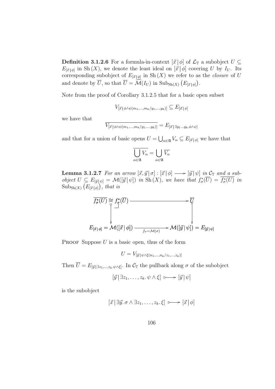**Definition 3.1.2.6** For a formula-in-context  $[\vec{x} | \phi]$  of  $\mathcal{L}_T$  a subobject  $U \subseteq$  $E_{\vec{x}|\phi|}$  in Sh(X), we denote the least ideal on  $[\vec{x}|\phi]$  covering U by  $I_U$ . Its corresponding subobject of  $E_{[\vec{x}|\phi]}$  in Sh $(X)$  we refer to as the *closure* of U and denote by  $\overline{U}$ , so that  $\overline{U} = \widehat{\mathcal{M}}(I_U)$  in  $\text{Sub}_{\text{Sh}(X)}(E_{\vec{x}|\phi|})$ .

Note from the proof of Corollary 3.1.2.5 that for a basic open subset

 $V_{[\vec{x} \mid \phi \land \psi(m_1,...,m_k/y_1,...,y_k)]} \subseteq E_{[\vec{x} \mid \phi]}$ 

we have that

$$
V_{[\vec{x}|\phi \land \psi(m_1,...,m_k/y_1,...,y_k)]} = E_{[\vec{x}|\exists y_1...y_k.\phi \land \psi]}
$$

and that for a union of basic opens  $U =$ S  $_{\alpha\in\mathfrak{A}}V_{\alpha}\subseteq E_{[\vec{x}\,|\,\phi]}$  we have that

$$
\overline{\bigcup_{\alpha\in\mathfrak{A}}V_\alpha}=\bigcup_{\alpha\in\mathfrak{A}}\overline{V_\alpha}
$$

**Lemma 3.1.2.7** For an arrow  $[\vec{x}, \vec{y} | \sigma] : [\vec{x} | \phi] \longrightarrow [\vec{y} | \psi]$  in  $\mathcal{C}_{\mathbb{T}}$  and a subobject  $U \subseteq E_{[\vec{y}|\psi]} = \mathcal{M}([\vec{y}|\psi])$  in Sh $(X)$ , we have that  $f^*_{\sigma}(\overline{U}) = \overline{f^*_{\sigma}(U)}$  in  $Sub_{\text{Sh}(X)}$ ¡  $E_{[\vec{x}|\phi]}$ ¢ , that is

$$
\overline{f_{\sigma}^{*}(U)} \cong f_{\sigma}^{*}(\overline{U}) \longrightarrow \overline{U}
$$
\n
$$
\downarrow \qquad \qquad \downarrow \qquad \qquad \downarrow
$$
\n
$$
E_{[\vec{x}|\phi]} = \mathcal{M}([\vec{x}|\phi]) \longrightarrow_{f_{\sigma} = \mathcal{M}(\sigma)} \mathcal{M}([\vec{y}|\psi]) = E_{[\vec{y}|\psi]}
$$

**PROOF** Suppose  $U$  is a basic open, thus of the form

$$
U = V_{[\vec{y}|\psi \wedge \xi(n_1,\ldots,n_k/z_1,\ldots,z_k)]}
$$

Then  $\overline{U} = E_{[\vec{y}] \exists z_1,...,z_k,\psi \wedge \xi]}$ . In  $\mathcal{C}_{\mathbb{T}}$  the pullback along  $\sigma$  of the subobject

$$
[\vec{y} \,|\, \exists z_1, \ldots, z_k, \psi \wedge \xi] \ \longmapsto [\vec{y} \,|\, \psi]
$$

is the subobject

$$
[\vec{x} \,|\, \exists \vec{y}.\ \sigma \wedge \exists z_1,\ldots,z_k.\ \xi] \ \longmapsto [\vec{x} \,|\, \phi]
$$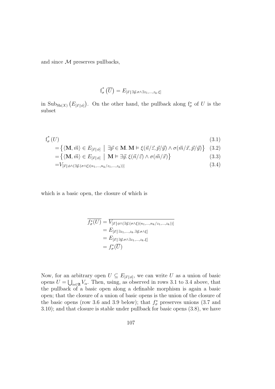and since  $\mathcal M$  preserves pullbacks,

$$
f_{\sigma}^*\left(\overline{U}\right) = E_{\left[\vec{x}\,\right] \exists \vec{y}.\sigma \wedge \exists z_1,\dots,z_k.\xi\right]}
$$

in  $\text{Sub}_{\text{Sh}(X)}$ ¡  $E_{[\vec{x}~|~\phi]}$ ¢ . On the other hand, the pullback along  $f^*_{\sigma}$  of U is the subset

$$
f_{\sigma}^{*}\left(U\right) \tag{3.1}
$$

$$
= \{ \langle \mathbf{M}, \vec{m} \rangle \in E_{[\vec{x}|\phi]} \mid \exists \vec{p} \in \mathbf{M}. \mathbf{M} \models \xi(\vec{n}/\vec{z}, \vec{p}/\vec{y}) \land \sigma(\vec{m}/\vec{x}, \vec{p}/\vec{y}) \} \quad (3.2)
$$

$$
= \{ \langle \mathbf{M}, \vec{m} \rangle \in E_{[\vec{x}|\phi]} \mid \mathbf{M} \models \exists \vec{y}. \xi(\vec{n}/\vec{z}) \land \sigma(\vec{m}/\vec{x}) \} \tag{3.3}
$$

$$
=V_{\left[\vec{x}\,\middle|\,\phi\land\left(\exists\vec{y}\cdot\left(\sigma\land\xi\right)\left(n_1,\ldots,n_k\right/z_1,\ldots,z_k\right)\right)]}\tag{3.4}
$$

which is a basic open, the closure of which is

$$
\overline{f_{\sigma}^*(U)} = \overline{V_{[\vec{x} \mid \phi \land (\exists \vec{y}.(\sigma \land \xi)(n_1, ..., n_k/z_1, ..., z_k))]}}
$$
\n
$$
= E_{[\vec{x} \mid \exists z_1, ..., z_k, \exists \vec{y}. \sigma \land \xi]}
$$
\n
$$
= E_{[\vec{x} \mid \exists \vec{y}. \sigma \land \exists z_1, ..., z_k, \xi]}
$$
\n
$$
= f_{\sigma}^*(\overline{U})
$$

Now, for an arbitrary open  $U \subseteq E_{[\vec{x}|\phi]}$ , we can write U as a union of basic opens  $U = \bigcup_{\alpha \in \mathfrak{A}} V_{\alpha}$ . Then, using, as observed in rows 3.1 to 3.4 above, that the pullback of a basic open along a definable morphism is again a basic open; that the closure of a union of basic opens is the union of the closure of the basic opens (row 3.6 and 3.9 below); that  $f_{\sigma}^*$  preserves unions (3.7 and 3.10); and that closure is stable under pullback for basic opens (3.8), we have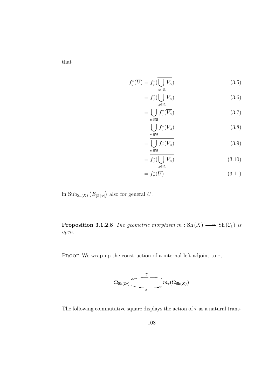that

$$
f_{\sigma}^*(\overline{U}) = f_{\sigma}^*(\overline{\bigcup_{\alpha \in \mathfrak{A}} V_{\alpha}})
$$
(3.5)

$$
= f_{\sigma}^* ( \bigcup_{\alpha \in \mathfrak{A}}^{\alpha \in \mathfrak{A}} \overline{V_{\alpha}} ) \tag{3.6}
$$

$$
= \bigcup_{\alpha \in \mathfrak{A}} f_{\sigma}^*(\overline{V_{\alpha}}) \tag{3.7}
$$

$$
= \bigcup_{\alpha \in \mathfrak{A}} \overline{f_{\sigma}^*(V_{\alpha})} \tag{3.8}
$$

$$
=\frac{\prod_{\alpha\in\mathfrak{A}}^{\alpha}f_{\sigma}^*(V_{\alpha})}{\bigcup_{\alpha\in\mathfrak{A}}f_{\sigma}^*(V_{\alpha})}
$$
(3.9)

$$
= \overline{f_{\sigma}^*(\bigcup_{\alpha \in \mathfrak{A}} V_{\alpha})}
$$
(3.10)

$$
=\overline{f_{\sigma}^*(U)}\tag{3.11}
$$

in  $\text{Sub}_{\text{Sh}(X)}$ ¡  $E_{[\vec{x}\,|\,\phi]}$ ¢ also for general  $U$ .

**Proposition 3.1.2.8** The geometric morphism  $m : Sh(X) \longrightarrow Sh(\mathcal{C}_{T})$  is open.

PROOF We wrap up the construction of a internal left adjoint to  $\tilde{\tau}$ ,



The following commutative square displays the action of  $\tilde{\tau}$  as a natural trans-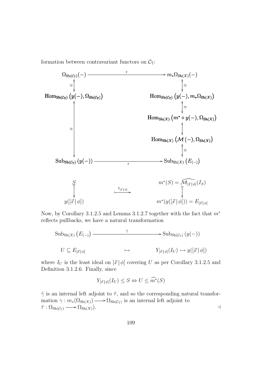formation between contravariant functors on  $C_{\mathbb{T}}$ :



Now, by Corollary 3.1.2.5 and Lemma 3.1.2.7 together with the fact that  $m^*$ reflects pullbacks, we have a natural transformation

Sub<sub>Sh(X)</sub> 
$$
(E_{(-)})
$$
  $\longrightarrow$  Sub<sub>Sh(C<sub>T</sub>)</sub>  $(y(-))$   
\n $U \subseteq E_{[\vec{x}|\phi]}$   $\longmapsto$   $Y_{[\vec{x}|\phi]}(I_U) \rightarrow y([\vec{x}|\phi])$ 

where  $I_U$  is the least ideal on  $[\vec{x} | \phi]$  covering U as per Corollary 3.1.2.5 and Definition 3.1.2.6. Finally, since

$$
Y_{[\vec{x}\,|\,\phi]}(I_U) \le S \Leftrightarrow U \le \widehat{m^*}(S)
$$

 $\hat{\gamma}$  is an internal left adjoint to  $\hat{\tau}$ , and so the corresponding natural transformation  $\gamma : m_*(\Omega_{\text{Sh}(X)}) \longrightarrow \Omega_{\text{Sh}(\mathcal{C}_{\mathbb{T}})}$  is an internal left adjoint to  $\tilde{\tau}: \Omega_{\mathrm{Sh}(\mathcal{C}_{\mathbb{T}})} \longrightarrow \Omega_{\mathrm{Sh}(X)}).$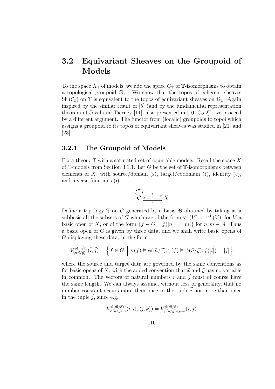# 3.2 Equivariant Sheaves on the Groupoid of Models

To the space  $X_{\mathbb{T}}$  of models, we add the space  $G_{\mathbb{T}}$  of  $\mathbb{T}$ -isomorphisms to obtain a topological groupoid  $\mathbb{G}_T$ . We show that the topos of coherent sheaves Sh  $(C_{\mathbb{T}})$  on  $\mathbb{T}$  is equivalent to the topos of equivariant sheaves on  $\mathbb{G}_{\mathbb{T}}$ . Again inspired by the similar result of [5] (and by the fundamental representation theorem of Joyal and Tierney [11], also presented in [10, C5.2]), we proceed by a different argument. The functor from (localic) groupoids to topoi which assigns a groupoid to its topos of equivariant sheaves was studied in [21] and [23].

## 3.2.1 The Groupoid of Models

Fix a theory  $\mathbb T$  with a saturated set of countable models. Recall the space X of  $\mathbb{T}$ -models from Section 3.1.1. Let G be the set of  $\mathbb{T}$ -isomorphisms between elements of X, with source/domain (s), target/codomain (t), identity (e), and inverse functions (i):

$$
\overbrace{G} \stackrel{s}{\xrightarrow{e-e}} X
$$

Define a topology  $\mathfrak T$  on G generated by a basis  $\mathfrak B$  obtained by taking as a subbasis all the subsets of G which are of the form  $s^{-1}(V)$  or  $t^{-1}(V)$ , for V a basic open of X, or of the form  $\{f \in G \mid f([n]) = [m]\}$  for  $n, m \in \mathbb{N}$ . Thus a basic open of  $G$  is given by three data, and we shall write basic opens of G displaying these data, in the form

$$
V_{\psi(\vec{n}/\vec{y})}^{\phi(\vec{m}/\vec{x})}(\vec{i},\vec{j}) = \left\{ f \in G \: \left| \: \operatorname{s}(f) \vDash \phi(\vec{m}/\vec{x}), \operatorname{t}(f) \vDash \psi(\vec{n}/\vec{y}), f([\vec{i}]) = [\vec{j}] \right. \right\}
$$

where the source and target data are governed by the same conventions as for basic opens of X, with the added convention that  $\vec{x}$  and  $\vec{y}$  has no variable in common. The vectors of natural numbers  $\vec{i}$  and  $\vec{j}$  must of course have the same length. We can always assume, without loss of generality, that no number constant occurs more than once in the tuple  $\vec{i}$  nor more than once in the tuple  $\vec{j}$ , since e.g.

$$
V_{\psi(\vec{n}/\vec{y})}^{\phi(\vec{m}/\vec{x})}(\langle i,i\rangle,\langle j,k\rangle)=V_{\psi(\vec{n}/\vec{y})\wedge j=k}^{\phi(\vec{m}/\vec{x})}(i,j)
$$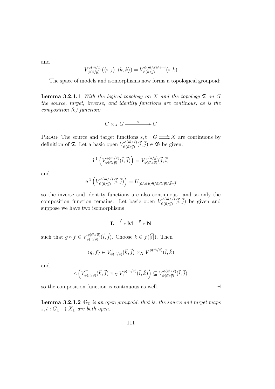and

$$
V_{\psi(\vec{n}/\vec{y})}^{\phi(\vec{m}/\vec{x})}(\langle i,j \rangle,\langle k,k \rangle) = V_{\psi(\vec{n}/\vec{y})}^{\phi(\vec{m}/\vec{x}) \wedge i=j}(i,k)
$$

The space of models and isomorphisms now forms a topological groupoid:

**Lemma 3.2.1.1** With the logical topology on X and the topology  $\mathfrak T$  on G the source, target, inverse, and identity functions are continous, as is the composition (c) function:

 $G \times_X G \xrightarrow{c} G$ 

**PROOF** The source and target functions  $s, t : G \longrightarrow X$  are continuous by definition of  $\mathfrak{T}$ . Let a basic open  $V_{\phi(\vec{\sigma},\vec{\mu})}^{\phi(\vec{m}/\vec{x})}$  $(\vec{w}^{(\vec{m}/\vec{x})}(\vec{i},\vec{j}) \in \mathfrak{B}$  be given.

$$
\mathrm{i}^{\text{-}1}\left(V_{\psi(\vec{n}/\vec{y})}^{\phi(\vec{m}/\vec{x})}(\vec{i},\vec{j})\right) = V_{\phi(\vec{m}/\vec{x})}^{\psi(\vec{n}/\vec{y})}(\vec{j},\vec{i})
$$

and

$$
e^{-1}\left(V^{\phi(\vec{m}/\vec{x})}_{\psi(\vec{n}/\vec{y})}(\vec{i},\vec{j})\right) = U_{(\phi \wedge \psi)(\vec{m}/\vec{x},\vec{n}/\vec{y}) \wedge \vec{i} = \vec{j}}
$$

so the inverse and identity functions are also continuous. and so only the composition function remains. Let basic open  $V^{\phi(\vec{m}/\vec{x})}_{\psi(\vec{n}/\vec{m})}$  $(\vec{w}^{(\vec{m}/\vec{x})}(\vec{i},\vec{j}))$  be given and suppose we have two isomorphisms

$$
L \xrightarrow{f} M \xrightarrow{g} N
$$

such that  $g \circ f \in V^{\phi(\vec{m}/\vec{x})}_{\psi(\vec{n}/\vec{m})}$  $\vec{v}^{(\vec{m}/\vec{x})}(\vec{i},\vec{j})$ . Choose  $\vec{k} \in f([\vec{i}])$ . Then

$$
\langle g, f \rangle \in V_{\psi(\vec{n}/\vec{y})}^{\top}(\vec{k}, \vec{j}) \times_X V_{\top}^{\phi(\vec{m}/\vec{x})}(\vec{i}, \vec{k})
$$

and

$$
c \left( V_{\psi(\vec{n}/\vec{y})}^{\top}(\vec{k},\vec{j}) \times_X V_{\top}^{\phi(\vec{m}/\vec{x})}(\vec{i},\vec{k}) \right) \subseteq V_{\psi(\vec{n}/\vec{y})}^{\phi(\vec{m}/\vec{x})}(\vec{i},\vec{j})
$$

so the composition function is continuous as well.  $\Box$ 

**Lemma 3.2.1.2**  $\mathbb{G}_{\mathbb{T}}$  is an open groupoid, that is, the source and target maps  $s, t : G_{\mathbb{T}} \rightrightarrows X_{\mathbb{T}}$  are both open.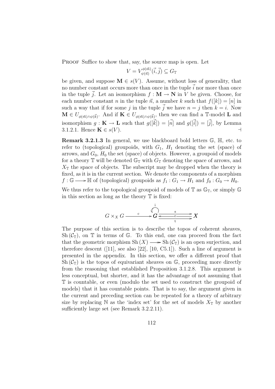PROOF Suffice to show that, say, the source map is open. Let

$$
V = V_{\psi(\vec{n})}^{\phi(\vec{m})}(\vec{i}, \vec{j}) \subseteq G_{\mathbb{T}}
$$

be given, and suppose  $\mathbf{M} \in s(V)$ . Assume, without loss of generality, that no number constant occurs more than once in the tuple  $\vec{i}$  nor more than once in the tuple  $\vec{j}$ . Let an isomorphism  $f : \mathbf{M} \to \mathbf{N}$  in V be given. Choose, for each number constant n in the tuple  $\vec{n}$ , a number k such that  $f([k]) = [n]$  in such a way that if for some j in the tuple  $\vec{j}$  we have  $n = j$  then  $k = i$ . Now  $\mathbf{M} \in U_{\phi(\vec{m}) \wedge \psi(\vec{k})}$ . And if  $\mathbf{K} \in U_{\phi(\vec{m}) \wedge \psi(\vec{k})}$ , then we can find a T-model L and isomorphism  $g: \mathbf{K} \to \mathbf{L}$  such that  $g([\vec{k}]) = [\vec{n}]$  and  $g([\vec{i}]) = [\vec{j}]$ , by Lemma 3.1.2.1. Hence  $\mathbf{K} \in s(V)$ .

Remark 3.2.1.3 In general, we use blackboard bold letters G, H, etc. to refer to (topological) groupoids, with  $G_1$ ,  $H_1$  denoting the set (space) of arrows, and  $G_0$ ,  $H_0$  the set (space) of objects. However, a groupoid of models for a theory  $\mathbb T$  will be denoted  $\mathbb G_{\mathbb T}$  with  $G_{\mathbb T}$  denoting the space of arrows, and  $X_{\mathbb{T}}$  the space of objects. The subscript may be dropped when the theory is fixed, as it is in the current section. We denote the components of a morphism  $f : \mathbb{G} \longrightarrow \mathbb{H}$  of (topological) groupoids as  $f_1 : G_1 \rightarrow H_1$  and  $f_0 : G_0 \rightarrow H_0$ .

We thus refer to the topological groupoid of models of  $\mathbb T$  as  $\mathbb{G}_{\mathbb{T}}$ , or simply  $\mathbb G$ in this section as long as the theory  $\mathbb T$  is fixed:

$$
G \times_X G \xrightarrow{c} G \xrightarrow{1} G \xrightarrow{s} X
$$

The purpose of this section is to describe the topos of coherent sheaves, Sh  $(\mathcal{C}_{\mathbb{T}})$ , on  $\mathbb T$  in terms of  $\mathbb G$ . To this end, one can proceed from the fact that the geometric morphism  $\mathrm{Sh}(X) \longrightarrow \mathrm{Sh}(\mathcal{C}_{\mathbb{T}})$  is an open surjection, and therefore descent  $([11], \text{ see also } [22], [10, C5.1]).$  Such a line of argument is presented in the appendix. In this section, we offer a different proof that Sh  $(\mathcal{C}_{\mathbb{T}})$  is the topos of equivariant sheaves on  $\mathbb{G}$ , proceeding more directly from the reasoning that established Proposition 3.1.2.8. This argument is less conceptual, but shorter, and it has the advantage of not assuming that T is countable, or even (modulo the set used to construct the groupoid of models) that it has countable points. That is to say, the argument given in the current and preceding section can be repeated for a theory of arbitrary size by replacing N as the 'index set' for the set of models  $X_{\mathbb{T}}$  by another sufficiently large set (see Remark 3.2.2.11).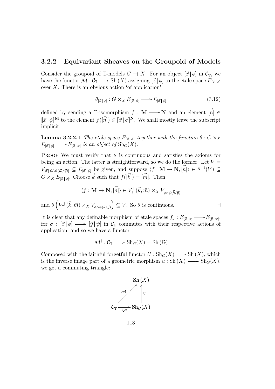### 3.2.2 Equivariant Sheaves on the Groupoid of Models

Consider the groupoid of T-models  $G \rightrightarrows X$ . For an object  $[\vec{x} | \phi]$  in  $\mathcal{C}_{\mathbb{T}}$ , we have the functor  $\mathcal M: \mathcal C_{\mathbb T}\longrightarrow$  Sh $(X)$  assigning  $[\vec x\,|\,\phi]$  to the etale space  $E_{[\vec x\,|\,\phi]}$ over  $X$ . There is an obvious action 'of application',

$$
\theta_{[\vec{x}\,|\,\phi]} : G \times_X E_{[\vec{x}\,|\,\phi]} \longrightarrow E_{[\vec{x}\,|\,\phi]} \tag{3.12}
$$

defined by sending a T-isomorphism  $f : \mathbf{M} \longrightarrow \mathbf{N}$  and an element  $|\vec{n}| \in$  $\llbracket \vec{x} \rfloor \phi \rrbracket^{\mathbf{M}}$  to the element  $f(\vec{n}) \in \llbracket \vec{x} \rrbracket \phi \rrbracket^{\mathbf{N}}$ . We shall mostly leave the subscript implicit.

**Lemma 3.2.2.1** The etale space  $E_{[\vec{x}|\phi]}$  together with the function  $\theta : G \times_X \mathbb{R}$  $E_{[\vec{x}|\phi]} \longrightarrow E_{[\vec{x}|\phi]}$  is an object of  $\text{Sh}_G(X)$ .

PROOF We must verify that  $\theta$  is continuous and satisfies the axioms for being an action. The latter is straightforward, so we do the former. Let  $V =$  $V_{\vec{x} | \phi \wedge \psi(\vec{m}/\vec{y})} \subseteq E_{\vec{x} | \phi}$  be given, and suppose  $\langle f : \mathbf{M} \to \mathbf{N}, [\vec{n}] \rangle \in \theta^{-1}(V) \subseteq$  $G \times_X E_{[\vec{x}|\phi]}$ . Choose  $\vec{k}$  such that  $f([\vec{k}]) = [\vec{m}]$ . Then

$$
\langle f: \mathbf{M} \to \mathbf{N}, [\vec{n}] \rangle \in V_{\top}^{\top}(\vec{k}, \vec{m}) \times_X V_{\phi \wedge \psi(\vec{k}/\vec{y})}
$$

and  $\theta$  $\overline{a}$  $V^{\top}_{\top}(\vec{k},\vec{m}) \times_X V_{\phi \wedge \psi(\vec{k}/\vec{y})}$ ´  $\subseteq V$ . So  $\theta$  is continuous.

It is clear that any definable morphism of etale spaces  $f_{\sigma}: E_{[\vec{x}|\phi]} \longrightarrow E_{[\vec{y}|\psi]},$ for  $\sigma : [\vec{x} | \phi] \longrightarrow [\vec{y} | \psi]$  in  $\mathcal{C}_{\mathbb{T}}$  commutes with their respective actions of application, and so we have a functor

$$
\mathcal{M}^{\dagger} : \mathcal{C}_{\mathbb{T}} \longrightarrow \mathrm{Sh}_{G}(X) = \mathrm{Sh}\left(\mathbb{G}\right)
$$

Composed with the faithful forgetful functor  $U : Sh_G(X) \longrightarrow Sh(X)$ , which is the inverse image part of a geometric morphism  $u : Sh(X) \longrightarrow Sh_G(X)$ , we get a commuting triangle:

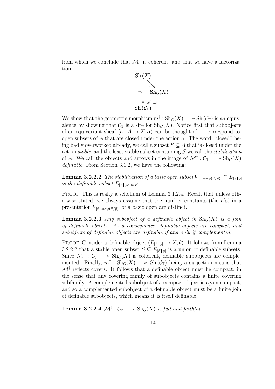from which we conclude that  $\mathcal{M}^{\dagger}$  is coherent, and that we have a factorization,



We show that the geometric morphism  $m^{\dagger} : Sh_G(X) \longrightarrow Sh(\mathcal{C}_{\mathbb{T}})$  is an equivalence by showing that  $\mathcal{C}_{\mathbb{T}}$  is a site for  $\text{Sh}_G(X)$ . Notice first that subobjects of an equivariant sheaf  $\langle a : A \to X, \alpha \rangle$  can be thought of, or correspond to, open subsets of A that are closed under the action  $\alpha$ . The word "closed" being badly overworked already, we call a subset  $S \subseteq A$  that is closed under the action *stable*, and the least stable subset containing  $S$  we call the *stabilization* of A. We call the objects and arrows in the image of  $\mathcal{M}^{\dagger}$  :  $\mathcal{C}_{\mathbb{T}} \longrightarrow Sh_G(X)$ definable. From Section 3.1.2, we have the following:

**Lemma 3.2.2.2** The stabilization of a basic open subset  $V_{[\vec{x}|\phi \wedge \psi(\vec{n}/\vec{y})]} \subseteq E_{[\vec{x}|\phi]}$ is the definable subset  $E_{[\vec{x}|\phi \wedge \exists \vec{y}.\psi]}.$ 

PROOF This is really a scholium of Lemma 3.1.2.4. Recall that unless otherwise stated, we always assume that the number constants (the  $n$ 's) in a presentation  $V_{[\vec{x} | \phi \land \psi(\vec{n}/\vec{y})]}$  of a basic open are distinct.

**Lemma 3.2.2.3** Any subobject of a definable object in  $\text{Sh}_G(X)$  is a join of definable objects. As a consequence, definable objects are compact, and subobjects of definable objects are definable if and only if complemented.

PROOF Consider a definable object  $\langle E_{[\vec{x}|\phi]} \to X, \theta \rangle$ . It follows from Lemma 3.2.2.2 that a stable open subset  $S \subseteq E_{\vec{x} | \phi|}$  is a union of definable subsets. Since  $\mathcal{M}^{\dagger}$  :  $\mathcal{C}_{\mathbb{T}} \longrightarrow Sh_G(X)$  is coherent, definable subobjects are complemented. Finally,  $m^{\dagger}$ :  $\text{Sh}_G(X) \longrightarrow \text{Sh}(\mathcal{C}_{\mathbb{T}})$  being a surjection means that  $\mathcal{M}^{\dagger}$  reflects covers. It follows that a definable object must be compact, in the sense that any covering family of subobjects contains a finite covering subfamily. A complemented subobject of a compact object is again compact, and so a complemented subobject of a definable object must be a finite join of definable subobjects, which means it is itself definable.  $\Box$ 

**Lemma 3.2.2.4**  $\mathcal{M}^{\dagger}$  :  $\mathcal{C}_{\mathbb{T}} \longrightarrow$   $\text{Sh}_G(X)$  is full and faithful.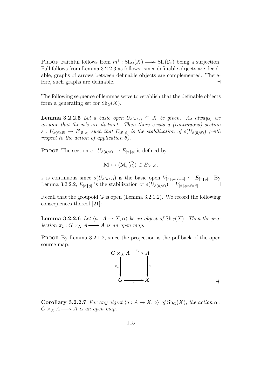**PROOF Faithful follows from**  $m^{\dagger}$  :  $\text{Sh}_G(X) \longrightarrow \text{Sh}(\mathcal{C}_{\mathbb{T}})$  being a surjection. Full follows from Lemma 3.2.2.3 as follows: since definable objects are decidable, graphs of arrows between definable objects are complemented. Therefore, such graphs are definable.  $\Box$ 

The following sequence of lemmas serve to establish that the definable objects form a generating set for  $\text{Sh}_G(X)$ .

**Lemma 3.2.2.5** Let a basic open  $U_{\phi(\vec{n}/\vec{x})} \subseteq X$  be given. As always, we assume that the n's are distinct. Then there exists a (continuous) section  $s: U_{\phi(\vec{n}/\vec{x})} \to E_{[\vec{x}|\phi]}$  such that  $E_{[\vec{x}|\phi]}$  is the stabilization of  $s(U_{\phi(\vec{n}/\vec{x})})$  (with respect to the action of application  $\theta$ ).

**PROOF** The section  $s: U_{\phi(\vec{n}/\vec{x})} \to E_{|\vec{x}|,\phi|}$  is defined by

$$
\mathbf{M} \mapsto \langle \mathbf{M}, [\vec{n}] \rangle \in E_{[\vec{x} \,|\, \phi]}.
$$

s is continuous since  $s(U_{\phi(\vec{n}/\vec{x})})$  is the basic open  $V_{[\vec{x}|\phi \wedge \vec{x}=\vec{n}]} \subseteq E_{[\vec{x}|\phi]}$ . By Lemma 3.2.2.2,  $E_{\vec{x}|\phi|}$  is the stabilization of  $s(U_{\phi(\vec{n}/\vec{x})}) = V_{\vec{x}|\phi \wedge \vec{x} = \vec{n}}$ .

Recall that the groupoid  $\mathbb{G}$  is open (Lemma 3.2.1.2). We record the following consequences thereof [21]:

**Lemma 3.2.2.6** Let  $\langle a : A \to X, \alpha \rangle$  be an object of  $\text{Sh}_G(X)$ . Then the projection  $\pi_2 : G \times_X A \longrightarrow A$  is an open map.

PROOF By Lemma 3.2.1.2, since the projection is the pullback of the open source map,



**Corollary 3.2.2.7** For any object  $\langle a : A \to X, \alpha \rangle$  of  $\text{Sh}_G(X)$ , the action  $\alpha$ :  $G \times_X A \longrightarrow A$  is an open map.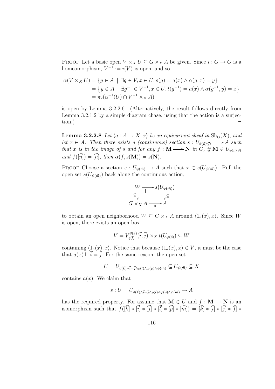PROOF Let a basic open  $V \times_X U \subseteq G \times_X A$  be given. Since  $i : G \to G$  is a homeomorphism,  $V^{-1} := i(V)$  is open, and so

$$
\alpha(V \times_X U) = \{ y \in A \mid \exists g \in V, x \in U. s(g) = a(x) \land \alpha(g, x) = y \}
$$
  
=  $\{ y \in A \mid \exists g^{-1} \in V^{-1}, x \in U. t(g^{-1}) = a(x) \land \alpha(g^{-1}, y) = x \}$   
=  $\pi_2(\alpha^{-1}(U) \cap V^{-1} \times_X A)$ 

is open by Lemma 3.2.2.6. (Alternatively, the result follows directly from Lemma 3.2.1.2 by a simple diagram chase, using that the action is a surjection.)  $\qquad \qquad \rightarrow$ 

**Lemma 3.2.2.8** Let  $\langle a : A \to X, \alpha \rangle$  be an equivariant sheaf in  $\text{Sh}_G(X)$ , and let  $x \in A$ . Then there exists a (continuous) section  $s: U_{\phi(\vec{n}/\vec{y})} \longrightarrow A$  such that x is in the image of s and for any  $f : M \longrightarrow N$  in G, if  $M \in U_{\phi(\vec{n}/\vec{y})}$ and  $f(\vec{n}) = [\vec{n}],$  then  $\alpha(f, s(\mathbf{M})) = s(\mathbf{N}).$ 

PROOF Choose a section  $s: U_{\psi(\vec{m})} \to A$  such that  $x \in s(U_{\psi(\vec{m})})$ . Pull the open set  $s(U_{\psi(\vec{m})})$  back along the continuous action,



to obtain an open neighborhood  $W \subseteq G \times_X A$  around  $\langle 1_a(x), x \rangle$ . Since W is open, there exists an open box

$$
V = V_{\varrho(l)}^{\vartheta(\vec{k})}(\vec{i}, \vec{j}) \times_X t(U_{\varphi(\vec{p})}) \subseteq W
$$

containing  $\langle 1_a(x), x \rangle$ . Notice that because  $\langle 1_a(x), x \rangle \in V$ , it must be the case that  $a(x) \models i = j$ . For the same reason, the open set

$$
U = U_{\vartheta(\vec{k}) \wedge \vec{i} = \vec{j} \wedge \varrho(l) \wedge \varphi(\vec{p}) \wedge \psi(\vec{m})} \subseteq U_{\psi(\vec{m})} \subseteq X
$$

contains  $a(x)$ . We claim that

$$
s: U = U_{\vartheta(\vec{k}) \wedge \vec{i} = \vec{j} \wedge \varrho(l) \wedge \varphi(\vec{p}) \wedge \psi(\vec{m})} \to A
$$

has the required property. For assume that  $M \in U$  and  $f : M \to N$  is an isomorphism such that  $f([\vec{k}] * [\vec{i}] * [\vec{j}] * [\vec{i}] * [\vec{p}] * [\vec{m}]) = [\vec{k}] * [\vec{i}] * [\vec{j}] * [\vec{l}] * [\vec{l}] * [\vec{l}]$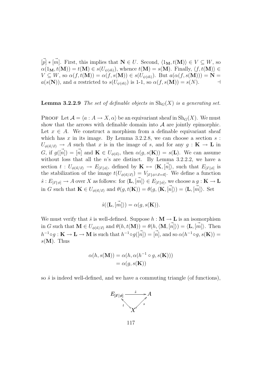$[\vec{p}] * [\vec{m}]$ . First, this implies that  $\mathbf{N} \in U$ . Second,  $\langle 1_{\mathbf{M}}, t(\mathbf{M}) \rangle \in V \subseteq W$ , so  $\alpha(1_{\mathbf{M}}, t(\mathbf{M})) = t(\mathbf{M}) \in s(U_{\psi(\vec{m})}),$  whence  $t(\mathbf{M}) = s(\mathbf{M}).$  Finally,  $\langle f, t(\mathbf{M}) \rangle \in$  $V \subseteq W$ , so  $\alpha(f, t(M)) = \alpha(f, s(M)) \in s(U_{\psi(\vec{m})})$ . But  $a(\alpha(f, s(M))) = N =$  $a(s(N))$ , and a restricted to  $s(U_{\psi(\vec{m})})$  is 1-1, so  $\alpha(f, s(M)) = s(N)$ .

#### **Lemma 3.2.2.9** The set of definable objects in  $\text{Sh}_G(X)$  is a generating set.

**PROOF** Let  $\mathcal{A} = \langle a : A \to X, \alpha \rangle$  be an equivariant sheaf in  $\text{Sh}_G(X)$ . We must show that the arrows with definable domain into  $A$  are jointly epimorphic. Let  $x \in A$ . We construct a morphism from a definable equivariant sheaf which has x in its image. By Lemma 3.2.2.8, we can choose a section  $s$ :  $U_{\phi(\vec{n}/\vec{x})} \rightarrow A$  such that x is in the image of s, and for any  $g : K \rightarrow L$  in G, if  $g([\vec{n}]) = [\vec{n}]$  and  $\mathbf{K} \in U_{\phi(\vec{n})}$ , then  $\alpha(g, s(\mathbf{K})) = s(\mathbf{L})$ . We can assume without loss that all the  $n$ 's are distinct. By Lemma 3.2.2.2, we have a section  $t: U_{\phi(\vec{n}/\vec{x})} \to E_{\vec{x}|\phi|}$ , defined by  $\mathbf{K} \mapsto \langle \mathbf{K}, \vec{n} \rangle$ , such that  $E_{\vec{x}|\phi|}$  is the stabilization of the image  $t(U_{\phi(\vec{n}/\vec{x})}) = V_{|\vec{x}| \phi \wedge \vec{x} = \vec{n}|}$ . We define a function  $\hat{s}: E_{\vec{x}|\phi|} \to A$  over X as follows: for  $\langle \mathbf{L}, \vec{m} \rangle \in E_{\vec{x}|\phi|}$ , we choose a  $g: \mathbf{K} \to \mathbf{L}$ in G such that  $\mathbf{K} \in U_{\phi(\vec{n}/\vec{x})}$  and  $\theta(g, t(\mathbf{K})) = \theta(g, \langle \mathbf{K}, [\vec{n}] \rangle) = \langle \mathbf{L}, [\vec{m}] \rangle$ . Set

$$
\hat{s}(\langle \mathbf{L}, [\vec{m}]\rangle) = \alpha(g, s(\mathbf{K})).
$$

We must verify that  $\hat{s}$  is well-defined. Suppose  $h : \mathbf{M} \to \mathbf{L}$  is an isomorphism in G such that  $\mathbf{M} \in U_{\phi(\vec{n}/\vec{x})}$  and  $\theta(h,t(\mathbf{M})) = \theta(h,\langle \mathbf{M}, [\vec{n}] \rangle) = \langle \mathbf{L}, [\vec{m}] \rangle$ . Then  $h^{-1} \circ g : \mathbf{K} \to \mathbf{L} \to \mathbf{M}$  is such that  $h^{-1} \circ g([\vec{n}]) = [\vec{n}]$ , and so  $\alpha(h^{-1} \circ g, s(\mathbf{K})) =$  $s(M)$ . Thus

$$
\alpha(h, s(\mathbf{M})) = \alpha(h, \alpha(h^{-1} \circ g, s(\mathbf{K})))
$$
  
=  $\alpha(g, s(\mathbf{K}))$ 

so  $\hat{s}$  is indeed well-defined, and we have a commuting triangle (of functions),

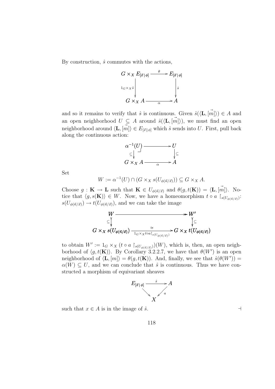By construction,  $\hat{s}$  commutes with the actions,



and so it remains to verify that  $\hat{s}$  is continuous. Given  $\hat{s}(\langle \mathbf{L}, \vec{m} \rangle) \in A$  and an open neighborhood  $U \subseteq A$  around  $\hat{s}(\langle \mathbf{L}, \vec{m} \rangle)$ , we must find an open neighborhood around  $\langle \mathbf{L}, \vec{m} \rangle \in E_{\vec{x} | \phi}$  which  $\hat{s}$  sends into U. First, pull back along the continuous action:



Set

$$
W := \alpha^{-1}(U) \cap (G \times_X s(U_{\phi(\vec{n}/\vec{x})})) \subseteq G \times_X A.
$$

Choose  $g: \mathbf{K} \to \mathbf{L}$  such that  $\mathbf{K} \in U_{\phi(\vec{n}/\vec{x})}$  and  $\theta(g, t(\mathbf{K})) = \langle \mathbf{L}, [\vec{m}] \rangle$ . Notice that  $\langle g, s(\mathbf{K}) \rangle \in W$ . Now, we have a homeomorphism  $t \circ a \upharpoonright_{s(U_{\phi(\vec{n}/\vec{x})})}$ :  $s(U_{\phi(\vec{n}/\vec{x})}) \to t(U_{\phi(\vec{n}/\vec{x})})$ , and we can take the image



to obtain  $W' := 1_G \times_X (t \circ a \mid_{s(U_{\phi(\vec{n}/\vec{x})})})(W)$ , which is, then, an open neighborhood of  $\langle g, t(\mathbf{K}) \rangle$ . By Corollary 3.2.2.7, we have that  $\theta(W')$  is an open neighborhood of  $\langle \mathbf{L}, [m] \rangle = \theta(g, t(\mathbf{K}))$ . And, finally, we see that  $\hat{s}(\theta(W'))$  =  $\alpha(W) \subset U$ , and we can conclude that  $\hat{s}$  is continuous. Thus we have constructed a morphism of equivariant sheaves



such that  $x \in A$  is in the image of  $\hat{s}$ .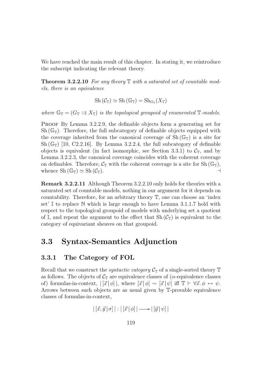We have reached the main result of this chapter. In stating it, we reintroduce the subscript indicating the relevant theory.

**Theorem 3.2.2.10** For any theory  $\mathbb T$  with a saturated set of countable models, there is an equivalence

$$
Sh(\mathcal{C}_{\mathbb{T}}) \simeq Sh(\mathbb{G}_{\mathbb{T}}) = Sh_{G_{\mathbb{T}}}(X_{\mathbb{T}})
$$

where  $\mathbb{G}_{\mathbb{T}} = (G_{\mathbb{T}} \rightrightarrows X_{\mathbb{T}})$  is the topological groupoid of enumerated  $\mathbb{T}$ -models.

PROOF By Lemma 3.2.2.9, the definable objects form a generating set for  $\text{Sh}(\mathbb{G}_{\mathbb{T}})$ . Therefore, the full subcategory of definable objects equipped with the coverage inherited from the canonical coverage of  $Sh(\mathbb{G}_{\mathbb{T}})$  is a site for Sh  $(\mathbb{G}_{\mathbb{T}})$  [10, C2.2.16]. By Lemma 3.2.2.4, the full subcategory of definable objects is equivalent (in fact isomorphic, see Section 3.3.1) to  $\mathcal{C}_{\mathbb{T}}$ , and by Lemma 3.2.2.3, the canonical coverage coincides with the coherent coverage on definables. Therefore,  $\mathcal{C}_{\mathbb{T}}$  with the coherent coverage is a site for Sh $(\mathbb{G}_{\mathbb{T}})$ , whence  $\text{Sh}(\mathbb{G}_{\mathbb{T}}) \simeq \text{Sh}(\mathcal{C}_{\mathbb{T}}).$ 

Remark 3.2.2.11 Although Theorem 3.2.2.10 only holds for theories with a saturated set of countable models, nothing in our argument for it depends on countability. Therefore, for an arbitrary theory T, one can choose an 'index set'  $\mathbb I$  to replace  $\mathbb N$  which is large enough to have Lemma 3.1.1.7 hold with respect to the topological groupoid of models with underlying set a quotient of I, and repeat the argument to the effect that  $\text{Sh}(\mathcal{C}_{\mathbb{T}})$  is equivalent to the category of equivariant sheaves on that groupoid.

# 3.3 Syntax-Semantics Adjunction

## 3.3.1 The Category of FOL

Recall that we construct the *syntactic category*  $C_T$  of a single-sorted theory  $T$ as follows. The objects of  $C_T$  are equivalence classes of ( $\alpha$ -equivalence classes of) formulas-in-context,  $|[\vec{x} | \phi] |$ , where  $[\vec{x} | \phi] \sim [\vec{x} | \psi]$  iff  $\mathbb{T} \vdash \forall \vec{x}$ .  $\phi \leftrightarrow \psi$ . Arrows between such objects are as usual given by T-provable equivalence classes of formulas-in-context,

$$
|[\vec{x}, \vec{y} | \sigma] | : |[\vec{x} | \phi] | \longrightarrow |[\vec{y} | \psi] |
$$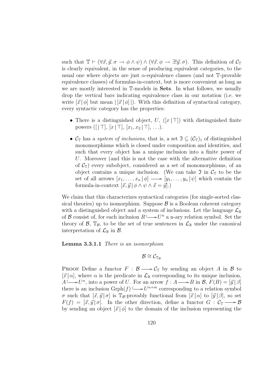such that  $\mathbb{T} \vdash (\forall \vec{x}, \vec{y}, \sigma \rightarrow \phi \land \psi) \land (\forall \vec{x}, \phi \rightarrow \exists ! \vec{y}, \sigma)$ . This definition of  $\mathcal{C}_{\mathbb{T}}$ is clearly equivalent, in the sense of producing equivalent categories, to the usual one where objects are just  $\alpha$ -equivalence classes (and not T-provable equivalence classes) of formulas-in-context, but is more convenient as long as we are mostly interested in T-models in Sets. In what follows, we usually drop the vertical bars indicating equivalence class in our notation (i.e. we write  $|\vec{x}| \phi$  but mean  $| |\vec{x}| \phi |$ . With this definition of syntactical category, every syntactic category has the properties:

- There is a distinguished object, U,  $(|x| \top)$  with distinguished finite powers ([ $|T|, [x | T], [x_1, x_2 | T], \ldots$ ).
- $\mathcal{C}_{\mathbb{T}}$  has a *system of inclusions*, that is, a set  $\mathfrak{I} \subseteq (\mathcal{C}_{\mathbb{T}})_1$  of distinguished monomorphisms which is closed under composition and identities, and such that every object has a unique inclusion into a finite power of U. Moreover (and this is not the case with the alternative definition of  $\mathcal{C}_{\mathbb{T}}$ ) every subobject, considered as a set of monomorphisms, of an object contains a unique inclusion. (We can take  $\mathfrak I$  in  $\mathcal C_{\mathbb T}$  to be the set of all arrows  $[x_1, \ldots, x_n | \phi] \longrightarrow [y_1, \ldots, y_n | \psi]$  which contain the formula-in-context  $[\vec{x}, \vec{y}] \phi \wedge \psi \wedge \vec{x} = \vec{y}$ .

We claim that this characterizes syntactical categories (for single-sorted classical theories) up to isomorphism. Suppose  $\beta$  is a Boolean coherent category with a distinguished object and a system of inclusions. Let the language  $\mathcal{L}_{\mathbb{B}}$ of B consist of, for each inclusion  $R \longrightarrow U^n$  a n-ary relation symbol. Set the theory of  $\mathcal{B}$ ,  $\mathbb{T}_{\mathcal{B}}$ , to be the set of true sentences in  $\mathcal{L}_{\mathbb{B}}$  under the canonical interpretation of  $\mathcal{L}_{\mathbb{B}}$  in  $\mathcal{B}$ .

#### Lemma 3.3.1.1 There is an isomorphism

 $\mathcal{B} \cong \mathcal{C}_{\mathbb{T}_m}$ 

PROOF Define a functor  $F : \mathcal{B} \longrightarrow C_{\mathbb{T}}$  by sending an object A in B to  $[\vec{x} | \alpha]$ , where  $\alpha$  is the predicate in  $\mathcal{L}_{\mathbb{B}}$  corresponding to its unique inclusion,  $A \longrightarrow U^n$ , into a power of U. For an arrow  $f : A \longrightarrow B$  in  $B$ ,  $F(B) = [\vec{y} | \beta]$ there is an inclusion  $\operatorname{Gph}(f) \longrightarrow U^{n+m}$  corresponding to a relation symbol σ such that  $[\vec{x}, \vec{y} | \sigma]$  is T<sub>B</sub>-provably functional from  $[\vec{x} | \alpha]$  to  $[\vec{y} | \beta]$ , so set  $F(f) = [\vec{x}, \vec{y} | \sigma].$  In the other direction, define a functor  $G : C_{\mathbb{T}} \longrightarrow \mathcal{B}$ by sending an object  $[\vec{x} | \phi]$  to the domain of the inclusion representing the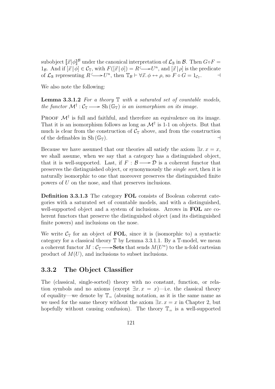subobject  $\llbracket \vec{x} | \phi \rrbracket^{\mathcal{B}}$  under the canonical interpretation of  $\mathcal{L}_{\mathbb{B}}$  in  $\mathcal{B}$ . Then  $G \circ F =$ 1<sub>B</sub>. And if  $[\vec{x} | \phi] \in C_{\mathbb{T}}$ , with  $F([\vec{x} | \phi]) = R \longrightarrow U^n$ , and  $[\vec{x} | \rho]$  is the predicate of  $\mathcal{L}_{\mathbb{B}}$  representing  $R \longrightarrow U^n$ , then  $\mathbb{T}_{\mathcal{B}} \vdash \forall \vec{x}.\ \phi \leftrightarrow \rho$ , so  $F \circ G = 1_{C_{\mathbb{F}}}$  $\overline{\phantom{a}}$ 

We also note the following:

**Lemma 3.3.1.2** For a theory  $\mathbb T$  with a saturated set of countable models, the functor  $\mathcal{M}^{\dagger} : C_{\mathbb{T}} \longrightarrow Sh(\mathbb{G}_{\mathbb{T}})$  is an isomorphism on its image.

PROOF  $\mathcal{M}^{\dagger}$  is full and faithful, and therefore an equivalence on its image. That it is an isomorphism follows as long as  $\mathcal{M}^{\dagger}$  is 1-1 on objects. But that much is clear from the construction of  $\mathcal{C}_{\mathbb{T}}$  above, and from the construction of the definables in  $\text{Sh}(\mathbb{G}_{\mathbb{T}}).$ 

Because we have assumed that our theories all satisfy the axiom  $\exists x \cdot x = x$ , we shall assume, when we say that a category has a distinguished object, that it is well-supported. Last, if  $F : \mathcal{B} \longrightarrow \mathcal{D}$  is a coherent functor that preserves the distinguished object, or synonymously the single sort, then it is naturally isomorphic to one that moreover preserves the distinguished finite powers of U on the nose, and that preserves inclusions.

Definition 3.3.1.3 The category FOL consists of Boolean coherent categories with a saturated set of countable models, and with a distinguished, well-supported object and a system of inclusions. Arrows in **FOL** are coherent functors that preserve the distinguished object (and its distinguished finite powers) and inclusions on the nose.

We write  $C_{\mathbb{T}}$  for an object of FOL, since it is (isomorphic to) a syntactic category for a classical theory  $\mathbb T$  by Lemma 3.3.1.1. By a  $\mathbb T\text{-model},$  we mean a coherent functor  $M: \mathcal{C}_{\mathbb{T}} \longrightarrow$  Sets that sends  $M(U^n)$  to the n-fold cartesian product of  $M(U)$ , and inclusions to subset inclusions.

# 3.3.2 The Object Classifier

The (classical, single-sorted) theory with no constant, function, or relation symbols and no axioms (except  $\exists x \cdot x = x$ )—i.e. the classical theory of equality—we denote by  $\mathbb{T}_{=}$  (abusing notation, as it is the same name as we used for the same theory without the axiom  $\exists x \cdot x = x$  in Chapter 2, but hopefully without causing confusion). The theory  $\mathbb{T}_=$  is a well-supported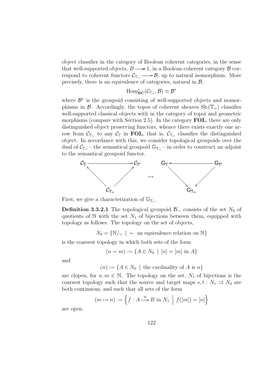object classifier in the category of Boolean coherent categories, in the sense that well-supported objects,  $B \longrightarrow 1$ , in a Boolean coherent category  $\beta$  correspond to coherent functors  $\mathcal{C}_{\mathbb{T}_{\equiv}} \longrightarrow \mathcal{B}$ , up to natural isomorphism. More precisely, there is an equivalence of categories, natural in  $\mathcal{B}$ ,

$$
\mathrm{Hom}^*_{\mathrm{\bf BC}}({\mathcal C}_{{\mathbb T}_{\!-}},{\mathcal B}) \simeq {\mathcal B}^*
$$

where  $\mathcal{B}^*$  is the groupoid consisting of well-supported objects and isomorphisms in B. Accordingly, the topos of coherent sheaves  $\text{Sh}(\mathbb{T}_-)$  classifies well-supported classical objects with in the category of topoi and geometric morphisms (compare with Section 2.5). In the category **FOL**, there are only distinguished object preserving functors, whence there exists exactly one arrow from  $\mathcal{C}_{\mathbb{T}}$  to any  $\mathcal{C}_{\mathbb{T}}$  in FOL, that is,  $\mathcal{C}_{\mathbb{T}}$  classifies the distinguished object. In accordance with this, we consider topological groupoids over the dual of  $C_{\mathbb{T}_{=}}$ —the semantical groupoid  $\mathbb{G}_{\mathbb{T}_{=}}$ —in order to construct an adjoint to the semantical groupoid functor.



First, we give a characterization of  $\mathbb{G}_{\mathbb{T}^-}$ .

**Definition 3.3.2.1** The topological groupoid  $\mathbb{N}_{\sim}$  consists of the set  $N_0$  of quotients of N with the set  $N_1$  of bijections between them, equipped with topology as follows. The topology on the set of objects,

 $N_0 = \{N/\sim \mid \sim \text{ an equivalence relation on } \mathbb{N}\}\$ 

is the coarsest topology in which both sets of the form

$$
(n \sim m) := \{ A \in N_0 \mid [n] = [m] \text{ in } A \}
$$

and

 $(n) := \{A \in N_0 \mid \text{ the cardinality of } A \text{ is } n\}$ 

are clopen, for  $n, m \in \mathbb{N}$ . The topology on the set,  $N_1$  of bijections is the coarsest topology such that the source and target maps  $s, t : N_1 \Rightarrow N_0$  are both continuous, and such that all sets of the form

$$
(m \mapsto n) := \left\{ f : A \stackrel{\cong}{\longrightarrow} B \text{ in } N_1 \mid f([m]) = [n] \right\}
$$

are open.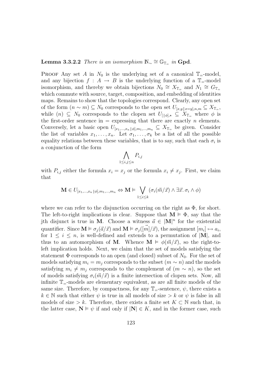# Lemma 3.3.2.2 There is an isomorphism  $\mathbb{N}_{\sim} \cong \mathbb{G}_{\mathbb{T}_{=}}$  in Gpd.

PROOF Any set A in  $N_0$  is the underlying set of a canonical  $\mathbb{T}_=$ -model, and any bijection  $f : A \to B$  is the underlying function of a  $\mathbb{T}_=$ -model isomorphism, and thereby we obtain bijections  $N_0 \cong X_{\mathbb{T}_{-}}$  and  $N_1 \cong G_{\mathbb{T}_{-}}$ which commute with source, target, composition, and embedding of identities maps. Remains to show that the topologies correspond. Clearly, any open set of the form  $(n \sim m) \subseteq N_0$  corresponds to the open set  $U_{[x,y]}\nvert_{x=y}, \, m \subseteq X_{\mathbb{T}_{=}}$ , while  $(n) \subseteq N_0$  corresponds to the clopen set  $U_{\left[\phi\right],\star} \subseteq X_{\mathbb{T}_{\leftarrow}}$  where  $\phi$  is the first-order sentence in  $=$  expressing that there are exactly n elements. Conversely, let a basic open  $U_{[x_1,...,x_n] \phi],m_1,...,m_n} \subseteq X_{\mathbb{T}_{\equiv}}$  be given. Consider the list of variables  $x_1, \ldots, x_n$ . Let  $\sigma_1, \ldots, \sigma_k$  be a list of all the possible equality relations between these variables, that is to say, such that each  $\sigma_i$  is a conjunction of the form  $\mathbf{A}^{\dagger}$ 

$$
\bigwedge_{1\leq i,j\leq n} P_{i,j}
$$

with  $P_{i,j}$  either the formula  $x_i = x_j$  or the formula  $x_i \neq x_j$ . First, we claim that

$$
\mathbf{M} \in U_{[x_1,...,x_n \setminus \phi], m_1,...,m_n} \Leftrightarrow \mathbf{M} \models \bigvee_{1 \leq i \leq k} (\sigma_i(\vec{m}/\vec{x}) \land \exists \vec{x}, \sigma_i \land \phi)
$$

where we can refer to the disjunction occurring on the right as  $\Phi$ , for short. The left-to-right implications is clear. Suppose that  $M \vDash \Phi$ , say that the jth disjunct is true in M. Choose a witness  $\vec{a} \in |M|^n$  for the existential quantifier. Since  $\mathbf{M} \models \sigma_j(\vec{a}/\vec{x})$  and  $\mathbf{M} \models \sigma_j([\vec{m}]/\vec{x})$ , the assignment  $[m_i] \mapsto a_i$ , for  $1 \leq i \leq n$ , is well-defined and extends to a permutation of  $|M|$ , and thus to an automorphism of M. Whence  $\mathbf{M} \models \phi(\vec{m}/\vec{x})$ , so the right-toleft implication holds. Next, we claim that the set of models satisfying the statement  $\Phi$  corresponds to an open (and closed) subset of  $N_0$ . For the set of models satisfying  $m_i = m_j$  corresponds to the subset  $(m \sim n)$  and the models satisfying  $m_i \neq m_j$  corresponds to the complement of  $(m \sim n)$ , so the set of models satisfying  $\sigma_i(\vec{m}/\vec{x})$  is a finite intersection of clopen sets. Now, all infinite  $\mathbb{T}_{=}$ -models are elementary equivalent, as are all finite models of the same size. Therefore, by compactness, for any  $\mathbb{T}_{=}$ -sentence,  $\psi$ , there exists a  $k \in \mathbb{N}$  such that either  $\psi$  is true in all models of size  $\geq k$  or  $\psi$  is false in all models of size > k. Therefore, there exists a finite set  $K \subset \mathbb{N}$  such that, in the latter case,  $N \models \psi$  if and only if  $|N| \in K$ , and in the former case, such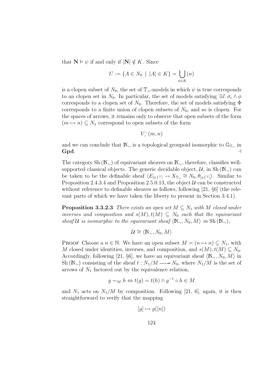that  $N \models \psi$  if and only if  $|N| \notin K$ . Since

$$
U := \{ A \in N_0 \: \mid \: |A| \in K \} = \bigcup_{n \in K} (n)
$$

is a clopen subset of  $N_0$ , the set of  $\mathbb{T}_=$ -models in which  $\psi$  is true corresponds to an clopen set in  $N_0$ . In particular, the set of models satisfying  $\exists \vec{x}.\,\sigma_i \wedge \phi$ corresponds to a clopen set of  $N_0$ . Therefore, the set of models satisfying  $\Phi$ corresponds to a finite union of clopen subsets of  $N_0$ , and so is clopen. For the spaces of arrows, it remains only to observe that open subsets of the form  $(m \mapsto n) \subseteq N_1$  correspond to open subsets of the form

 $V_{-}^{-}(m, n)$ 

and we can conclude that  $\mathbb{N}_{\sim}$  is a topological groupoid isomorphic to  $\mathbb{G}_{\mathbb{T}_{=}}$  in Gpd.  $\qquad \qquad \dashv$ 

The category Sh ( $\mathbb{N}_{\sim}$ ) of equivariant sheaves on  $\mathbb{N}_{\sim}$ , therefore, classifies wellsupported classical objects. The generic decidable object,  $\mathcal{U}$ , in Sh ( $\mathbb{N}_{\sim}$ ) can be taken to be the definable sheaf  $\langle E_{[x|\top]} \to X_{\mathbb{T}_=} \cong N_0, \theta_{[x|\top]} \rangle$ . Similar to Proposition 2.4.3.4 and Proposition 2.5.0.13, the object  $U$  can be constructed without reference to definable sheaves as follows, following [21,  $\S6$ ] (the relevant parts of which we have taken the liberty to present in Section 3.4.1).

**Proposition 3.3.2.3** There exists an open set  $M \subseteq N_1$  with M closed under inverses and composition and  $s(M), t(M) \subseteq N_0$  such that the equivariant sheaf U is isomorphic to the equivariant sheaf  $\langle \mathbb{N}_{\sim}, N_0, M \rangle$  in Sh  $(\mathbb{N}_{\sim})$ ,

$$
\mathcal{U} \cong \langle \mathbb{N}_{\sim}, N_0, M \rangle
$$

PROOF Choose a  $n \in \mathbb{N}$ . We have an open subset  $M = (n \mapsto n) \subseteq N_1$ , with M closed under identities, inverses, and composition, and  $s(M), t(M) \subseteq N_0$ . Accordingly, following [21, §6], we have an equivariant sheaf  $\langle \mathbb{N}_{\sim}, N_0, M \rangle$  in Sh ( $\mathbb{N}_{\sim}$ ) consisting of the sheaf  $t : N_1/M \longrightarrow N_0$ , where  $N_1/M$  is the set of arrows of  $N_1$  factored out by the equivalence relation,

$$
g \sim_M h \Leftrightarrow t(g) = t(h) \wedge g^{-1} \circ h \in M
$$

and  $N_1$  acts on  $N_1/M$  by composition. Following [21, 6], again, it is then straightforward to verify that the mapping

$$
[g] \mapsto g([n])
$$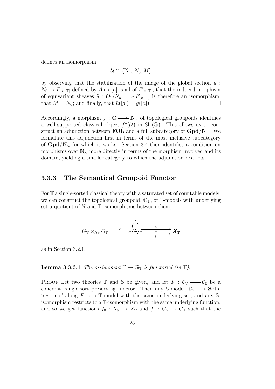defines an isomorphism

$$
\mathcal{U} \cong \langle \mathbb{N}_{\sim}, N_0, M \rangle
$$

by observing that the stabilization of the image of the global section  $u$ :  $N_0 \to E_{x+\top}$  defined by  $A \mapsto [n]$  is all of  $E_{x+\top}$ ; that the induced morphism of equivariant sheaves  $\tilde{u}: O_1/N_u \longrightarrow E_{[x|\top]}$  is therefore an isomorphism; that  $M = N_u$ ; and finally, that  $\tilde{u}([g]) = g([n])$ .

Accordingly, a morphism  $f : \mathbb{G} \longrightarrow \mathbb{N}_{\sim}$  of topological groupoids identifies a well-supported classical object  $f^*(\mathcal{U})$  in Sh( $\mathbb{G}$ ). This allows us to construct an adjunction between FOL and a full subcategory of  $Gpd/N_{\sim}$ . We formulate this adjunction first in terms of the most inclusive subcategory of Gpd/N<sup>∼</sup> for which it works. Section 3.4 then identifies a condition on morphisms over N<sup>∼</sup> more directly in terms of the morphism involved and its domain, yielding a smaller category to which the adjunction restricts.

## 3.3.3 The Semantical Groupoid Functor

For T a single-sorted classical theory with a saturated set of countable models, we can construct the topological groupoid,  $\mathbb{G}_{\mathbb{T}}$ , of T-models with underlying set a quotient of  $N$  and  $T$ -isomorphisms between them,

$$
G_{\mathbb{T}} \times_{X_{\mathbb{T}}} G_{\mathbb{T}} \xrightarrow{c} G_{\mathbb{T}} \xrightarrow{\begin{array}{c}i\\ \longleftarrow\\ G_{\mathbb{T}}\end{array}} G_{\mathbb{T}} \xrightarrow{\begin{array}{c}s\\ \longleftarrow\\ t\end{array}} X_{\mathbb{T}}
$$

as in Section 3.2.1.

**Lemma 3.3.3.1** The assignment  $\mathbb{T} \mapsto \mathbb{G}_{\mathbb{T}}$  is functorial (in  $\mathbb{T}$ ).

PROOF Let two theories  $\mathbb T$  and  $\mathbb S$  be given, and let  $F : \mathcal{C}_{\mathbb T} \longrightarrow \mathcal{C}_{\mathbb S}$  be a coherent, single-sort preserving functor. Then any S-model,  $\mathcal{C}_s \longrightarrow$  Sets, 'restricts' along  $F$  to a  $\mathbb{I}\text{-model}$  with the same underlying set, and any  $\mathbb{S}\text{-}$ isomorphism restricts to a T-isomorphism with the same underlying function, and so we get functions  $f_0 : X_{\mathbb{S}} \to X_{\mathbb{T}}$  and  $f_1 : G_{\mathbb{S}} \to G_{\mathbb{T}}$  such that the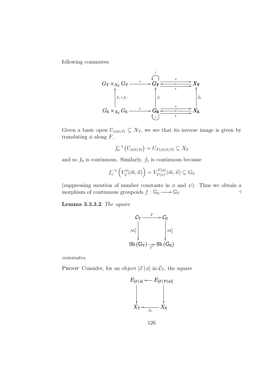following commutes:



Given a basic open  $U_{\phi(\vec{n}/\vec{x})} \subseteq X_{\mathbb{T}}$ , we see that its inverse image is given by translating  $\phi$  along F,

$$
f_0^{-1}\left(U_{\phi(\vec{n}/\vec{x})}\right) = U_{F(\phi)(\vec{n}/\vec{x})} \subseteq X_{\mathbb{S}}
$$

and so  $f_0$  is continuous. Similarly,  $f_1$  is continuous because

$$
f_1^{-1}\left(V_{\psi}^{\phi}(\vec{m},\vec{n})\right) = V_{F(\psi)}^{F(\phi)}(\vec{m},\vec{n}) \subseteq G_{\mathbb{S}}
$$

(suppressing mention of number constants in  $\phi$  and  $\psi$ ). Thus we obtain a morphism of continuous groupoids  $f : \mathbb{G}_{\mathbb{S}} \longrightarrow \mathbb{G}_{\mathbb{T}}$ 

Lemma 3.3.3.2 The square

$$
\mathcal{C}_{\mathbb{T}} \xrightarrow{\qquad F \qquad \mathcal{C}_{\mathbb{S}}}
$$
\n
$$
\mathcal{M}_{\mathbb{T}}^{\dagger}
$$
\n
$$
\downarrow \qquad \qquad \downarrow \mathcal{M}_{\mathbb{S}}^{\dagger}
$$
\n
$$
\text{Sh}(\mathbb{G}_{\mathbb{T}}) \xrightarrow{f^*} \text{Sh}(\mathbb{G}_{\mathbb{S}})
$$

commutes.

PROOF Consider, for an object  $[\vec{x} | \phi]$  in  $\mathcal{C}_{\mathbb{T}}$ , the square



126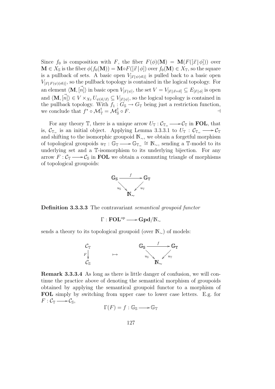Since  $f_0$  is composition with F, the fiber  $F(\phi)(\mathbf{M}) = \mathbf{M}(F([\vec{x} | \phi]))$  over  $\mathbf{M} \in X_{\mathbb{S}}$  is the fiber  $\phi(f_0(\mathbf{M})) = \mathbf{M} \circ F([\vec{x} | \phi])$  over  $f_0(\mathbf{M}) \in X_{\mathbb{T}}$ , so the square is a pullback of sets. A basic open  $V_{[\vec{x} | \psi(\vec{m})]}$  is pulled back to a basic open  $V_{[\vec{x} | F(\psi)(\vec{m})]}$ , so the pullback topology is contained in the logical topology. For an element  $\langle \mathbf{M}, [\vec{n}] \rangle$  in basic open  $V_{[\vec{x}|\psi]}$ , the set  $V = V_{[\vec{x}|\vec{x} = \vec{n}]} \subseteq E_{[\vec{x}|\phi]}$  is open and  $\langle \mathbf{M}, \vec{n}] \rangle \in V \times_{X_{\mathcal{T}}} U_{\psi(\vec{n}/\vec{x})} \subseteq V_{[\vec{x}|\psi]}$ , so the logical topology is contained in the pullback topology. With  $f_1 : G_S \to G_T$  being just a restriction function, we conclude that  $f^* \circ \mathcal{M}_{\mathbb{T}}^{\dagger} = \mathcal{M}_{\mathbb{S}}^{\dagger}$  $\circ$  F.  $\qquad \qquad \rightarrow$ 

For any theory  $\mathbb{T}$ , there is a unique arrow  $U_{\mathbb{T}}: \mathcal{C}_{\mathbb{T}} \longrightarrow \mathcal{C}_{\mathbb{T}}$  in **FOL**, that is,  $\mathcal{C}_{\mathbb{T}_{\equiv}}$  is an initial object. Applying Lemma 3.3.3.1 to  $U_{\mathbb{T}} : \mathcal{C}_{\mathbb{T}_{\equiv}} \longrightarrow \mathcal{C}_{\mathbb{T}}$ and shifting to the isomorphic groupoid  $\mathbb{N}_{\sim}$ , we obtain a forgetful morphism of topological groupoids  $u_{\mathbb{T}} : \mathbb{G}_{\mathbb{T}} \longrightarrow \mathbb{G}_{\mathbb{T}_=} \cong \mathbb{N}_{\sim}$ , sending a  $\mathbb{T}$ -model to its underlying set and a T-isomorphism to its underlying bijection. For any arrow  $F: \mathcal{C}_{\mathbb{T}} \longrightarrow \mathcal{C}_{\mathbb{S}}$  in FOL we obtain a commuting triangle of morphisms of topological groupoids:



Definition 3.3.3.3 The contravariant semantical groupoid functor

 $\Gamma : \mathbf{FOL}^\mathrm{op} \longrightarrow \mathbf{Gpd}/\mathbb{N}_\sim$ 

sends a theory to its topological groupoid (over  $\mathbb{N}_{\sim}$ ) of models:



Remark 3.3.3.4 As long as there is little danger of confusion, we will continue the practice above of denoting the semantical morphism of groupoids obtained by applying the semantical groupoid functor to a morphism of FOL simply by switching from upper case to lower case letters. E.g. for  $F: \mathcal{C}_{\mathbb{T}} \longrightarrow \mathcal{C}_{\mathbb{S}},$ 

$$
\Gamma(F) = f : \mathbb{G}_{\mathbb{S}} \longrightarrow \mathbb{G}_{\mathbb{T}}
$$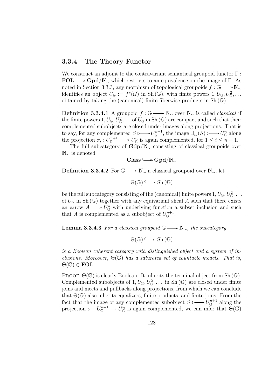### 3.3.4 The Theory Functor

We construct an adjoint to the contravariant semantical groupoid functor  $\Gamma$ :  $\text{FOL} \longrightarrow \text{Gpd}/\mathbb{N}_{\sim}$  which restricts to an equivalence on the image of Γ. As noted in Section 3.3.3, any morphism of topological groupoids  $f : \mathbb{G} \longrightarrow \mathbb{N}_{\sim}$ identifies an object  $U_{\mathbb{G}} := f^*(\mathcal{U})$  in Sh $(\mathbb{G})$ , with finite powers  $1, U_{\mathbb{G}}, U_{\mathbb{G}}^2, \ldots$ obtained by taking the (canonical) finite fiberwise products in Sh (G).

**Definition 3.3.4.1** A groupoid  $f : \mathbb{G} \longrightarrow \mathbb{N}_{\sim}$  over  $\mathbb{N}_{\sim}$  is called *classical* if the finite powers  $1, U_{\mathbb{G}}, U_{\mathbb{G}}^2, \ldots$  of  $U_{\mathbb{G}}$  in Sh ( $\mathbb{G}$ ) are compact and such that their complemented subobjects are closed under images along projections. That is to say, for any complemented  $S \rightarrow U_{\mathbb{G}}^{n+1}$  $U_{\mathbb{G}}^{n+1}$ , the image  $\exists_{\pi_i}(S) \longmapsto U_{\mathbb{G}}^n$  along the projection  $\pi_i: U_{\mathbb{G}}^{n+1}$  $U_{\mathbb{G}}^{n+1} \longrightarrow U_{\mathbb{G}}^n$  is again complemented, for  $1 \leq i \leq n+1$ .

The full subcategory of  $Gdp/N_{\sim}$  consisting of classical groupoids over N<sup>∼</sup> is denoted

$$
\mathbf{Class} \longrightarrow \mathbf{Gpd}/\mathbb{N}_{\sim}
$$

**Definition 3.3.4.2** For  $\mathbb{G} \longrightarrow \mathbb{N}_{\sim}$  a classical groupoid over  $\mathbb{N}_{\sim}$ , let

 $\Theta(\mathbb{G}) \longrightarrow$  Sh  $(\mathbb{G})$ 

be the full subcategory consisting of the (canonical) finite powers  $1, U_{\mathbb{G}}, U_{\mathbb{G}}^2, \ldots$ of  $U_{\mathbb{G}}$  in Sh  $(\mathbb{G})$  together with any equivariant sheaf A such that there exists an arrow  $A \longrightarrow U_{\mathbb{G}}^n$  with underlying function a subset inclusion and such that A is complemented as a subobject of  $U_{\mathbb{G}}^{n+1}$  $\mathbb{G}^{n+1}$ .

**Lemma 3.3.4.3** For a classical groupoid  $\mathbb{G} \longrightarrow \mathbb{N}_{\sim}$ , the subcategory

 $\Theta(\mathbb{G}) \longrightarrow$  Sh  $(\mathbb{G})$ 

is a Boolean coherent category with distinguished object and a system of inclusions. Moreover,  $\Theta(\mathbb{G})$  has a saturated set of countable models. That is,  $\Theta(\mathbb{G}) \in \textbf{FOL}.$ 

**PROOF**  $\Theta(\mathbb{G})$  is clearly Boolean. It inherits the terminal object from Sh $(\mathbb{G})$ . Complemented subobjects of  $1, U_{\mathbb{G}}, U_{\mathbb{G}}^2, \ldots$  in Sh $(\mathbb{G})$  are closed under finite joins and meets and pullbacks along projections, from which we can conclude that  $\Theta(\mathbb{G})$  also inherits equalizers, finite products, and finite joins. From the fact that the image of any complemented subobject  $S \rightarrow U_{\mathbb{G}}^{n+1}$  $\mathbb{G}^{n+1}$  along the projection  $\pi: U_{\mathbb{G}}^{n+1} \to U_{\mathbb{G}}^n$  is again complemented, we can infer that  $\Theta(\mathbb{G})$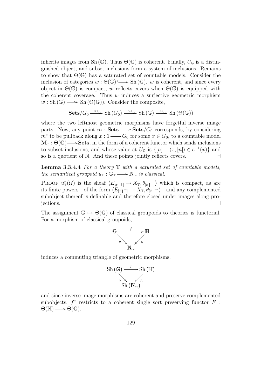inherits images from Sh ( $\mathbb{G}$ ). Thus  $\Theta(\mathbb{G})$  is coherent. Finally,  $U_{\mathbb{G}}$  is a distinguished object, and subset inclusions form a system of inclusions. Remains to show that  $\Theta(\mathbb{G})$  has a saturated set of countable models. Consider the inclusion of categories  $w : \Theta(\mathbb{G}) \longrightarrow$  Sh $(\mathbb{G})$ . w is coherent, and since every object in  $\Theta(\mathbb{G})$  is compact, w reflects covers when  $\Theta(\mathbb{G})$  is equipped with the coherent coverage. Thus  $w$  induces a surjective geometric morphism  $w : Sh(\mathbb{G}) \longrightarrow Sh(\Theta(\mathbb{G}))$ . Consider the composite,

$$
\mathbf{Sets}/G_0 \xrightarrow{u_1} \mathbf{Sh}(G_0) \xrightarrow{u_2} \mathbf{Sh}(\mathbb{G}) \xrightarrow{w} \mathbf{Sh}(\Theta(\mathbb{G}))
$$

where the two leftmost geometric morphisms have forgetful inverse image parts. Now, any point  $m : \mathbf{Sets} \longrightarrow \mathbf{Sets}/G_0$  corresponds, by considering  $m^*$  to be pullback along  $x: 1 \longrightarrow G_0$  for some  $x \in G_0$ , to a countable model  $\mathbf{M}_x : \Theta(\mathbb{G}) \longrightarrow$ **Sets**, in the form of a coherent functor which sends inclusions to subset inclusions, and whose value at  $U_{\mathbb{G}}$  is  $\{[n] \mid \langle x, [n] \rangle \in e^{-1}(x)\}\$  and so is a quotient of N. And these points jointly reflects covers.  $\Box$ 

**Lemma 3.3.4.4** For a theory  $\mathbb T$  with a saturated set of countable models, the semantical groupoid  $u_{\mathbb{T}} : \mathbb{G}_{\mathbb{T}} \longrightarrow \mathbb{N}_{\sim}$  is classical.

**PROOF**  $u^*_{\mathbb{T}}(\mathcal{U})$  is the sheaf  $\langle E_{[x|\mathbb{T}]} \to X_{\mathbb{T}}, \theta_{[x|\mathbb{T}]}\rangle$  which is compact, as are its finite powers—of the form  $\langle E_{[\vec{x}|\top]} \to X_{\mathbb{T}}, \theta_{[\vec{x}|\top]} \rangle$ —and any complemented subobject thereof is definable and therefore closed under images along projections. a

The assignment  $\mathbb{G} \mapsto \Theta(\mathbb{G})$  of classical groupoids to theories is functorial. For a morphism of classical groupoids,



induces a commuting triangle of geometric morphisms,

Sh 
$$
(\mathbb{G}) \xrightarrow{f} \text{Sh } (\mathbb{H})
$$
  
\n $g \rightarrow \qquad \qquad \downarrow \qquad \qquad \downarrow$   
\nSh  $(\mathbb{N}_{\sim})$ 

and since inverse image morphisms are coherent and preserve complemented subobjects,  $f^*$  restricts to a coherent single sort preserving functor  $F$ :  $\Theta(\mathbb{H}) \longrightarrow \Theta(\mathbb{G}).$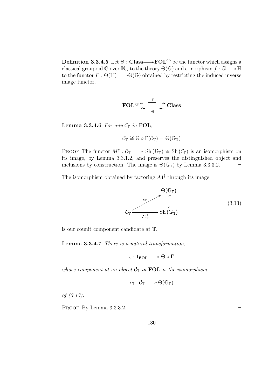**Definition 3.3.4.5** Let  $\Theta$ : Class  $\longrightarrow$  **FOL**<sup>op</sup> be the functor which assigns a classical groupoid  $\mathbb{G}$  over  $\mathbb{N}_{\infty}$  to the theory  $\Theta(\mathbb{G})$  and a morphism  $f : \mathbb{G} \longrightarrow \mathbb{H}$ to the functor  $F: \Theta(\mathbb{H}) \longrightarrow \Theta(\mathbb{G})$  obtained by restricting the induced inverse image functor.

$$
\text{FOL}^{\text{op}} \xrightarrow{\Gamma} \text{Class}
$$

Lemma 3.3.4.6 For any  $C_{\mathbb{T}}$  in FOL,

$$
\mathcal{C}_\mathbb{T}\cong\Theta\circ\Gamma(\mathcal{C}_\mathbb{T})=\Theta(\mathbb{G}_\mathbb{T})
$$

PROOF The functor  $M^{\dagger} : C_{\mathbb{T}} \longrightarrow Sh(\mathbb{G}_{\mathbb{T}}) \cong Sh(\mathcal{C}_{\mathbb{T}})$  is an isomorphism on its image, by Lemma 3.3.1.2, and preserves the distinguished object and inclusions by construction. The image is  $\Theta(\mathbb{G}_{\mathbb{T}})$  by Lemma 3.3.3.2.

The isomorphism obtained by factoring  $\mathcal{M}^{\dagger}$  through its image

$$
C_{\mathbb{T}} \xrightarrow{\epsilon_{\mathbb{T}}} \mathcal{S}_{\mathbf{h}}(\mathbb{G}_{\mathbb{T}})
$$
\n
$$
\mathcal{C}_{\mathbb{T}} \xrightarrow{\epsilon_{\mathbb{T}}} \operatorname{Sh}(\mathbb{G}_{\mathbb{T}})
$$
\n
$$
(3.13)
$$

is our counit component candidate at T.

Lemma 3.3.4.7 There is a natural transformation,

 $\epsilon : 1_{\text{FOL}} \longrightarrow \Theta \circ \Gamma$ 

whose component at an object  $C_T$  in FOL is the isomorphism

$$
\epsilon_{\mathbb{T}}: \mathcal{C}_{\mathbb{T}} \longrightarrow \Theta(\mathbb{G}_{\mathbb{T}})
$$

of (3.13).

PROOF By Lemma 3.3.3.2.  $\Box$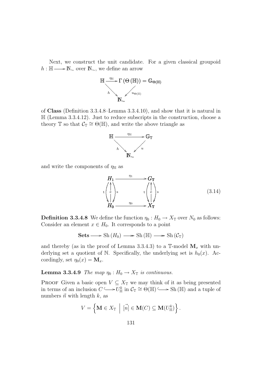Next, we construct the unit candidate. For a given classical groupoid  $h : \mathbb{H} \longrightarrow \mathbb{N}_{\sim}$  over  $\mathbb{N}_{\sim}$ , we define an arrow



of Class (Definition 3.3.4.8–Lemma 3.3.4.10), and show that it is natural in  $\mathbb{H}$  (Lemma 3.3.4.12). Just to reduce subscripts in the construction, choose a theory  $\mathbb T$  so that  $\mathcal C_{\mathbb T}\cong\Theta(\mathbb H)$ , and write the above triangle as



and write the components of  $\eta_{\mathbb{H}}$  as



**Definition 3.3.4.8** We define the function  $\eta_0 : H_0 \to X_{\mathbb{T}}$  over  $N_0$  as follows: Consider an element  $x \in H_0$ . It corresponds to a point

**Sets** 
$$
\longrightarrow
$$
 Sh  $(H_0) \longrightarrow$  Sh  $(\mathbb{H}) \longrightarrow$  Sh  $(C_{\mathbb{T}})$ 

and thereby (as in the proof of Lemma 3.3.4.3) to a  $\mathbb{T}\text{-model } \mathbf{M}_x$  with underlying set a quotient of N. Specifically, the underlying set is  $h_0(x)$ . Accordingly, set  $\eta_0(x) = \mathbf{M}_x$ .

### **Lemma 3.3.4.9** The map  $\eta_0 : H_0 \to X_{\mathbb{T}}$  is continuous.

PROOF Given a basic open  $V \subseteq X_{\mathbb{T}}$  we may think of it as being presented in terms of an inclusion  $C \longrightarrow U_{\mathbb{H}}^k$  in  $C_{\mathbb{T}} \cong \Theta(\mathbb{H}) \longrightarrow Sh(\mathbb{H})$  and a tuple of numbers  $\vec{n}$  with length k, as

$$
V = \left\{ \mathbf{M} \in X_{\mathbb{T}} \: \middle| \: \vec{[n]} \in \mathbf{M}(C) \subseteq \mathbf{M}(U_{\mathbb{H}}^k) \right\}.
$$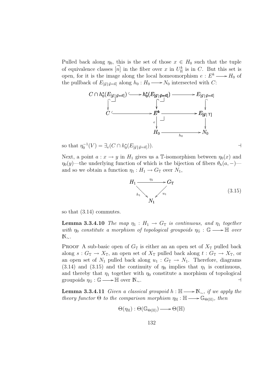Pulled back along  $\eta_0$ , this is the set of those  $x \in H_0$  such that the tuple of equivalence classes  $[\vec{n}]$  in the fiber over x in  $U^k_{\mathbb{H}}$  is in C. But this set is open, for it is the image along the local homeomorphism  $e: E^k \longrightarrow H_0$  of the pullback of  $E_{[\vec{y}|\vec{y}=\vec{n}]}$  along  $h_0: H_0 \longrightarrow N_0$  intersected with C:



so that 
$$
\eta_0^{-1}(V) = \exists_e (C \cap h_0^*(E_{[\vec{y}|\vec{y} = \vec{n}]}))
$$
.

Next, a point  $a: x \to y$  in  $H_1$  gives us a T-isomorphism between  $\eta_0(x)$  and  $\eta_0(y)$ —the underlying function of which is the bijection of fibers  $\theta_h(a, -)$  and so we obtain a function  $\eta_1 : H_1 \to G_{\mathbb{T}}$  over  $N_1$ ,

$$
H_1 \xrightarrow[n_1]{\eta_1} G_{\mathbb{T}}
$$
\n
$$
h_1 \searrow \searrow u_1
$$
\n
$$
(3.15)
$$

so that (3.14) commutes.

**Lemma 3.3.4.10** The map  $\eta_1 : H_1 \to G_{\mathbb{T}}$  is continuous, and  $\eta_1$  together with  $\eta_0$  constitute a morphism of topological groupoids  $\eta_{\mathbb{G}} : \mathbb{G} \longrightarrow \mathbb{H}$  over  $\mathbb{N}_{\sim}$ .

**PROOF** A sub-basic open of  $G_{\mathbb{T}}$  is either an an open set of  $X_{\mathbb{T}}$  pulled back along  $s: G_{\mathbb{T}} \to X_{\mathbb{T}}$ , an open set of  $X_{\mathbb{T}}$  pulled back along  $t: G_{\mathbb{T}} \to X_{\mathbb{T}}$ , or an open set of  $N_1$  pulled back along  $u_1 : G_{\mathbb{T}} \to N_1$ . Therefore, diagrams (3.14) and (3.15) and the continuity of  $\eta_0$  implies that  $\eta_1$  is continuous, and thereby that  $\eta_1$  together with  $\eta_0$  constitute a morphism of topological groupoids  $\eta_{\mathbb{G}} : \mathbb{G} \longrightarrow \mathbb{H}$  over  $\mathbb{N}_{\sim}$ .

**Lemma 3.3.4.11** Given a classical groupoid  $h : \mathbb{H} \longrightarrow \mathbb{N}_{\sim}$ , if we apply the theory functor  $\Theta$  to the comparison morphism  $\eta_{\mathbb{H}} : \mathbb{H} \longrightarrow \mathbb{G}_{\Theta(\mathbb{H})}$ , then

$$
\Theta(\eta_{\mathbb{H}}):\Theta(\mathbb{G}_{\Theta(\mathbb{H})})\longrightarrow \Theta(\mathbb{H})
$$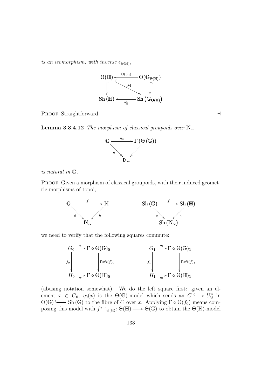is an isomorphism, with inverse  $\epsilon_{\Theta(\mathbb{H})}$ ,



PROOF Straightforward.

**Lemma 3.3.4.12** The morphism of classical groupoids over  $\mathbb{N}_{\sim}$ 



is natural in G.

PROOF Given a morphism of classical groupoids, with their induced geometric morphisms of topoi,



we need to verify that the following squares commute:



(abusing notation somewhat). We do the left square first: given an element  $x \in G_0$ ,  $\eta_0(x)$  is the  $\Theta(\mathbb{G})$ -model which sends an  $C \longrightarrow U_{\mathbb{G}}^n$  in  $\Theta(\mathbb{G}) \longrightarrow Sh(\mathbb{G})$  to the fibre of C over x. Applying  $\Gamma \circ \Theta(f_0)$  means composing this model with  $f^* \upharpoonright_{\Theta(\mathbb{H})} \Theta(\mathbb{H}) \longrightarrow \Theta(\mathbb{G})$  to obtain the  $\Theta(\mathbb{H})$ -model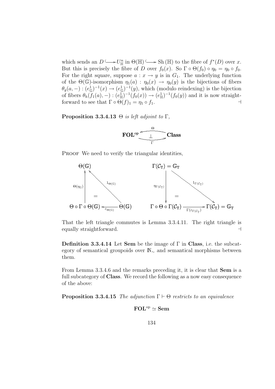which sends an  $D \longrightarrow U_{\mathbb{H}}^n$  in  $\Theta(\mathbb{H}) \longrightarrow$  Sh  $(\mathbb{H})$  to the fibre of  $f^*(D)$  over x. But this is precisely the fibre of D over  $f_0(x)$ . So  $\Gamma \circ \Theta(f_0) \circ \eta_0 = \eta_0 \circ f_0$ . For the right square, suppose  $a: x \to y$  is in  $G_1$ . The underlying function of the  $\Theta(\mathbb{G})$ -isomorphism  $\eta_1(a) : \eta_0(x) \to \eta_0(y)$  is the bijections of fibers  $\theta_g(a,-): (e_{\mathbb{G}}^1)^{-1}(x) \to (e_{\mathbb{G}}^1)^{-1}(y)$ , which (modulo reindexing) is the bijection of fibers  $\theta_h(f_1(a), -) : (e_{\mathbb{H}}^1)^{-1}(f_0(x)) \to (e_{\mathbb{H}}^1)^{-1}(f_0(y))$  and it is now straightforward to see that  $\Gamma \circ \Theta(f)_1 = \eta_1 \circ f_1$ .

#### **Proposition 3.3.4.13**  $\Theta$  is left adjoint to  $\Gamma$ ,



PROOF We need to verify the triangular identities,



That the left triangle commutes is Lemma 3.3.4.11. The right triangle is equally straightforward.  $\Box$ 

**Definition 3.3.4.14** Let Sem be the image of  $\Gamma$  in Class, i.e. the subcategory of semantical groupoids over N<sup>∼</sup> and semantical morphisms between them.

From Lemma 3.3.4.6 and the remarks preceding it, it is clear that Sem is a full subcategory of Class. We record the following as a now easy consequence of the above:

**Proposition 3.3.4.15** The adjunction  $\Gamma \vdash \Theta$  restricts to an equivalence

$$
\text{FOL}^{\text{op}}\simeq\text{Sem}
$$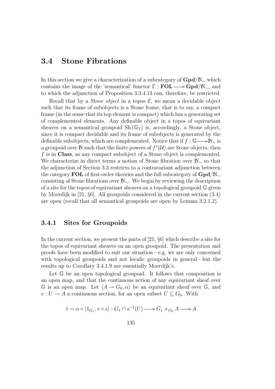# 3.4 Stone Fibrations

In this section we give a characterization of a subcategory of  $\text{Gpd}/N_{\sim}$  which contains the image of the 'semantical' functor  $\Gamma : \text{FOL} \longrightarrow \text{Gpd}/N_{\sim}$ , and to which the adjunction of Proposition 3.3.4.13 can, therefore, be restricted.

Recall that by a *Stone object* in a topos  $\mathcal{E}$ , we mean a decidable object such that its frame of subobjects is a Stone frame, that is to say, a compact frame (in the sense that its top element is compact) which has a generating set of complemented elements. Any definable object in a topos of equivariant sheaves on a semantical groupoid  $\text{Sh}(\mathbb{G}_{\mathbb{T}})$  is, accordingly, a Stone object. since it is compact decidable and its frame of subobjects is generated by the definable subobjects, which are complemented. Notice that if  $f : \mathbb{G} \longrightarrow \mathbb{N}_{\sim}$  is a groupoid over N such that the finite powers of  $f^*(\mathcal{U})$  are Stone objects, then f is in Class, as any compact subobject of a Stone object is complemented. We characterize in direct terms a notion of Stone fibration over N<sup>∼</sup> so that the adjunction of Section 3.3 restricts to a contravariant adjunction between the category FOL of first-order theories and the full subcategory of  $Gpd/N_{\sim}$ consisting of Stone fibrations over N∼. We begin by reviewing the description of a site for the topos of equivariant sheaves on a topological groupoid G given by Moerdijk in [21, §6]. All groupoids considered in the current section (3.4) are open (recall that all semantical groupoids are open by Lemma 3.2.1.2).

## 3.4.1 Sites for Groupoids

In the current section, we present the parts of [21, §6] which describe a site for the topos of equivariant sheaves on an open groupoid. The presentation and proofs have been modified to suit our situation—e.g. we are only concerned with topological groupoids and not localic groupoids in general—but the results up to Corollary 3.4.1.9 are essentially Moerdijk's.

Let G be an open topological groupoid. It follows that composition is an open map, and that the continuous action of any equivariant sheaf over G is an open map. Let  $\langle A \rightarrow G_0, \alpha \rangle$  be an equivariant sheaf over G, and  $v: U \to A$  a continuous section, for an open subset  $U \subseteq G_0$ . With

$$
\hat{v} = \alpha \circ \langle 1_{G_1}, v \circ s \rangle : G_1 \cap s^{-1}(U) \longrightarrow G_1 \times_{G_0} A \longrightarrow A
$$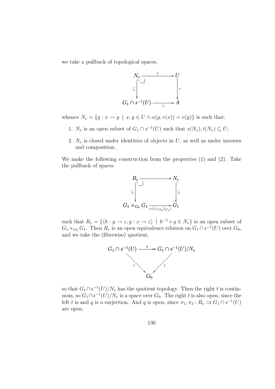we take a pullback of topological spaces,



whence  $N_v = \{g : x \to y \mid x, y \in U \land \alpha(g, v(x)) = v(y)\}\$ is such that:

- 1.  $N_v$  is an open subset of  $G_1 \cap s^{-1}(U)$  such that  $s(N_v), t(N_v) \subseteq U;$
- 2.  $N_v$  is closed under identities of objects in U, as well as under inverses and composition.

We make the following construction from the properties (1) and (2). Take the pullback of spaces



such that  $R_v = \{ \langle h : y \to z, g : x \to z \rangle \mid h^{-1} \circ g \in N_v \}$  is an open subset of  $G_1 \times_{G_0} G_1$ . Then  $R_v$  is an open equivalence relation on  $G_1 \cap s^{-1}(U)$  over  $G_0$ , and we take the (fibrewise) quotient,



so that  $G_1 \cap s^{-1}(U)/N_v$  has the quotient topology. Then the right t is continuous, so  $G_1 \cap s^{-1}(U)/N_v$  is a space over  $G_0$ . The right t is also open, since the left t is and q is a surjection. And q is open, since  $\pi_1, \pi_2 : R_v \rightrightarrows G_1 \cap s^{-1}(U)$ are open.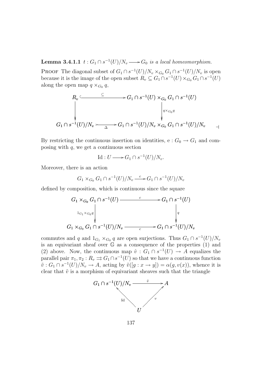**Lemma 3.4.1.1**  $t: G_1 \cap s^{-1}(U)/N_v \longrightarrow G_0$  is a local homeomorphism.

PROOF The diagonal subset of  $G_1 \cap s^{-1}(U)/N_v \times_{G_0} G_1 \cap s^{-1}(U)/N_v$  is open because it is the image of the open subset  $R_v \subseteq G_1 \cap s^{-1}(U) \times_{G_0} G_1 \cap s^{-1}(U)$ along the open map  $q \times_{G_0} q$ ,

$$
R_v \xrightarrow{\subseteq} G_1 \cap s^{-1}(U) \times_{G_0} G_1 \cap s^{-1}(U)
$$
\n
$$
G_1 \cap s^{-1}(U)/N_v \times_{\Delta} G_1 \cap s^{-1}(U)/N_v \times_{G_0} G_1 \cap s^{-1}(U)/N_v
$$

By restricting the continuous insertion on identities, e:  $G_0 \rightarrow G_1$  and composing with  $q$ , we get a continuous section

$$
\mathrm{Id}: U \longrightarrow G_1 \cap s^{-1}(U)/N_v.
$$

Moreover, there is an action

$$
G_1 \times_{G_0} G_1 \cap s^{-1}(U)/N_v \xrightarrow{c} G_1 \cap s^{-1}(U)/N_v
$$

defined by composition, which is continuous since the square

$$
G_1 \times_{G_0} G_1 \cap s^{-1}(U) \xrightarrow{c} G_1 \cap s^{-1}(U)
$$
  
\n
$$
G_1 \times_{G_0} G_1 \cap s^{-1}(U)/N_v \xrightarrow{c} G_1 \cap s^{-1}(U)/N_v
$$

commutes and q and  $1_{G_1} \times_{G_0} q$  are open surjections. Thus  $G_1 \cap s^{-1}(U)/N_v$ is an equivariant sheaf over  $\mathbb G$  as a consequence of the properties  $(1)$  and (2) above. Now, the continuous map  $\hat{v}: G_1 \cap s^{-1}(U) \to A$  equalizes the parallel pair  $\pi_1, \pi_2 : R_v \rightrightarrows G_1 \cap s^{-1}(U)$  so that we have a continuous function  $\tilde{v}: G_1 \cap s^{-1}(U)/N_v \to A$ , acting by  $\tilde{v}([g: x \to y]) = \alpha(g, v(x))$ , whence it is clear that  $\tilde{v}$  is a morphism of equivariant sheaves such that the triangle



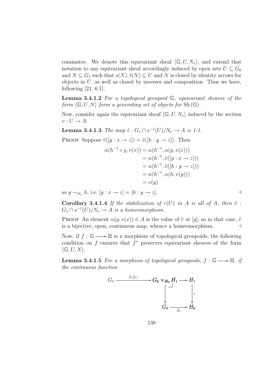commutes. We denote this equivariant sheaf  $\langle \mathbb{G}, U, N_{v} \rangle$ , and extend that notation to any equivariant sheaf accordingly induced by open sets  $U \subseteq G_0$ and  $N \subseteq G_1$  such that  $s(N), t(N) \subseteq U$  and N is closed by identity arrows for objects in  $U$ , as well as closed by inverses and composition. Thus we have, following  $[21, 6.1]$ ,

**Lemma 3.4.1.2** For a topological groupoid  $\mathbb{G}$ , equivariant sheaves of the form  $\langle \mathbb{G}, U, N \rangle$  form a generating set of objects for Sh $(\mathbb{G})$ .

Now, consider again the equivariant sheaf  $\langle \mathbb{G}, U, N_v \rangle$  induced by the section  $v: U \to A$ .

**Lemma 3.4.1.3** The map  $\tilde{v}$ :  $G_1 \cap s^{-1}(U)/N_v \to A$  is 1-1.

PROOF Suppose  $\tilde{v}([g : x \to z]) = \tilde{v}([h : y \to z])$ . Then

$$
\alpha(h^{-1} \circ g, v(x)) = \alpha(h^{-1}, \alpha(g, v(x)))
$$
  
=  $\alpha(h^{-1}, \tilde{v}([g : x \to z]))$   
=  $\alpha(h^{-1}, \tilde{v}([h : y \to z]))$   
=  $\alpha(h^{-1}, \alpha(h, v(y)))$   
=  $v(y)$ 

so  $g \sim_{N_v} h$ , i.e.  $[g: x \to z] = [h: y \to z]$ .

Corollary 3.4.1.4 If the stabilization of  $v(U)$  in A is all of A, then  $\tilde{v}$  :  $G_1 \cap s^{-1}(U)/N_v \to A$  is a homeomorphism.

**PROOF** An element  $\alpha(g, v(x)) \in A$  is the value of  $\tilde{v}$  at [g], so in that case,  $\tilde{v}$ is a bijective, open, continuous map, whence a homeomorphism.  $\Box$ 

Now, if  $f : \mathbb{G} \longrightarrow \mathbb{H}$  is a morphism of topological groupoids, the following condition on  $f$  ensures that  $f^*$  preserves equivariant sheaves of the form  $\langle \mathbb{G}, U, N \rangle$ .

**Lemma 3.4.1.5** For a morphism of topological groupoids,  $f : \mathbb{G} \longrightarrow \mathbb{H}$ , if the continuous function

$$
G_1 \xrightarrow{\langle t, f_1 \rangle} G_0 \times_{H_0} H_1 \longrightarrow H_1
$$
\n
$$
\downarrow \qquad \qquad \downarrow
$$
\n
$$
G_0 \xrightarrow{f_0} H_0
$$

138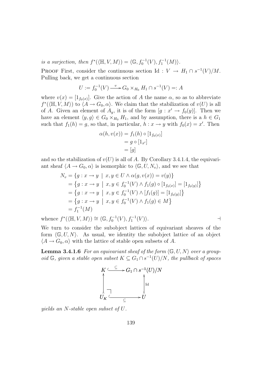is a surjection, then  $f^*(\langle \mathbb{H}, V, M \rangle) = \langle \mathbb{G}, f_0^{-1}(V), f_1^{-1}(M) \rangle$ .

**PROOF** First, consider the continuous section Id:  $V \to H_1 \cap s^{-1}(V)/M$ . Pulling back, we get a continuous section

$$
U := f_0^{-1}(V) \xrightarrow{v} G_0 \times_{H_0} H_1 \cap s^{-1}(V) =: A
$$

where  $v(x) = [1_{f_0(x)}]$ . Give the action of A the name  $\alpha$ , so as to abbreviate  $f^*(\langle \mathbb{H}, V, M \rangle)$  to  $\langle A \to G_0, \alpha \rangle$ . We claim that the stabilization of  $v(U)$  is all of A. Given an element of  $A_y$ , it is of the form  $[g: x' \to f_0(y)]$ . Then we have an element  $\langle y, g \rangle \in G_0 \times_{H_0} H_1$ , and by assumption, there is a  $h \in G_1$ such that  $f_1(h) = g$ , so that, in particular,  $h: x \to y$  with  $f_0(x) = x'$ . Then

$$
\alpha(h, v(x)) = f_1(h) \circ [1_{f_0(x)}]
$$
  
=  $g \circ [1_{x'}]$   
=  $[g]$ 

and so the stabilization of  $v(U)$  is all of A. By Corollary 3.4.1.4, the equivariant sheaf  $\langle A \rightarrow G_0, \alpha \rangle$  is isomorphic to  $\langle \mathbb{G}, U, N_v \rangle$ , and we see that

$$
N_v = \{g : x \to y \mid x, y \in U \land \alpha(g, v(x)) = v(y)\}
$$
  
=  $\{g : x \to y \mid x, y \in f_0^{-1}(V) \land f_1(g) \circ [1_{f_0(x)}] = [1_{f_0(y)}]\}$   
=  $\{g : x \to y \mid x, y \in f_0^{-1}(V) \land [f_1(g)] = [1_{f_0(y)}]\}$   
=  $\{g : x \to y \mid x, y \in f_0^{-1}(V) \land f_1(g) \in M\}$   
=  $f_1^{-1}(M)$ 

whence  $f^*(\langle \mathbb{H}, V, M \rangle) \cong \langle \mathbb{G}, f_0^{-1}(V), f_1^{-1}(V) \rangle$ .

We turn to consider the subobject lattices of equivariant sheaves of the form  $\langle \mathbb{G}, U, N \rangle$ . As usual, we identity the subobject lattice of an object  $\langle A \rightarrow G_0, \alpha \rangle$  with the lattice of stable open subsets of A.

**Lemma 3.4.1.6** For an equivariant sheaf of the form  $\langle \mathbb{G}, U, N \rangle$  over a groupoid  $\mathbb{G}$ , given a stable open subset  $K \subseteq G_1 \cap s^{-1}(U)/N$ , the pullback of spaces



yields an N-stable open subset of U.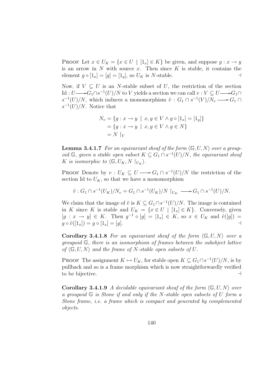PROOF Let  $x \in U_K = \{x \in U \mid [1_x] \in K\}$  be given, and suppose  $g: x \to y$ is an arrow in  $N$  with source  $x$ . Then since  $K$  is stable, it contains the element  $g \circ [1_x] = [g] = [1_y]$ , so  $U_K$  is N-stable.

Now, if  $V \subseteq U$  is an N-stable subset of U, the restriction of the section Id :  $U \longrightarrow G_1 \cap s^{-1}(U)/N$  to V yields a section we can call  $v : V \subseteq U \longrightarrow G_1 \cap$  $s^{-1}(U)/N$ , which induces a monomorphism  $\tilde{v}: G_1 \cap s^{-1}(V)/N_v \longrightarrow G_1 \cap$  $s^{-1}(U)/N$ . Notice that

$$
N_v = \{ g : x \to y \mid x, y \in V \land g \circ [1_x] = [1_y] \}
$$
  
= 
$$
\{ g : x \to y \mid x, y \in V \land g \in N \}
$$
  
= 
$$
N \upharpoonright_V
$$

**Lemma 3.4.1.7** For an equivariant sheaf of the form  $\langle \mathbb{G}, U, N \rangle$  over a groupoid  $\mathbb{G}$ , given a stable open subset  $K \subseteq G_1 \cap s^{-1}(U)/N$ , the equivariant sheaf K is isomorphic to  $\langle \mathbb{G}, U_K, N \rangle_{U_K}$ .

**PROOF** Denote by  $v: U_K \subseteq U \longrightarrow G_1 \cap s^{-1}(U)/N$  the restriction of the section Id to  $U_K$ , so that we have a monomorphism

$$
\tilde{v}: G_1 \cap s^{-1}(U_K)/N_v = G_1 \cap s^{-1}(U_K)/N \restriction_{U_K} \longrightarrow G_1 \cap s^{-1}(U)/N.
$$

We claim that the image of  $\tilde{v}$  is  $K \subseteq G_1 \cap s^{-1}(U)/N$ . The image is contained in K since K is stable and  $U_K = \{x \in U \mid [1_x] \in K\}$ . Conversely, given  $[g: x \to y] \in K$ . Then  $g^{-1} \circ [g] = [1_x] \in K$ , so  $x \in U_K$  and  $\tilde{v}([g]) =$  $g \circ \tilde{v}([1_x]) = g \circ [1_x] = [g].$ 

**Corollary 3.4.1.8** For an equivariant sheaf of the form  $\langle \mathbb{G}, U, N \rangle$  over a groupoid G, there is an isomorphism of frames between the subobject lattice of  $\langle \mathbb{G}, U, N \rangle$  and the frame of N-stable open subsets of U.

**PROOF** The assignment  $K \mapsto U_K$ , for stable open  $K \subseteq G_1 \cap s^{-1}(U)/N$ , is by pullback and so is a frame morphism which is now straightforwardly verified to be bijective.  $\Box$ 

**Corollary 3.4.1.9** A decidable equivariant sheaf of the form  $\langle \mathbb{G}, U, N \rangle$  over a groupoid G is Stone if and only if the N-stable open subsets of U form a Stone frame, i.e. a frame which is compact and generated by complemented objects.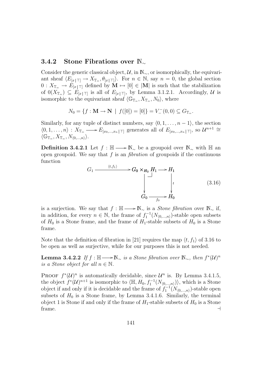#### 3.4.2 Stone Fibrations over N<sup>∼</sup>

Consider the generic classical object,  $\mathcal{U}$ , in  $\mathbb{N}_{\sim}$ , or isomorphically, the equivariant sheaf  $\langle E_{[x|\top]} \to X_{\mathbb{T}_=}, \theta_{[x|\top]} \rangle$ . For  $n \in \mathbb{N}$ , say  $n = 0$ , the global section  $0: X_{\mathbb{T}_{\equiv}} \to E_{[x|\top]}$  defined by  $\mathbf{M} \mapsto [0] \in |\mathbf{M}|$  is such that the stabilization of  $0(X_{\mathbb{T}_=}) \subseteq E_{[x|\mathbb{T}]}$  is all of  $E_{[x|\mathbb{T}]}$ , by Lemma 3.1.2.1. Accordingly, U is isomorphic to the equivariant sheaf  $\langle \mathbb{G}_{\mathbb{T}_{=}} , X_{\mathbb{T}_{=}} , N_0 \rangle$ , where

$$
N_0 = \{ f : \mathbf{M} \to \mathbf{N} \mid f([0]) = [0] \} = V_{-}^{-}(0,0) \subseteq G_{\mathbb{T}_{-}}.
$$

Similarly, for any tuple of distinct numbers, say  $\langle 0, 1, \ldots, n-1 \rangle$ , the section  $\langle 0, 1, \ldots, n \rangle : X_{\mathbb{T}_{\equiv}} \longrightarrow E_{[x_0, \ldots, x_n | \top]}$  generates all of  $E_{[x_0, \ldots, x_n | \top]}$ , so  $\mathcal{U}^{n+1} \cong$  $\langle \mathbb{G}_{\mathbb{T}_{=}}, X_{\mathbb{T}_{=}}, N_{\langle 0,...,n \rangle} \rangle.$ 

**Definition 3.4.2.1** Let  $f : \mathbb{H} \longrightarrow \mathbb{N}$  be a groupoid over  $\mathbb{N}$ ∼ with  $\mathbb{H}$  and open groupoid. We say that  $f$  is an *fibration* of groupoids if the continuous function

$$
G_1 \xrightarrow{\langle t, f_1 \rangle} G_0 \times_{H_0} H_1 \longrightarrow H_1
$$
\n
$$
\downarrow \qquad \qquad \downarrow \qquad \qquad \downarrow
$$
\n
$$
G_0 \xrightarrow{f_0} H_0
$$
\n
$$
(3.16)
$$

is a surjection. We say that  $f : \mathbb{H} \longrightarrow \mathbb{N}_{\sim}$  is a *Stone fibration* over  $\mathbb{N}_{\sim}$  if, in addition, for every  $n \in \mathbb{N}$ , the frame of  $f_1^{-1}(N_{(0,...,n)})$ -stable open subsets of  $H_0$  is a Stone frame, and the frame of  $H_1$ -stable subsets of  $H_0$  is a Stone frame.

Note that the definition of fibration in [21] requires the map  $\langle t, f_1 \rangle$  of 3.16 to be open as well as surjective, while for our purposes this is not needed.

**Lemma 3.4.2.2** If  $f : \mathbb{H} \longrightarrow \mathbb{N}_{\sim}$  is a Stone fibration over  $\mathbb{N}_{\sim}$ , then  $f^*(\mathcal{U})^n$ is a Stone object for all  $n \in \mathbb{N}$ .

**PROOF**  $f^*(\mathcal{U})^n$  is automatically decidable, since  $\mathcal{U}^n$  is. By Lemma 3.4.1.5, the object  $f^*(\mathcal{U})^{n+1}$  is isomorphic to  $\langle \mathbb{H}, H_0, f_1^{-1}(N_{(0,\ldots,n)})\rangle$ , which is a Stone object if and only if it is decidable and the frame of  $f_1^{-1}(N_{(0,...,n)})$ -stable open subsets of  $H_0$  is a Stone frame, by Lemma 3.4.1.6. Similarly, the terminal object 1 is Stone if and only if the frame of  $H_1$ -stable subsets of  $H_0$  is a Stone  $\Box$  frame.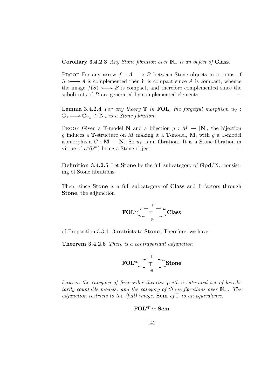Corollary 3.4.2.3 Any Stone fibration over  $\mathbb{N}_{\sim}$  is an object of Class.

PROOF For any arrow  $f : A \longrightarrow B$  between Stone objects in a topos, if  $S \rightarrow A$  is complemented then it is compact since A is compact, whence the image  $f(S) \rightarrow B$  is compact, and therefore complemented since the subobjects of B are generated by complemented elements.  $\Box$ 

**Lemma 3.4.2.4** For any theory  $\mathbb T$  in FOL, the forgetful morphism  $u_{\mathbb T}$ :  $\mathbb{G}_{\mathbb{T}} \longrightarrow \mathbb{G}_{\mathbb{T}_{=}} \cong \mathbb{N}_{\sim}$  is a Stone fibration.

PROOF Given a T-model N and a bijection  $g : M \to |N|$ , the bijection q induces a T-structure on M making it a T-model, M, with q a T-model isomorphism  $G : \mathbf{M} \to \mathbf{N}$ . So  $u_{\mathbb{T}}$  is an fibration. It is a Stone fibration in virtue of  $u^*(\mathcal{U}^n)$  being a Stone object.

Definition 3.4.2.5 Let Stone be the full subcategory of Gpd/N<sub>∼</sub> consisting of Stone fibrations.

Then, since **Stone** is a full subcategory of **Class** and  $\Gamma$  factors through Stone, the adjunction



of Proposition 3.3.4.13 restricts to Stone. Therefore, we have:

Theorem 3.4.2.6 There is a contravariant adjunction

$$
\text{FOL}^{\text{op}} \underbrace{\xrightarrow[\Theta]{\Gamma}} \text{Stone}
$$

between the category of first-order theories (with a saturated set of hereditarily countable models) and the category of Stone fibrations over  $\mathbb{N}_{\sim}$ . The adjunction restricts to the (full) image, **Sem** of  $\Gamma$  to an equivalence,

$$
\text{FOL}^{\text{op}}\simeq\text{Sem}
$$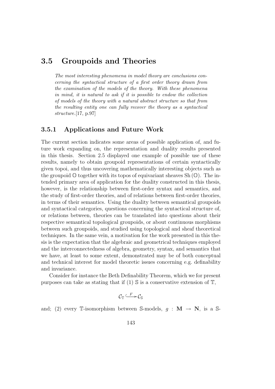### 3.5 Groupoids and Theories

The most interesting phenomena in model theory are conclusions concerning the syntactical structure of a first order theory drawn from the examination of the models of the theory. With these phenomena in mind, it is natural to ask if it is possible to endow the collection of models of the theory with a natural abstract structure so that from the resulting entity one can fully recover the theory as a syntactical structure.[17, p.97]

#### 3.5.1 Applications and Future Work

The current section indicates some areas of possible application of, and future work expanding on, the representation and duality results presented in this thesis. Section 2.5 displayed one example of possible use of these results, namely to obtain groupoid representations of certain syntactically given topoi, and thus uncovering mathematically interesting objects such as the groupoid  $\mathbb{O}$  together with its topos of equivariant sheaves Sh  $(\mathbb{O})$ . The intended primary area of application for the duality constructed in this thesis, however, is the relationship between first-order syntax and semantics, and the study of first-order theories, and of relations between first-order theories, in terms of their semantics. Using the duality between semantical groupoids and syntactical categories, questions concerning the syntactical structure of, or relations between, theories can be translated into questions about their respective semantical topological groupoids, or about continuous morphisms between such groupoids, and studied using topological and sheaf theoretical techniques. In the same vein, a motivation for the work presented in this thesis is the expectation that the algebraic and geometrical techniques employed and the interconnectedness of algebra, geometry, syntax, and semantics that we have, at least to some extent, demonstrated may be of both conceptual and technical interest for model theoretic issues concerning e.g. definability and invariance.

Consider for instance the Beth Definability Theorem, which we for present purposes can take as stating that if  $(1)$  S is a conservative extension of  $\mathbb{T}$ ,

$$
\mathcal{C}_{\mathbb{T}} \xrightarrow{F} \mathcal{C}_{\mathbb{S}}
$$

and; (2) every T-isomorphism between S-models,  $q : \mathbf{M} \to \mathbf{N}$ , is a S-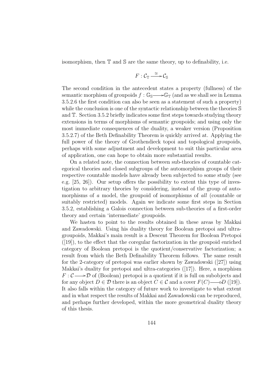isomorphism, then  $\mathbb T$  and  $\mathbb S$  are the same theory, up to definability, i.e.

$$
F:\mathcal{C}_{\mathbb{T}}\stackrel{\cong}{\longrightarrow}\mathcal{C}_{\mathbb{S}}
$$

The second condition in the antecedent states a property (fullness) of the semantic morphism of groupoids  $f : \mathbb{G}_{\mathbb{S}} \longrightarrow \mathbb{G}_{\mathbb{T}}$  (and as we shall see in Lemma 3.5.2.6 the first condition can also be seen as a statement of such a property) while the conclusion is one of the syntactic relationship between the theories S and T. Section 3.5.2 briefly indicates some first steps towards studying theory extensions in terms of morphisms of semantic groupoids; and using only the most immediate consequences of the duality, a weaker version (Proposition 3.5.2.7) of the Beth Definability Theorem is quickly arrived at. Applying the full power of the theory of Grothendieck topoi and topological groupoids, perhaps with some adjustment and development to suit this particular area of application, one can hope to obtain more substantial results.

On a related note, the connection between sub-theories of countable categorical theories and closed subgroups of the automorphism groups of their respective countable models have already been subjected to some study (see e.g. [25, 26]). Our setup offers the possibility to extent this type of investigation to arbitrary theories by considering, instead of the group of automorphisms of a model, the groupoid of isomorphisms of all (countable or suitably restricted) models. Again we indicate some first steps in Section 3.5.2, establishing a Galois connection between sub-theories of a first-order theory and certain 'intermediate' groupoids.

We hasten to point to the results obtained in these areas by Makkai and Zawadowski. Using his duality theory for Boolean pretopoi and ultragroupoids, Makkai's main result is a Descent Theorem for Boolean Pretopoi  $([19])$ , to the effect that the coregular factorization in the groupoid enriched category of Boolean pretopoi is the quotient/conservative factorization; a result from which the Beth Definability Theorem follows. The same result for the 2-category of pretopoi was earlier shown by Zawadowski ([27]) using Makkai's duality for pretopoi and ultra-categories ([17]). Here, a morphism  $F: \mathcal{C} \longrightarrow \mathcal{D}$  of (Boolean) pretopoi is a quotient if it is full on subobjects and for any object  $D \in \mathcal{D}$  there is an object  $C \in \mathcal{C}$  and a cover  $F(C) \longrightarrow D$  ([19]). It also falls within the category of future work to investigate to what extent and in what respect the results of Makkai and Zawadowski can be reproduced, and perhaps further developed, within the more geometrical duality theory of this thesis.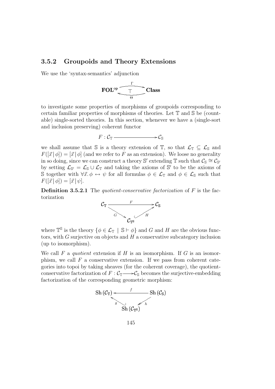#### 3.5.2 Groupoids and Theory Extensions

We use the 'syntax-semantics' adjunction



to investigate some properties of morphisms of groupoids corresponding to certain familiar properties of morphisms of theories. Let T and S be (countable) single-sorted theories. In this section, whenever we have a (single-sort and inclusion preserving) coherent functor

$$
F:\mathcal{C}_{\mathbb{T}} \longrightarrow \mathcal{C}_{\mathbb{S}}
$$

we shall assume that S is a theory extension of  $\mathbb{T}$ , so that  $\mathcal{L}_{\mathbb{T}} \subseteq \mathcal{L}_{\mathbb{S}}$  and  $F([\vec{x} | \phi]) = [\vec{x} | \phi]$  (and we refer to F as an extension). We loose no generality in so doing, since we can construct a theory S' extending  $\mathbb T$  such that  $\mathcal{C}_\mathbb S \cong \mathcal{C}_{\mathbb S}$ by setting  $\mathcal{L}_{\mathbb{S}'} = \mathcal{L}_{\mathbb{S}} \cup \mathcal{L}_{\mathbb{T}}$  and taking the axioms of  $\mathbb{S}'$  to be the axioms of S together with  $\forall \vec{x}.\phi \leftrightarrow \psi$  for all formulas  $\phi \in \mathcal{L}_{\mathbb{T}}$  and  $\phi \in \mathcal{L}_{\mathbb{S}}$  such that  $F([\vec{x} | \phi]) = [\vec{x} | \psi].$ 

**Definition 3.5.2.1** The quotient-conservative factorization of  $F$  is the factorization



where  $\mathbb{T}^{\mathbb{S}}$  is the theory  $\{\phi \in \mathcal{L}_{\mathbb{T}} \mid \mathbb{S} \vdash \phi\}$  and G and H are the obvious functors, with  $G$  surjective on objects and  $H$  a conservative subcategory inclusion (up to isomorphism).

We call F a quotient extension if H is an isomorphism. If G is an isomorphism, we call  $F$  a conservative extension. If we pass from coherent categories into topoi by taking sheaves (for the coherent coverage), the quotientconservative factorization of  $F : \mathcal{C}_{\mathbb{T}} \longrightarrow \mathcal{C}_{\mathbb{S}}$  becomes the surjective-embedding factorization of the corresponding geometric morphism:

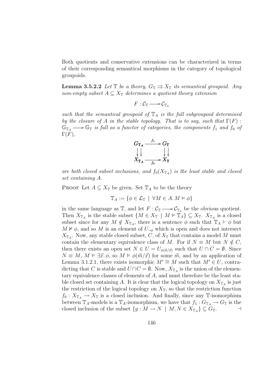Both quotients and conservative extensions can be characterized in terms of their corresponding semantical morphisms in the category of topological groupoids.

**Lemma 3.5.2.2** Let  $\mathbb{T}$  be a theory,  $G_{\mathbb{T}} \rightrightarrows X_{\mathbb{T}}$  its semantical groupoid. Any non-empty subset  $A \subseteq X_{\mathbb{T}}$  determines a quotient theory extension

$$
F:\mathcal{C}_\mathbb{T}\mathchoice{\longrightarrow}{\rightarrow}{\rightarrow}{\rightarrow} \mathcal{C}_{\mathbb{T}_\mathbb{A}}
$$

such that the semantical groupoid of  $\mathbb{T}_A$  is the full subgroupoid determined by the closure of A in the stable topology. That is to say, such that  $\Gamma(F)$ :  $\mathbb{G}_{\mathbb{T}_A} \longrightarrow \mathbb{G}_{\mathbb{T}}$  is full as a functor of categories, the components  $f_1$  and  $f_0$  of  $\Gamma(F),$ 



are both closed subset inclusions, and  $f_0(X_{\mathbb{T}_A})$  is the least stable and closed set containing A.

PROOF Let  $A \subseteq X_{\mathbb{T}}$  be given. Set  $\mathbb{T}_A$  to be the theory

$$
\mathbb{T}_A := \{ \phi \in \mathcal{L}_{\mathbb{T}} \mid \forall M \in A. M \vDash \phi \}
$$

in the same language as  $\mathbb{T}$ , and let  $F: \mathcal{C}_{\mathbb{T}} \longrightarrow \mathcal{C}_{\mathbb{T}_{A}}$  be the obvious quotient. Then  $X_{\mathbb{T}_A}$  is the stable subset  $\{M \in X_{\mathbb{T}} \mid M \models \mathbb{T}_A\} \subseteq X_{\mathbb{T}}$ .  $X_{\mathbb{T}_A}$  is a closed subset since for any  $M \notin X_{\mathbb{T}_A}$ , there is a sentence  $\phi$  such that  $\mathbb{T}_A \vdash \phi$  but  $M \not\vDash \phi$ , and so M is an element of  $U_{\neg \phi}$  which is open and does not intersect  $X_{\mathbb{T}_A}$ . Now, any stable closed subset, C, of  $X_{\mathbb{T}}$  that contains a model M must contain the elementary equivalence class of M. For if  $N \equiv M$  but  $N \notin C$ , then there exists an open set  $N \in U = U_{\phi(\vec{n}/\vec{x})}$  such that  $U \cap C = \emptyset$ . Since  $N \equiv M, M \models \exists \vec{x}, \phi$ , so  $M \models \phi(\vec{m}/\vec{x})$  for some  $\vec{m}$ , and by an application of Lemma 3.1.2.1, there exists isomorphic  $M' \cong M$  such that  $M' \in U$ , contradicting that C is stable and  $U \cap C = \emptyset$ . Now,  $X_{\mathbb{T}_A}$  is the union of the elementary equivalence classes of elements of A, and must therefore be the least stable closed set containing A. It is clear that the logical topology on  $X_{\mathbb{T}_A}$  is just the restriction of the logical topology on  $X_{\mathbb{T}}$ , so that the restriction function  $f_0: X_{\mathbb{T}_A} \to X_{\mathbb{T}}$  is a closed inclusion. And finally, since any T-isomorphism between  $\mathbb{T}_A$ -models is a  $\mathbb{T}_A$ -isomorphism, we have that  $f_1 : G_{\mathbb{T}_A} \to G_{\mathbb{T}}$  is the closed inclusion of the subset  $\{g : M \to N \mid M, N \in X_{\mathbb{T}_A}\}\subseteq G_{\mathbb{T}}$ .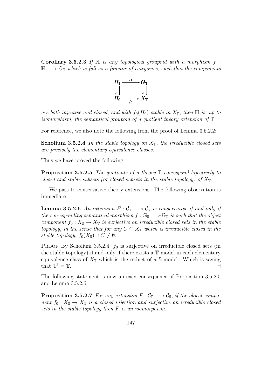**Corollary 3.5.2.3** If  $\mathbb{H}$  is any topological groupoid with a morphism f:  $\mathbb{H} \longrightarrow \mathbb{G}_{\mathbb{T}}$  which is full as a functor of categories, such that the components



are both injective and closed, and with  $f_0(H_0)$  stable in  $X_{\mathbb{T}}$ , then  $\mathbb{H}$  is, up to isomorphism, the semantical groupoid of a quotient theory extension of T.

For reference, we also note the following from the proof of Lemma 3.5.2.2:

**Scholium 3.5.2.4** In the stable topology on  $X_{\mathbb{T}}$ , the irreducible closed sets are precisely the elementary equivalence classes.

Thus we have proved the following:

**Proposition 3.5.2.5** The quotients of a theory  $\mathbb T$  correspond bijectively to closed and stable subsets (or closed subsets in the stable topology) of  $X_{\mathbb{T}}$ .

We pass to conservative theory extensions. The following observation is immediate:

**Lemma 3.5.2.6** An extension  $F: \mathcal{C}_{\mathbb{T}} \longrightarrow \mathcal{C}_{\mathbb{S}}$  is conservative if and only if the corresponding semantical morphism  $f : \mathbb{G}_{\mathbb{S}} \longrightarrow \mathbb{G}_{\mathbb{T}}$  is such that the object component  $f_0 : X_{\mathbb{S}} \to X_{\mathbb{T}}$  is surjective on irreducible closed sets in the stable topology, in the sense that for any  $C \subseteq X_{\mathbb{T}}$  which is irreducible closed in the stable topology,  $f_0(X_{\mathbb{S}}) \cap C \neq \emptyset$ .

PROOF By Scholium 3.5.2.4,  $f_0$  is surjective on irreducible closed sets (in the stable topology) if and only if there exists a T-model in each elementary equivalence class of  $X_{\mathbb{T}}$  which is the reduct of a S-model. Which is saying that  $\mathbb{T}^{\mathbb{S}} = \mathbb{T}$ .  $S = T.$ 

The following statement is now an easy consequence of Proposition 3.5.2.5 and Lemma 3.5.2.6:

**Proposition 3.5.2.7** For any extension  $F: \mathcal{C}_{\mathbb{T}} \longrightarrow \mathcal{C}_{\mathbb{S}}$ , if the object component  $f_0 : X_{\mathbb{S}} \to X_{\mathbb{T}}$  is a closed injection and surjective on irreducible closed sets in the stable topology then F is an isomorphism.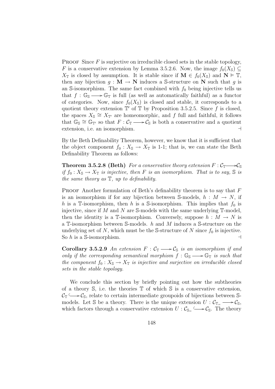**PROOF** Since  $F$  is surjective on irreducible closed sets in the stable topology, F is a conservative extension by Lemma 3.5.2.6. Now, the image  $f_0(X_s) \subseteq$  $X_{\mathbb{T}}$  is closed by assumption. It is stable since if  $\mathbf{M} \in f_0(X_{\mathbb{S}})$  and  $\mathbf{N} \models \mathbb{T}$ , then any bijection  $g : \mathbf{M} \to \mathbf{N}$  induces a S-structure on N such that g is an S-isomorphism. The same fact combined with  $f_0$  being injective tells us that  $f : \mathbb{G}_{\mathbb{S}} \longrightarrow \mathbb{G}_{\mathbb{T}}$  is full (as well as automatically faithful) as a functor of categories. Now, since  $f_0(X_s)$  is closed and stable, it corresponds to a quotient theory extension  $\mathbb{T}'$  of  $\mathbb{T}$  by Proposition 3.5.2.5. Since f is closed, the spaces  $X_{\mathbb{S}} \cong X_{\mathbb{T}'}$  are homeomorphic, and f full and faithful, it follows that  $\mathbb{G}_{\mathbb{S}} \cong \mathbb{G}_{\mathbb{T}'}$  so that  $F : \mathcal{C}_{\mathbb{T}} \longrightarrow \mathcal{C}_{\mathbb{S}}$  is both a conservative and a quotient extension, i.e. an isomorphism.  $\Box$ 

By the Beth Definability Theorem, however, we know that it is sufficient that the object component  $f_0 : X_{\mathbb{S}} \to X_{\mathbb{T}}$  is 1-1; that is, we can state the Beth Definability Theorem as follows:

**Theorem 3.5.2.8 (Beth)** For a conservative theory extension  $F : \mathcal{C}_{\mathbb{T}} \longrightarrow \mathcal{C}_{\mathbb{S}}$ if  $f_0: X_{\mathbb{S}} \to X_{\mathbb{T}}$  is injective, then F is an isomorphism. That is to say,  $\mathbb{S}$  is the same theory as  $\mathbb{T}$ , up to definability.

**PROOF** Another formulation of Beth's definability theorem is to say that  $F$ is an isomorphism if for any bijection between S-models,  $h : M \to N$ , if h is a T-isomorphism, then h is a S-isomorphism. This implies that  $f_0$  is injective, since if M and N are  $\mathbb S$ -models with the same underlying  $\mathbb T$ -model, then the identity is a T-isomorphism. Conversely, suppose  $h : M \to N$  is a T-isomorphism between S-models. h and M induces a S-structure on the underlying set of N, which must be the S-structure of N since  $f_0$  is injective. So  $h$  is a S-isomorphism.

Corollary 3.5.2.9 An extension  $F : \mathcal{C}_{\mathbb{T}} \longrightarrow \mathcal{C}_{\mathbb{S}}$  is an isomorphism if and only if the corresponding semantical morphism  $f : \mathbb{G}_{S} \longrightarrow \mathbb{G}_{T}$  is such that the component  $f_0 : X_{\mathbb{S}} \to X_{\mathbb{T}}$  is injective and surjective on irreducible closed sets in the stable topology.

We conclude this section by briefly pointing out how the subtheories of a theory  $\mathbb{S}$ , i.e. the theories  $\mathbb{T}$  of which  $\mathbb{S}$  is a conservative extension,  $\mathcal{C}_{\mathbb{T}} \longrightarrow \mathcal{C}_{\mathbb{S}}$ , relate to certain intermediate groupoids of bijections between Smodels. Let S be a theory. There is the unique extension  $U: \mathcal{C}_{\mathbb{T}_{\equiv}} \longrightarrow \mathcal{C}_{\mathbb{S}},$ which factors through a conservative extension  $U : \mathcal{C}_{\mathbb{S}_+} \longrightarrow \mathcal{C}_{\mathbb{S}}$ . The theory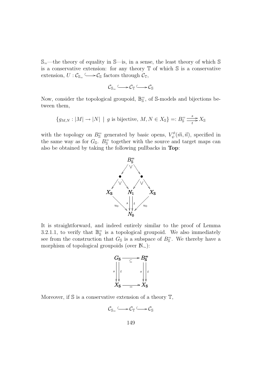$\mathbb{S}_{=}$ —the theory of equality in  $\mathbb{S}$ —is, in a sense, the least theory of which  $\mathbb{S}$ is a conservative extension: for any theory  $\mathbb T$  of which  $\mathbb S$  is a conservative extension,  $U : \mathcal{C}_{\mathbb{S}_+} \longrightarrow \mathcal{C}_{\mathbb{S}}$  factors through  $\mathcal{C}_{\mathbb{T}},$ 

$$
\mathcal{C}_{\mathbb{S}_=} \longleftrightarrow \mathcal{C}_{\mathbb{T}} \longleftarrow \mathcal{C}_{\mathbb{S}}
$$

Now, consider the topological groupoid,  $\mathbb{B}_{\mathbb{S}}^{\pm}$ , of S-models and bijections between them,

$$
\{g_{M,N}: |M| \to |N| \mid g \text{ is bijective, } M, N \in X_{\mathbb{S}}\} =: B_{\mathbb{S}}^{\dagger} \xrightarrow[t \to X_{\mathbb{S}}]
$$

with the topology on  $B_{\mathbb{S}}^-$  generated by basic opens,  $V_{\psi}^{\phi}$  $\psi^{\phi}(\vec{m},\vec{n})$ , specified in the same way as for  $G_{\mathbb{S}}$ .  $B_{\mathbb{S}}^=$  together with the source and target maps can also be obtained by taking the following pullbacks in Top:



It is straightforward, and indeed entirely similar to the proof of Lemma 3.2.1.1, to verify that  $\mathbb{B}_{\mathbb{S}}^=$  is a topological groupoid. We also immediately see from the construction that  $G_{\mathbb{S}}$  is a subspace of  $B_{\mathbb{S}}^{\equiv}$ . We thereby have a morphism of topological groupoids (over N∼):

$$
G_{\mathbf{S}} \longrightarrow B_{\mathbf{S}}^{-}
$$
  
\n
$$
\begin{vmatrix}\n\cdot & \cdot & \cdot & \cdot \\
\cdot & \cdot & \cdot & \cdot \\
\cdot & \cdot & \cdot & \cdot \\
X_{\mathbf{S}} \longrightarrow X_{\mathbf{S}}\n\end{vmatrix}
$$

Moreover, if  $\mathbb S$  is a conservative extension of a theory  $\mathbb T$ ,

$$
\mathcal{C}_{\mathbb{S}_=} \longleftrightarrow \mathcal{C}_{\mathbb{T}} \longleftrightarrow \mathcal{C}_{\mathbb{S}}
$$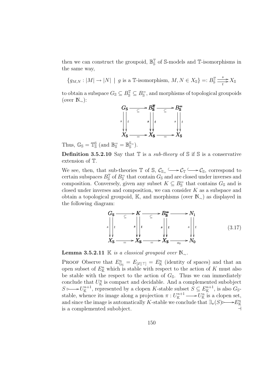then we can construct the groupoid,  $\mathbb{B}^{\mathbb{T}}_{\mathbb{S}}$  of S-models and T-isomorphisms in the same way,

 ${g_{M,N}: |M| \to |N| | g \text{ is a } \mathbb{T}$-isomorphism, } M,N \in X_{\mathbb{S}} =: B_{\mathbb{S}}^{\mathbb{T}}$  $\qquad \qquad$  $\sum_{t}^{S} X_{\mathbb{S}}$ 

to obtain a subspace  $G_{\mathbb{S}} \subseteq B_{\mathbb{S}}^{\mathbb{T}} \subseteq B_{\mathbb{S}}^=$ , and morphisms of topological groupoids (over  $\mathbb{N}_{\sim}$ ):



Thus,  $\mathbb{G}_{\mathbb{S}} = \mathbb{T}_{\mathbb{S}}^{\mathbb{S}}$  (and  $\mathbb{B}_{\mathbb{S}}^{\equiv} = \mathbb{B}_{\mathbb{S}}^{\mathbb{S}^{\equiv}}$ ).

**Definition 3.5.2.10** Say that  $\mathbb{T}$  is a *sub-theory* of  $\mathbb{S}$  if  $\mathbb{S}$  is a conservative extension of T.

We see, then, that sub-theories  $\mathbb T$  of  $\mathbb S$ ,  $\mathcal C_{\mathbb S}$   $\longrightarrow$   $\mathcal C_{\mathbb T}$   $\longrightarrow$   $\mathcal C_{\mathbb S}$ , correspond to certain subspaces  $B_{\mathbb{S}}^{\mathbb{T}}$  of  $B_{\mathbb{S}}^=$  that contain  $G_{\mathbb{S}}$  and are closed under inverses and composition. Conversely, given any subset  $K \subseteq B_{\mathbb{S}}^=$  that contains  $G_{\mathbb{S}}$  and is closed under inverses and composition, we can consider K as a subspace and obtain a topological groupoid, K, and morphisms (over N∼) as displayed in the following diagram:

$$
G_{\mathbf{S}} \longrightarrow K \longrightarrow B_{\mathbf{S}}^{\equiv} \longrightarrow N_{1}
$$
\n
$$
s \downarrow t \qquad s \downarrow t \qquad s \downarrow t \qquad s \downarrow t
$$
\n
$$
X_{\mathbf{S}} \longrightarrow X_{\mathbf{S}} \longrightarrow X_{\mathbf{S}} \longrightarrow X_{\mathbf{S}} \longrightarrow N_{0}
$$
\n
$$
(3.17)
$$

**Lemma 3.5.2.11** K is a classical groupoid over  $\mathbb{N}_{\sim}$ .

**PROOF** Observe that  $E_{\mathbb{G}_{\mathbb{S}}}^n = E_{[\vec{x}|T]} = E_{\mathbb{K}}^n$  (identity of spaces) and that an open subset of  $E_{\mathbb{K}}^n$  which is stable with respect to the action of K must also be stable with the respect to the action of  $G_{\mathbb{S}}$ . Thus we can immediately conclude that  $U_{\mathbb K}^n$  is compact and decidable. And a complemented subobject  $S \rightarrow U_{\mathbb{K}}^{n+1}$  $\mathbb{K}^{n+1}$ , represented by a clopen K-stable subset  $S \subseteq E_{\mathbb{K}}^{n+1}$  $\mathbb{K}^{n+1}$ , is also  $G_{\mathbb{S}^-}$ stable, whence its image along a projection  $\pi: U^{n+1}_{\mathbb{K}}$  $U_{\mathbb{K}}^{n+1} \longrightarrow U_{\mathbb{K}}^{n}$  is a clopen set, and since the image is automatically K-stable we conclude that  $\exists_{\pi}(S) \rightarrow E_{\mathbb{K}}^{n}$ is a complemented subobject.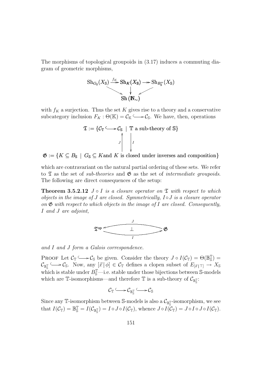The morphisms of topological groupoids in (3.17) induces a commuting diagram of geometric morphisms,



with  $f_K$  a surjection. Thus the set K gives rise to a theory and a conservative subcategory inclusion  $F_K : \Theta(\mathbb{K}) = \mathcal{C}_{\mathbb{K}} \longrightarrow \mathcal{C}_{\mathbb{S}}$ . We have, then, operations

$$
\mathfrak{T} := \{ \mathcal{C}_{\mathbb{T}} \longrightarrow \mathcal{C}_{\mathbb{S}} \mid \mathbb{T} \text{ a sub-theory of } \mathbb{S} \}
$$

 $\mathfrak{G} := \{K \subseteq B_{\mathbb{S}} \mid G_{\mathbb{S}} \subseteq K \text{ and } K \text{ is closed under inverses and composition}\}$ 

which are contravariant on the natural partial ordering of these sets. We refer to  $\mathfrak T$  as the set of sub-theories and  $\mathfrak G$  as the set of intermediate groupoids. The following are direct consequences of the setup:

**Theorem 3.5.2.12**  $J \circ I$  is a closure operator on  $\mathfrak T$  with respect to which objects in the image of  $J$  are closed. Symmetrically,  $I \circ J$  is a closure operator on  $\mathfrak G$  with respect to which objects in the image of I are closed. Consequently, I and J are adjoint,



and I and J form a Galois correspondence.

PROOF Let  $\mathcal{C}_{\mathbb{T}} \longrightarrow \mathcal{C}_{\mathbb{S}}$  be given. Consider the theory  $J \circ I(\mathcal{C}_{\mathbb{T}}) = \Theta(\mathbb{B}_{\mathbb{S}}^{\mathbb{T}}) =$  $\mathcal{C}_{\mathbb{B}^\mathbb{T}_\mathbb{S}}$  $\epsilon \longrightarrow \epsilon_{\mathbb{S}}$ . Now, any  $[\vec{x} | \phi] \in \mathcal{C}_{\mathbb{T}}$  defines a clopen subset of  $E_{[\vec{x}|\top]} \rightarrow X_{\mathbb{S}}$ which is stable under  $B_{\mathbb{S}}^{\mathbb{T}}$ —i.e. stable under those bijections between S-models which are T-isomorphisms—and therefore T is a sub-theory of  $\mathcal{C}_{\mathbb{B}^{\mathbb{T}}_s}$ :

$$
\mathcal{C}_{\mathbb{T}}\longrightarrow \mathcal{C}_{\mathbb{B}^{\mathbb{T}}_{\mathbb{S}}}\longrightarrow \mathcal{C}_{\mathbb{S}}
$$

Since any T-isomorphism between S-models is also a  $\mathcal{C}_{\mathbb{B}^\mathbb{T}_\mathbb{S}}$ -isomorphism, we see that  $I(\mathcal{C}_{\mathbb{T}}) = \mathbb{B}^{\mathbb{T}}_{\mathbb{S}} = I(\mathcal{C}_{\mathbb{B}^{\mathbb{T}}_{\mathbb{S}}}) = I \circ J \circ I(\mathcal{C}_{\mathbb{T}})$ , whence  $J \circ I(\mathcal{C}_{\mathbb{T}}) = J \circ I \circ J \circ I(\mathcal{C}_{\mathbb{T}})$ .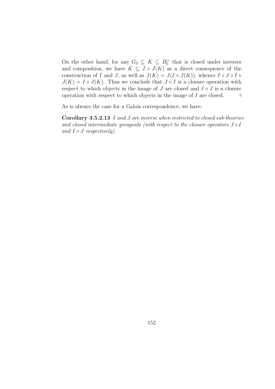On the other hand, for any  $G_{\mathbb{S}} \subseteq K \subseteq B_{\mathbb{S}}$  that is closed under inverses and composition, we have  $K \subseteq I \circ J(K)$  as a direct consequence of the construction of I and J, as well as  $J(K) = J(I \circ J(K))$ , whence I ◦ J ◦ I ◦  $J(K) = I \circ J(K)$ . Thus we conclude that  $J \circ I$  is a closure operation with respect to which objects in the image of  $J$  are closed and  $I \circ J$  is a closure operation with respect to which objects in the image of  $I$  are closed.  $\Box$ 

As is always the case for a Galois correspondence, we have:

Corollary 3.5.2.13 I and J are inverse when restricted to closed sub-theories and closed intermediate groupoids (with respect to the closure operators  $J \circ I$ and  $I \circ J$  respectively).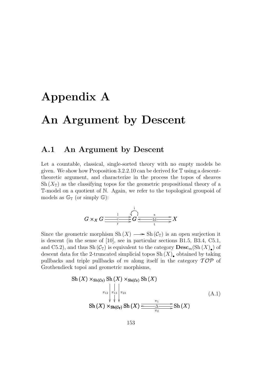## Appendix A

## An Argument by Descent

### A.1 An Argument by Descent

Let a countable, classical, single-sorted theory with no empty models be given. We show how Proposition 3.2.2.10 can be derived for T using a descenttheoretic argument, and characterize in the process the topos of sheaves  $\mathrm{Sh}(X_{\mathbb{T}})$  as the classifying topos for the geometric propositional theory of a T-model on a quotient of N. Again, we refer to the topological groupoid of models as  $\mathbb{G}_{\mathbb{T}}$  (or simply  $\mathbb{G}$ ):

$$
G \times_X G \xrightarrow[\text{r}]{\text{r}} G \xrightarrow[\text{r}]{\text{r}} G \xrightarrow[\text{t}]{\text{s}} X
$$

Since the geometric morphism  $\mathrm{Sh}(X) \longrightarrow \mathrm{Sh}(\mathcal{C}_{\mathbb{T}})$  is an open surjection it is descent (in the sense of [10], see in particular sections B1.5, B3.4, C5.1, and C5.2), and thus Sh $(\mathcal{C}_{\mathbb{T}})$  is equivalent to the category  $\mathrm{Desc}_m(\mathrm{Sh}\,(X)_{\bullet})$  of descent data for the 2-truncated simplicial topos  $\mathrm{Sh}\,(X)_{\bullet}$  obtained by taking pullbacks and triple pullbacks of m along itself in the category  $\mathcal{TOP}$  of Grothendieck topoi and geometric morphisms,

Sh 
$$
(X)
$$
  $\times$ sh $(C_T)$  Sh  $(X)$   $\times$ sh $(C_T)$  Sh  $(X)$   

$$
\pi_{12} \begin{vmatrix} \cdot & \cdot & \cdot \\ \cdot & \cdot & \cdot \\ \cdot & \cdot & \cdot \\ \cdot & \cdot & \cdot \end{vmatrix} \pi_{23}
$$

$$
Sh(X) \times Sh(C_T) Sh(X) \xrightarrow{\pi_1} \text{Sh}(X)
$$

$$
(A.1)
$$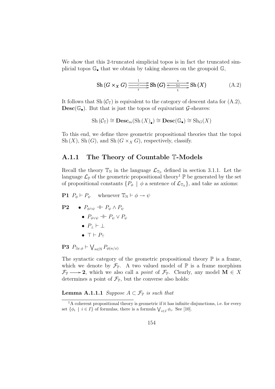We show that this 2-truncated simplicial topos is in fact the truncated simplicial topos  $\mathbb{G}_{\bullet}$  that we obtain by taking sheaves on the groupoid  $\mathbb{G}_{\bullet}$ ,

$$
\mathrm{Sh}\left(G\times_{X}G\right)\xrightarrow{\frac{1}{r}}\mathrm{Sh}\left(G\right)\xrightarrow{\underset{t}{\leftarrow\mathrm{Id}\longrightarrow}}\mathrm{Sh}\left(X\right)\tag{A.2}
$$

It follows that Sh  $(\mathcal{C}_{\mathbb{T}})$  is equivalent to the category of descent data for  $(A.2)$ ,  $\text{Desc}(\mathbb{G}_{\bullet})$ . But that is just the topos of equivariant G-sheaves:

$$
Sh\left(\mathcal{C}_{\mathbb{T}}\right) \cong \mathbf{Desc}_m(Sh\left(X\right)_\bullet) \cong \mathbf{Desc}(\mathbb{G}_\bullet) \cong Sh_G(X)
$$

To this end, we define three geometric propositional theories that the topoi Sh  $(X)$ , Sh  $(G)$ , and Sh  $(G \times_X G)$ , respectively, classify.

#### A.1.1 The Theory of Countable T-Models

Recall the theory  $\mathbb{T}_{\mathbb{N}}$  in the language  $\mathcal{L}_{\mathbb{T}_{\mathbb{N}}}$  defined in section 3.1.1. Let the language  $\mathcal{L}_{\mathbb{P}}$  of the geometric propositional theory<sup>1</sup>  $\mathbb{P}$  be generated by the set of propositional constants  $\{P_{\phi} \mid \phi \text{ a sentence of } \mathcal{L}_{T_N}\}\$ , and take as axioms:

**P1**  $P_{\phi} \vdash P_{\psi}$  whenever  $\mathbb{T}_{\mathbb{N}} \vdash \phi \rightarrow \psi$ 

 $P2 \bullet P_{\phi \wedge \psi} \parallel P_{\psi} \wedge P_{\psi}$ •  $P_{\phi \lor \psi} \dashv \vdash P_{\psi} \lor P_{\psi}$ •  $P_+ \vdash \bot$  $\bullet$  T  $\vdash$   $P_{\top}$ 

 $\mathbf{P3}$   $P_{\exists x.\phi}$   $\vdash$  $\ddot{\phantom{0}}$  $P_{\phi(n/x)}$ 

The syntactic category of the geometric propositional theory  $\mathbb P$  is a frame, which we denote by  $\mathcal{F}_{\mathbb{P}}$ . A two valued model of  $\mathbb{P}$  is a frame morphism  $\mathcal{F}_{\mathbb{P}} \longrightarrow$  2, which we also call a *point* of  $\mathcal{F}_{\mathbb{P}}$ . Clearly, any model M  $\in X$ determines a point of  $\mathcal{F}_{\mathbb{P}}$ , but the converse also holds:

**Lemma A.1.1.1** Suppose  $A \subset \mathcal{F}_{\mathbb{P}}$  is such that

 ${}^{1}$ A coherent propositional theory is geometric if it has infinite disjunctions, i.e. for every A concretial propositional theory is geometric if it has immule to set  $\{\phi_i \mid i \in I\}$  of formulas, there is a formula  $\bigvee_{i \in I} \phi_i$ . See [10].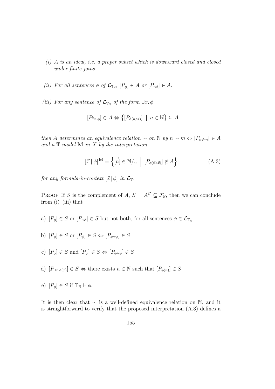- (i) A is an ideal, i.e. a proper subset which is downward closed and closed under finite joins.
- (ii) For all sentences  $\phi$  of  $\mathcal{L}_{\mathbb{T}_N}$ ,  $[P_{\phi}] \in A$  or  $[P_{\neg \phi}] \in A$ .
- (iii) For any sentence of  $\mathcal{L}_{\mathbb{T}_N}$  of the form  $\exists x.\phi$

$$
[P_{\exists x.\phi}] \in A \Leftrightarrow \{ [P_{\phi(n/x)}] \mid n \in \mathbb{N} \} \subseteq A
$$

then A determines an equivalence relation  $\sim$  on N by  $n \sim m \Leftrightarrow [P_{n \neq m}] \in A$ and a  $\mathbb{T}$ -model **M** in X by the interpretation

$$
[\![\vec{x}\! \mid \phi]\!]^{\mathbf{M}} = \left\{ [\vec{n}] \in \mathbb{N}/_{\sim} \; \Big| \; [P_{\phi(\vec{n}/\vec{x})}] \notin A \right\} \tag{A.3}
$$

for any formula-in-context  $[\vec{x} | \phi]$  in  $\mathcal{L}_\mathbb{T}$ .

PROOF If S is the complement of A,  $S = A^C \subseteq \mathcal{F}_{\mathbb{P}}$ , then we can conclude from  $(i)$ – $(iii)$  that

- a)  $[P_{\phi}] \in S$  or  $[P_{\neg \phi}] \in S$  but not both, for all sentences  $\phi \in \mathcal{L}_{\mathbb{T}_N}$ .
- b)  $[P_{\phi}] \in S$  or  $[P_{\psi}] \in S \Leftrightarrow [P_{\phi \vee \psi}] \in S$
- c)  $[P_{\phi}] \in S$  and  $[P_{\psi}] \in S \Leftrightarrow [P_{\phi \wedge \psi}] \in S$
- d)  $[P_{\exists x \cdot \phi(x)}] \in S \Leftrightarrow$  there exists  $n \in \mathbb{N}$  such that  $[P_{\phi(n)}] \in S$
- e)  $[P_{\phi}] \in S$  if  $\mathbb{T}_{\mathbb{N}} \vdash \phi$ .

It is then clear that ∼ is a well-defined equivalence relation on N, and it is straightforward to verify that the proposed interpretation (A.3) defines a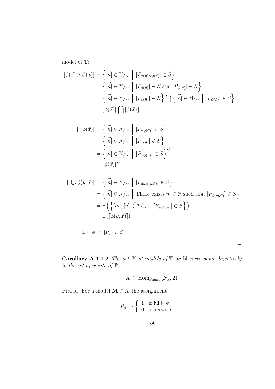model of T:

$$
\begin{aligned} [\![\phi(\vec{x}) \wedge \psi(\vec{x})]\!] &= \left\{ [\vec{n}] \in \mathbb{N}/_{\sim} \; \Big| \; [P_{\phi(\vec{n}) \wedge \psi(\vec{n})}] \in S \right\} \\ &= \left\{ [\vec{n}] \in \mathbb{N}/_{\sim} \; \Big| \; [P_{\phi(\vec{n})}] \in S \text{ and } [P_{\psi(\vec{n})}] \in S \right\} \\ &= \left\{ [\vec{n}] \in \mathbb{N}/_{\sim} \; \Big| \; [P_{\phi(\vec{n})}] \in S \right\} \bigcap \left\{ [\vec{n}] \in \mathbb{N}/_{\sim} \; \Big| \; [P_{\psi(\vec{n})}] \in S \right\} \\ &= [\![\phi(\vec{x})]\!] \bigcap [\![\psi(\vec{x})]\!] \end{aligned}
$$

$$
\begin{aligned} [\![\neg \phi(\vec{x})]\!] &= \left\{ [\vec{n}] \in \mathbb{N}/_{\sim} \middle| [P_{\neg \phi(\vec{n})}] \in S \right\} \\ &= \left\{ [\vec{n}] \in \mathbb{N}/_{\sim} \middle| [P_{\phi(\vec{n})}] \notin S \right\} \\ &= \left\{ [\vec{n}] \in \mathbb{N}/_{\sim} \middle| [P_{\neg \phi(\vec{n})}] \in S \right\}^C \\ &= [\![\phi(\vec{x})]\!]^C \end{aligned}
$$

$$
\[\exists y. \phi(y, \vec{x})\] = \left\{ [\vec{n}] \in \mathbb{N}/_{\sim} \middle| [P_{\exists y. \phi(y, \vec{n})}] \in S \right\}
$$
  
\n
$$
= \left\{ [\vec{n}] \in \mathbb{N}/_{\sim} \middle| \text{There exists } m \in \mathbb{N} \text{ such that } [P_{\phi(m, \vec{n})}] \in S \right\}
$$
  
\n
$$
= \exists \left( \left\{ [m], [n] \in \mathbb{N}/_{\sim} \middle| [P_{\phi(m, \vec{n})}] \in S \right\} \right)
$$
  
\n
$$
= \exists \left( [\phi(y, \vec{x})] \right)
$$

$$
\mathbb{T} \vdash \phi \Rightarrow [P_{\phi}] \in S
$$

. A construction of the construction of the construction of the construction of the construction of the construction of the construction of the construction of the construction of the construction of the construction of th

Corollary A.1.1.2 The set  $X$  of models of  $\mathbb T$  on  $\mathbb N$  corresponds bijectively to the set of points of  $\mathbb{P}$ ,

$$
X \cong \mathrm{Hom}_{\mathrm{Frame}}\left(\mathcal{F}_{\mathbb{P}}, \mathbf{2}\right)
$$

PROOF For a model  $M \in X$  the assignment

$$
P_{\phi} \mapsto \left\{ \begin{array}{cl} 1 & \text{if } \mathbf{M} \vDash \phi \\ 0 & \text{otherwise} \end{array} \right.
$$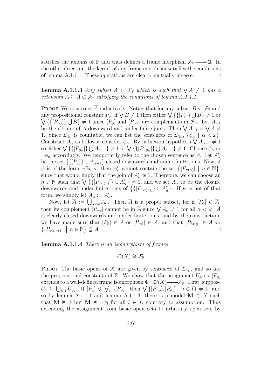satisfies the axioms of  $\mathbb P$  and thus defines a frame morphism  $\mathcal{F}_{\mathbb P} \longrightarrow 2$ . In the other direction, the kernel of any frame morphism satisfies the conditions of lemma A.1.1.1. These operations are clearly mutually inverse.  $\Box$ 

**Lemma A.1.1.3** Any subset  $A \subset \mathcal{F}_{\mathbb{P}}$  which is such that  $\bigvee A \neq 1$  has a extension  $A \subseteq \overline{A} \subset \mathcal{F}_{\mathbb{P}}$  satisfying the conditions of lemma A.1.1.1.

PROOF We construct  $\overline{A}$  inductively. Notice that for any subset  $B \subseteq \mathcal{F}_F$  and **PROOF** WE CONSTRUCT A Inductively. Notice that for any subset  $B \subseteq \mathcal{F}_{\mathbb{P}}$  and<br>any propositional constant  $P_{\phi}$ , if  $\bigvee B \neq 1$  then either  $\bigvee \{ \{ [P_{\phi}] \} \bigcup B \} \neq 1$  or  $\{([P_{\neg\phi}]\}\cup B\neq 1 \text{ since } [P_{\phi}] \text{ and } [P_{\neg\phi}] \text{ are complements in } \mathcal{F}_{\mathbb{P}}.$  Let  $A_{-1}$  $\forall$  {{ $\downarrow$ <sup>7</sup> $\rightarrow$  }  $\downarrow$  D  $\downarrow$   $\neq$  1 since  $\downarrow$   $\uparrow$ <sub> $\uparrow$ </sub> $\downarrow$  and  $\downarrow$   $\uparrow$ <sub> $\rightarrow$ </sub> $\downarrow$  are complements in  $\downarrow$ <sub> $\uparrow$ </sub>. Let  $A_{-1}$  be the closure of A downward and under finite joins. Then  $\forall$   $A_{-1} = \forall$  1. Since  $\mathcal{L}_{\mathbb{T}_N}$  is countable, we can list the sentences of  $\mathcal{L}_{\mathbb{T}_N}$ ,  $\{\phi_\alpha \mid \alpha < \omega\}$ . The  $\mathcal{L}_{\mathbb{T}_N}$  is countable, we can list the sentences of  $\mathcal{L}_{\mathbb{T}_N}$ ,  $\{\varphi_{\alpha} \mid \alpha < \omega\}$ .<br>Construct  $A_{\alpha}$  as follows: consider  $\phi_{\alpha}$ . By induction hypothesis  $\bigvee A_{\alpha-1} \neq 1$ Construct  $A_{\alpha}$  as follows: consider  $\varphi_{\alpha}$ . By induction hypothesis  $\forall A_{\alpha-1} \neq 1$ <br>so either  $\forall \{[\{P_{\phi_{\alpha}}\} \cup A_{\alpha-1}\} \neq 1$  or  $\forall \{[\{P_{\neg \phi_{\alpha}}\} \cup A_{\alpha-1}\} \neq 1$ . Choose  $\phi_{\alpha}$  or  $\neg \phi_{\alpha}$  accordingly. We temporarily refer to the chosen sentence as  $\psi$ . Let  $A'_{\alpha}$ be the set  $\{([P_{\psi}]\}\cup A_{\alpha-1}\}$  closed downwards and under finite joins. Now, if be the set  $\{ \{ [F_{\psi}] \} \cup A_{\alpha-1} \}$  closed downwards and under finite joins. Now, if  $\psi$  is of the form  $\neg \exists x. \sigma$ , then  $A'_{\alpha}$  cannot contain the set  $\{ [P_{\sigma(n)}] \mid n \in \mathbb{N} \}$ , since that would imply that the join of  $A'_\alpha$  is 1. Therefore, we can choose an since that would imply that the join of  $A_{\alpha}$  is 1. Therefore, we can choose an  $n \in \mathbb{N}$  such that  $\bigvee \{ [P_{\neg \sigma(n)}] \} \cup A_{\alpha}' \} \neq 1$ , and we set  $A_{\alpha}$  to be the closure downwards and under finite joins of  $\{ [P_{\neg$ 。<br>C . If  $\psi$  is not of that form, we simply let  $A_{\alpha} := A'_{\alpha}$ .

Now, let  $\overline{A} := \bigcup_{\alpha < \omega} A_{\alpha}$ . Then  $\overline{A}$  is a proper subset, for if  $[P_{\phi}] \in \overline{A}$ , Then its complement  $[P_{\neg \phi}]$  cannot be in  $\overline{A}$  since  $\bigvee A_{\alpha} \neq 1$  for all  $\alpha < \omega$ .  $\overline{A}$ <br>then its complement  $[P_{\neg \phi}]$  cannot be in  $\overline{A}$  since  $\bigvee A_{\alpha} \neq 1$  for all  $\alpha < \omega$ . is clearly closed downwards and under finite joins, and by the construction, we have made sure that  $[P_{\phi}] \in A$  or  $[P_{\neg \phi}] \in \overline{A}$ , and that  $[P_{\exists x \cdot \phi}] \in A \Leftrightarrow$  $[P_{\phi(n/x)}] \mid n \in \mathbb{N}$  $\subseteq$  A .  $\qquad \qquad \dashv$ 

Lemma A.1.1.4 There is an isomorphism of frames

 $\mathcal{O}(X) \cong \mathcal{F}_{\mathbb{P}}$ 

**PROOF** The basic opens of X are given by sentences of  $\mathcal{L}_{T_N}$ , and so are the propositional constants of P. We show that the assignment  $U_{\phi} \mapsto [P_{\phi}]$ extends to a well-defined frame isomorphism  $\Phi : \mathcal{O}(X) \longrightarrow \mathcal{F}_{\mathbb{P}}$ . First, suppose extends to a wen-defined frame isomorphism  $\Psi: \mathcal{O}(\Lambda) \longrightarrow \mathcal{F}_{\mathbb{P}}$ . First, suppose  $U_{\phi} \subseteq \bigcup_{i \in I} U_{\psi_i}$ . If  $[P_{\phi}] \nleq \bigvee_{i \in I} [P_{\psi_i}]$ , then  $\bigvee \{[P_{\neg \phi}], [P_{\psi_i}] \mid i \in I\} \neq 1$ , and so by lemma A.1.1.1 and lemma A.1.1.3, there is a model  $\mathbf{M} \in X$  such that  $\mathbf{M} \models \phi$  but  $\mathbf{M} \models \neg \psi_i$  for all  $i \in I$ , contrary to assumption. Thus extending the assignment from basic open sets to arbitrary open sets by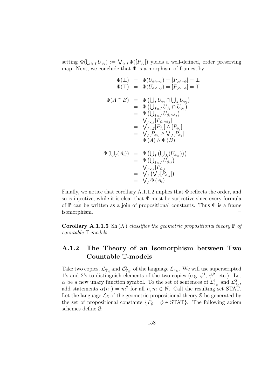setting  $\Phi(\bigcup_{i\in I} U_{\psi_i}) := \bigvee_{i\in I} \Phi([P_{\psi_i}])$  yields a well-defined, order preserving map. Next, we conclude that  $\Phi$  is a morphism of frames, by

$$
\begin{array}{rcl}\n\Phi(\bot) & = & \Phi(U_{\phi \land \neg \phi}) = [P_{\phi \land \neg \phi}] = \bot \\
\Phi(\top) & = & \Phi(U_{\phi \lor \neg \phi}) = [P_{\phi \lor \neg \phi}] = \top \\
\Phi(A \cap B) & = & \Phi\left(\bigcup_I U_{\phi_i} \cap \bigcup_J U_{\phi_j}\right) \\
 & = & \Phi\left(\bigcup_{I \times J} U_{\phi_i} \cap U_{\phi_j}\right) \\
 & = & \Phi\left(\bigcup_{I \times J} U_{\phi_i \land \phi_j}\right) \\
 & = & \bigvee_{I \times J} [P_{\phi_i \land \phi_j}] \\
 & = & \bigvee_{I \times J} [P_{\phi_i}] \land [P_{\phi_j}] \\
 & = & \bigvee_I [P_{\phi_i}] \land \bigvee_J [P_{\phi_j}] \\
 & = & \Phi(A) \land \Phi(B)\n\end{array}
$$
\n
$$
\Phi\left(\bigcup_I(A_i)\right) & = & \Phi\left(\bigcup_I \left(\bigcup_{J_i}(U_{\phi_{ij}})\right)\right) \\
 & = & \Phi\left(\bigcup_{I \times J} U_{\phi_{ij}}\right) \\
 & = & \bigvee_I \bigvee_I \bigvee_{I \circ \phi_{ij}}\bigg) \\
 & = & \bigvee_I \bigwedge_{I \circ \phi_{ij}}\bigg) \\
 & = & \bigvee_I \Phi(A_i)
$$

Finally, we notice that corollary A.1.1.2 implies that Φ reflects the order, and so is injective, while it is clear that  $\Phi$  must be surjective since every formula of  $\mathbb P$  can be written as a join of propositional constants. Thus  $\Phi$  is a frame  $\blacksquare$  isomorphism.

Corollary A.1.1.5 Sh $(X)$  classifies the geometric propositional theory  $\mathbb P$  of countable T-models.

### A.1.2 The Theory of an Isomorphism between Two Countable T-models

Take two copies,  $\mathcal{L}^1_{\mathbb{T}_N}$  and  $\mathcal{L}^2_{\mathbb{T}_N}$ , of the language  $\mathcal{L}_{\mathbb{T}_N}$ . We will use superscripted 1's and 2's to distinguish elements of the two copies (e.g.  $\phi^1$ ,  $\psi^2$ , etc.). Let  $\alpha$  be a new unary function symbol. To the set of sentences of  $\mathcal{L}^1_{\mathbb{T}_N}$  and  $\mathcal{L}^2_{\mathbb{T}_N}$ , add statements  $\alpha(n^1) = m^2$  for all  $n, m \in \mathbb{N}$ . Call the resulting set STAT. Let the language  $\mathcal{L}_{\mathcal{S}}$  of the geometric propositional theory  $\mathcal{S}$  be generated by the set of propositional constants  $\{P_{\phi} \mid \phi \in \text{STAT}\}\$ . The following axiom schemes define S: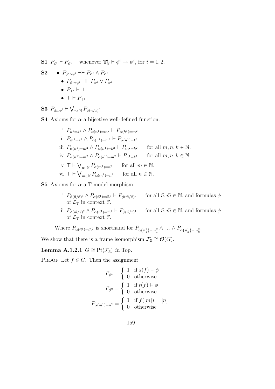**S1**  $P_{\phi^i} \vdash P_{\psi^i}$  whenever  $\mathbb{T}_N^i \vdash \phi^i \rightarrow \psi^i$ , for  $i = 1, 2$ .

S2 •  $P_{\phi^i \wedge \psi^i} \dashv P_{\psi^i} \wedge P_{\psi^i}$ •  $P_{\phi^i \vee \psi^i} \dashv P_{\psi^i} \vee P_{\psi^i}$ •  $P_{\perp}$ i  $\vdash \perp$  $\bullet$  T  $\vdash P_{\top i}$ 

S3  $P_{\exists x.\phi^i}$   $\vdash$  $\overline{y}$  $P_{\phi(n/x)^i}$ 

**S4** Axioms for  $\alpha$  a bijective well-defined function.

i 
$$
P_{n^1=k^1} \wedge P_{\alpha(n^1)=m^2} \vdash P_{\alpha(k^1)=m^2}
$$
  
\nii  $P_{m^2=k^2} \wedge P_{\alpha(n^1)=m^2} \vdash P_{\alpha(n^1)=k^2}$   
\niii  $P_{\alpha(n^1)=m^2} \wedge P_{\alpha(n^1)=k^2} \vdash P_{m^2=k^2}$  for all  $m, n, k \in \mathbb{N}$ .  
\niv  $P_{\alpha(n^1)=m^2} \wedge P_{\alpha(k^1)=m^2} \vdash P_{n^1=k^1}$  for all  $m, n, k \in \mathbb{N}$ .  
\nv  $\top \vdash \bigvee_{n \in \mathbb{N}} P_{\alpha(m^1)=n^2}$  for all  $m \in \mathbb{N}$ .  
\nv  $\top \vdash \bigvee_{m \in \mathbb{N}} P_{\alpha(m^1)=n^2}$  for all  $n \in \mathbb{N}$ .

S5 Axioms for  $\alpha$  a T-model morphism.

- i  $P_{\phi(\vec{n}/\vec{x})^1} \wedge P_{\alpha(\vec{n}^1)=\vec{m}^2} \vdash P_{\phi(\vec{m}/\vec{x})}$ for all  $\vec{n}, \vec{m} \in \mathbb{N}$ , and formulas  $\phi$ of  $\mathcal{L}_{\mathbb{T}}$  in context  $\vec{x}$ .
- ii  $P_{\phi(\vec{m}/\vec{x})^2} \wedge P_{\alpha(\vec{n}^1)=\vec{m}^2} \vdash P_{\phi(\vec{n}/\vec{x})}$ for all  $\vec{n}, \vec{m} \in \mathbb{N}$ , and formulas  $\phi$ of  $\mathcal{L}_{\mathbb{T}}$  in context  $\vec{x}$ .

Where  $P_{\alpha(\vec{n}^1)=\vec{m}^2}$  is shorthand for  $P_{\alpha(n_1^1)=m_1^2} \wedge \ldots \wedge P_{\alpha(n_k^1)=m_k^2}$ .

We show that there is a frame isomorphism  $\mathcal{F}_{\mathbb{S}} \cong \mathcal{O}(G)$ .

Lemma A.1.2.1  $G \cong \text{Pt}(\mathcal{F}_{S})$  in Top.

PROOF Let  $f \in G$ . Then the assignment

$$
P_{\phi^1} = \begin{cases} 1 & \text{if } s(f) \models \phi \\ 0 & \text{otherwise} \end{cases}
$$

$$
P_{\phi^2} = \begin{cases} 1 & \text{if } t(f) \models \phi \\ 0 & \text{otherwise} \end{cases}
$$

$$
P_{\alpha(m^1)=n^2} = \begin{cases} 1 & \text{if } f([m]) = [n] \\ 0 & \text{otherwise} \end{cases}
$$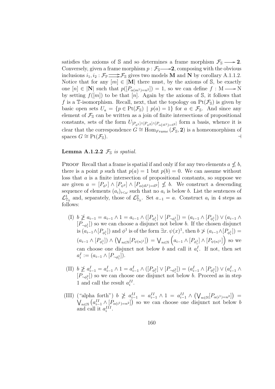satisfies the axioms of S and so determines a frame morphism  $\mathcal{F}_s \longrightarrow 2$ . Conversely, given a frame morphism  $p : \mathcal{F}_{S} \longrightarrow 2$ , composing with the obvious inclusions  $i_1, i_2 : \mathcal{F}_\mathbb{P} \longrightarrow \mathcal{F}_\mathbb{S}$  gives two models **M** and **N** by corollary A.1.1.2. Notice that for any  $[m] \in |M|$  there must, by the axioms of S, be exactly one  $[n] \in |\mathbf{N}|$  such that  $p([P_{\alpha(m^1)=n^2}]) = 1$ , so we can define  $f : \mathbf{M} \longrightarrow \mathbf{N}$ by setting  $f([m])$  to be that [n]. Again by the axioms of S, it follows that f is a T-isomorphism. Recall, next, that the topology on  $Pt(\mathcal{F}_s)$  is given by basic open sets  $U_a = \{p \in Pt(\mathcal{F}_s) \mid p(a) = 1\}$  for  $a \in \mathcal{F}_s$ . And since any element of  $\mathcal{F}_{\mathbb{S}}$  can be written as a join of finite intersections of propositional constants, sets of the form  $U_{[P_{\phi^1}] \wedge [P_{\psi^2}] \wedge [P_{\alpha(\vec{m}^1)=\vec{n}^2}]}$  form a basis, whence it is clear that the correspondence  $G \cong \text{Hom}_{Frame}(\mathcal{F}_{S}, 2)$  is a homeomorphism of spaces  $G \cong \text{Pt}(\mathcal{F}_s)$ .

#### **Lemma A.1.2.2**  $\mathcal{F}_{\mathbb{S}}$  is spatial.

**PROOF** Recall that a frame is spatial if and only if for any two elements  $a \nleq b$ , there is a point p such that  $p(a) = 1$  but  $p(b) = 0$ . We can assume without loss that a is a finite intersection of propositional constants, so suppose we are given  $a = [P_{\phi^1}] \wedge [P_{\psi^2}] \wedge [P_{\alpha(\vec{m}^1)=\vec{n}^2}] \nleq b$ . We construct a descending sequence of elements  $(a_i)_{i<\omega}$  such that no  $a_i$  is below b. List the sentences of  $\mathcal{L}^1_{\mathbb{T}_N}$  and, separately, those of  $\mathcal{L}^2_{\mathbb{T}_N}$ . Set  $a_{-1} = a$ . Construct  $a_i$  in 4 steps as follows:

- $(I)$   $b \not\geq a_{i-1} = a_{i-1} \wedge 1 = a_{i-1} \wedge ([P_{\phi_i^1}] \vee [P_{\neg \phi_i^1}]) = (a_{i-1} \wedge [P_{\phi_i^1}] \vee (a_{i-1} \wedge$  $[P_{\neg \phi_i^1}]$  so we can choose a disjunct not below b. If the chosen disjunct is  $(a_{i-1}\wedge [P_{\phi_i^1}])$  and  $\phi^1$  is of the form  $\exists x.\,\psi(x)^1$ , then  $b \not\geq (a_{i-1}\wedge [P_{\phi_i^1}]) =$  $(a_{i-1} \wedge [P_{\phi_i^1}]) \wedge$  $\mathcal{L}$  $n \in \mathbb{N} \left[ P_{\psi(n)^1} \right]$ ¢ =  $\ddot{\phantom{0}}$  $_{n\in\mathbb{N}}\left(\left. a_{i-1}\wedge\lbrack P_{\phi_{i}^{1}}\rbrack\wedge\lbrack P_{\psi\left( n\right) ^{1}}\rbrack\right) \text{ so we }$ can choose one disjunct not below b and call it  $a_i^I$ . If not, then set  $a_i^I := (a_{i-1} \wedge [P_{\neg \phi_i^1}]).$
- $\text{(II)}~~b \ngeq a_{i-1}^I = a_{i-1}^I \wedge 1 = a_{i-1}^I \wedge ([P_{\phi_i^2}] \vee [P_{\neg \phi_i^2}]) = (a_{i-1}^I \wedge [P_{\phi_i^2}]) \vee (a_{i-1}^I \wedge P_{\phi_i^2})$  $[P_{\neg \phi_i^2}]$  so we can choose one disjunct not below b. Proceed as in step 1 and call the result  $a_i^{II}$ .
- (III) ("alpha forth")  $b \not\geq a_{i-1}^{II} = a_{i-1}^{II} \wedge 1 = a_{i-1}^{II} \wedge$  $\mathcal{L}$  $n \in \mathbb{N} \left[ P_{\alpha(i^1)=n^2} \right]$ ¢  $({}^{\omega}$ alpha forth")  $b \not\geq a_{i-1}^{II} = a_{i-1}^{II} \wedge 1 = a_{i-1}^{II} \wedge (\bigvee_{n \in \mathbb{N}} [P_{\alpha(i^1)=n^2}]) =$  $n \in \mathbb{N}$   $\left( a_{i-1}^H \wedge [P_{\alpha(i-1)}=n^2] \right)$  so we can choose one disjunct not below b and call it  $a_i^{III}$ .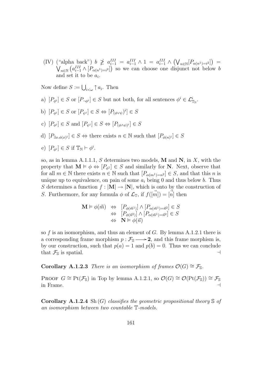(IV) ("alpha back")  $b \not\geq a_{i-1}^{III} = a_{i-1}^{III} \wedge 1 = a_{i-1}^{III} \wedge$  $\mathcal{L}$  $n \in \mathbb{N} \left[ P_{\alpha(n^1)=i^2} \right]$ ¢  $\left( \text{``alpha back''}\right) b \not\geq a_{i-1}^{III} = a_{i-1}^{III} \wedge 1 = a_{i-1}^{III} \wedge \left( \bigvee_{n \in \mathbb{N}} [P_{\alpha(n^1)=i^2}] \right) = a_{i-1}^{III} \wedge \left( \bigvee_{n \in \mathbb{N}} [P_{\alpha(n^1)=i^2}] \right)$ n∈N ¡  $a_{i-1}^{III} \wedge [P_{\alpha(n^1)=i^2}]$  $\frac{1}{i}$ so we can choose one disjunct not below b and set it to be  $a_i$ .

Now define  $S := \bigcup_{i < \omega} \uparrow a_i$ . Then

- a)  $[P_{\phi^i}] \in S$  or  $[P_{\neg \phi^i}] \in S$  but not both, for all sentences  $\phi^i \in \mathcal{L}_{\mathbb{T}_N}^i$ .
- b)  $[P_{\phi^i}] \in S$  or  $[P_{\psi^i}] \in S \Leftrightarrow [P_{(\phi \vee \psi})^i] \in S$
- c)  $[P_{\phi^i}] \in S$  and  $[P_{\psi^i}] \in S \Leftrightarrow [P_{(\phi \wedge \psi)^i}] \in S$
- d)  $[P_{\exists x \cdot \phi(x)^i}] \in S \Leftrightarrow$  there exists  $n \in \mathbb{N}$  such that  $[P_{\phi(n)^i}] \in S$
- e)  $[P_{\phi^i}] \in S$  if  $\mathbb{T}_{\mathbb{N}} \vdash \phi^i$ .

so, as in lemma A.1.1.1, S determines two models, M and N, in X, with the property that  $\mathbf{M} \models \phi \Leftrightarrow [P_{\phi^1}] \in S$  and similarly for **N**. Next, observe that for all  $m \in \mathbb{N}$  there exists  $n \in \mathbb{N}$  such that  $[P_{\alpha(m^1)=n^2}] \in S$ , and that this n is unique up to equivalence, on pain of some  $a_i$  being 0 and thus below b. Thus S determines a function  $f : |\mathbf{M}| \to |\mathbf{N}|$ , which is onto by the construction of S. Furthermore, for any formula  $\phi$  of  $\mathcal{L}_{\mathbb{T}}$ , if  $f([\vec{m}]) = [\vec{n}]$  then

$$
\mathbf{M} \vDash \phi(\vec{m}) \Leftrightarrow [P_{\phi(\vec{m}^1)}] \wedge [P_{\alpha(\vec{m}^1)=\vec{n}^2}] \in S
$$
  
\n
$$
\Leftrightarrow [P_{\phi(\vec{n}^2)}] \wedge [P_{\alpha(\vec{m}^1)=\vec{n}^2}] \in S
$$
  
\n
$$
\Leftrightarrow \mathbf{N} \vDash \phi(\vec{n})
$$

so f is an isomorphism, and thus an element of  $G$ . By lemma A.1.2.1 there is a corresponding frame morphism  $p : \mathcal{F}_{\mathbb{S}} \longrightarrow 2$ , and this frame morphism is, by our construction, such that  $p(a) = 1$  and  $p(b) = 0$ . Thus we can conclude that  $\mathcal{F}_s$  is spatial.

Corollary A.1.2.3 There is an isomorphism of frames  $\mathcal{O}(G) \cong \mathcal{F}_{S}$ .

PROOF  $G \cong \text{Pt}(\mathcal{F}_\mathbb{S})$  in Top by lemma A.1.2.1, so  $\mathcal{O}(G) \cong \mathcal{O}(\text{Pt}(\mathcal{F}_\mathbb{S})) \cong \mathcal{F}_\mathbb{S}$ in Frame.

**Corollary A.1.2.4** Sh(G) classifies the geometric propositional theory S of an isomorphism between two countable T-models.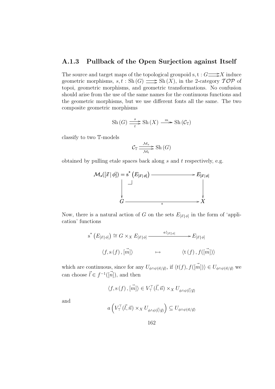#### A.1.3 Pullback of the Open Surjection against Itself

The source and target maps of the topological groupoid s,  $t : G \longrightarrow X$  induce geometric morphisms,  $s, t : Sh(G) \longrightarrow Sh(X)$ , in the 2-category  $\mathcal{TOP}$  of topoi, geometric morphisms, and geometric transformations. No confusion should arise from the use of the same names for the continuous functions and the geometric morphisms, but we use different fonts all the same. The two composite geometric morphisms

$$
\mathrm{Sh}\,(G)\xrightarrow[t]{s}\mathrm{Sh}\,(X)\xrightarrow{m}\mathrm{Sh}\,(\mathcal{C}_{\mathbb{T}})
$$

classify to two T-models

$$
C_{\mathbb{T}} \frac{\mathcal{M}_s}{\mathcal{M}_t} \geq \mathrm{Sh}\left(G\right)
$$

obtained by pulling etale spaces back along  $s$  and  $t$  respectively, e.g.



Now, there is a natural action of G on the sets  $E_{[\vec{x}|\phi]}$  in the form of 'application' functions

$$
s^* \left( E_{[\vec{x} \mid \phi]} \right) \cong G \times_X E_{[\vec{x} \mid \phi]} \longrightarrow E_{[\vec{x} \mid \phi]} \longrightarrow E_{[\vec{x} \mid \phi]}
$$
  

$$
\langle f, s(f), [\vec{m}] \rangle \longrightarrow \langle t(f), f([\vec{m}]) \rangle
$$

which are continuous, since for any  $U_{\phi \wedge \psi(\vec{n}/\vec{y})}$ , if  $\langle t(f), f(\vec{m}) \rangle \in U_{\phi \wedge \psi(\vec{n}/\vec{y})}$  we can choose  $\vec{l} \in f^{-1}(\vec{n})$ , and then

$$
\langle f, \mathbf{s}(f), [\vec{m}] \rangle \in V_{\top}^{\top}(\vec{l}, \vec{n}) \times_X U_{\phi \wedge \psi(\vec{l}/\vec{y})}
$$

and

$$
a\left(V_{\top}^{\top}(\vec{l},\vec{n})\times_{X}U_{\phi\wedge\psi(\vec{l}/\vec{y})}\right)\subseteq U_{\phi\wedge\psi(\vec{n}/\vec{y})}
$$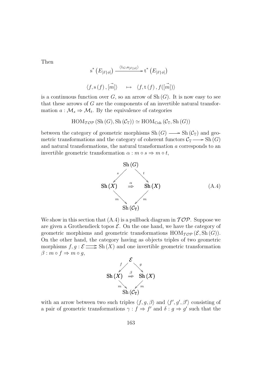Then

$$
s^* \left( E_{[\vec{x} | \phi]} \right) \xrightarrow{\langle 1_G, a_{[\vec{x} | \phi]} \rangle} t^* \left( E_{[\vec{x} | \phi]} \right)
$$
  

$$
\langle f, s(f), [\vec{m}] \rangle \longrightarrow \langle f, t(f), f([\vec{m}]) \rangle
$$

is a continuous function over  $G$ , so an arrow of Sh $(G)$ . It is now easy to see that these arrows of G are the components of an invertible natural transformation  $a: \mathcal{M}_s \Rightarrow \mathcal{M}_t$ . By the equivalence of categories

$$
HOM_{\mathcal{TOP}}(\mathrm{Sh}(G), \mathrm{Sh}(\mathcal{C}_{\mathbb{T}})) \simeq \mathrm{HOM}_{\mathrm{Coh}}(\mathcal{C}_{\mathbb{T}}, \mathrm{Sh}(G))
$$

between the category of geometric morphisms  $Sh(G) \longrightarrow Sh(\mathcal{C}_{\mathbb{T}})$  and geometric transformations and the category of coherent functors  $\mathcal{C}_{\mathbb{T}} \longrightarrow$  Sh $(G)$ and natural transformations, the natural transformation a corresponds to an invertible geometric transformation  $\alpha : m \circ s \Rightarrow m \circ t$ ,



We show in this section that  $(A.4)$  is a pullback diagram in  $\mathcal{TOP}$ . Suppose we are given a Grothendieck topos  $\mathcal{E}$ . On the one hand, we have the category of geometric morphisms and geometric transformations  $\text{HOM}_{\mathcal{TOP}}(\mathcal{E}, \text{Sh}(G)).$ On the other hand, the category having as objects triples of two geometric morphisms  $f, g : \mathcal{E} \longrightarrow \text{Sh}(\overline{X})$  and one invertible geometric transformation  $\beta$  :  $m \circ f \Rightarrow m \circ g$ ,



with an arrow between two such triples  $\langle f, g, \beta \rangle$  and  $\langle f', g', \beta' \rangle$  consisting of a pair of geometric transformations  $\gamma : f \Rightarrow f'$  and  $\delta : g \Rightarrow g'$  such that the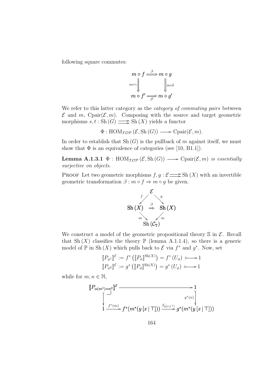following square commutes:

$$
m \circ f \stackrel{\beta}{\Longrightarrow} m \circ g
$$
  

$$
m \circ \sqrt{\bigvee_{m \circ f' \longrightarrow m \circ g'}
$$
  

$$
m \circ f' \stackrel{\beta}{\Longrightarrow} m \circ g'
$$

We refer to this latter category as the *category of commuting pairs* between  $\mathcal E$  and m, Cpair $(\mathcal E,m)$ . Composing with the source and target geometric morphisms  $s, t : Sh(G) \longrightarrow Sh(X)$  yields a functor

$$
\Phi: \text{HOM}_{\mathcal{TOP}}(\mathcal{E}, \text{Sh}(G)) \longrightarrow \text{Cpair}(\mathcal{E}, m).
$$

In order to establish that  $\mathrm{Sh}(G)$  is the pullback of m against itself, we must show that  $\Phi$  is an equivalence of categories (see [10, B1.1]).

**Lemma A.1.3.1**  $\Phi$  : HOM<sub> $\mathcal{T}$ Op ( $\mathcal{E}$ , Sh(G))  $\longrightarrow$  Cpair( $\mathcal{E}$ , m) is essentially</sub> surjective on objects.

**PROOF** Let two geometric morphisms  $f, g : \mathcal{E} \implies Sh(X)$  with an invertible geometric transformation  $\beta : m \circ f \Rightarrow m \circ g$  be given.



We construct a model of the geometric propositional theory  $\mathcal S$  in  $\mathcal E$ . Recall that Sh  $(X)$  classifies the theory  $\mathbb P$  (lemma A.1.1.4), so there is a generic model of  $\mathbb P$  in Sh(X) which pulls back to  $\mathcal E$  via  $f^*$  and  $g^*$ . Now, set

$$
\llbracket P_{\phi^1} \rrbracket^{\mathcal{E}} := f^* \left( \llbracket P_{\phi} \rrbracket^{\text{Sh}(X)} \right) = f^* \left( U_{\phi} \right) \longmapsto 1
$$
  

$$
\llbracket P_{\phi^2} \rrbracket^{\mathcal{E}} := g^* \left( \llbracket P_{\phi} \rrbracket^{\text{Sh}(X)} \right) = g^* \left( U_{\phi} \right) \longmapsto 1
$$

while for  $m, n \in \mathbb{N}$ ,

$$
\begin{CD} \llbracket P_{\alpha(m^1)=n^2} \rrbracket^{\mathcal{E}} & \longrightarrow & 1 \\ \downarrow & \downarrow & \downarrow & \downarrow & \downarrow \\ \llbracket \frac{f^*(m)}{1-\text{dim} + f^*(m^*(y[x|\top])) & \xrightarrow{\beta_{y[x|\top]}} g^*(m^*(y[x|\top]))} \end{CD}
$$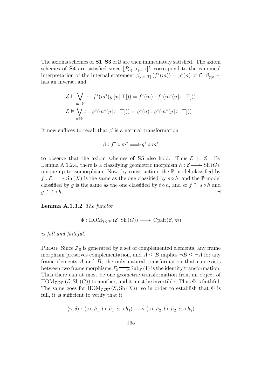The axioms schemes of  $S1-S3$  of S are then immediately satisfied. The axiom schemes of **S4** are satisfied since  $[P_{\alpha(m^1)=n^2}]^{\mathcal{E}}$  correspond to the canonical interpretation of the internal statement  $\beta_{y[x] \sqcap} (f^*(m)) = g^*(n)$  of  $\mathcal{E}, \beta_{y[x] \sqcap}$ has an inverse, and

$$
\mathcal{E} \models \bigvee_{m \in \mathbb{N}} x : f^*(m^*(y[x|\top])) = f^*(m) : f^*(m^*(y[x|\top]))
$$
  

$$
\mathcal{E} \models \bigvee_{n \in \mathbb{N}} x : g^*(m^*(y[x|\top])) = g^*(n) : g^*(m^*(y[x|\top]))
$$

It now suffices to recall that  $\beta$  is a natural transformation

$$
\beta : f^* \circ m^* \Longrightarrow g^* \circ m^*
$$

to observe that the axiom schemes of S5 also hold. Thus  $\mathcal{E} \models \mathbb{S}$ . By Lemma A.1.2.4, there is a classifying geometric morphism  $h : \mathcal{E} \longrightarrow Sh(G)$ , unique up to isomorphism. Now, by construction, the P-model classified by  $f : \mathcal{E} \longrightarrow Sh(X)$  is the same as the one classified by  $s \circ h$ , and the P-model classified by q is the same as the one classified by  $t \circ h$ , and so  $f \cong s \circ h$  and  $g \cong t \circ h.$ 

Lemma A.1.3.2 The functor

$$
\Phi: \text{HOM}_{\mathcal{TOP}}\left(\mathcal{E}, \text{Sh}\left(G\right)\right) \longrightarrow \text{Cpair}(\mathcal{E}, m)
$$

is full and faithful.

**PROOF** Since  $\mathcal{F}_{\mathbb{S}}$  is generated by a set of complemented elements, any frame morphism preserves complementation, and  $A \leq B$  implies  $\neg B \leq \neg A$  for any frame elements  $A$  and  $B$ , the only natural transformation that can exists between two frame morphisms  $\mathcal{F}_{\mathbb{S}} \longrightarrow \text{Sub}_{\mathcal{E}}(1)$  is the identity transformation. Thus there can at most be one geometric transformation from an object of  $HOM_{\mathcal{TOP}}(\mathcal{E}, Sh(G))$  to another, and it must be invertible. Thus  $\Phi$  is faithful. The same goes for  $\text{HOM}_{\mathcal{TOP}}(\mathcal{E}, \text{Sh}(X))$ , so in order to establish that  $\Phi$  is full, it is sufficient to verify that if

$$
\langle \gamma, \delta \rangle : \langle s \circ h_1, t \circ h_1, \alpha \circ h_1 \rangle \longrightarrow \langle s \circ h_2, t \circ h_2, \alpha \circ h_2 \rangle
$$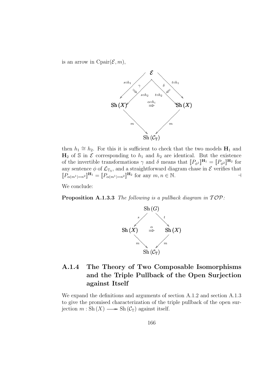is an arrow in  $\text{Cpair}(\mathcal{E}, m)$ ,



then  $h_1 \cong h_2$ . For this it is sufficient to check that the two models  $H_1$  and  $H_2$  of S in E corresponding to  $h_1$  and  $h_2$  are identical. But the existence of the invertible transformations  $\gamma$  and  $\delta$  means that  $[[P_{\phi^1}]]^{\mathbf{H}_1} = [[P_{\phi^2}]]^{\mathbf{H}_2}$  for any sentence  $\phi$  of  $\mathcal{L}_{\mathbb{T}_N}$ , and a straightforward diagram chase in  $\mathcal E$  verifies that  $[P_{\alpha(m^1)=n^2}]^{\mathbf{H}_1} = [P_{\alpha(m^1)=n^2}]^{\mathbf{H}_2}$  for any  $m, n \in \mathbb{N}$ .

We conclude:

**Proposition A.1.3.3** The following is a pullback diagram in  $\mathcal{TOP}:$ 



## A.1.4 The Theory of Two Composable Isomorphisms and the Triple Pullback of the Open Surjection against Itself

We expand the definitions and arguments of section A.1.2 and section A.1.3 to give the promised characterization of the triple pullback of the open surjection  $m : Sh(X) \longrightarrow Sh(\mathcal{C}_{\mathbb{T}})$  against itself.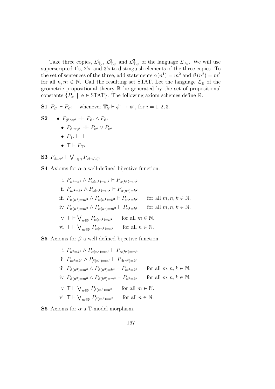Take three copies,  $\mathcal{L}^1_{\mathbb{T}_N}$ ,  $\mathcal{L}^2_{\mathbb{T}_N}$ , and  $\mathcal{L}^3_{\mathbb{T}_N}$ , of the language  $\mathcal{L}_{\mathbb{T}_N}$ . We will use superscripted 1's, 2's, and 3's to distinguish elements of the three copies. To the set of sentences of the three, add statements  $\alpha(n^1) = m^2$  and  $\beta(n^2) = m^3$ for all  $n, m \in \mathbb{N}$ . Call the resulting set STAT. Let the language  $\mathcal{L}_{\mathbb{R}}$  of the geometric propositional theory R be generated by the set of propositional constants  $\{P_{\phi} \mid \phi \in \text{STAT}\}\.$  The following axiom schemes define  $\mathbb{R}$ :

**S1**  $P_{\phi^i} \vdash P_{\psi^i}$  whenever  $\mathbb{T}_\mathbb{N}^i \vdash \phi^i \to \psi^i$ , for  $i = 1, 2, 3$ .

S2 • 
$$
P_{\phi^i \wedge \psi^i} \dashv P_{\psi^i} \wedge P_{\psi^i}
$$
  
\n•  $P_{\phi^i \vee \psi^i} \dashv P_{\psi^i} \vee P_{\psi^i}$   
\n•  $P_{\perp^i} \vdash \perp$   
\n•  $\top \vdash P_{\top^i}$ 

S3  $P_{\exists x.\phi^i}$   $\vdash$  $\ddot{\phantom{0}}$  $P_{\phi(n/x)^i}$ 

**S4** Axioms for  $\alpha$  a well-defined bijective function.

i 
$$
P_{n^1=k^1} \wedge P_{\alpha(n^1)=m^2} \vdash P_{\alpha(k^1)=m^2}
$$
  
\nii  $P_{m^2=k^2} \wedge P_{\alpha(n^1)=m^2} \vdash P_{\alpha(n^1)=k^2}$   
\niii  $P_{\alpha(n^1)=m^2} \wedge P_{\alpha(n^1)=k^2} \vdash P_{m^2=k^2}$  for all  $m, n, k \in \mathbb{N}$ .  
\niv  $P_{\alpha(n^1)=m^2} \wedge P_{\alpha(k^1)=m^2} \vdash P_{n^1=k^1}$  for all  $m, n, k \in \mathbb{N}$ .  
\nv  $\top \vdash \bigvee_{n \in \mathbb{N}} P_{\alpha(m^1)=n^2}$  for all  $m \in \mathbb{N}$ .  
\nv  $\top \vdash \bigvee_{m \in \mathbb{N}} P_{\alpha(m^1)=n^2}$  for all  $n \in \mathbb{N}$ .

**S5** Axioms for  $\beta$  a well-defined bijective function.

i 
$$
P_{n^2=k^2} \wedge P_{\alpha(n^2)=m^3} \vdash P_{\alpha(k^2)=m^3}
$$
  
\nii  $P_{m^3=k^3} \wedge P_{\beta(n^2)=m^3} \vdash P_{\beta(n^2)=k^3}$   
\niii  $P_{\beta(n^2)=m^3} \wedge P_{\beta(n^2)=k^3} \vdash P_{m^3=k^3}$  for all  $m, n, k \in \mathbb{N}$ .  
\niv  $P_{\beta(n^2)=m^3} \wedge P_{\beta(k^2)=m^3} \vdash P_{n^2=k^2}$  for all  $m, n, k \in \mathbb{N}$ .  
\nv  $\top \vdash \bigvee_{n\in\mathbb{N}} P_{\beta(m^2)=n^3}$  for all  $m \in \mathbb{N}$ .  
\nv  $\top \vdash \bigvee_{m\in\mathbb{N}} P_{\beta(m^2)=n^3}$  for all  $n \in \mathbb{N}$ .

**S6** Axioms for  $\alpha$  a T-model morphism.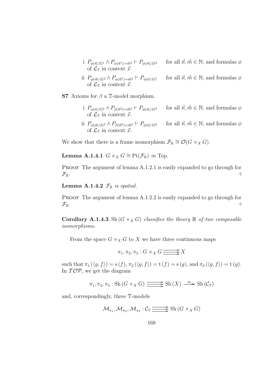- i  $P_{\phi(\vec{n}/\vec{x})^1} \wedge P_{\alpha(\vec{n}^1)=\vec{m}^2} \vdash P_{\phi(\vec{m}/\vec{x})}$ for all  $\vec{n}, \vec{m} \in \mathbb{N}$ , and formulas  $\phi$ of  $\mathcal{L}_{\mathbb{T}}$  in context  $\vec{x}$ .
- ii  $P_{\phi(\vec{m}/\vec{x})^2} \wedge P_{\alpha(\vec{n}^1)=\vec{m}^2} \vdash P_{\phi(\vec{n}/\vec{x})}$ for all  $\vec{n}, \vec{m} \in \mathbb{N}$ , and formulas  $\phi$ of  $\mathcal{L}_{\mathbb{T}}$  in context  $\vec{x}$ .

S7 Axioms for  $\beta$  a T-model morphism.

- i  $P_{\phi(\vec{n}/\vec{x})^2} \wedge P_{\beta(\vec{n}^2)=\vec{m}^3} \vdash P_{\phi(\vec{m}/\vec{x})}$ for all  $\vec{n}, \vec{m} \in \mathbb{N}$ , and formulas  $\phi$ of  $\mathcal{L}_{\mathbb{T}}$  in context  $\vec{x}$ .
- ii  $P_{\phi(\vec{m}/\vec{x})^3} \wedge P_{\beta(\vec{n}^2)=\vec{m}^3} \vdash P_{\phi(\vec{n}/\vec{x})^3}$ for all  $\vec{n}, \vec{m} \in \mathbb{N}$ , and formulas  $\phi$ of  $\mathcal{L}_{\mathbb{T}}$  in context  $\vec{x}$ .

We show that there is a frame isomorphism  $\mathcal{F}_{\mathbb{R}} \cong \mathcal{O}(G \times_X G)$ .

Lemma A.1.4.1  $G \times_X G \cong \text{Pt}(\mathcal{F}_{\mathbb{R}})$  in Top.

PROOF The argument of lemma A.1.2.1 is easily expanded to go through for  $\mathcal{F}_{\mathbb{R}}$ .

**Lemma A.1.4.2**  $\mathcal{F}_{\mathbb{R}}$  is spatial.

PROOF The argument of lemma A.1.2.2 is easily expanded to go through for  $\mathcal{F}_{\mathbb{R}}$ .

**Corollary A.1.4.3** Sh  $(G \times_X G)$  classifies the theory  $\mathbb R$  of two composable isomorphisms.

From the space  $G \times_X G$  to X we have three continuous maps

 $\pi_1, \pi_2, \pi_3 : G \times_X G \longrightarrow X$ 

such that  $\pi_1(\langle g, f \rangle) = s(f), \pi_2(\langle g, f \rangle) = t(f) = s(g), \text{ and } \pi_3(\langle g, f \rangle) = t(g).$ In  $\mathcal{TOP}$ , we get the diagram

$$
\pi_1, \pi_2, \pi_3 : Sh(G \times_X G) \longrightarrow \text{Sh}(X) \longrightarrow \text{Sh}(\mathcal{C}_{\mathbb{T}})
$$

and, correspondingly, three T-models

$$
\mathcal{M}_{\pi_1}, \mathcal{M}_{\pi_2}, \mathcal{M}_{\pi_3}: \mathcal{C}_{\mathbb{T}} \longrightarrow \text{Sh}(G \times_X G)
$$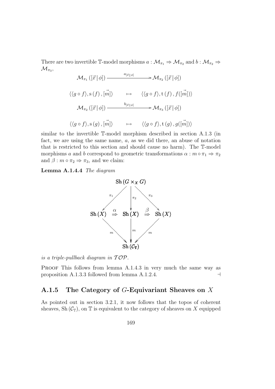There are two invertible T-model morphisms  $a: \mathcal{M}_{\pi_1} \Rightarrow \mathcal{M}_{\pi_2}$  and  $b: \mathcal{M}_{\pi_2} \Rightarrow$  $\mathcal{M}_{\pi_3},$ 

$$
\mathcal{M}_{\pi_1}([\vec{x}|\phi]) \xrightarrow{\quad a_{[\vec{x}|\phi]} \quad \rightarrow \mathcal{M}_{\pi_2}([\vec{x}|\phi])}
$$
\n
$$
\langle \langle g \circ f \rangle, s(f), [\vec{m}] \rangle \qquad \mapsto \quad \langle \langle g \circ f \rangle, t(f), f([\vec{m}]) \rangle
$$
\n
$$
\mathcal{M}_{\pi_2}([\vec{x}|\phi]) \xrightarrow{\quad b_{[\vec{x}|\phi]} \quad \rightarrow \mathcal{M}_{\pi_3}([\vec{x}|\phi])}
$$
\n
$$
\langle \langle g \circ f \rangle, s(g), [\vec{m}] \rangle \qquad \mapsto \quad \langle \langle g \circ f \rangle, t(g), g([\vec{m}]) \rangle
$$

similar to the invertible T-model morphism described in section A.1.3 (in fact, we are using the same name, a, as we did there, an abuse of notation that is restricted to this section and should cause no harm). The T-model morphisms a and b correspond to geometric transformations  $\alpha : m \circ \pi_1 \Rightarrow \pi_2$ and  $\beta$  :  $m \circ \pi_2 \Rightarrow \pi_3$ , and we claim:

Lemma A.1.4.4 The diagram



is a triple-pullback diagram in  $\mathcal{TOP}.$ 

PROOF This follows from lemma A.1.4.3 in very much the same way as proposition A.1.3.3 followed from lemma A.1.2.4.  $\Box$ 

### A.1.5 The Category of  $G$ -Equivariant Sheaves on X

As pointed out in section 3.2.1, it now follows that the topos of coherent sheaves, Sh  $(\mathcal{C}_{\mathbb{T}})$ , on  $\mathbb{T}$  is equivalent to the category of sheaves on X equipped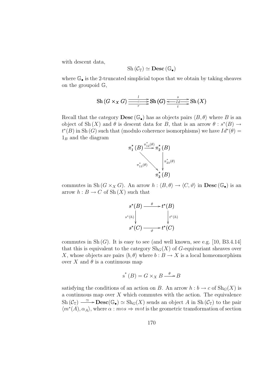with descent data,

$$
\mathrm{Sh}\left(\mathcal{C}_{\mathbb{T}}\right)\simeq\mathbf{Desc}\left(\mathbb{G}_{\bullet}\right)
$$

where  $\mathbb{G}_{\bullet}$  is the 2-truncated simplicial topos that we obtain by taking sheaves on the groupoid G,

$$
\mathrm{Sh}\left(G\times_{X}G\right)\frac{\frac{l}{\frac{c}{r}}}{\frac{c}{r}}\mathrm{Sh}\left(G\right)\frac{\frac{s}{\frac{c}{r}-1}{\frac{c}{r}}}{\frac{s}{r}}\mathrm{Sh}\left(X\right)
$$

Recall that the category  $\bf{Desc}(\mathbb{G}_{\bullet})$  has as objects pairs  $\langle B, \theta \rangle$  where B is an object of Sh(X) and  $\theta$  is descent data for B, that is an arrow  $\theta : s^*(B) \to$  $t^{*}(B)$  in Sh  $(G)$  such that (modulo coherence isomorphisms) we have  $Id^{*}(\theta) =$  $1_B$  and the diagram



commutes in Sh  $(G \times_X G)$ . An arrow  $h : \langle B, \theta \rangle \to \langle C, \vartheta \rangle$  in Desc  $(\mathbb{G}_{\bullet})$  is an arrow  $h : B \to C$  of Sh $(X)$  such that

$$
s^*(B) \xrightarrow{\theta} t^*(B)
$$
  

$$
s^*(h) \downarrow \qquad \qquad t^*(h)
$$
  

$$
s^*(C) \xrightarrow{\theta} t^*(C)
$$

commutes in  $\text{Sh}(G)$ . It is easy to see (and well known, see e.g. [10, B3.4.14] that this is equivalent to the category  $\text{Sh}_G(X)$  of G-equivariant sheaves over X, whose objects are pairs  $\langle b, \theta \rangle$  where  $b : B \to X$  is a local homeomorphism over X and  $\theta$  is a continuous map

$$
s^*(B) = G \times_X B \xrightarrow{\theta} B
$$

satisfying the conditions of an action on B. An arrow  $h : b \to c$  of  $\text{Sh}_G(X)$  is a continuous map over  $X$  which commutes with the action. The equivalence  $\mathrm{Sh}(\mathcal{C}_{\mathbb{T}}) \longrightarrow \mathbf{Desc}(\mathbb{G}_{\bullet}) \simeq \mathrm{Sh}_{G}(X)$  sends an object A in Sh $(\mathcal{C}_{\mathbb{T}})$  to the pair  $\langle m^*(A), \alpha_A \rangle$ , where  $\alpha : mes \Rightarrow mot$  is the geometric transformation of section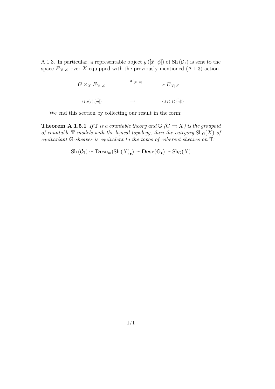A.1.3. In particular, a representable object  $y([\vec{x} | \phi])$  of Sh $(\mathcal{C}_{\mathbb{T}})$  is sent to the space  $E_{[\vec{x}|\phi]}$  over X equipped with the previously mentioned (A.1.3) action

> $G \times_X E_{[\vec{x} \,|\, \phi]}$   $\xrightarrow{a|_{[\vec{x} \,|\, \phi]}} E_{[\vec{x} \,|\, \phi]}$  $\langle f,s(f),\vec{m}|\rangle \qquad \qquad \longmapsto \qquad \qquad \langle {\rm t}(f),f(\vec{n})\rangle$  $\langle \mathrm{t}(f), f(\vec{m}) \rangle$

We end this section by collecting our result in the form:

**Theorem A.1.5.1** If  $\mathbb{T}$  is a countable theory and  $\mathbb{G}$  ( $G \rightrightarrows X$ ) is the groupoid of countable  $\mathbb{T}\text{-models}$  with the logical topology, then the category  $\text{Sh}_G(X)$  of equivariant  $\mathbb{G}$ -sheaves is equivalent to the topos of coherent sheaves on  $\mathbb{T}$ :

$$
Sh\left(\mathcal{C}_{\mathbb{T}}\right) \simeq \mathbf{Desc}_m(\mathrm{Sh}\left(X\right)_\bullet) \simeq \mathbf{Desc}(\mathbb{G}_\bullet) \simeq \mathrm{Sh}_G(X)
$$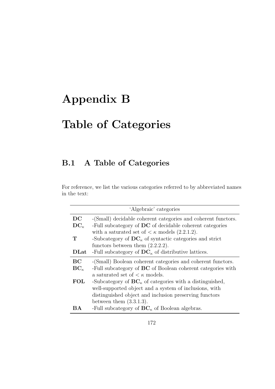# Appendix B

# Table of Categories

## B.1 A Table of Categories

For reference, we list the various categories referred to by abbreviated names in the text:

|               | 'Algebraic' categories                                             |
|---------------|--------------------------------------------------------------------|
| DC            | -(Small) decidable coherent categories and coherent functors.      |
| $DC_{\kappa}$ | -Full subcategory of DC of decidable coherent categories           |
|               | with a saturated set of $\lt \kappa$ models (2.2.1.2).             |
| Т             | -Subcategory of $DC_{\kappa}$ of syntactic categories and strict   |
|               | functors between them $(2.2.2.2)$ .                                |
| <b>DLat</b>   | -Full subcategory of $DC_{\kappa}$ of distributive lattices.       |
| BC            | -(Small) Boolean coherent categories and coherent functors.        |
| $BC_{\kappa}$ | -Full subcategory of <b>BC</b> of Boolean coherent categories with |
|               | a saturated set of $\lt$ $\kappa$ models.                          |
| <b>FOL</b>    | -Subcategory of $BC_{\kappa}$ of categories with a distinguished,  |
|               | well-supported object and a system of inclusions, with             |
|               | distinguished object and inclusion preserving functors             |
|               | between them $(3.3.1.3)$ .                                         |
| BА            | -Full subcategory of $BC_{\kappa}$ of Boolean algebras.            |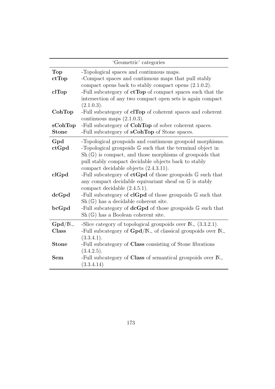| 'Geometric' categories  |                                                                                                                                                                                                                                                                                                                                                                              |  |
|-------------------------|------------------------------------------------------------------------------------------------------------------------------------------------------------------------------------------------------------------------------------------------------------------------------------------------------------------------------------------------------------------------------|--|
| <b>Top</b><br>ctTop     | -Topological spaces and continuous maps.<br>-Compact spaces and continuous maps that pull stably<br>compact opens back to stably compact opens $(2.1.0.2)$ .                                                                                                                                                                                                                 |  |
| clTop                   | -Full subcategory of $ctTop$ of compact spaces such that the<br>intersection of any two compact open sets is again compact<br>(2.1.0.3).                                                                                                                                                                                                                                     |  |
| CohTop                  | -Full subcategory of <b>clTop</b> of coherent spaces and coherent<br>continuous maps $(2.1.0.3)$ .                                                                                                                                                                                                                                                                           |  |
| sCohTop<br><b>Stone</b> | -Full subcategory of CohTop of sober coherent spaces.<br>-Full subcategory of <b>sCohTop</b> of Stone spaces.                                                                                                                                                                                                                                                                |  |
| Gpd<br>ctGpd<br>clGpd   | -Topological groupoids and continuous groupoid morphisms.<br>-Topological groupoids $G$ such that the terminal object in<br>$\mathrm{Sh}(\mathbb{G})$ is compact, and those morphisms of groupoids that<br>pull stably compact decidable objects back to stably<br>compact decidable objects $(2.4.3.11)$ .<br>-Full subcategory of $ctGpd$ of those groupoids $G$ such that |  |
|                         | any compact decidable equivariant sheaf on $\mathbb G$ is stably<br>compact decidable $(2.4.5.1)$ .                                                                                                                                                                                                                                                                          |  |
| dcGpd                   | -Full subcategory of $clGpd$ of those groupoids $G$ such that<br>$\text{Sh}(\mathbb{G})$ has a decidable coherent site.                                                                                                                                                                                                                                                      |  |
| bcGpd                   | -Full subcategory of $dcGpd$ of those groupoids $G$ such that<br>$\text{Sh}(\mathbb{G})$ has a Boolean coherent site.                                                                                                                                                                                                                                                        |  |
| $Gpd/N_{\sim}$<br>Class | -Slice category of topological groupoids over $\mathbb{N}_{\infty}$ (3.3.2.1).<br>-Full subcategory of $Gpd/N_{\sim}$ of classical groupoids over $\mathbb{N}_{\sim}$<br>(3.3.4.1).                                                                                                                                                                                          |  |
| <b>Stone</b>            | -Full subcategory of Class consisting of Stone fibrations<br>(3.4.2.5).                                                                                                                                                                                                                                                                                                      |  |
| <b>Sem</b>              | -Full subcategory of Class of semantical groupoids over $\mathbb{N}_{\sim}$<br>(3.3.4.14)                                                                                                                                                                                                                                                                                    |  |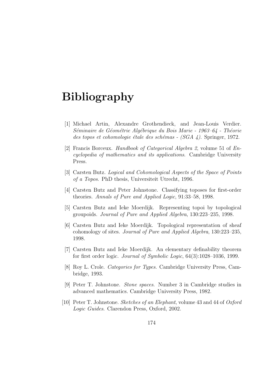## Bibliography

- [1] Michael Artin, Alexandre Grothendieck, and Jean-Louis Verdier. Séminaire de Géométrie Algébrique du Bois Marie - 1963–64 - Théorie des topos et cohomologie étale des schémas -  $(SGA \, 4)$ . Springer, 1972.
- [2] Francis Borceux. Handbook of Categorical Algebra 2, volume 51 of Encyclopedia of mathematics and its applications. Cambridge University Press.
- [3] Carsten Butz. Logical and Cohomological Aspects of the Space of Points of a Topos. PhD thesis, Universiteit Utrecht, 1996.
- [4] Carsten Butz and Peter Johnstone. Classifying toposes for first-order theories. Annals of Pure and Applied Logic, 91:33–58, 1998.
- [5] Carsten Butz and Ieke Moerdijk. Representing topoi by topological groupoids. Journal of Pure and Applied Algebra, 130:223–235, 1998.
- [6] Carsten Butz and Ieke Moerdijk. Topological representation of sheaf cohomology of sites. Journal of Pure and Applied Algebra, 130:223–235, 1998.
- [7] Carsten Butz and Ieke Moerdijk. An elementary definability theorem for first order logic. Journal of Symbolic Logic, 64(3):1028–1036, 1999.
- [8] Roy L. Crole. Categories for Types. Cambridge University Press, Cambridge, 1993.
- [9] Peter T. Johnstone. Stone spaces. Number 3 in Cambridge studies in advanced mathematics. Cambridge University Press, 1982.
- [10] Peter T. Johnstone. Sketches of an Elephant, volume 43 and 44 of Oxford Logic Guides. Clarendon Press, Oxford, 2002.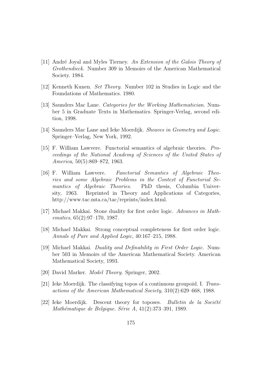- [11] André Joyal and Myles Tierney. An Extension of the Galois Theory of Grothendieck. Number 309 in Memoirs of the American Mathematical Society. 1984.
- [12] Kenneth Kunen. Set Theory. Number 102 in Studies in Logic and the Foundations of Mathematics. 1980.
- [13] Saunders Mac Lane. *Categories for the Working Mathematician*. Number 5 in Graduate Texts in Mathematics. Springer-Verlag, second edition, 1998.
- [14] Saunders Mac Lane and Ieke Moerdijk. Sheaves in Geometry and Logic. Springer–Verlag, New York, 1992.
- [15] F. William Lawvere. Functorial semantics of algebraic theories. Proceedings of the National Academy of Sciences of the United States of America, 50(5):869–872, 1963.
- [16] F. William Lawvere. Functorial Semantics of Algebraic Theories and some Algebraic Problems in the Context of Functorial Semantics of Algebraic Theories. PhD thesis, Columbia University, 1963. Reprinted in Theory and Applications of Categories, http://www.tac.mta.ca/tac/reprints/index.html.
- [17] Michael Makkai. Stone duality for first order logic. Advances in Mathematics, 65(2):97–170, 1987.
- [18] Michael Makkai. Strong conceptual completeness for first order logic. Annals of Pure and Applied Logic, 40:167–215, 1988.
- [19] Michael Makkai. Duality and Definability in First Order Logic. Number 503 in Memoirs of the American Mathematical Society. American Mathematical Society, 1993.
- [20] David Marker. Model Theory. Springer, 2002.
- [21] Ieke Moerdijk. The classifying topos of a continuous groupoid. I. Transactions of the American Mathematical Society, 310(2):629–668, 1988.
- [22] Ieke Moerdijk. Descent theory for toposes. Bulletin de la Société Mathématique de Belgique. Série A,  $41(2):373-391$ , 1989.